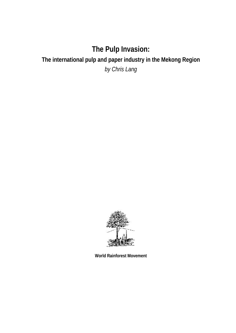# **The Pulp Invasion: The international pulp and paper industry in the Mekong Region**  *by Chris Lang*



**World Rainforest Movement**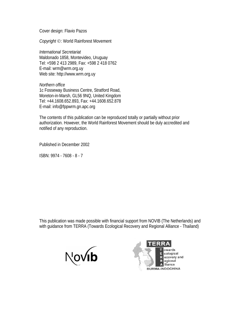Cover design: Flavio Pazos

*Copyright* ©: World Rainforest Movement

*International Secretariat*  Maldonado 1858, Montevideo, Uruguay Tel: +598 2 413 2989, Fax: +598 2 418 0762 E-mail: wrm@wrm.org.uy Web site: http://www.wrm.org.uy

*Northern office*  1c Fosseway Business Centre, Stratford Road, Moreton-in-Marsh, GL56 9NQ, United Kingdom Tel: +44.1608.652.893, Fax: +44.1608.652.878 E-mail: info@fppwrm.gn.apc.org

The contents of this publication can be reproduced totally or partially without prior authorization. However, the World Rainforest Movement should be duly accredited and notified of any reproduction.

Published in December 2002

ISBN: 9974 - 7608 - 8 - 7

This publication was made possible with financial support from NOVIB (The Netherlands) and with guidance from TERRA (Towards Ecological Recovery and Regional Alliance - Thailand)



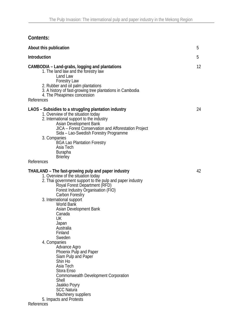# **Contents:**

| About this publication                                                                                                                                                                                                                                                                                                                                                                                                                                                                                                                                                                                                     | 5                 |
|----------------------------------------------------------------------------------------------------------------------------------------------------------------------------------------------------------------------------------------------------------------------------------------------------------------------------------------------------------------------------------------------------------------------------------------------------------------------------------------------------------------------------------------------------------------------------------------------------------------------------|-------------------|
| Introduction                                                                                                                                                                                                                                                                                                                                                                                                                                                                                                                                                                                                               | 5                 |
| CAMBODIA – Land-grabs, logging and plantations<br>1. The land law and the forestry law<br>Land Law<br><b>Forestry Law</b><br>2. Rubber and oil palm plantations<br>3. A history of fast-growing tree plantations in Cambodia<br>4. The Pheapimex concession<br>References                                                                                                                                                                                                                                                                                                                                                  | $12 \overline{ }$ |
| LAOS – Subsidies to a struggling plantation industry<br>1. Overview of the situation today<br>2. International support to the industry<br>Asian Development Bank<br><b>JICA</b> – Forest Conservation and Afforestation Project<br>Sida - Lao-Swedish Forestry Programme<br>3. Companies<br><b>BGA Lao Plantation Forestry</b><br>Asia Tech<br><b>Burapha</b><br><b>Brierley</b>                                                                                                                                                                                                                                           | 24                |
| References                                                                                                                                                                                                                                                                                                                                                                                                                                                                                                                                                                                                                 |                   |
| THAILAND – The fast-growing pulp and paper industry<br>1. Overview of the situation today<br>2. Thai government support to the pulp and paper industry<br>Royal Forest Department (RFD)<br>Forest Industry Organisation (FIO)<br>Carbon Forestry<br>3. International support<br>World Bank<br>Asian Development Bank<br>Canada<br>UK<br>Japan<br>Australia<br>Finland<br>Sweden<br>4. Companies<br>Advance Agro<br>Phoenix Pulp and Paper<br>Siam Pulp and Paper<br>Shin Ho<br>Asia Tech<br>Stora Enso<br><b>Commonwealth Development Corporation</b><br>Shell<br>Jaakko Poyry<br><b>SCC Natura</b><br>Machinery suppliers | 42                |
| 5. Impacts and Protests<br>References                                                                                                                                                                                                                                                                                                                                                                                                                                                                                                                                                                                      |                   |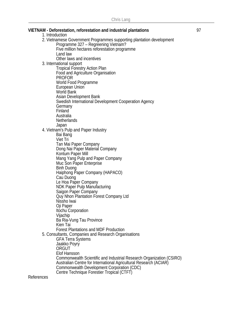| VIETNAM - Deforestation, reforestation and industrial plantations                                    | 97 |
|------------------------------------------------------------------------------------------------------|----|
| 1. Introduction                                                                                      |    |
| 2. Vietnamese Government Programmes supporting plantation development                                |    |
| Programme 327 - Regreening Vietnam?                                                                  |    |
| Five million hectares reforestation programme                                                        |    |
| Land law                                                                                             |    |
| Other laws and incentives                                                                            |    |
| 3. International support                                                                             |    |
| <b>Tropical Forestry Action Plan</b>                                                                 |    |
| Food and Agriculture Organisation                                                                    |    |
| <b>PROFOR</b>                                                                                        |    |
| World Food Programme<br><b>European Union</b>                                                        |    |
| <b>World Bank</b>                                                                                    |    |
| Asian Development Bank                                                                               |    |
| Swedish International Development Cooperation Agency                                                 |    |
| Germany                                                                                              |    |
| Finland                                                                                              |    |
| Australia                                                                                            |    |
| <b>Netherlands</b>                                                                                   |    |
| Japan                                                                                                |    |
| 4. Vietnam's Pulp and Paper Industry                                                                 |    |
| Bai Bang<br>Viet Tri                                                                                 |    |
| Tan Mai Paper Company                                                                                |    |
| Dong Nai Paper Material Company                                                                      |    |
| Kontum Paper Mill                                                                                    |    |
| Mang Yang Pulp and Paper Company                                                                     |    |
| Muc Son Paper Enterprise                                                                             |    |
| Binh Duong                                                                                           |    |
| Haiphong Paper Company (HAPACO)                                                                      |    |
| Cau Duong                                                                                            |    |
| Le Hoa Paper Company<br><b>NDK Paper Pulp Manufacturing</b>                                          |    |
| Saigon Paper Company                                                                                 |    |
| <b>Quy Nhon Plantation Forest Company Ltd</b>                                                        |    |
| Nissho Iwai                                                                                          |    |
| Oji Paper                                                                                            |    |
| Itochu Corporation                                                                                   |    |
| Vijachip                                                                                             |    |
| Ba Ria-Vung Tau Province                                                                             |    |
| Kien Tai                                                                                             |    |
| <b>Forest Plantations and MDF Production</b><br>5. Consultants, Companies and Research Organisations |    |
| <b>GFA Terra Systems</b>                                                                             |    |
| Jaakko Poyry                                                                                         |    |
| ORGUT                                                                                                |    |
| Elof Hansson                                                                                         |    |
| Commonwealth Scientific and Industrial Research Organization (CSIRO)                                 |    |
| Australian Centre for International Agricultural Research (ACIAR)                                    |    |
| Commonwealth Development Corporation (CDC)                                                           |    |
| Centre Technique Forestier Tropical (CTFT)                                                           |    |
| References                                                                                           |    |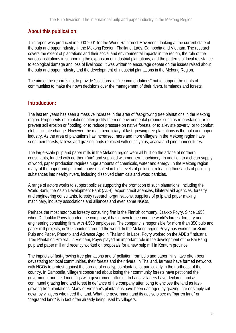## **About this publication:**

This report was produced in 2000-2001 for the World Rainforest Movement, looking at the current state of the pulp and paper industry in the Mekong Region: Thailand, Laos, Cambodia and Vietnam. The research covers the extent of plantations and their social and environmental impacts in the region, the role of the various institutions in supporting the expansion of industrial plantations, and the patterns of local resistance to ecological damage and loss of livelihood. It was written to encourage debate on the issues raised about the pulp and paper industry and the development of industrial plantations in the Mekong Region.

The aim of the report is not to provide "solutions" or "recommendations" but to support the rights of communities to make their own decisions over the management of their rivers, farmlands and forests.

## **Introduction:**

The last ten years has seen a massive increase in the area of fast-growing tree plantations in the Mekong region. Proponents of plantations often justify them on environmental grounds such as reforestation, or to prevent soil erosion or flooding, or to reduce pressure on native forests, or to alleviate poverty, or to combat global climate change. However, the main beneficiary of fast-growing tree plantations is the pulp and paper industry. As the area of plantations has increased, more and more villagers in the Mekong region have seen their forests, fallows and grazing lands replaced with eucalyptus, acacia and pine monocultures.

The large-scale pulp and paper mills in the Mekong region were all built on the advice of northern consultants, funded with northern "aid" and supplied with northern machinery. In addition to a cheap supply of wood, paper production requires huge amounts of chemicals, water and energy. In the Mekong region many of the paper and pulp mills have resulted in high levels of pollution, releasing thousands of polluting substances into nearby rivers, including dissolved chemicals and wood particles.

A range of actors works to support policies supporting the promotion of such plantations, including the World Bank, the Asian Development Bank (ADB), export credit agencies, bilateral aid agencies, forestry and engineering consultants, forestry research organisations, suppliers of pulp and paper making machinery, industry associations and alliances and even some NGOs.

Perhaps the most notorious forestry consulting firm is the Finnish company, Jaakko Poyry. Since 1958, when Dr Jaakko Poyry founded the company, it has grown to become the world's largest forestry and engineering consulting firm, with 4,500 employees. The company is responsible for more than 350 pulp and paper mill projects, in 100 countries around the world. In the Mekong region Poyry has worked for Siam Pulp and Paper, Phoenix and Advance Agro in Thailand. In Laos, Poyry worked on the ADB's "Industrial Tree Plantation Project". In Vietnam, Poyry played an important role in the development of the Bai Bang pulp and paper mill and recently worked on proposals for a new pulp mill in Kontum province.

The impacts of fast-growing tree plantations and of pollution from pulp and paper mills have often been devastating for local communities, their forests and their rivers. In Thailand, farmers have formed networks with NGOs to protest against the spread of eucalyptus plantations, particularly in the northeast of the country. In Cambodia, villagers concerned about losing their community forests have petitioned the government and held meetings with government officials. In Laos, villagers have declared land as communal grazing land and forest in defiance of the company attempting to enclose the land as fastgrowing tree plantations. Many of Vietnam's plantations have been damaged by grazing, fire or simply cut down by villagers who need the land. What the government and its advisers see as "barren land" or "degraded land" is in fact often already being used by villagers.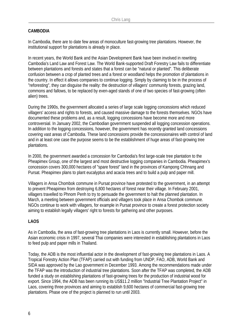#### **CAMBODIA**

In Cambodia, there are to date few areas of monoculture fast-growing tree plantations. However, the institutional support for plantations is already in place.

In recent years, the World Bank and the Asian Development Bank have been involved in rewriting Cambodia's Land Law and Forest Law. The World Bank-supported Draft Forestry Law fails to differentiate between plantations and forests and states that a forest can be "natural or planted". This deliberate confusion between a crop of planted trees and a forest or woodland helps the promotion of plantations in the country. In effect it allows companies to continue logging. Simply by claiming to be in the process of "reforesting", they can disguise the reality: the destruction of villagers' community forests, grazing land, commons and fallows, to be replaced by even-aged stands of one of two species of fast-growing (often alien) trees.

During the 1990s, the government allocated a series of large scale logging concessions which reduced villagers' access and rights to forests, and caused massive damage to the forests themselves. NGOs have documented these problems and, as a result, logging concessions have become more and more controversial. In January 2002, the Cambodian government suspended all logging concession operations. In addition to the logging concessions, however, the government has recently granted land concessions covering vast areas of Cambodia. These land concessions provide the concessionaires with control of land and in at least one case the purpose seems to be the establishment of huge areas of fast-growing tree plantations.

In 2000, the government awarded a concession for Cambodia's first large-scale tree plantation to the Pheapimex Group, one of the largest and most destructive logging companies in Cambodia. Pheapimex's concession covers 300,000 hectares of "spare forest" land in the provinces of Kampong Chhnang and Pursat. Pheapimex plans to plant eucalyptus and acacia trees and to build a pulp and paper mill.

Villagers in Ansa Chombok commune in Pursat province have protested to the government, in an attempt to prevent Pheapimex from destroying 6,800 hectares of forest near their village. In February 2001, villagers travelled to Phnom Penh to try to persuade the government to halt the planned plantation. In March, a meeting between government officials and villagers took place in Ansa Chombok commune. NGOs continue to work with villagers, for example in Pursat province to create a forest protection society aiming to establish legally villagers' right to forests for gathering and other purposes.

#### **LAOS**

As in Cambodia, the area of fast-growing tree plantations in Laos is currently small. However, before the Asian economic crisis in 1997, several Thai companies were interested in establishing plantations in Laos to feed pulp and paper mills in Thailand.

Today, the ADB is the most influential actor in the development of fast-growing tree plantations in Laos. A Tropical Forestry Action Plan (TFAP) carried out with funding from UNDP, FAO, ADB, World Bank and SIDA was approved by the Lao government in December 1993. Among the recommendations made under the TFAP was the introduction of industrial tree plantations. Soon after the TFAP was completed, the ADB funded a study on establishing plantations of fast-growing trees for the production of industrial wood for export. Since 1994, the ADB has been running its US\$11.2 million "Industrial Tree Plantation Project" in Laos, covering three provinces and aiming to establish 9,600 hectares of commercial fast-growing tree plantations. Phase one of the project is planned to run until 2003.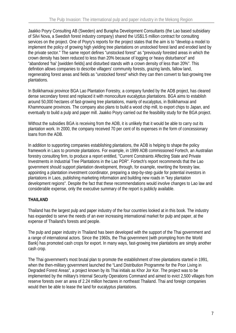Jaakko Poyry Consulting AB (Sweden) and Burapha Development Consultants (the Lao based subsidiary of Silvi Nova, a Swedish forest industry company) shared the US\$1.5 million contract for consulting services on the project. One of Poyry's reports for the project states that the aim is to "develop a model to implement the policy of growing high yielding tree plantations on unstocked forest land and eroded land by the private sector." The same report defines "unstocked forest" as "previously forested areas in which the crown density has been reduced to less than 20% because of logging or heavy disturbance" and "abandoned 'hai' [swidden fields] and disturbed stands with a crown density of less than 20%". This definition allows companies to describe villagers' community forests, grazing lands, fallow land, regenerating forest areas and fields as "unstocked forest" which they can then convert to fast-growing tree plantations.

In Bolikhamxai province BGA Lao Plantation Forestry, a company funded by the ADB project, has cleared dense secondary forest and replaced it with monoculture eucalyptus plantations. BGA aims to establish around 50,000 hectares of fast-growing tree plantations, mainly of eucalyptus, in Bolikhamxai and Khammouane provinces. The company also plans to build a wood chip mill, to export chips to Japan, and eventually to build a pulp and paper mill. Jaakko Poyry carried out the feasibility study for the BGA project.

Without the subsidies BGA is receiving from the ADB, it is unlikely that it would be able to carry out its plantation work. In 2000, the company received 70 per cent of its expenses in the form of concessionary loans from the ADB.

In addition to supporting companies establishing plantations, the ADB is helping to shape the policy framework in Laos to promote plantations. For example, in 1999 ADB commissioned Fortech, an Australian forestry consulting firm, to produce a report entitled, "Current Constraints Affecting State and Private Investments in Industrial Tree Plantations in the Lao PDR". Fortech's report recommends that the Lao government should support plantation development, through, for example, rewriting the forestry law, appointing a plantation investment coordinator, preparing a step-by-step guide for potential investors in plantations in Laos, publishing marketing information and building new roads in "key plantation development regions". Despite the fact that these recommendations would involve changes to Lao law and considerable expense, only the executive summary of the report is publicly available.

## **THAILAND**

Thailand has the largest pulp and paper industry of the four countries looked at in this book. The industry has expanded to serve the needs of an ever increasing international market for pulp and paper, at the expense of Thailand's forests and people.

The pulp and paper industry in Thailand has been developed with the support of the Thai government and a range of international actors. Since the 1960s, the Thai government (with prompting from the World Bank) has promoted cash crops for export. In many ways, fast-growing tree plantations are simply another cash crop.

The Thai government's most brutal plan to promote the establishment of tree plantations started in 1991, when the then-military government launched the "Land Distribution Programme for the Poor Living in Degraded Forest Areas", a project known by its Thai initials as Khor Jor Kor. The project was to be implemented by the military's Internal Security Operations Command and aimed to evict 2,500 villages from reserve forests over an area of 2.24 million hectares in northeast Thailand. Thai and foreign companies would then be able to lease the land for eucalyptus plantations.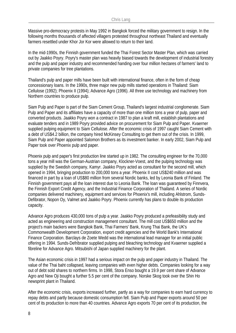Massive pro-democracy protests in May 1992 in Bangkok forced the military government to resign. In the following months thousands of affected villagers protested throughout northeast Thailand and eventually farmers resettled under Khor Jor Kor were allowed to return to their land.

In the mid-1990s, the Finnish government funded the Thai Forest Sector Master Plan, which was carried out by Jaakko Poyry. Poyry's master plan was heavily biased towards the development of industrial forestry and the pulp and paper industry and recommended handing over four million hectares of farmers' land to private companies for tree plantations.

Thailand's pulp and paper mills have been built with international finance, often in the form of cheap concessionary loans. In the 1990s, three major new pulp mills started operations in Thailand: Siam Cellulose (1992); Phoenix II (1994); Advance Agro (1996). All three use technology and machinery from Northern countries to produce pulp.

Siam Pulp and Paper is part of the Siam Cement Group, Thailand's largest industrial conglomerate. Siam Pulp and Paper and its affiliates have a capacity of more than one million tons a year of pulp, paper and converted products. Jaakko Poyry won a contract in 1987 to plan a kraft mill, establish plantations and evaluate tenders and in 1989 Poyry provided advice on procurement for Siam Pulp and Paper. Kvaerner supplied pulping equipment to Siam Cellulose. After the economic crisis of 1997 caught Siam Cement with a debt of US\$4.2 billion, the company hired McKinsey Consulting to get them out of the crisis. In 1999, Siam Pulp and Paper appointed Salomon Brothers as its investment banker. In early 2002, Siam Pulp and Paper took over Phoenix pulp and paper.

Phoenix pulp and paper's first production line started up in 1982. The consulting engineer for the 70,000 tons a year mill was the German-Austrian company, Klockner-Voest, and the pulping technology was supplied by the Swedish company, Kamyr. Jaakko Poyry acted as consultant for the second mill, which opened in 1994, bringing production to 200,000 tons a year. Phoenix II cost US\$240 million and was financed in part by a loan of US\$80 million from several Nordic banks, led by Leonia Bank of Finland. The Finnish government pays all the loan interest due to Leonia Bank. The loan was guaranteed by Finnvera, the Finnish Export Credit Agency, and the Industrial Finance Corporation of Thailand. A series of Nordic companies delivered machinery, equipment and services for Phoenix's mill, including Ahlstrom, Sunds-Defibrator, Nopon Oy, Valmet and Jaakko Poyry. Phoenix currently has plans to double its production capacity.

Advance Agro produces 430,000 tons of pulp a year. Jaakko Poyry produced a prefeasibility study and acted as engineering and construction management consultant. The mill cost US\$650 million and the project's main backers were Bangkok Bank, Thai Farmers' Bank, Krung Thai Bank, the UK's Commonwealth Development Corporation, export credit agencies and the World Bank's International Finance Corporation. Barclays de Zoete Wedd was the international lead manager for an initial public offering in 1994. Sunds-Defribrator supplied pulping and bleaching technology and Kvaerner supplied a fibreline for Advance Agro. Mitsubishi of Japan supplied machinery for the plant.

The Asian economic crisis in 1997 had a serious impact on the pulp and paper industry in Thailand. The value of the Thai baht collapsed, leaving companies with even higher debts. Companies looking for a way out of debt sold shares to northern firms. In 1998, Stora Enso bought a 19.9 per cent share of Advance Agro and New Oji bought a further 5.5 per cent of the company. Norske Skog took over the Shin Ho newsprint plant in Thailand.

After the economic crisis, exports increased further, partly as a way for companies to earn hard currency to repay debts and partly because domestic consumption fell. Siam Pulp and Paper exports around 50 per cent of its production to more than 40 countries. Advance Agro exports 70 per cent of its production, the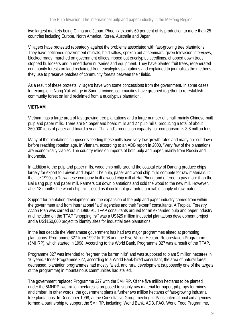two largest markets being China and Japan. Phoenix exports 60 per cent of its production to more than 25 countries including Europe, North America, Korea, Australia and Japan.

Villagers have protested repeatedly against the problems associated with fast-growing tree plantations. They have petitioned government officials, held rallies, spoken out at seminars, given television interviews, blocked roads, marched on government offices, ripped out eucalyptus seedlings, chopped down trees, stopped bulldozers and burned down nurseries and equipment. They have planted fruit trees, regenerated community forests on land reclaimed from eucalyptus plantations and explained to journalists the methods they use to preserve patches of community forests between their fields.

As a result of these protests, villagers have won some concessions from the government. In some cases, for example in Nong Yak village in Surin province, communities have grouped together to re-establish community forest on land reclaimed from a eucalyptus plantation.

### **VIETNAM**

Vietnam has a large area of fast-growing tree plantations and a large number of small, mainly Chinese-built pulp and paper mills. There are 94 paper and board mills and 27 pulp mills, producing a total of about 360,000 tons of paper and board a year. Thailand's production capacity, for comparison, is 3.8 million tons.

Many of the plantations supposedly feeding these mills have very low growth rates and many are cut down before reaching rotation age. In Vietnam, according to an ADB report in 2000, "Very few of the plantations are economically viable". The country relies on imports of both pulp and paper, mainly from Russia and Indonesia.

In addition to the pulp and paper mills, wood chip mills around the coastal city of Danang produce chips largely for export to Taiwan and Japan. The pulp, paper and wood chip mills compete for raw materials. In the late 1990s, a Taiwanese company built a wood chip mill at Hai Phong and offered to pay more than the Bai Bang pulp and paper mill. Farmers cut down plantations and sold the wood to the new mill. However, after 18 months the wood chip mill closed as it could not guarantee a reliable supply of raw materials.

Support for plantation development and the expansion of the pulp and paper industry comes from within the government and from international "aid" agencies and their "expert" consultants. A Tropical Forestry Action Plan was carried out in 1990-91. TFAP consultants argued for an expanded pulp and paper industry and included on the TFAP "shopping list" was a US\$25 million industrial plantations development project and a US\$150,000 project to identify sites for industrial tree plantations.

In the last decade the Vietnamese government has had two major programmes aimed at promoting plantations: Programme 327 from 1992 to 1998 and the Five Million Hectare Reforestation Programme (5MHRP), which started in 1998. According to the World Bank, Programme 327 was a result of the TFAP.

Programme 327 was intended to "regreen the barren hills" and was supposed to plant 5 million hectares in 10 years. Under Programme 327, according to a World Bank-hired consultant, the area of natural forest decreased, plantation programmes had mostly failed, and rural development (supposedly one of the targets of the programme) in mountainous communities had stalled.

The government replaced Programme 327 with the 5MHRP. Of the five million hectares to be planted under the 5MHRP two million hectares is proposed to supply raw material for paper, pit-props for mines and timber. In other words, the government plans a further two million hectares of fast-growing industrial tree plantations. In December 1998, at the Consultative Group meeting in Paris, international aid agencies formed a partnership to support the 5MHRP, including: World Bank, ADB, FAO, World Food Programme,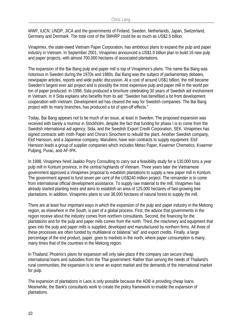WWF, IUCN, UNDP, JICA and the governments of Finland, Sweden, Netherlands, Japan, Switzerland, Germany and Denmark. The total cost of the 5MHRP could be as much as US\$2.5 billion.

Vinapimex, the state-owed Vietnam Paper Corporation, has ambitious plans to expand the pulp and paper industry in Vietnam. In September 2001, Vinapimex announced a US\$1.9 billion plan to build 16 new pulp and paper projects, with almost 700,000 hectares of associated plantations.

The expansion of the Bai Bang pulp and paper mill is top of Vinapimex's plans. The name Bai Bang was notorious in Sweden during the 1970s and 1980s. Bai Bang was the subject of parliamentary debates, newspaper articles, reports and wide public discussion. At a cost of around US\$1 billion, the mill became Sweden's largest ever aid project and is possibly the most expensive pulp and paper mill in the world per ton of paper produced. In 1998, Sida produced a brochure celebrating 30 years of Swedish aid involvement in Vietnam. In it Sida explains who benefits from its aid: "Sweden has benefited a lot from development cooperation with Vietnam. Development aid has cleared the way for Swedish companies. The Bai Bang project with its many branches, has produced a lot of spin-off effects."

Today, Bai Bang appears not to be much of an issue, at least in Sweden. The proposed expansion was received with barely a murmur in Stockholm, despite the fact that funding for phase I is to come from the Swedish international aid agency, Sida, and the Swedish Export Credit Corporation, SEK. Vinapimex has signed contracts with Voith Paper and China's Sinochem to rebuild the plant. Another Swedish company, Elof Hansson, and a Japanese company, Marubeni, have won contracts to supply equipment. Elof Hansson leads a group of supplier companies which includes Metso Paper, Kvaerner Chemetics, Kvaerner Pulping, Purac, and AF-IPK.

In 1998, Vinapimex hired Jaakko Poyry Consulting to carry out a feasibility study for a 130,000 tons a year pulp mill in Kontum province, in the central highlands of Vietnam. Three years later the Vietnamese government approved a Vinapimex proposal to establish plantations to supply a new paper mill in Kontum. The government agreed to fund seven per cent of the US\$240 million project. The remainder is to come from international official development assistance. To supply raw material to the mill, Vinapimex has already started planting trees and aims to establish an area of 125,000 hectares of fast-growing tree plantations. In addition, Vinapimex plans to use 38,000 hectares of natural forest to supply the mill.

There are at least four important ways in which the expansion of the pulp and paper industry in the Mekong region, as elsewhere in the South, is part of a global process. First, the advice that governments in the region receive about the industry comes from northern consultants. Second, the financing for the plantations and for the pulp and paper mills comes from the north. Third, the machinery and equipment that goes into the pulp and paper mills is supplied, developed and manufactured by northern firms. All three of these processes are often funded by multilateral or bilateral "aid" and export credits. Finally, a large percentage of the end product, paper, goes to markets in the north, where paper consumption is many, many times that of the countries in the Mekong region.

In Thailand, Phoenix's plans for expansion will only take place if the company can secure cheap international loans and subsidies from the Thai government. Rather than serving the needs of Thailand's rural communities, the expansion is to serve an export market and the demands of the international market for pulp.

The expansion of plantations in Laos is only possible because the ADB is providing cheap loans. Meanwhile, the Bank's consultants work to create the policy framework to enable the expansion of plantations.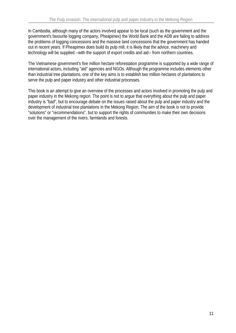In Cambodia, although many of the actors involved appear to be local (such as the government and the government's favourite logging company, Pheapimex) the World Bank and the ADB are failing to address the problems of logging concessions and the massive land concessions that the government has handed out in recent years. If Pheapimex does build its pulp mill, it is likely that the advice, machinery and technology will be supplied --with the support of export credits and aid-- from northern countries.

The Vietnamese government's five million hectare reforestation programme is supported by a wide range of international actors, including "aid" agencies and NGOs. Although the programme includes elements other than industrial tree plantations, one of the key aims is to establish two million hectares of plantations to serve the pulp and paper industry and other industrial processes.

This book is an attempt to give an overview of the processes and actors involved in promoting the pulp and paper industry in the Mekong region. The point is not to argue that everything about the pulp and paper industry is "bad", but to encourage debate on the issues raised about the pulp and paper industry and the development of industrial tree plantations in the Mekong Region. The aim of the book is not to provide "solutions" or "recommendations", but to support the rights of communities to make their own decisions over the management of the rivers, farmlands and forests.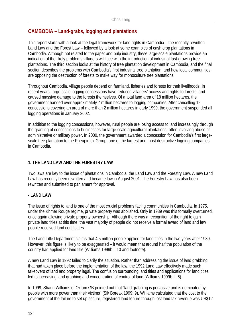## **CAMBODIA – Land-grabs, logging and plantations**

This report starts with a look at the legal framework for land rights in Cambodia – the recently rewritten Land Law and the Forest Law – followed by a look at some examples of cash crop plantations in Cambodia. Although not related to the paper and pulp industry, these large-scale plantations provide an indication of the likely problems villagers will face with the introduction of industrial fast-growing tree plantations. The third section looks at the history of tree plantation development in Cambodia, and the final section describes the problems with Cambodia's first industrial tree plantation, and how local communities are opposing the destruction of forests to make way for monoculture tree plantations.

Throughout Cambodia, village people depend on farmland, fisheries and forests for their livelihoods. In recent years, large scale logging concessions have reduced villagers' access and rights to forests, and caused massive damage to the forests themselves. Of a total land area of 18 million hectares, the government handed over approximately 7 million hectares to logging companies. After cancelling 12 concessions covering an area of more than 2 million hectares in early 1999, the government suspended all logging operations in January 2002.

In addition to the logging concessions, however, rural people are losing access to land increasingly through the granting of concessions to businesses for large-scale agricultural plantations, often involving abuse of administrative or military power. In 2000, the government awarded a concession for Cambodia's first largescale tree plantation to the Pheapimex Group, one of the largest and most destructive logging companies in Cambodia.

#### **1. THE LAND LAW AND THE FORESTRY LAW**

Two laws are key to the issue of plantations in Cambodia: the Land Law and the Forestry Law. A new Land Law has recently been rewritten and became law in August 2001. The Forestry Law has also been rewritten and submitted to parliament for approval.

#### **- LAND LAW**

The issue of rights to land is one of the most crucial problems facing communities in Cambodia. In 1975, under the Khmer Rouge regime, private property was abolished. Only in 1989 was this formally overturned, once again allowing private property ownership. Although there was a recognition of the right to gain private land titles at this time, the vast majority of people did not receive a formal award of land and few people received land certificates.

The Land Title Department claims that 4.5 million people applied for land titles in the two years after 1989. However, this figure is likely to be exaggerated – it would mean that around half the population of the country had applied for land title (Williams 1999b: I 10 and footnote).

A new Land Law in 1992 failed to clarify the situation. Rather than addressing the issue of land grabbing that had taken place before the implementation of the law, the 1992 Land Law effectively made such takeovers of land and property legal. The confusion surrounding land titles and applications for land titles led to increasing land grabbing and concentration of control of land (Williams 1999b: II 6).

In 1999, Shaun Williams of Oxfam GB pointed out that "land grabbing is pervasive and is dominated by people with more power than their victims" (Sik Boreak 1999: 9). Williams calculated that the cost to the government of the failure to set up secure, registered land tenure through lost land tax revenue was US\$12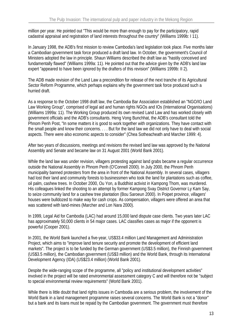million per year. He pointed out "This would be more than enough to pay for the participatory, rapid cadastral appraisal and registration of land interests throughout the country" (Williams 1999b: I 11).

In January 1998, the ADB's first mission to review Cambodia's land legislation took place. Five months later a Cambodian government task force produced a draft land law. In October, the government's Council of Ministers adopted the law in principle. Shaun Williams described the draft law as "hastily conceived and fundamentally flawed" (Williams 1999a: 11). He pointed out that the advice given by the ADB's land law expert "appeared to have been ignored by the drafters of this revision" (Williams 1999b: II 2).

The ADB made revision of the Land Law a precondition for release of the next tranche of its Agricultural Sector Reform Programme, which perhaps explains why the government task force produced such a hurried draft.

As a response to the October 1998 draft law, the Cambodia Bar Association established an "NGO/IO Land Law Working Group", comprised of legal aid and human rights NGOs and IOs (International Organisations) (Williams 1999a: 11). The Working Group produced its own revised Land Law and has worked closely with government officials and the ADB's consultants. Heng Vong Bunchhat, the ADB's consultant told the Phnom Penh Post, "In some matters it is good to work together with organizations. They have contact with the small people and know their concerns. . . . But for the land law we did not only have to deal with social aspects. There were also economic aspects to consider" (Chea Sotheacheath and Marcher 1999: 4).

After two years of discussions, meetings and revisions the revised land law was approved by the National Assembly and Senate and became law on 31 August 2001 (World Bank 2001).

While the land law was under revision, villagers protesting against land grabs became a regular occurrence outside the National Assembly in Phnom Penh (O'Connell 2000). In July 2000, the Phnom Penh municipality banned protesters from the area in front of the National Assembly. In several cases, villagers had lost their land and community forests to businessmen who took the land for plantations such as coffee, oil palm, cashew trees. In October 2000, Ou Yon, a Buddhist activist in Kampong Thom, was murdered. His colleagues linked the shooting to an attempt by former Kampong Svay District Governor Ly Kam Say, to seize community land for a cashew tree plantation (Bou Saroeun 2000). In Poipet province, villagers' houses were bulldozed to make way for cash crops. As compensation, villagers were offered an area that was scattered with land-mines (Marcher and Lon Nara 2000).

In 1999, Legal Aid for Cambodia (LAC) had around 15,000 land dispute case clients. Two years later LAC has approximately 50,000 clients in 54 major cases. LAC classifies cases as major if the opponent is powerful (Cooper 2001).

In 2001, the World Bank launched a five-year, US\$33.4 million Land Management and Administration Project, which aims to "improve land tenure security and promote the development of efficient land markets". The project is to be funded by the German government (US\$3.5 million), the Finnish government (US\$3.5 million), the Cambodian government (US\$3 million) and the World Bank, through its International Development Agency (IDA) (US\$23.4 million) (World Bank 2001).

Despite the wide-ranging scope of the programme, all "policy and institutional development activities" involved in the project will be rated environmental assessment category C and will therefore not be "subject to special environmental review requirements" (World Bank 2001).

While there is little doubt that land rights issues in Cambodia are a serious problem, the involvement of the World Bank in a land management programme raises several concerns. The World Bank is not a "donor" but a bank and its loans must be repaid by the Cambodian government. The government must therefore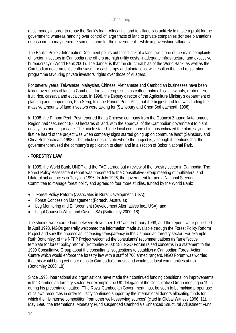raise money in order to repay the Bank's loan. Allocating land to villagers is unlikely to make a profit for the government, whereas handing over control of large tracts of land to private companies (for tree plantations or cash crops) may generate some income for the government – while impoverishing villagers.

The Bank's Project Information Document points out that "Lack of a land law is one of the main complaints of foreign investors in Cambodia (the others are high utility costs, inadequate infrastructure, and excessive bureaucracy)" (World Bank 2001). The danger is that the structural bias of the World Bank, as well as the Cambodian government's enthusiasm for cash crops and plantations, will result in the land registration programme favouring private investors' rights over those of villagers.

For several years, Taiwanese, Malaysian, Chinese, Vietnamese and Cambodian businesses have been taking over tracts of land in Cambodia for cash crops such as coffee, palm oil, cashew nuts, rubber, tea, fruit, rice, cassava and eucalyptus. In 1998, the Deputy director of the Agriculture Ministry's department of planning and cooperation, Kith Seng, told the Phnom Penh Post that the biggest problem was finding the massive amounts of land investors were asking for (Sainsbury and Chea Sotheacheath 1998).

In 1998, the Phnom Penh Post reported that a Chinese company from the Guangxi Zhuang Autonomous Region had "secured" 18,000 hectares of land, with the approval of the Cambodian government to plant eucalyptus and sugar cane. The article stated "one local commune chief has criticized the plan, saying the first he heard of the project was when company signs started going up on commune land" (Sainsbury and Chea Sotheacheath 1998). The article doesn't state where the project is, although it mentions that the government refused the company's application to clear land in a section of Bokor National Park.

#### **- FORESTRY LAW**

In 1995, the World Bank, UNDP and the FAO carried out a review of the forestry sector in Cambodia. The Forest Policy Assessment report was presented to the Consultative Group meeting of multilateral and bilateral aid agencies in Tokyo in 1996. In July 1996, the government formed a National Steering Committee to manage forest policy and agreed to four more studies, funded by the World Bank:

- Forest Policy Reform (Associates in Rural Development, USA);
- Forest Concession Management (Fortech, Australia);
- Log Monitoring and Enforcement (Development Alternatives Inc., USA); and
- Legal Counsel (White and Case, USA) (Bottomley 2000: 18).

The studies were carried out between November 1997 and February 1998, and the reports were published in April 1998. NGOs generally welcomed the information made available through the Forest Policy Reform Project and saw the process as increasing transparency in the Cambodian forestry sector. For example, Ruth Bottomley, of the NTFP Project welcomed the consultants' recommendations as "an effective template for forest policy reform" (Bottomley 2000: 18). NGO Forum raised concerns in a statement to the 1999 Consultative Group about the consultants' suggestions to establish a Cambodian Forest Action Centre which would enforce the forestry law with a staff of 700 armed rangers. NGO Forum was worried that this would bring yet more guns to Cambodia's forests and would put local communities at risk (Bottomley 2000: 18).

Since 1996, international aid organisations have made their continued funding conditional on improvements in the Cambodian forestry sector. For example, the UK delegate at the Consultative Group meeting in 1996 during his presentation stated, "The Royal Cambodian Government must be seen to be making proper use of its own resources in order to justify continued support by the international donors allocating funds for which their is intense competition from other well-deserving sources" (cited in Global Witness 1996: 11). In May 1996, the International Monetary Fund suspended Cambodia's Enhanced Structural Adjustment Fund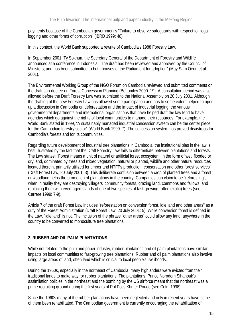payments because of the Cambodian government's "Failure to observe safeguards with respect to illegal logging and other forms of corruption" (IBRD 1999: 48).

In this context, the World Bank supported a rewrite of Cambodia's 1988 Forestry Law.

In September 2001, Ty Sokhun, the Secretary General of the Department of Forestry and Wildlife announced at a conference in Indonesia, "The draft has been reviewed and approved by the Council of Ministers, and has been submitted to both houses of the Parliament for adoption" (May Sam Oeun et al 2001).

The Environmental Working Group of the NGO Forum on Cambodia reviewed and submitted comments on the draft sub-decree on Forest Concession Planning (Bottomley 2000: 19). A consultation period was also allowed before the Draft Forestry Law was submitted to the National Assembly on 20 July 2001. Although the drafting of the new Forestry Law has allowed some participation and has to some extent helped to open up a discussion in Cambodia on deforestation and the impact of industrial logging, the various governmental departments and international organisations that have helped draft the law tend to have agendas which go against the rights of local communities to manage their resources. For example, the World Bank stated in 1999, "A sustainably managed industrial concession system can be the center piece for the Cambodian forestry sector" (World Bank 1999: 7). The concession system has proved disastrous for Cambodia's forests and for its communities.

Regarding future development of industrial tree plantations in Cambodia, the institutional bias in the law is best illustrated by the fact that the Draft Forestry Law fails to differentiate between plantations and forests. The Law states: "Forest means a unit of natural or artificial forest ecosystem, in the form of wet, flooded or dry land, dominated by trees and mixed vegetation, natural or planted, wildlife and other natural resources located therein, primarily utilized for timber and NTFPs production, conservation and other forest services" (Draft Forest Law, 20 July 2001: 3). This deliberate confusion between a crop of planted trees and a forest or woodland helps the promotion of plantations in the country. Companies can claim to be "reforesting", when in reality they are destroying villagers' community forests, grazing land, commons and fallows, and replacing them with even-aged stands of one of two species of fast-growing (often exotic) trees (see Carrere 1999: 7-9).

Article 7 of the draft Forest Law includes "reforestation on conversion forest, idle land and other areas" as a duty of the Forest Administration (Draft Forest Law, 20 July 2001: 5). While conversion forest is defined in the Law, "idle land" is not. The inclusion of the phrase "other areas" could allow any land, anywhere in the country to be converted to monoculture tree plantations.

#### **2. RUBBER AND OIL PALM PLANTATIONS**

While not related to the pulp and paper industry, rubber plantations and oil palm plantations have similar impacts on local communities to fast-growing tree plantations. Rubber and oil palm plantations also involve using large areas of land, often land which is crucial to local people's livelihoods.

During the 1960s, especially in the northeast of Cambodia, many highlanders were evicted from their traditional lands to make way for rubber plantations. The plantations, Prince Norodom Sihanouk's assimilation policies in the northeast and the bombing by the US airforce meant that the northeast was a prime recruiting ground during the first years of Pol Pot's Khmer Rouge (see Colm 1998).

Since the 1960s many of the rubber plantations have been neglected and only in recent years have some of them been rehabilitated. The Cambodian government is currently encouraging the rehabilitation of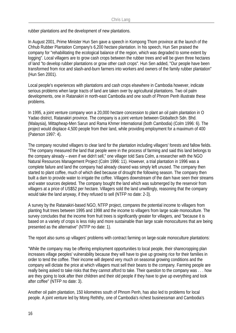rubber plantations and the development of new plantations.

In August 2001, Prime Minister Hun Sen gave a speech in Kompong Thom province at the launch of the Chhub Rubber Plantation Company's 6,200 hectare plantation. In his speech, Hun Sen praised the company for "rehabilitating the ecological balance of the region, which was degraded to some extent by logging". Local villagers are to grow cash crops between the rubber trees and will be given three hectares of land "to develop rubber plantations or grow other cash crops". Hun Sen added, "Our people have been transformed from rice and slash-and-burn farmers into workers and owners of the family rubber plantation" (Hun Sen 2001).

Local people's experiences with plantations and cash crops elsewhere in Cambodia however, indicate serious problems when large tracts of land are taken over by agricultural plantations. Two oil palm developments, one in Ratanakiri in north-east Cambodia and one south of Phnom Penh illustrate these problems.

In 1995, a joint venture company won a 20,000 hectare concession to plant an oil palm plantation in O Yadao district, Ratanakiri province. The company is a joint venture between Globaltech Sdn. Bhd. (Malaysia), Mittapheap-Men Sarun and Rama Khmer International (both Cambodia) (Colm 1996: 6). The project would displace 4,500 people from their land, while providing employment for a maximum of 400 (Paterson 1997: 4).

The company recruited villagers to clear land for the plantation including villagers' forests and fallow fields. "The company measured the land that people were in the process of farming and said this land belongs to the company already – even if we didn't sell," one villager told Sara Colm, a researcher with the NGO Natural Resources Management Project (Colm 1996: 11). However, a trial plantation in 1996 was a complete failure and land the company had already cleared was simply left unused. The company then started to plant coffee, much of which died because of drought the following season. The company then built a dam to provide water to irrigate the coffee. Villagers downstream of the dam have seen their streams and water sources depleted. The company bought the land which was submerged by the reservoir from villagers at a price of US\$52 per hectare. Villagers sold the land unwillingly, reasoning that the company would take the land anyway, if they refused to sell (NTFP no date: 2-3).

A survey by the Ratanakiri-based NGO, NTFP project, compares the potential income to villagers from planting fruit trees between 1995 and 1998 and the income to villagers from large scale monoculture. The survey concludes that the income from fruit trees is significantly greater for villagers, and "because it is based on a variety of crops is less risky and more sustainable than large scale monocultures that are being presented as the alternative" (NTFP no date: 1).

The report also sums up villagers' problems with contract farming on large-scale monoculture plantations:

"While the company may be offering employment opportunities to local people, their sharecropping plan increases village peoples' vulnerability because they will have to give up growing rice for their families in order to tend the coffee. Their income will depend very much on seasonal growing conditions and the company will dictate the price at which villagers must sell their beans to the company. Farming people are really being asked to take risks that they cannot afford to take. Their question to the company was . . . how are they going to look after their children and their old people if they have to give up everything and look after coffee" (NTFP no date: 3).

Another oil palm plantation, 150 kilometres south of Phnom Penh, has also led to problems for local people. A joint venture led by Mong Reththy, one of Cambodia's richest businessman and Cambodia's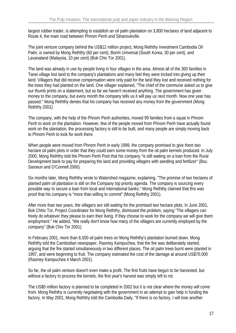largest rubber trader, is attempting to establish an oil palm plantation on 3,800 hectares of land adjacent to Route 4, the main road between Phnom Penh and Sihanoukville.

The joint venture company behind the US\$12 million project, Mong Reththy Investment Cambodia Oil Palm, is owned by Mong Reththy (60 per cent), Borim Universal (South Korea, 30 per cent), and Lavanaland (Malaysia, 10 per cent) (Bok Chiv Tor 2001).

The land was already in use by people living in four villages in the area. Almost all of the 300 families in Tanei village lost land to the company's plantations and many feel they were tricked into giving up their land. Villagers that did receive compensation were only paid for the land they lost and received nothing for the trees they had planted on the land. One villager explained, "The chief of the commune asked us to give our thumb prints on a statement, but so far we haven't received anything. The government has given money to the company, but every month the company tells us it will pay us next month. Now one year has passed." Mong Reththy denies that his company has received any money from the government (Mong Reththy 2001).

The company, with the help of the Phnom Penh authorities, moved 99 families from a squat in Phnom Penh to work on the plantation. However, few of the people moved from Phnom Penh have actually found work on the plantation, the processing factory is still to be built, and many people are simply moving back to Phnom Penh to look for work there.

When people were moved from Phnom Penh in early 1999, the company promised to give them two hectare oil palm plots in order that they could earn some money from the oil palm kernels produced. In July 2000, Mong Reththy told the Phnom Penh Post that his company "is still waiting on a loan from the Rural Development bank to pay for preparing the land and providing villagers with seedling and fertilizer" (Bou Saroeun and O'Connell 2000).

Six months later, Mong Reththy wrote to Watershed magazine, explaining, "The promise of two hectares of planted palm oil plantation is still on the Company top priority agenda. The company is sourcing every possible way to secure a loan from local and international banks." Mong Reththy claimed that this was proof that his company is "more than willing to commit" (Mong Reththy 2001).

After more than two years, the villagers are still waiting for the promised two hectare plots. In June 2001, Bok Chhiv Tor, Project Coordinator for Mong Reththy, dismissed the problem, saying "The villagers can freely do whatever they please to earn their living. If they choose to work for the company we will give them employment." He added, "We really don't know how many of the villagers are currently employed by the company" (Bok Chiv Tor 2001).

In February 2001, more than 6,500 oil palm trees on Mong Reththy's plantation burned down. Mong Reththy told the Cambodian newspaper, Rasmey Kampuchea, that the fire was deliberately started, arguing that the fire started simultaneously in two different places. The oil palm trees burnt were planted in 1997, and were beginning to fruit. The company estimated the cost of the damage at around US\$70,000 (Rasmey Kampuchea 4 March 2001).

So far, the oil palm venture doesn't even make a profit. The first fruits have begun to be harvested, but without a factory to process the kernels, the first year's harvest was simply left to rot.

The US\$5 million factory is planned to be completed in 2002 but it is not clear where the money will come from. Mong Reththy is currently negotiating with the government in an attempt to gain help in funding the factory. In May 2001, Mong Reththy told the Cambodia Daily, "If there is no factory, I will lose another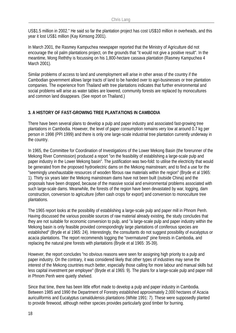US\$1.5 million in 2002." He said so far the plantation project has cost US\$10 million in overheads, and this year it lost US\$1 million (Kay Kimsong 2001).

In March 2001, the Rasmey Kampuchea newspaper reported that the Ministry of Agriculture did not encourage the oil palm plantations project, on the grounds that "it would not give a positive result". In the meantime, Mong Reththy is focussing on his 1,800-hectare cassava plantation (Rasmey Kampuchea 4 March 2001).

Similar problems of access to land and unemployment will arise in other areas of the country if the Cambodian government allows large tracts of land to be handed over to agri-businesses or tree plantation companies. The experience from Thailand with tree plantations indicates that further environmental and social problems will arise as water tables are lowered, community forests are replaced by monocultures and common land disappears. (See report on Thailand.)

#### **3. A HISTORY OF FAST-GROWING TREE PLANTATIONS IN CAMBODIA**

There have been several plans to develop a pulp and paper industry and associated fast-growing tree plantations in Cambodia. However, the level of paper consumption remains very low at around 0.7 kg per person in 1998 (PPI 1999) and there is only one large-scale industrial tree plantation currently underway in the country.

In 1965, the Committee for Coordination of Investigations of the Lower Mekong Basin (the forerunner of the Mekong River Commission) produced a report "on the feasibility of establishing a large-scale pulp and paper industry in the Lower Mekong basin". The justification was two-fold: to utilise the electricity that would be generated from the proposed hydroelectric dams on the Mekong mainstream; and to find a use for the "seemingly unexhaustable resources of wooden fibrous raw materials within the region" (Bryde et al 1965: 1). Thirty six years later the Mekong mainstream dams have not been built (outside China) and the proposals have been dropped, because of the massive social and environmental problems associated with such large-scale dams. Meanwhile, the forests of the region have been devastated by war, logging, dam construction, conversion to agriculture (often cash crops for export) and conversion to monoculture tree plantations.

The 1965 report looks at the possibility of establishing a large-scale pulp and paper mill in Phnom Penh. Having discussed the various possible sources of raw material already existing, the study concludes that they are not suitable for economic conversion to pulp, and "a large-scale pulp and paper industry within the Mekong basin is only feasible provided correspondingly large plantations of coniferous species are established" (Bryde et al 1965: 24). Interestingly, the consultants do not suggest possibility of eucalyptus or acacia plantations. The report recommends logging the "overmatured" pine forests in Cambodia, and replacing the natural pine forests with plantations (Bryde et al 1965: 35-39).

However, the report concludes "no obvious reasons were seen for assigning high priority to a pulp and paper industry. On the contrary, it was considered likely that other types of industries may serve the interest of the Mekong countries much better, especially those calling for more labour and manual skills but less capital investment per employee" (Bryde et al 1965: 9). The plans for a large-scale pulp and paper mill in Phnom Penh were quietly shelved.

Since that time, there has been little effort made to develop a pulp and paper industry in Cambodia. Between 1985 and 1990 the Department of Forestry established approximately 2,000 hectares of Acacia auriculiformis and Eucalyptus camaldulensis plantations (White 1991: 7). These were supposedly planted to provide firewood, although neither species provides particularly good timber for burning.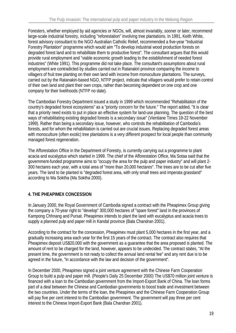Foresters, whether employed by aid agencies or NGOs, will, almost invariably, sooner or later, recommend large-scale industrial forestry, including "reforestation" involving tree plantations. In 1991, Keith White, forest advisory consultant to the NGO Australian Catholic Relief, recommended a five-year "Industrial Forestry Plantation" programme which would aim "To develop industrial wood production forests on degraded forest land and to rehabilitate them to productive forest". The consultant argues that this would provide rural employment and "viable economic growth leading to the establishment of needed forest industries" (White 1991). This programme did not take place. The consultant's assumptions about rural employment are contradicted by studies carried out in Ratanakiri province comparing the income to villagers of fruit tree planting on their own land with income from monoculture plantations. The surveys, carried out by the Ratanakiri-based NGO, NTFP project, indicate that villagers would prefer to retain control of their own land and plant their own crops, rather than becoming dependent on one crop and one company for their livelihoods (NTFP no date).

The Cambodian Forestry Department issued a study in 1999 which recommended "Rehabilitation of the country's degraded forest ecosystems" as a "priority concern for the future." The report added, "It is clear that a priority need exists to put in place an effective system for land-use planning. The question of the best ways of rehabilitating existing degraded forests is a secondary issue" (Vientiane Times 19-22 November 1999). Rather than being a secondary issue, however, who controls the rehabilitation of Cambodia's forests, and for whom the rehabilitation is carried out are crucial issues. Replacing degraded forest areas with monoculture (often exotic) tree plantations is a very different prospect for local people than community managed forest regeneration.

The Afforestation Office in the Department of Forestry, is currently carrying out a programme to plant acacia and eucalyptus which started in 1999. The chief of the Afforestation Office, Ma Sotaa said that the government-funded programme aims to "occupy the area for the pulp and paper industry" and will plant 2- 300 hectares each year, with a total area of "more than 20,000 hectares". The trees are to be cut after five years. The land to be planted is "degraded forest area, with only small trees and imperata grassland" according to Ma Soktha (Ma Soktha 2000).

## **4. THE PHEAPIMEX CONCESSION**

In January 2000, the Royal Government of Cambodia signed a contract with the Pheapimex Group giving the company a 70-year right to "develop" 300,000 hectares of "spare forest" land in the provinces of Kampong Chhnang and Pursat. Pheapimex intends to plant the land with eucalyptus and acacia trees to supply a planned pulp and paper mill in Kandal province (Bala Chandran 2001).

According to the contract for the concession, Pheapimex must plant 5,000 hectares in the first year, and a gradually increasing area each year for the first 15 years of the contract. The contract also requires that Pheapimex deposit US\$20,000 with the government as a guarantee that the area proposed is planted. The amount of rent to be charged for the land, however, appears to be undecided. The contract states, "At the present time, the government is not ready to collect the annual land rental fee" and any rent due is to be agreed in the future, "in accordance with the law and decision of the government".

In December 2000, Pheapimex signed a joint venture agreement with the Chinese Farm Cooperation Group to build a pulp and paper mill. (People's Daily 25 December 2000) The US\$70 million joint venture is financed with a loan to the Cambodian government from the Import-Export Bank of China. The loan forms part of a deal between the Chinese and Cambodian governments to boost trade and investment between the two countries. Under the terms of the loan, the Pheapimex and the Chinese Farm Cooperation Group will pay five per cent interest to the Cambodian government. The government will pay three per cent interest to the Chinese Import-Export Bank (Bala Chandran 2001).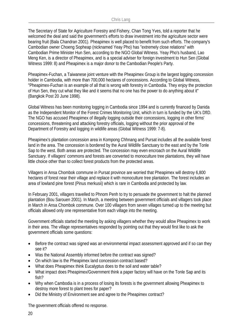The Secretary of State for Agriculture Forestry and Fishery, Chan Tong Yves, told a reporter that he welcomed the deal and said the government's efforts to draw investment into the agriculture sector were bearing fruit (Bala Chandran 2001). Pheapimex is well placed to benefit from such efforts. The company's Cambodian owner Choeng Sopheap (nicknamed Yeay Pho) has "extremely close relations" with Cambodian Prime Minister Hun Sen, according to the NGO Global Witness. Yeay Pho's husband, Lao Meng Ken, is a director of Pheapimex, and is a special adviser for foreign investment to Hun Sen (Global Witness 1999: 8) and Pheapimex is a major donor to the Cambodian People's Party.

Pheapimex-Fuchan, a Taiwanese joint venture with the Pheapimex Group is the largest logging concession holder in Cambodia, with more than 700,000 hectares of concessions. According to Global Witness, "Pheapimex-Fuchan is an example of all that is wrong with forestry in Cambodia. They enjoy the protection of Hun Sen, they cut what they like and it seems that no one has the power to do anything about it" (Bangkok Post 20 June 1998).

Global Witness has been monitoring logging in Cambodia since 1994 and is currently financed by Danida as the Independent Monitor of the Forest Crimes Monitoring Unit, which in turn is funded by the UK's DfID. The NGO has accused Pheapimex of illegally logging outside their concessions, logging in other firms' concessions, threatening and attacking forestry officials, logging without the prior approval of the Department of Forestry and logging in wildlife areas (Global Witness 1999: 7-8).

Pheapimex's plantation concession area in Kompong Chhnang and Pursat includes all the available forest land in the area. The concession is bordered by the Aural Wildlife Sanctuary to the east and by the Tonle Sap to the west. Both areas are protected. The concession may even encroach on the Aural Wildlife Sanctuary. If villagers' commons and forests are converted to monoculture tree plantations, they will have little choice other than to collect forest products from the protected areas.

Villagers in Ansa Chombok commune in Pursat province are worried that Pheapimex will destroy 6,800 hectares of forest near their village and replace it with monoculture tree plantation. The forest includes an area of lowland pine forest (Pinus merkusii) which is rare in Cambodia and protected by law.

In February 2001, villagers travelled to Phnom Penh to try to persuade the government to halt the planned plantation (Bou Sarouen 2001). In March, a meeting between government officials and villagers took place in March in Ansa Chombok commune. Over 100 villagers from seven villages turned up to the meeting but officials allowed only one representative from each village into the meeting.

Government officials started the meeting by asking villagers whether they would allow Pheapimex to work in their area. The village representatives responded by pointing out that they would first like to ask the government officials some questions:

- Before the contract was signed was an environmental impact assessment approved and if so can they see it?
- Was the National Assembly informed before the contract was signed?
- On which law is the Pheapimex land concession contract based?
- What does Pheapimex think Eucalyptus does to the soil and water table?
- What impact does Pheapimex/Government think a paper factory will have on the Tonle Sap and its fish?
- Why when Cambodia is in a process of losing its forests is the government allowing Pheapimex to destroy more forest to plant trees for paper?
- Did the Ministry of Environment see and agree to the Pheapimex contract?

The government officials offered no response.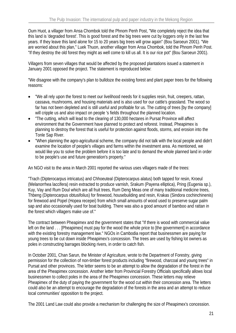Oum Huot, a villager from Ansa Chombok told the Phnom Penh Post, "We completely reject the idea that this land is 'degraded forest'. This is good forest and the big trees were cut by loggers only in the last few years. If they leave this land alone for 15 to 20 years big trees will grow again" (Bou Saroeun 2001). "We are worried about this plan," Luek Thuon, another villager from Ansa Chombok, told the Phnom Penh Post. "If they destroy the old forest they might as well come to kill us all. It is our rice pot" (Bou Saroeun 2001).

Villagers from seven villages that would be affected by the proposed plantations issued a statement in January 2001 opposed the project. The statement is reproduced below:

"We disagree with the company's plan to bulldoze the existing forest and plant paper trees for the following reasons:

- "We all rely upon the forest to meet our livelihood needs for it supplies resin, fruit, creepers, rattan, cassava, mushrooms, and housing materials and is also used for our cattle's grassland. The wood so far has not been depleted and is still useful and profitable for us. The cutting of trees [by the company] will cripple us and also impact on people 's fields throughout the planned location.
- "The cutting, which will lead to the clearing of 130,000 hectares in Pursat Province will affect environment that the Government have planned to protect and reforest. Instead, Pheapimex is planning to destroy the forest that is useful for protection against floods, storms, and erosion into the Tonle Sap River.
- "When planning the agro-agricultural scheme, the company did not talk with the local people and didn't examine the location of people's villages and farms within the investment area. As mentioned, we would like you to solve the problem before it is too late and to demand the whole planned land in order to be people's use and future generation's property."

An NGO visit to the area in March 2001 reported the various uses villagers made of the trees:

"Trach (Dipterocarpus intricatus) and Chhoeuteal (Dipterocarpus alatus) both tapped for resin, Kroeul (Melanorrhea laccifera) resin extracted to produce varnish, Srakum (Payena elliptica), Pring (Eugenia sp.), Kuy, Vay and Rum Doul which are all fruit trees, Rum Deng Meas one of many traditional medicine trees, Thbeng (Dipterocarpus obtusifolius) for firewood, housebuilding and resin, Krakas (Sindora cochinchinenis) for firewood and Popel (Hopea recepei) from which small amounts of wood used to preserve sugar palm sap and also occasionally used for boat building. There was also a good amount of bamboo and rattan in the forest which villagers make use of."

The contract between Pheapimex and the government states that "If there is wood with commercial value left on the land . . . [Pheapimex] must pay for the wood the whole price to [the government] in accordance with the existing forestry management law." NGOs in Cambodia report that businessmen are paying for young trees to be cut down inside Pheapimex's concession. The trees are used by fishing lot owners as poles in constructing barrages blocking rivers, in order to catch fish.

In October 2001, Chan Sarun, the Minister of Agriculture, wrote to the Department of Forestry, giving permission for the collection of non-timber forest products including "firewood, charcoal and young trees" in Pursat and other provinces. The letter seems to be an attempt to allow the degradation of the forest in the area of the Pheapimex concession. Another letter from Provincial Forestry Officials specifically allows local businessmen to collect poles in the area of the Pheapimex concession. These letters may relieve Pheapimex of the duty of paying the government for the wood cut within their concession area. The letters could also be an attempt to encourage the degradation of the forests in the area and an attempt to reduce local communities' opposition to the project.

The 2001 Land Law could also provide a mechanism for challenging the size of Pheapimex's concession.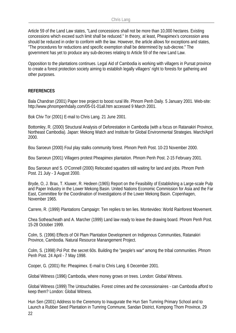Article 59 of the Land Law states, "Land concessions shall not be more than 10,000 hectares. Existing concessions which exceed such limit shall be reduced." In theory, at least, Pheapimex's concession area should be reduced in order to conform with the law. However, the article allows for exceptions and states, "The procedures for reductions and specific exemption shall be determined by sub-decree." The government has yet to produce any sub-decrees relating to Article 59 of the new Land Law.

Opposition to the plantations continues. Legal Aid of Cambodia is working with villagers in Pursat province to create a forest protection society aiming to establish legally villagers' right to forests for gathering and other purposes.

#### **REFERENCES**

Bala Chandran (2001) Paper tree project to boost rural life. Phnom Penh Daily. 5 January 2001. Web-site: http://www.phnompenhdaily.com/05-01-01all.htm accessed 9 March 2001.

Bok Chiv Tor (2001) E-mail to Chris Lang. 21 June 2001.

Bottomley, R. (2000) Structural Analysis of Deforestation in Cambodia (with a focus on Ratanakiri Province, Northeast Cambodia). Japan: Mekong Watch and Institute for Global Environmental Strategies. March/April 2000.

Bou Saroeun (2000) Foul play stalks community forest. Phnom Penh Post. 10-23 November 2000.

Bou Saroeun (2001) Villagers protest Pheapimex plantation. Phnom Penh Post. 2-15 February 2001.

Bou Saroeun and S. O'Connell (2000) Relocated squatters still waiting for land and jobs. Phnom Penh Post. 21 July - 3 August 2000.

Bryde, O, J. Brax, T. Kluwer, R. Hedeen (1965) Report on the Feasibility of Establishing a Large-scale Pulp and Paper Industry in the Lower Mekong Basin. United Nations Economic Commission for Asia and the Far East, Committee for the Coordination of Investigations of the Lower Mekong Basin. Copenhagen, November 1965.

Carrere, R. (1999) Plantations Campaign: Ten replies to ten lies. Montevideo: World Rainforest Movement.

Chea Sotheacheath and A. Marcher (1999) Land law ready to leave the drawing board. Phnom Penh Post. 15-28 October 1999.

Colm, S. (1996) Effects of Oil Plam Plantation Development on Indigenous Communities, Ratanakiri Province, Cambodia. Natural Resource Manangement Project.

Colm, S. (1998) Pol Pot: the secret 60s. Building the "people's war" among the tribal communities. Phnom Penh Post. 24 April - 7 May 1998.

Cooper, G. (2001) Re: Pheapimex. E-mail to Chris Lang. 6 December 2001.

Global Witness (1996) Cambodia, where money grows on trees. London: Global Witness.

Global Witness (1999) The Untouchables. Forest crimes and the concessionaires - can Cambodia afford to keep them? London: Global Witness.

Hun Sen (2001) Address to the Ceremony to Inaugurate the Hun Sen Tumring Primary School and to Launch a Rubber Seed Plantation in Tumring Commune, Sandan District, Kompong Thom Province, 29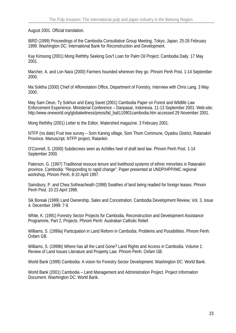August 2001. Official translation.

IBRD (1999) Proceedings of the Cambodia Consultative Group Meeting, Tokyo, Japan, 25-26 February 1999. Washington DC: International Bank for Reconstruction and Development.

Kay Kimsong (2001) Mong Reththy Seeking Gov't Loan for Palm Oil Project. Cambodia Daily. 17 May 2001.

Marcher, A. and Lon Nara (2000) Farmers hounded wherever they go. Phnom Penh Post. 1-14 September 2000.

Ma Soktha (2000) Chief of Afforestation Office, Department of Forestry, Interview with Chris Lang. 3 May 2000.

May Sam Oeun, Ty Sokhun and Eang Savet (2001) Cambodia Paper on Forest and Wildlife Law Enforcement Experience. Ministerial Conference – Danpasar, Indonesia. 11-13 September 2001. Web-site: http://www.oneworld.org/globalwitness/press/bd\_bali110901cambodia.htm accessed 29 November 2001.

Mong Reththy (2001) Letter to the Editor, Watershed magazine. 3 February 2001.

NTFP (no date) Fruit tree survey – Som Kaning village, Som Thom Commune, Oyadou District, Ratanakiri Province. Manuscript. NTFP project, Ratankiri.

O'Connell, S. (2000) Subdecrees seen as Achilles heel of draft land law. Phnom Penh Post. 1-14 September 2000.

Paterson, G. (1997) Traditional resouce tenure and livelihood systems of ethnic minorities in Ratanakiri province, Cambodia: "Responding to rapid change". Paper presented at UNDP/HPP/IMC regional workshop, Phnom Penh, 8-10 April 1997.

Sainsbury, P. and Chea Sotheacheath (1998) Swathes of land being readied for foreign leases. Phnom Penh Post. 10-23 April 1998.

Sik Boreak (1999) Land Ownership, Sales and Concetration. Cambodia Development Review, Vol. 3, Issue 4. December 1999: 7-9.

White, K. (1991) Forestry Sector Projects for Cambodia. Reconstruction and Development Assistance Programme, Part 2, Projects. Phnom Penh: Australian Catholic Relief.

Williams, S. (1999a) Participation in Land Reform in Cambodia: Problems and Possibilities. Phnom Penh: Oxfam GB.

Williams, S. (1999b) Where has all the Land Gone? Land Rights and Access in Cambodia. Volume 1: Review of Land Issues Literature and Property Law. Phnom Penh: Oxfam GB.

World Bank (1999) Cambodia: A vision for Forestry Sector Development. Washington DC: World Bank.

World Bank (2001) Cambodia – Land Management and Administration Project. Project Information Document. Washington DC: World Bank.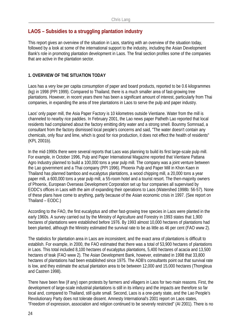## **LAOS – Subsidies to a struggling plantation industry**

This report gives an overview of the situation in Laos, starting with an overview of the situation today, followed by a look at some of the international support to the industry, including the Asian Development Bank's role in promoting plantation development in Laos. The final section profiles some of the companies that are active in the plantation sector.

#### **1. OVERVIEW OF THE SITUATION TODAY**

Laos has a very low per capita consumption of paper and board products, reported to be 0.6 kilogrammes (kg) in 1998 (PPI 1999). Compared to Thailand, there is a much smaller area of fast-growing tree plantations. However, in recent years there has been a significant amount of interest, particularly from Thai companies, in expanding the area of tree plantations in Laos to serve the pulp and paper industry.

Laos' only paper mill, the Asia Paper Factory is 10 kilometres outside Vientiane. Water from the mill is channeled to nearby rice paddies. In February 2001, the Lao news paper Patheth Lao reported that local residents had complained about the factory emitting dirty water and a strong smell. Bounmy Somnsad, a consultant from the factory dismissed local people's concerns and said, "The water doesn't contain any chemicals, only flour and lime, which is good for rice production, it does not effect the health of residents" (KPL 2001b).

In the mid-1990s there were several reports that Laos was planning to build its first large-scale pulp mill. For example, in October 1996, Pulp and Paper International Magazine reported that Vientiane Pattana Agro Industry planned to build a 100,000 tons a year pulp mill. The company was a joint venture between the Lao government and a Thai company (PPI 1996). Phoenix Pulp and Paper Mill in Khon Kaen in Thailand has planned bamboo and eucalyptus plantations, a wood chipping mill, a 20,000 tons a year paper mill, a 600,000 tons a year pulp mill, a 55-room hotel and a tourist resort. The then-majority owners of Phoenix, European Overseas Development Corporation set up four companies all supervised by EODC's offices in Laos with the aim of expanding their operations to Laos (Watershed 1998b: 56-57). None of these plans have come to anything, partly because of the Asian economic crisis in 1997. (See report on Thailand – EODC.)

According to the FAO, the first eucalyptus and other fast-growing tree species in Laos were planted in the early 1960s. A survey carried out by the Ministry of Agriculture and Forestry in 1993 states that 1,900 hectares of plantations were established before 1976. By 1993 almost 10,000 hectares of plantations had been planted, although the Ministry estimated the survival rate to be as little as 46 per cent (FAO www 2).

The statistics for plantation area in Laos are inconsistent, and the exact area of plantations is difficult to establish. For example, in 2000, the FAO estimated that there was a total of 53,900 hectares of plantations in Laos. This total included 8,100 hectares of eucalyptus plantations, 5,400 hectares of acacia and 13,500 hectares of teak (FAO www 2). The Asian Development Bank, however, estimated in 1998 that 33,800 hectares of plantations had been established since 1975. The ADB's consultants point out that survival rate is low, and they estimate the actual plantation area to be between 12,000 and 15,000 hectares (Thongleua and Castren 1998).

There have been few (if any) open protests by farmers and villagers in Laos for two main reasons. First, the development of large-scale industrial plantations is still in its infancy and the impacts are therefore so far local and, compared to Thailand, still quite small. Second, Laos is a one-party state, and the Lao People's Revolutionary Party does not tolerate dissent. Amnesty International's 2001 report on Laos states, "Freedom of expression, association and religion continued to be severely restricted" (AI 2001). There is no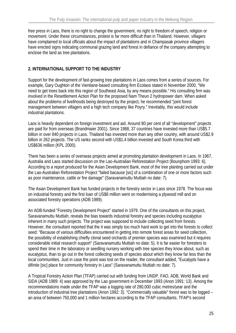free press in Laos, there is no right to change the government, no right to freedom of speech, religion or movement. Under these circumstances, protest is far more difficult than in Thailand. However, villagers have complained to local officials about the impact of plantations and in Champasak province villagers have erected signs indicating communal grazing land and forest in defiance of the company attempting to enclose the land as tree plantations.

## **2. INTERNATIONAL SUPPORT TO THE INDUSTRY**

Support for the development of fast-growing tree plantations in Laos comes from a series of sources. For example, Gary Oughton of the Vientiane-based consulting firm Ecolaos stated in November 2000, "We need to get trees back into this region of Southeast Asia, by any means possible." His consulting firm was involved in the Resettlement Action Plan for the proposed Nam Theun 2 hydropower dam. When asked about the problems of livelihoods being destroyed by the project, he recommended "joint forest management between villagers and a high tech company like Poyry." Inevitably, this would include industrial plantations.

Laos is heavily dependent on foreign investment and aid. Around 80 per cent of all "development" projects are paid for from overseas (Brandmaier 2001). Since 1988, 37 countries have invested more than US\$5.7 billion in over 840 projects in Laos. Thailand has invested more than any other country, with around US\$2.9 billion in 262 projects. The US ranks second with US\$1.4 billion invested and South Korea third with US\$636 million (KPL 2000).

There has been a series of overseas projects aimed at promoting plantation development in Laos. In 1967, Australia and Laos started discussion on the Lao-Australian Reforestation Project (Bounphom 1993: 6). According to a report produced for the Asian Development Bank, most of the tree planting carried out under the Lao-Australian Reforestation Project "failed bacause [sic] of a combination of one or more factors such as poor maintenance, cattle or fire damage" (Saravanamuttu Muttiah no date: 7).

The Asian Development Bank has funded projects in the forestry sector in Laos since 1978. The focus was on industrial forestry and the first loan of US\$8 million went on modernising a plywood mill and on associated forestry operations (ADB 1989).

An ADB-funded "Forestry Development Project" started in 1979. One of the consultants on this project, Saravanamuttu Muttiah, reveals the bias towards industrial forestry and species including eucalyptus inherent in many such projects. The project was supposed to include collecting seed from forests. However, the consultant reported that the it was simply too much hard work to get into the forests to collect seed: "Because of various difficulties encountered in getting into remote forest areas for seed collection, the possibility of establishing chiefly clonal seed orchards of premier species was examined but it requires considerable initial research support" (Saravanamuttu Muttiah no date: 5). It is far easier for foresters to spend their time in the laboratory or seedling nursery working with tree species they know about, such as eucalyptus, than to go out in the forest collecting seeds of species about which they know far less than the local communities. Just in case the point was lost on the reader, the consultant added, "Eucalypts have a difinite [sic] place for community forestry in Laos" (Saravanamuttu Muttiah no date: 7).

A Tropical Forestry Action Plan (TFAP) carried out with funding from UNDP, FAO, ADB, World Bank and SIDA (ADB 1989: 4) was approved by the Lao government in December 1993 (Anon 1991: 13). Among the recommendations made under the TFAP was a logging rate of 280,000 cubic metres/year and the introduction of industrial tree plantations (Anon 1992: 3). "Commercially valuable" forest was to be logged – an area of between 750,000 and 1 million hectares according to the TFAP consultants. TFAP's second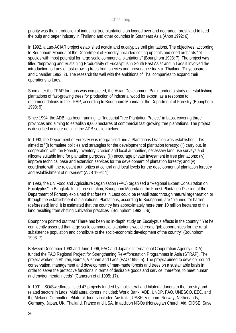priority was the introduction of industrial tree plantations on logged over and degraded forest land to feed the pulp and paper industry in Thailand and other countries in Southeast Asia (Anon 1992: 6).

In 1992, a Lao-ACIAR project established acacia and eucalyptus trail plantations. The objectives, according to Bounphom Mounda of the Department of Forestry, included setting up trials and seed orchards "of species with most potential for large scale commercial plantations" (Bounphom 1993: 7). The project was titled "Improving and Sustaining Productivity of Eucalyptus in South East Asia" and in Laos it involved the introduction to Laos of fast-growing trees from species and provenance trials in Thailand (Pinyopusarerk and Chandler 1993: 2). The research fits well with the ambitions of Thai companies to expand their operations to Laos.

Soon after the TFAP for Laos was completed, the Asian Development Bank funded a study on establishing plantations of fast-growing trees for production of industrial wood for export, as a response to recommendations in the TFAP, according to Bounphom Mounda of the Department of Forestry (Bounphom 1993: 9).

Since 1994, the ADB has been running its "Industrial Tree Plantation Project" in Laos, covering three provinces and aiming to establish 9,600 hectares of commercial fast-growing tree plantations. The project is described in more detail in the ADB section below.

In 1993, the Department of Forestry was reorganised and a Plantations Division was established. This aimed to "(i) formulate policies and strategies for the development of plantation forestry; (ii) carry out, in cooperation with the Forestry Inventory Division and local authorities, necessary land use surveys and allocate suitable land for plantation purposes; (iii) encourage private investment in tree plantations; (iv) improve technical base and extension services for the development of plantation forestry; and (v) coordinate with the relevant authorities at central and local levels for the development of plantation forestry and establishment of nurseries" (ADB 1994: 1).

In 1993, the UN Food and Agriculture Organisation (FAO) organised a "Regional Expert Consultation on Eucalyptus" in Bangkok. In his presentation, Bounphom Mounda of the Forest Plantation Division at the Department of Forestry explained that forests in Laos could be rehabilitated through natural regeneration or through the establishment of plantations. Plantations, according to Bounphom, are "planned for barren (deforested) land. It is estimated that the country has approximately more than 10 million hectares of this land resulting from shifting cultivation practices" (Bounphom 1993: 5-6).

Bounphom pointed out that "There has been no in-depth study on Eucalyptus effects in the country." Yet he confidently asserted that large scale commercial plantations would create "job opportunities for the rural subsistence population and contribute to the socio-economic development of the country" (Bounphom 1993: 7).

Between December 1993 and June 1996, FAO and Japan's International Cooperation Agency (JICA) funded the FAO Regional Project for Strengthening Re-Afforestation Programmes in Asia (STRAP). The project worked in Bhutan, Burma, Vietnam and Laos (FAO 1995: 5). The project aimed to develop "sound conservation, management and development of man-made forests and trees on a sustainable basis in order to serve the protective functions in terms of desirable goods and service; therefore, to meet human and environmental needs" (Cameron et al 1995: 17).

In 1991, ISO/Swedforest listed 47 projects funded by multilateral and bilateral donors to the forestry and related sectors in Laos. Multilateral donors included: World Bank, ADB, UNDP, FAO, UNESCO, EEC, and the Mekong Committee. Bilateral donors included Australia, USSR, Vietnam, Norway, Netherlands, Germany, Japan, UK, Thailand, France and USA. In addition NGOs (Norwegian Church Aid, CIDSE, Save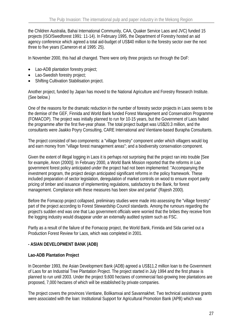the Children Australia, Bahai International Community, CAA, Quaker Service Laos and JVC) funded 15 projects (ISO/Swedforest 1991: 11-14). In February 1995, the Department of Forestry hosted an aid agency conference which agreed a total aid-budget of US\$40 million to the forestry sector over the next three to five years (Cameron et al 1995: 25).

In November 2000, this had all changed. There were only three projects run through the DoF:

- Lao-ADB plantation forestry project;
- Lao-Swedish forestry project;
- Shifting Cultivation Stabilisation project.

Another project, funded by Japan has moved to the National Agriculture and Forestry Research Institute. (See below.)

One of the reasons for the dramatic reduction in the number of forestry sector projects in Laos seems to be the demise of the GEF, Finnida and World Bank funded Forest Management and Conservation Programme (FOMACOP). The project was initially planned to run for 10-15 years, but the Government of Laos halted the programme after the first five-year phase. The total project budget was US\$20.3 million, and the consultants were Jaakko Poyry Consulting, CARE International and Vientiane-based Burapha Consultants.

The project consisted of two components: a "village forestry" component under which villagers would log and earn money from "village forest management areas"; and a biodiversity conservation component.

Given the extent of illegal logging in Laos it is perhaps not surprising that the project ran into trouble [See for example, Anon (2000)]. In February 2000, a World Bank Mission reported that the reforms in Lao government forest policy anticipated under the project had not been implemented: "Accompanying the investment program, the project design anticipated significant reforms in the policy framework. These included preparation of sector legislation, deregulation of market controls on wood to ensure export parity pricing of timber and issuance of implementing regulations, satisfactory to the Bank, for forest management. Compliance with these measures has been slow and partial" (Rajesh 2000).

Before the Fomacop project collapsed, preliminary studies were made into assessing the "village forestry" part of the project according to Forest Stewardship Council standards. Among the rumours regarding the project's sudden end was one that Lao government officials were worried that the bribes they receive from the logging industry would disappear under an externally audited system such as FSC.

Partly as a result of the failure of the Fomacop project, the World Bank, Finnida and Sida carried out a Production Forest Review for Laos, which was completed in 2001.

#### **- ASIAN DEVELOPMENT BANK (ADB)**

#### **Lao-ADB Plantation Project**

In December 1993, the Asian Development Bank (ADB) agreed a US\$11.2 million loan to the Government of Laos for an Industrial Tree Plantation Project. The project started in July 1994 and the first phase is planned to run until 2003. Under the project 9,600 hectares of commercial fast-growing tree plantations are proposed, 7,000 hectares of which will be established by private companies.

The project covers the provinces Vientiane, Bolikamxai and Savannakhet. Two technical assistance grants were associated with the loan: Institutional Support for Agricultural Promotion Bank (APB) which was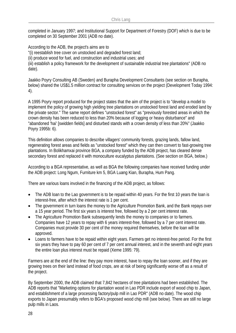completed in January 1997; and Institutional Support for Department of Forestry (DOF) which is due to be completed on 30 September 2001 (ADB no date).

According to the ADB, the project's aims are to "(i) reestablish tree cover on unstocked and degraded forest land; (ii) produce wood for fuel, and construction and industrial uses; and (iii) establish a policy framework for the development of sustainable industrial tree plantations" (ADB no date).

Jaakko Poyry Consulting AB (Sweden) and Burapha Development Consultants (see section on Burapha, below) shared the US\$1.5 million contract for consulting services on the project (Development Today 1994: 4).

A 1995 Poyry report produced for the project states that the aim of the project is to "develop a model to implement the policy of growing high yielding tree plantations on unstocked forest land and eroded land by the private sector." The same report defines "unstocked forest" as "previously forested areas in which the crown density has been reduced to less than 20% because of logging or heavy disturbance" and "abandoned 'hai' [swidden fields] and disturbed stands with a crown density of less than 20%" (Jaakko Poyry 1995b: 6).

This definition allows companies to describe villagers' community forests, grazing lands, fallow land, regenerating forest areas and fields as "unstocked forest" which they can then convert to fast-growing tree plantations. In Bolikhamxai province BGA, a company funded by the ADB project, has cleared dense secondary forest and replaced it with monoculture eucalyptus plantations. (See section on BGA, below.)

According to a BGA representative, as well as BGA the following companies have received funding under the ADB project: Long Ngum, Furniture km 5, BGA Luang Kian, Burapha, Hum Pang.

There are various loans involved in the financing of the ADB project, as follows:

- The ADB loan to the Lao government is to be repaid within 40 years. For the first 10 years the loan is interest-free, after which the interest rate is 1 per cent.
- The government in turn loans the money to the Agriculture Promotion Bank, and the Bank repays over a 15 year period. The first six years is interest free, followed by a 2 per cent interest rate.
- The Agriculture Promotion Bank subsequently lends the money to companies or to farmers. Companies have 12 years to repay with 6 years interest-free, followed by a 7 per cent interest rate. Companies must provide 30 per cent of the money required themselves, before the loan will be approved.
- Loans to farmers have to be repaid within eight years. Farmers get no interest-free period. For the first six years they have to pay 60 per cent of 7 per cent annual interest, and in the seventh and eight years the entire loan plus interest must be repaid (Xeme 1995: 79).

Farmers are at the end of the line: they pay more interest, have to repay the loan sooner, and if they are growing trees on their land instead of food crops, are at risk of being significantly worse off as a result of the project.

By September 2000, the ADB claimed that 7,842 hectares of tree plantations had been established. The ADB reports that "Marketing options for plantation wood in Lao PDR include export of wood chip to Japan, and establishment of a large processing factory/pulp mill in Lao PDR" (ADB no date). The wood chip exports to Japan presumably refers to BGA's proposed wood chip mill (see below). There are still no large pulp mills in Laos.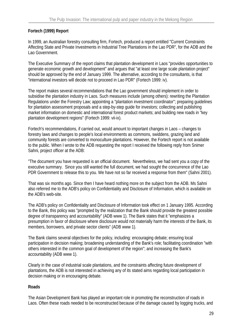#### **Fortech (1999) Report**

In 1999, an Australian forestry consulting firm, Fortech, produced a report entitled "Current Constraints Affecting State and Private Investments in Industrial Tree Plantations in the Lao PDR", for the ADB and the Lao Government.

The Executive Summary of the report claims that plantation development in Laos "provides opportunities to generate economic growth and development" and argues that "at least one large scale plantation project" should be approved by the end of January 1999. The alternative, according to the consultants, is that "international investors will decide not to proceed in Lao PDR" (Fortech 1999: iv).

The report makes several recommendations that the Lao government should implement in order to subsidise the plantation industry in Laos. Such measures include (among others): rewriting the Plantation Regulations under the Forestry Law; appointing a "plantation investment coordinator"; preparing guidelines for plantation assessment proposals and a step-by-step guide for investors; collecting and publishing market information on domestic and international forest product markets; and building new roads in "key plantation development regions" (Fortech 1999: vii-ix).

Fortech's recommendations, if carried out, would amount to important changes in Laos – changes to forestry laws and changes to people's local environments as commons, swiddens, grazing land and community forests are converted to monoculture plantations. However, the Fortech report is not available to the public. When I wrote to the ADB requesting the report I received the following reply from Snimer Sahni, project officer at the ADB:

"The document you have requested is an official document. Nevertheless, we had sent you a copy of the executive summary. Since you still wanted the full document, we had sought the concurrence of the Lao PDR Government to release this to you. We have not so far received a response from them" (Sahni 2001).

That was six months ago. Since then I have heard nothing more on the subject from the ADB. Ms Sahni also referred me to the ADB's policy on Confidentiality and Disclosure of Information, which is available on the ADB's web-site.

The ADB's policy on Confidentiality and Disclosure of Information took effect on 1 January 1995. According to the Bank, this policy was "prompted by the realization that the Bank should provide the greatest possible degree of transparency and accountability" (ADB www 1). The Bank states that it "emphasizes a presumption in favor of disclosure where disclosure would not materially harm the interests of the Bank, its members, borrowers, and private sector clients" (ADB www 1).

The Bank claims several objectives for the policy, including: encouraging debate; ensuring local participation in decision making; broadening understanding of the Bank's role; facilitating coordination "with others interested in the common goal of development of the region"; and increasing the Bank's accountability (ADB www 1).

Clearly in the case of industrial scale plantations, and the constraints affecting future development of plantations, the ADB is not interested in achieving any of its stated aims regarding local participation in decision making or in encouraging debate.

#### **Roads**

The Asian Development Bank has played an important role in promoting the reconstruction of roads in Laos. Often these roads needed to be reconstructed because of the damage caused by logging trucks, and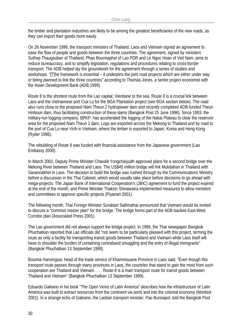the timber and plantation industries are likely to be among the greatest beneficiaries of the new roads, as they can export their goods more easily.

On 26 November 1999, the transport ministers of Thailand, Laos and Vietnam signed an agreement to ease the flow of people and goods between the three countries. The agreement, signed by ministers Suthep Thaugsuban of Thailand, Phao Bounnaphol of Lao PDR and Le Ngoc Hoan of Viet Nam, aims to reduce bureaucracy, and to simplify legislation, regulations and procedures relating to cross-border transport. The ADB helped lay the groundwork for the agreement through a series of studies and workshops. "[T]he framework is essential – it underpins the joint road projects which are either under way or being planned to link the three countries" according to Thomas Jones, a senior project economist with the Asian Development Bank (ADB 1999).

Route 8 is the shortest route from the Lao capital, Vientiane to the sea. Route 8 is a crucial link between Laos and the Vietnamese port Cua Lo for the BGA Plantation project (see BGA section below). The road also runs close to the proposed Nam Theun 2 hydropower dam and recently completed ADB-funded Theun Hinboun dam, thus facilitating construction of these dams (Bangkok Post 25 June 1996). Since 1993, the military-run logging company, BPKP, has accelerated the logging of the Nakai Plateau to clear the reservoir area for the proposed Nam Theun 2 dam. Logs are exported across the Mekong to Thailand and by road to the port of Cua Lo near Vinh in Vietnam, where the timber is exported to Japan, Korea and Hong Kong (Ryder 1996).

The rebuilding of Route 8 was funded with financial assistance from the Japanese government (Lao Embassy 2000).

In March 2001, Deputy Prime Minister Chavalit Yongchaiyudh approved plans for a second bridge over the Mekong River between Thailand and Laos. The US\$45 million bridge will link Mukdahan in Thailand with Savannakhet in Laos. The decision to build the bridge was rushed through by the Communications Ministry before a discussion in the Thai Cabinet, which would usually take place before decisions to go ahead with mega-projects. The Japan Bank of International Cooperation's (JBIC) agreement to fund the project expired at the end of the month, and Prime Minister Thaksin Shinawatra implemented measures to allow ministers and committees to approve specific projects (Piyanart 2001).

The following month, Thai Foreign Minister Surakiart Sathirathai announced that Vietnam would be invited to discuss a "common master plan" for the bridge. The bridge forms part of the ADB-backed East-West Corridor plan (Associated Press 2001).

The Lao government did not always support the bridge project. In 1999, the Thai newspaper Bangkok Phuchatkan reported that Lao officials did "not seem to be particularly pleased with this project, terming the route as only a facility for transporting transit goods between Thailand and Vietnam while Laos itself will have to shoulder the burden of containing contraband smuggling and the entry of illegal immigrants" (Bangkok Phuchatkan 13 September 1999).

Bounna Hansingsai, head of the trade service of Khammouane Province in Laos said, "Even though this transport route passes through many provinces in Laos, the countries that stand to gain the most from such cooperation are Thailand and Vietnam. . . . Route 8 is a main transport route for transit goods between Thailand and Vietnam" (Bangkok Phuchatkan 13 September 1999).

Eduardo Galeano in his book "The Open Veins of Latin America" describes how the infrastructure of Latin America was built to extract resources from the continent via ports and into the colonial economy (Monbiot 2001). In a strange echo of Galeano, the Laotian transport minister, Pao Bunnapol, told the Bangkok Post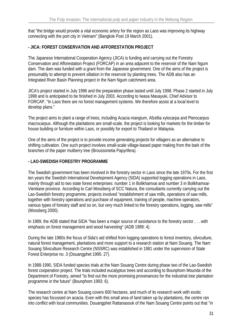that "the bridge would provide a vital economic artery for the region as Laos was improving its highway connecting with the port city in Vietnam" (Bangkok Post 19 March 2001).

#### **- JICA: FOREST CONSERVATION AND AFFORESTATION PROJECT**

The Japanese International Cooperation Agency (JICA) is funding and carrying out the Forestry Conservation and Afforestation Project (FORCAP) in an area adjacent to the reservoir of the Nam Ngum dam. The dam was funded with a grant from the Japanese government. One of the aims of the project is presumably to attempt to prevent siltation in the reservoir by planting trees. The ADB also has an Integrated River Basin Planning project in the Nam Ngum catchment area.

JICA's project started in July 1996 and the preparation phase lasted until July 1998. Phase 2 started in July 1998 and is anticipated to be finished in July 2003. According to Iwasa Masayuki, Chief Advisor to FORCAP, "In Laos there are no forest management systems. We therefore assist at a local level to develop plans."

The project aims to plant a range of trees, including Acacia mangium, Afzellia xylocarpa and Pterocarpus macrocarpus. Although the plantations are small-scale, the project is looking for markets for the timber for house building or furniture within Laos, or possibly for export to Thailand or Malaysia.

One of the aims of the project is to provide income generating projects for villagers as an alternative to shifting cultivation. One such project involves small-scale village-based paper making from the bark of the branches of the paper mulberry tree (Broussonetia Papyrifera).

#### **- LAO-SWEDISH FORESTRY PROGRAMME**

The Swedish government has been involved in the forestry sector in Laos since the late 1970s. For the first ten years the Swedish International Development Agency (SIDA) supported logging operations in Laos, mainly through aid to two state forest enterprises: number 1 in Bolikhamxai and number 3 in Bolikhamxai-Vientiane province. According to Carl Mossberg of SCC Natura, the consultants currently carrying out the Lao-Swedish forestry programme, projects involved "establishment of saw mills, operations of saw mills, together with forestry operations and purchase of equipment, training of people, machine operators, various types of forestry staff and so on, but very much linked to the forestry operations, logging, saw mills" (Mossberg 2000).

In 1989, the ADB stated that SIDA "has been a major source of assistance to the forestry sector . . . with emphasis on forest management and wood harvesting" (ADB 1989: 4).

During the late 1980s the focus of Sida's aid shifted from logging operations to forest inventory, silviculture, natural forest management, plantations and more support to a research station at Nam Souang. The Nam Souang Silviculture Research Centre (NSSRC) was established in 1981 under the supervision of State Forest Enterprise no. 3 (Douangphet 1995: 27).

In 1988-1990, SIDA funded species trials at the Nam Souang Centre during phase two of the Lao-Swedish forest cooperation project. The trials included eucalyptus trees and according to Bounphom Mounda of the Department of Forestry, aimed "to find out the more promising provenances for the industrial tree plantation programme in the future" (Bounphom 1993: 6).

The research centre at Nam Souang covers 600 hectares, and much of its research work with exotic species has focussed on acacia. Even with this small area of land taken up by plantations, the centre ran into conflict with local communities. Douangphet Rattanasouk of the Nam Souang Centre points out that "in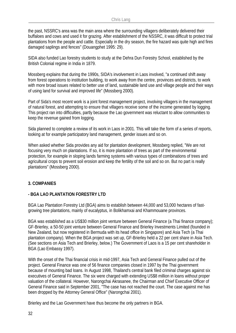the past, NSSRC's area was the main area where the surrounding villagers deliberately delivered their buffaloes and cows and used it for grazing. After establishment of the NSSRC, it was difficult to protect trial plantations from the people and cattle. Especially in the dry season, the fire hazard was quite high and fires damaged saplings and fences" (Douangphet 1995: 29).

SIDA also funded Lao forestry students to study at the Dehra Dun Forestry School, established by the British Colonial regime in India in 1879.

Mossberg explains that during the 1990s, SIDA's involvement in Laos involved, "a continued shift away from forest operations to institution building, to work away from the centre, provinces and districts, to work with more broad issues related to better use of land, sustainable land use and village people and their ways of using land for survival and improved life" (Mossberg 2000).

Part of Sida's most recent work is a joint forest management project, involving villagers in the management of natural forest, and attempting to ensure that villagers receive some of the income generated by logging. This project ran into difficulties, partly because the Lao government was reluctant to allow communities to keep the revenue gained from logging.

Sida planned to complete a review of its work in Laos in 2001. This will take the form of a series of reports, looking at for example participatory land management, gender issues and so on.

When asked whether Sida provides any aid for plantation development, Mossberg replied, "We are not focusing very much on plantations. If so, it is more plantation of trees as part of the environmental protection, for example in sloping lands farming systems with various types of combinations of trees and agricultural crops to prevent soil erosion and keep the fertility of the soil and so on. But no part is really plantations" (Mossberg 2000).

#### **3. COMPANIES**

#### **- BGA LAO PLANTATION FORESTRY LTD**

BGA Lao Plantation Forestry Ltd (BGA) aims to establish between 44,000 and 53,000 hectares of fastgrowing tree plantations, mainly of eucalyptus, in Bolikhamxai and Khammouane provinces.

BGA was established as a US\$30 million joint venture between General Finance (a Thai finance company); GF-Brierley, a 50-50 joint venture between General Finance and Brierley Investments Limited (founded in New Zealand, but now registered in Bermuda with its head office in Singapore) and Asia Tech (a Thai plantation company). When the BGA project was set up, GF-Brierley held a 22 per cent share in Asia Tech. (See sections on Asia Tech and Brierley, below.) The Government of Laos is a 15 per cent shareholder in BGA (Lao Embassy 1997).

With the onset of the Thai financial crisis in mid-1997, Asia Tech and General Finance pulled out of the project. General Finance was one of 56 finance companies closed in 1997 by the Thai government because of mounting bad loans. In August 1998, Thailand's central bank filed criminal charges against six executives of General Finance. The six were charged with extending US\$8 million in loans without proper valuation of the collateral. However, Narongchai Akrasanee, the Chairman and Chief Executive Officer of General Finance said in September 2001, "The case has not reached the court. The case against me has been dropped by the Attorney General Office" (Narongchai 2001).

Brierley and the Lao Government have thus become the only partners in BGA.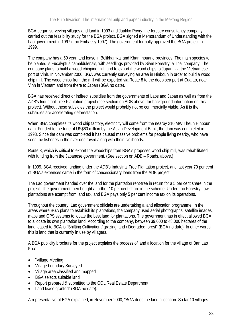BGA began surveying villages and land in 1993 and Jaakko Poyry, the forestry consultancy company, carried out the feasibility study for the BGA project. BGA signed a Memorandum of Understanding with the Lao government in 1997 (Lao Embassy 1997). The government formally approved the BGA project in 1999.

The company has a 50 year land lease in Bolikhamxai and Khammouane provinces. The main species to be planted is Eucalyptus camaldulensis, with seedlings provided by Siam Forestry, a Thai company. The company plans to build a wood chipping mill, and to export the wood chips to Japan, via the Vietnamese port of Vinh. In November 2000, BGA was currently surveying an area in Hinboun in order to build a wood chip mill. The wood chips from the mill will be exported via Route 8 to the deep sea port at Cua Lo, near Vinh in Vietnam and from there to Japan (BGA no date).

BGA has received direct or indirect subsidies from the governments of Laos and Japan as well as from the ADB's Industrial Tree Plantation project (see section on ADB above, for background information on this project). Without these subsidies the project would probably not be commercially viable. As it is the subsidies are accelerating deforestation.

When BGA completes its wood chip factory, electricity will come from the nearby 210 MW Theun Hinboun dam. Funded to the tune of US\$60 million by the Asian Development Bank, the dam was completed in 1998. Since the dam was completed it has caused massive problems for people living nearby, who have seen the fisheries in the river destroyed along with their livelihoods.

Route 8, which is critical to export the woodchips from BGA's proposed wood chip mill, was rehabilitated with funding from the Japanese government. (See section on ADB – Roads, above.)

In 1999, BGA received funding under the ADB's Industrial Tree Plantation project, and last year 70 per cent of BGA's expenses came in the form of concessionary loans from the ADB project.

The Lao government handed over the land for the plantation rent-free in return for a 5 per cent share in the project. The government then bought a further 10 per cent share in the scheme. Under Lao Forestry Law plantations are exempt from land tax, and BGA pays only 5 per cent income tax on its operations.

Throughout the country, Lao government officials are undertaking a land allocation programme. In the areas where BGA plans to establish its plantations, the company used aerial photographs, satellite images, maps and GPS systems to locate the best land for plantations. The government has in effect allowed BGA to allocate its own plantation land. According to the company, between 39,000 to 48,000 hectares of the land leased to BGA is "Shifting Cultivation / grazing land / Degraded forest" (BGA no date). In other words, this is land that is currently in use by villagers.

A BGA publicity brochure for the project explains the process of land allocation for the village of Ban Lao Kha:

- "Village Meeting
- Village boundary Surveyed
- Village area classified and mapped
- BGA selects suitable land
- Report prepared & submitted to the GOL Real Estate Department
- Land lease granted" (BGA no date).

A representative of BGA explained, in November 2000, "BGA does the land allocation. So far 10 villages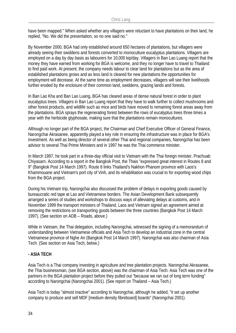have been mapped." When asked whether any villagers were reluctant to have plantations on their land, he replied, "No. We did the presentation, so no one said no."

By November 2000, BGA had only established around 650 hectares of plantations, but villagers were already seeing their swiddens and forests converted to monoculture eucalyptus plantations. Villagers are employed on a day by day basis as labourers for 10,000 kip/day. Villagers in Ban Lao Luang report that the money they have earned from working for BGA is welcome, and they no longer have to travel to Thailand to find paid work. At present, the company needs labour to clear land for plantations but as the area of established plantations grows and as less land is cleared for new plantations the opportunities for employment will decrease. At the same time as employment decreases, villagers will see their livelihoods further eroded by the enclosure of their common land, swiddens, grazing lands and forests.

In Ban Lao Kha and Ban Lao Luang, BGA has cleared areas of dense natural forest in order to plant eucalyptus trees. Villagers in Ban Lao Luang report that they have to walk further to collect mushrooms and other forest products, and wildlife such as mice and birds have moved to remaining forest areas away from the plantations. BGA sprays the regenerating forest between the rows of eucalyptus trees three times a year with the herbicide glyphosate, making sure that the plantations remain monocultures.

Although no longer part of the BGA project, the Chairman and Chief Executive Officer of General Finance, Narongchai Akrasanee, apparently played a key role in ensuring the infrastructure was in place for BGA's investment. As well as being director of several other Thai and regional companies, Narongchai has been advisor to several Thai Prime Ministers and in 1997 he was the Thai commerce minister.

In March 1997, he took part in a three-day official visit to Vietnam with the Thai foreign minister, Prachuab Chiyasarn. According to a report in the Bangkok Post, the Thais "expressed great interest in Routes 8 and 9" (Bangkok Post 14 March 1997). Route 8 links Thailand's Nakhon Phanom province with Laos's Khammouane and Vietnam's port city of Vinh, and its rehabilitation was crucial to for exporting wood chips from the BGA project.

During his Vietnam trip, Narongchai also discussed the problem of delays in exporting goods caused by bureaucratic red tape at Lao and Vietnamese borders. The Asian Development Bank subsequently arranged a series of studies and workshops to discuss ways of alleviating delays at customs, and in November 1999 the transport ministers of Thailand, Laos and Vietnam signed an agreement aimed at removing the restrictions on transporting goods between the three countries (Bangkok Post 14 March 1997). (See section on ADB – Roads, above.)

While in Vietnam, the Thai delegation, including Narongchai, witnessed the signing of a memorandum of understanding between Vietnamese officials and Asia Tech to develop an industrial zone in the central Vietnamese province of Nghe An (Bangkok Post 14 March 1997). Narongchai was also chairman of Asia Tech. (See section on Asia Tech, below.)

#### **- ASIA TECH**

Asia Tech is a Thai company investing in agriculture and tree plantation projects. Narongchai Akrasanee, the Thai businessman, (see BGA section, above) was the chairman of Asia Tech. Asia Tech was one of the partners in the BGA plantation project before they pulled out "because we ran out of long term funding" according to Narongchai (Narongchai 2001). (See report on Thailand – Asia Tech.)

Asia Tech is today "almost inactive" according to Narongchai, although he added, "it set up another company to produce and sell MDF [medium density fibreboard] boards" (Narongchai 2001).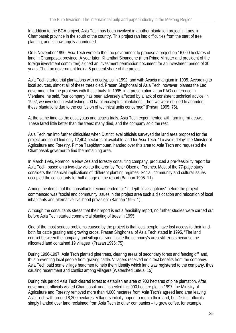In addition to the BGA project, Asia Tech has been involved in another plantation project in Laos, in Champasak province in the south of the country. This project ran into difficulties from the start of tree planting, and is now largely abandoned.

On 5 November 1990, Asia Tech wrote to the Lao government to propose a project on 16,000 hectares of land in Champasak province. A year later, Khamthai Sipandone (then-Prime Minister and president of the foreign investment committee) signed an investment permission document for an investment period of 30 years. The Lao government took a 5 per cent share of the project.

Asia Tech started trial plantations with eucalyptus in 1992, and with Acacia mangium in 1995. According to local sources, almost all of these trees died. Prasan Singhonsai of Asia Tech, however, blames the Lao government for the problems with these trials. In 1995, in a presentation at an FAO conference in Vientiane, he said, "our company has been adversely affected by a lack of consistent technical advice: in 1992, we invested in establishing 200 ha of eucalyptus plantations. Then we were obliged to abandon these plantations due to the confusion of technical units concerned" (Prasan 1995: 75).

At the same time as the eucalyptus and acacia trials, Asia Tech experimented with farming milk cows. These fared little better than the trees: many died, and the company sold the rest.

Asia Tech ran into further difficulties when District level officials surveyed the land area proposed for the project and could find only 12,404 hectares of available land for Asia Tech. "To avoid delay" the Minister of Agriculture and Forestry, Pimpa Taepkhampuan, handed over this area to Asia Tech and requested the Champasak governor to find the remaining area.

In March 1995, Forenco, a New Zealand forestry consulting company, produced a pre-feasibility report for Asia Tech, based on a two-day visit to the area by Peter Olsen of Forenco. Most of the 77-page study considers the financial implications of different planting regimes. Social, community and cultural issues occupied the consultants for half a page of the report (Bannan 1995: 11).

Among the items that the consultants recommended for "in depth investigations" before the project commenced was "social and community issues in the project area such a dislocation and relocation of local inhabitants and alternative livelihood provision" (Bannan 1995: 1).

Although the consultants stress that their report is not a feasibility report, no further studies were carried out before Asia Tech started commercial planting of trees in 1995.

One of the most serious problems caused by the project is that local people have lost access to their land, both for cattle grazing and growing crops. Prasan Singhonsai of Asia Tech stated in 1995, "The land conflict between the company and villagers living inside the company's area still exists because the allocated land contained 19 villages" (Prasan 1995: 75).

During 1996-1997, Asia Tech planted pine trees, clearing areas of secondary forest and fencing off land, thus preventing local people from grazing cattle. Villagers received no direct benefits from the company. Asia Tech paid some village headmen to help them identify which land was registered to the company, thus causing resentment and conflict among villagers (Watershed 1996a: 15).

During this period Asia Tech cleared forest to establish an area of 900 hectares of pine plantation. After government officials visited Champasak and inspected this 900 hectare plot in 1997, the Ministry of Agriculture and Forestry removed more than 4,000 hectares from Asia Tech's agreed land area leaving Asia Tech with around 8,200 hectares. Villagers initially hoped to regain their land, but District officials simply handed over land reclaimed from Asia Tech to other companies – to grow coffee, for example.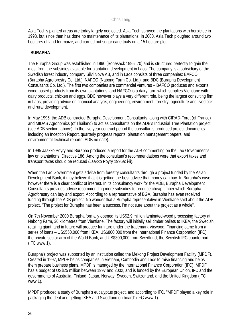Asia Tech's planted areas are today largely neglected. Asia Tech sprayed the plantations with herbicide in 1998, but since then has done no maintenance of its plantations. In 2000, Asia Tech ploughed around two hectares of land for maize, and carried out sugar cane trials on a 15 hectare plot.

#### **- BURAPHA**

The Burapha Group was established in 1990 (Sonesack 1995: 70) and is structured perfectly to gain the most from the subsidies available for plantation development in Laos. The company is a subsidiary of the Swedish forest industry company Silvi Nova AB, and in Laos consists of three companies: BAFCO (Burapha Agroforestry Co. Ltd.); NAFCO (Nabong Farm Co. Ltd.); and BDC (Burapha Development Consultants Co. Ltd.). The first two companies are commercial ventures – BAFCO produces and exports wood based products from its own plantations, and NAFCO is a dairy farm which supplies Vientiane with dairy products, chicken and eggs. BDC however plays a very different role, being the largest consulting firm in Laos, providing advice on financial analysis, engineering, environment, forestry, agriculture and livestock and rural development.

In May 1995, the ADB contracted Burapha Development Consultants, along with CIRAD-Foret (of France) and MIDAS Agronomics (of Thailand) to act as consultants on the ADB's Industrial Tree Plantation project (see ADB section, above). In the five year contract period the consultants produced project documents including an Inception Report, quarterly progress reports, plantation management papers, and environmental technical reports (ADB no date).

In 1995 Jaakko Poyry and Burapha produced a report for the ADB commenting on the Lao Government's law on plantations, Directive 186. Among the consultant's recommendations were that export taxes and transport taxes should be reduced (Jaakko Poyry 1995a: i-ii).

When the Lao Government gets advice from forestry consultants through a project funded by the Asian Development Bank, it may believe that it is getting the best advice that money can buy. In Burapha's case however there is a clear conflict of interest. In its consultancy work for the ADB, Burapha Development Consultants provides advice recommending more subsidies to produce cheap timber which Burapha Agroforestry can buy and export. According to a representative of BGA, Burapha has even received funding through the ADB project. No wonder that a Burapha representative in Vientiane said about the ADB project, "The project for Burapha has been a success, I'm not sure about the project as a whole".

On 7th November 2000 Burapha formally opened its US\$2.9 million laminated-wood processing factory at Nabong Farm, 30 kilometres from Vientiane. The factory will initially sell timber pallets to IKEA, the Swedish retailing giant, and in future will produce furniture under the trademark Vicwood. Financing came from a series of loans – US\$550,000 from IKEA, US\$800,000 from the International Finance Corporation (IFC), the private sector arm of the World Bank, and US\$300,000 from Swedfund, the Swedish IFC counterpart (IFC www 1).

Burapha's project was supported by an institution called the Mekong Project Development Facility (MPDF). Created in 1997, MPDF helps companies in Vietnam, Cambodia and Laos to raise financing and helps them prepare business plans. MPDF is managed by the International Finance Corporation (IFC). MPDF has a budget of US\$25 million between 1997 and 2002, and is funded by the European Union, IFC and the governments of Australia, Finland, Japan, Norway, Sweden, Switzerland, and the United Kingdom (IFC www 1).

MPDF produced a study of Burapha's eucalyptus project, and according to IFC, "MPDF played a key role in packaging the deal and getting IKEA and Swedfund on board" (IFC www 1).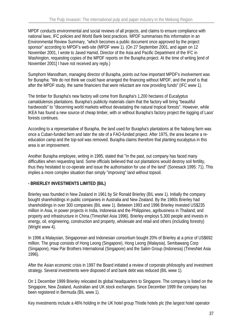MPDF conducts environmental and social reviews of all projects, and claims to ensure compliance with national laws, IFC policies and World Bank best practices. MPDF summarises this information in an Environmental Review Summary, "which becomes a public document once approved by the project sponsor" according to MPDF's web-site (MPDF www 1). (On 27 September 2001, and again on 12 November 2001, I wrote to Javed Hamid, Director of the Asia and Pacific Department of the IFC in Washington, requesting copies of the MPDF reports on the Burapha project. At the time of writing [end of November 2001] I have not received any reply.)

Sumphorn Manodham, managing director of Burapha, points out how important MPDF's involvement was for Burapha: "We do not think we could have arranged the financing without MPDF, and the proof is that after the MPDF study, the same financiers that were reluctant are now providing funds" (IFC www 1).

The timber for Burapha's new factory will come from Burapha's 1,200 hectares of Eucalyptus camaldulensis plantations. Burapha's publicity materials claim that the factory will bring "beautiful hardwoods" to "discerning world markets without devastating the natural tropical forests". However, while IKEA has found a new source of cheap timber, with or without Burapha's factory project the logging of Laos' forests continues.

According to a representative of Burapha, the land used for Burapha's plantations at the Nabong farm was once a Cuban-funded farm and later the site of a FAO-funded project. After 1975, the area became a reeducation camp and the top-soil was removed. Burapha claims therefore that planting eucalyptus in this area is an improvement.

Another Burapha employee, writing in 1995, stated that "In the past, out company has faced many difficulties when requesting land. Some officials believed that out plantations would destroy soil fertility, thus they hesitated to co-operate and issue the authorisation for use of the land" (Sonesack 1995: 71). This implies a more complex situation than simply "improving" land without topsoil.

# **- BRIERLEY INVESTMENTS LIMITED (BIL)**

Brierley was founded in New Zealand in 1961 by Sir Ronald Brierley (BIL www 1). Initially the company bought shareholdings in public companies in Australia and New Zealand. By the 1980s Brierley had shareholdings in over 300 companies (BIL www 1). Between 1993 and 1996 Brierley invested US\$235 million in Asia, in power projects in India, Indonesia and the Philippines, agribusiness in Thailand, and property and infrastructure in China (TimesNet Asia 1996). Brierley employs 5,300 people and invests in energy, oil, engineering, construction and property, wholesale and retail and others (including forestry) (Wright www 4).

In 1996 a Malaysian, Singaporean and Indonesian consortium bought 20% of Brierley at a price of US\$692 million. The group consists of Hong Leong (Singapore), Hong Leong (Malaysia), Sembawang Corp (Singapore), Haw Par Brothers International (Singapore) and the Salim Group (Indonesia) (TimesNet Asia 1996).

After the Asian economic crisis in 1997 the Board initiated a review of corporate philosophy and investment strategy. Several investments were disposed of and bank debt was reduced (BIL www 1).

On 1 December 1999 Brierley relocated its global headquarters to Singapore. The company is listed on the Singapore, New Zealand, Australian and UK stock exchanges. Since December 1999 the company has been registered in Bermuda (BIL www 1).

Key investments include a 46% holding in the UK hotel group Thistle hotels plc (the largest hotel operator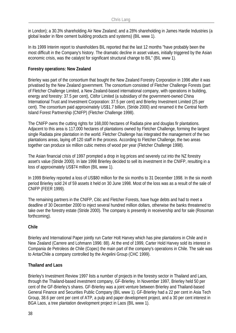in London); a 30.3% shareholding Air New Zealand; and a 28% shareholding in James Hardie Industries (a global leader in fibre cement building products and systems) (BIL www 1).

In its 1999 Interim report to shareholders BIL reported that the last 12 months "have probably been the most difficult in the Company's history. The dramatic decline in asset values, initially triggered by the Asian economic crisis, was the catalyst for significant structural change to BIL" (BIL www 1).

## **Forestry operations: New Zealand**

Brierley was part of the consortium that bought the New Zealand Forestry Corporation in 1996 after it was privatised by the New Zealand government. The consortium consisted of Fletcher Challenge Forests (part of Fletcher Challenge Limited, a New Zealand-based international company, with operations in building, energy and forestry: 37.5 per cent), Citifor Limited (a subsidiary of the government-owned China International Trust and Investment Corporation: 37.5 per cent) and Brierley Investment Limited (25 per cent). The consortium paid approximately US\$1.7 billion, (Stride 2000) and renamed it the Central North Island Forest Partnership (CNIFP) (Fletcher Challenge 1998).

The CNIFP owns the cutting rights for 168,000 hectares of Radiata pine and douglas fir plantations. Adjacent to this area is 117,000 hectares of plantations owned by Fletcher Challenge, forming the largest single Radiata pine plantation in the world. Fletcher Challenge has integrated the management of the two plantations areas, laying off 120 staff in the process. According to Fletcher Challenge, the two areas together can produce six million cubic metres of wood per year (Fletcher Challenge 1998).

The Asian financial crisis of 1997 prompted a drop in log prices and severely cut into the NZ forestry asset's value (Stride 2000). In late 1998 Brierley decided to sell its investment in the CNIFP, resulting in a loss of approximately US\$74 million (BIL www 1).

In 1999 Brierley reported a loss of US\$80 million for the six months to 31 December 1998. In the six month period Brierley sold 24 of 59 assets it held on 30 June 1998. Most of the loss was as a result of the sale of CNIFP (FEER 1999).

The remaining partners in the CNIFP, Citic and Fletcher Forests, have huge debts and had to meet a deadline of 30 December 2000 to inject several hundred million dollars, otherwise the banks threatened to take over the forestry estate (Stride 2000). The company is presently in receivership and for sale (Rosoman forthcoming).

## **Chile**

Brierley and International Paper jointly run Carter Holt Harvey which has pine plantations in Chile and in New Zealand (Carrere and Lohmann 1996: 88). At the end of 1999, Carter Hold Harvey sold its interest in Compania de Petroleos de Chile (Copec) the main part of the company's operations in Chile. The sale was to AntarChile a company controlled by the Angelini Group (CHC 1999).

## **Thailand and Laos**

Brierley's Investment Review 1997 lists a number of projects in the forestry sector in Thailand and Laos, through the Thailand-based investment company, GF-Brierley. In November 1997, Brierley held 50 per cent of the GF-Brierley's shares. GF-Brierley was a joint venture between Brierley and Thailand-based General Finance and Securities Public Company (BIL www 1). GF-Brierley had a 22 per cent in Asia Tech Group, 38.6 per cent per cent of ATP, a pulp and paper development project, and a 30 per cent interest in BGA Laos, a tree plantation development project in Laos (BIL www 1).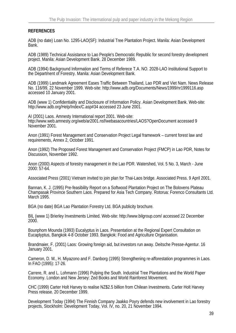# **REFERENCES**

ADB (no date) Loan No. 1295-LAO(SF): Industrial Tree Plantation Project. Manila: Asian Development Bank.

ADB (1989) Technical Assistance to Lao People's Democratic Republic for second forestry development project. Manila: Asian Development Bank. 28 December 1989.

ADB (1994) Background Information and Terms of Referece T.A. NO. 2028-LAO Institutional Support to the Department of Forestry. Manila: Asian Development Bank.

ADB (1999) Landmark Agreement Eases Traffic Between Thailand, Lao PDR and Viet Nam. News Release No. 116/99, 22 November 1999. Web-site: http://www.adb.org/Documents/News/1999/nr1999116.asp accessed 10 January 2001.

ADB (www 1) Confidentiality and Disclosure of Information Policy. Asian Development Bank. Web-site: http://www.adb.org/Help/Index/C.asp#34 accessed 23 June 2001.

AI (2001) Laos. Amnesty International report 2001. Web-site: http://www.web.amnesty.org/web/ar2001.nsf/webasacountries/LAOS?OpenDocument accessed 9 November 2001.

Anon (1991) Forest Management and Conservation Project Legal framework – current forest law and requirements, Annex 2, October 1991.

Anon (1992) The Proposed Forest Management and Conservation Project (FMCP) in Lao PDR, Notes for Discussion, November 1992.

Anon (2000) Aspects of forestry management in the Lao PDR. Watershed, Vol. 5 No. 3, March - June 2000: 57-64.

Associated Press (2001) Vietnam invited to join plan for Thai-Laos bridge. Associated Press. 9 April 2001.

Bannan, K. J. (1995) Pre-feasibility Report on a Softwood Plantation Project on The Bolovens Plateau Champasak Province Southern Laos. Prepared for Asia Tech Company. Rotorua: Forenco Consultants Ltd. March 1995.

BGA (no date) BGA Lao Plantation Forestry Ltd. BGA publicity brochure.

BIL (www 1) Brierley Investments Limited. Web-site: http://www.bilgroup.com/ accessed 22 December 2000.

Bounphom Mounda (1993) Eucalyptus in Laos. Presentation at the Regional Expert Consultation on Eucaplyptus, Bangkok 4-8 October 1993. Bangkok: Food and Agriculture Organisation.

Brandmaier, F. (2001) Laos: Growing foreign aid, but investors run away. Deitsche Presse-Agentur. 16 January 2001.

Cameron, D. M., H. Miyazono and F. Danborg (1995) Strengthening re-afforestation programmes in Laos. In FAO (1995): 17-26.

Carrere, R. and L. Lohmann (1996) Pulping the South. Industrial Tree Plantations and the World Paper Economy. London and New Jersey: Zed Books and World Rainforest Movement.

CHC (1999) Carter Holt Harvey to realise NZ\$2.5 billion from Chilean Investments. Carter Holt Harvey Press release. 20 December 1999.

Development Today (1994) The Finnish Company Jaakko Poyry defends new involvement in Lao forestry projects, Stockholm: Development Today, Vol. IV, no. 20, 21 November 1994.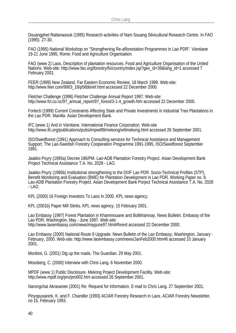Douangphet Rattanasouk (1995) Research activities of Nam Souang Silvicultural Research Centre. In FAO (1995). 27-30.

FAO (1995) National Workshop on "Strengthening Re-afforestation Programmes in Lao PDR". Vientiane 19-21 June 1995. Rome: Food and Agriculture Organisation.

FAO (www 2) Laos. Description of plantation resources. Food and Agriculture Organisation of the United Nations. Web-site: http://www.fao.org/forestry/fo/country/index.jsp?geo\_id=39&lang\_id=1 accessed 7 February 2001.

FEER (1999) New Zealand. Far Eastern Economic Review, 18 March 1999. Web-site: http://www.feer.com/9903\_18/p56bbrief.html accessed 22 December 2000.

Fletcher Challenge (1998) Fletcher Challenge Annual Report 1997. Web-site: http://www.fcl.co.nz/97\_annual\_report/97\_forest/3-1-4\_growth.htm accessed 22 December 2000.

Fortech (1999) Current Constraints Affecting State and Private Investments in Industrial Tree Plantations in the Lao PDR. Manilla: Asian Development Bank.

IFC (www 1) And in Vientiane. International Finance Corporation. Web-site http://www.ifc.org/publications/pubs/impwt99/mekong/w9mekong.html accessed 26 September 2001.

ISO/Swedforest (1991) Approach to Consulting services for Technical Assistance and Management Support, The Lao-Swedish Forestry Cooperation Programme 1991-1995, ISO/Swedforest September 1991.

Jaakko Poyry (1995a) Decree 186/PM. Lao-ADB Plantation Forestry Project. Asian Development Bank Project Technical Assistance T.A. No. 2028 - LAO.

Jaakko Poyry (1995b) Institutional strengthening to the DOF Lao PDR. Socio-Technical Profiles (STP), Benefit Monitoring and Evaluation (BME) for Plantation Development in Lao PDR. Working Paper no. 9. Lao-ADB Plantation Forestry Project. Asian Development Bank Porject Technical Assistance T.A. No. 2028 - LAO.

KPL (2000) 16 Foreign Investors To Laos In 2000. KPL news agency.

KPL (2001b) Paper Mill Stinks. KPL news agency. 15 February 2001.

Lao Embassy (1997) Forest Plantation in Khammouane and Bolikhamxay. News Bulletin. Embassy of the Lao PDR, Washington, May - June 1997. Web-site: http://www.laoembassy.com/news/mayjune97.html#forest accessed 22 December 2000.

Lao Embassy (2000) National Route 9 Upgrade. News Bulletin of the Lao Embassy, Washington, January - February, 2000. Web-site: http://www.laoembassy.com/news/JanFeb2000.htm#6 accessed 10 January 2001.

Monbiot, G. (2001) Dig up the roads. The Guardian. 29 May 2001.

Mossberg, C. (2000) Interview with Chris Lang. 6 November 2000.

MPDF (www 1) Public Disclosure. Mekong Project Development Facility. Web-site: http://www.mpdf.org/pro/pro002.htm accessed 26 September 2001.

Narongchai Akrasanee (2001) Re: Request for information. E-mail to Chris Lang. 27 September 2001.

Pinyopusarerk, K. and F. Chandler (1993) ACIAR Forestry Research in Laos. ACIAR Forestry Newsletter, no 15. February 1993.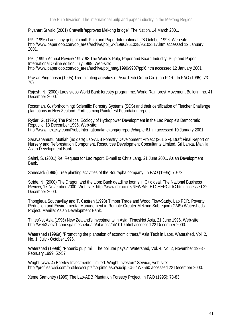Piyanart Srivalo (2001) Chavalit 'approves Mekong bridge'. The Nation. 14 March 2001.

PPI (1996) Laos may get pulp mill. Pulp and Paper International. 28 October 1996. Web-site: http://www.paperloop.com/db\_area/archive/ppi\_wk/1996/961028/96102817.htm accessed 12 January 2001.

PPI (1999) Annual Review 1997-98 The World's Pulp, Paper and Board Industry. Pulp and Paper International Online edition July 1999. Web-site: http://www.paperloop.com/db\_area/archive/ppi\_mag/1999/9907/ppi6.htm accessed 12 January 2001.

Prasan Singhonsai (1995) Tree planting activities of Asia Tech Group Co. (Lao PDR). In FAO (1995): 73- 76)

Rajesh, N. (2000) Laos stops World Bank forestry programme. World Rainforest Movement Bulletin, no. 41, December 2000.

Rosoman, G. (forthcoming) Scientific Forestry Systems (SCS) and their certification of Fletcher Challenge plantations in New Zealand. Forthcoming Rainforest Foundation report.

Ryder, G. (1996) The Political Ecology of Hydropower Development in the Lao People's Democratic Republic. 13 December 1996. Web-site:

http://www.nextcity.com/ProbeInternational/mekong/grreport/chapter6.htm accessed 10 January 2001.

Saravanamuttu Muttiah (no date) Lao-ADB Forestry Development Project (261 SF). Draft Final Report on Nursery and Reforestation Component. Resources Development Consultants Limited, Sri Lanka. Manilla: Asian Development Bank.

Sahni, S. (2001) Re: Request for Lao report. E-mail to Chris Lang. 21 June 2001. Asian Development Bank.

Sonesack (1995) Tree planting activities of the Bourapha company. In FAO (1995): 70-72.

Stride, N. (2000) The Dragon and the Lion: Bank deadline looms in Citic deal. The National Business Review, 17 November 2000. Web-site: http://www.nbr.co.nz/NEWS/FLETCHERCITIC.html accessed 22 December 2000.

Thongleua Southavilay and T. Castren (1998) Timber Trade and Wood Flow-Study. Lao PDR. Poverty Reduction and Environmental Management in Remote Greater Mekong Subregion (GMS) Watersheds Project. Manilla: Asian Development Bank.

TimesNet Asia (1996) New Zealand's investments in Asia. TimesNet Asia, 21 June 1996. Web-site: http://web3.asia1.com.sg/timesnet/data/ab/docs/ab1019.html accessed 22 December 2000.

Watershed (1996a) "Promoting the plantation of economic trees," Asia Tech in Laos. Watershed, Vol. 2, No. 1, July - October 1996.

Watershed (1998b) "Phoenix pulp mill: The polluter pays?" Watershed, Vol. 4, No. 2, November 1998 - February 1999: 52-57.

Wright (www 4) Brierley Investments Limited. Wright Investors' Service, web-site: http://profiles.wisi.com/profiles/scripts/corpinfo.asp?cusip=C554W8560 accessed 22 December 2000.

Xeme Samontry (1995) The Lao-ADB Plantation Forestry Project. In FAO (1995): 78-83.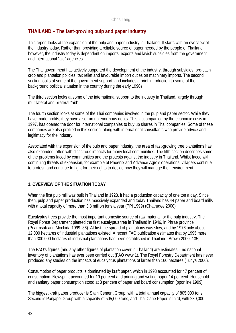# **THAILAND – The fast-growing pulp and paper industry**

This report looks at the expansion of the pulp and paper industry in Thailand. It starts with an overview of the industry today. Rather than providing a reliable source of paper needed by the people of Thailand, however, the industry today is dependent on imports, exports and lavish subsidies from the government and international "aid" agencies.

The Thai government has actively supported the development of the industry, through subsidies, pro-cash crop and plantation policies, tax relief and favourable import duties on machinery imports. The second section looks at some of the government support, and includes a brief introduction to some of the background political situation in the country during the early 1990s.

The third section looks at some of the international support to the industry in Thailand, largely through multilateral and bilateral "aid".

The fourth section looks at some of the Thai companies involved in the pulp and paper sector. While they have made profits, they have also run up enormous debts. This, accompanied by the economic crisis in 1997, has opened the door for international companies to buy up shares in Thai companies. Some of these companies are also profiled in this section, along with international consultants who provide advice and legitimacy for the industry.

Associated with the expansion of the pulp and paper industry, the area of fast-growing tree plantations has also expanded, often with disastrous impacts for many local communities. The fifth section describes some of the problems faced by communities and the protests against the industry in Thailand. Whilst faced with continuing threats of expansion, for example of Phoenix and Advance Agro's operations, villagers continue to protest, and continue to fight for their rights to decide how they will manage their environment.

## **1. OVERVIEW OF THE SITUATION TODAY**

When the first pulp mill was built in Thailand in 1923, it had a production capacity of one ton a day. Since then, pulp and paper production has massively expanded and today Thailand has 44 paper and board mills with a total capacity of more than 3.8 million tons a year (PPI 1999) (Chatrudee 2000).

Eucalyptus trees provide the most important domestic source of raw material for the pulp industry. The Royal Forest Department planted the first eucalyptus tree in Thailand in 1946, in Phrae province (Pearmsak and Mochida 1999: 36). At first the spread of plantations was slow, and by 1976 only about 12,000 hectares of industrial plantations existed. A recent FAO publication estimates that by 1995 more than 300,000 hectares of industrial plantations had been established in Thailand (Brown 2000: 135).

The FAO's figures (and any other figures of plantation cover in Thailand) are estimates – no national inventory of plantations has ever been carried out (FAO www 1). The Royal Forestry Department has never produced any studies on the impacts of eucalyptus plantations of larger than 160 hectares (Tunya 2000).

Consumption of paper products is dominated by kraft paper, which in 1998 accounted for 47 per cent of consumption. Newsprint accounted for 19 per cent and printing and writing paper 14 per cent. Household and sanitary paper consumption stood at 3 per cent of paper and board consumption (pponline 1999).

The biggest kraft paper producer is Siam Cement Group, with a total annual capacity of 805,000 tons. Second is Panjapol Group with a capacity of 505,000 tons, and Thai Cane Paper is third, with 280,000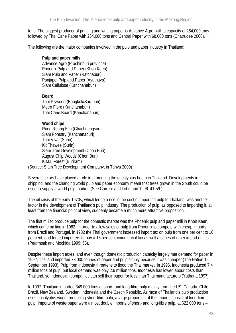tons. The biggest producer of printing and writing paper is Advance Agro, with a capacity of 264,000 tons followed by Thai Cane Paper with 264,000 tons and Central Paper with 68,000 tons (Chatrudee 2000).

The following are the major companies involved in the pulp and paper industry in Thailand:

# **Pulp and paper mills**

Advance Agro (Prachinburi province) Phoenix Pulp and Paper (Khon Kaen) Siam Pulp and Paper (Ratchaburi) Panjapol Pulp and Paper (Ayuthaya) Siam Cellulose (Kanchanaburi)

# **Board**

Thai Plywood (Bangkok/Saraburi) Metro Fibre (Kanchanaburi) Thai Cane Board (Kanchanaburi)

# **Wood chips**

Rung Ruang Kitti (Chachoengsao) Siam Forestry (Kanchanaburi) Thai Vivat (Surin) Kit Thawee (Surin) Siam Tree Development (Chon Buri) August Chip Woods (Chon Buri) K.M.I. Forest (Buriram) (Source: Siam Tree Development Company, in Tunya 2000)

Several factors have played a role in promoting the eucalyptus boom in Thailand. Developments in shipping, and the changing world pulp and paper economy meant that trees grown in the South could be used to supply a world pulp market. (See Carrere and Lohmann 1996: 41-59.)

The oil crisis of the early 1970s, which led to a rise in the cost of importing pulp to Thailand, was another factor in the development of Thailand's pulp industry. The production of pulp, as opposed to importing it, at least from the financial point of view, suddenly became a much more attractive proposition.

The first mill to produce pulp for the domestic market was the Phoenix pulp and paper mill in Khon Kaen, which came on line in 1982. In order to allow sales of pulp from Phoenix to compete with cheap imports from Brazil and Portugal, in 1982 the Thai government increased import tax on pulp from one per cent to 10 per cent, and forced importers to pay a 15 per cent commercial tax as well a series of other import duties (Pearmsak and Mochida 1999: 68).

Despite these import taxes, and even though domestic production capacity largely met demand for paper in 1992, Thailand imported 73,000 tonnes of paper and pulp simply because it was cheaper (The Nation 15 September 1993). Pulp from Indonesia threatens to flood the Thai market. In 1996, Indonesia produced 7.4 million tons of pulp, but local demand was only 2.6 million tons. Indonesia has lower labour costs than Thailand, so Indonesian companies can sell their paper for less than Thai manufacturers (Yuthana 1997).

In 1997, Thailand imported 349,000 tons of short- and long-fibre pulp mainly from the US, Canada, Chile, Brazil, New Zealand, Sweden, Indonesia and the Czech Republic. As most of Thailand's pulp production uses eucalyptus wood, producing short-fibre pulp, a large proportion of the imports consist of long-fibre pulp. Imports of waste-paper were almost double imports of short- and long-fibre pulp, at 622,000 tons –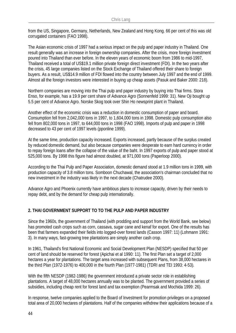from the US, Singapore, Germany, Netherlands, New Zealand and Hong Kong. 66 per cent of this was old corrugated containers (FAO 1998).

The Asian economic crisis of 1997 had a serious impact on the pulp and paper industry in Thailand. One result generally was an increase in foreign ownership companies. After the crisis, more foreign investment poured into Thailand than ever before. In the eleven years of economic boom from 1986 to mid-1997, Thailand received a total of US\$19.1 million private foreign direct investment (FDI). In the two years after the crisis, 45 large companies listed on the Stock Exchange of Thailand offered their share to foreign buyers. As a result, US\$14.9 million of FDI flowed into the country between July 1997 and the end of 1999. Almost all the foreign investors were interested in buying up cheap assets (Pasuk and Baker 2000: 218).

Northern companies are moving into the Thai pulp and paper industry by buying into Thai firms. Stora Enso, for example, has a 19.9 per cent share of Advance Agro (Sonnenfeld 1999: 31). New Oji bought up 5.5 per cent of Advance Agro. Norske Skog took over Shin Ho newsprint plant in Thailand.

Another effect of the economic crisis was a reduction in domestic consumption of paper and board. Consumption fell from 2,042,000 tons in 1997, to 1,604,000 tons in 1998. Domestic pulp consumption also fell from 802,000 tons in 1997, to 644,000 tons in 1998 (FAO 1998). Imports of pulp and paper in 1998 decreased to 43 per cent of 1997 levels (pponline 1999).

At the same time, production capacity increased. Exports increased, partly because of the surplus created by reduced domestic demand, but also because companies were desperate to earn hard currency in order to repay foreign loans after the collapse of the value of the baht. In 1997 exports of pulp and paper stood at 525,000 tons. By 1998 this figure had almost doubled, at 971,000 tons (Paperloop 2000).

According to the Thai Pulp and Paper Association, domestic demand stood at 1.9 million tons in 1999, with production capacity of 3.8 million tons. Somboon Chuchawal, the association's chairman concluded that no new investment in the industry was likely in the next decade (Chatrudee 2000).

Advance Agro and Phoenix currently have ambitious plans to increase capacity, driven by their needs to repay debt, and by the demand for cheap pulp internationally.

# **2. THAI GOVERNMENT SUPPORT TO TO THE PULP AND PAPER INDUSTRY**

Since the 1960s, the government of Thailand (with prodding and support from the World Bank, see below) has promoted cash crops such as corn, cassava, sugar cane and kenaf for export. One of the results has been that farmers expanded their fields into logged-over forest lands (Casson 1997: 11) (Lohmann 1991: 3). In many ways, fast-growing tree plantations are simply another cash crop.

In 1961, Thailand's first National Economic and Social Development Plan (NESDP) specified that 50 per cent of land should be reserved for forest (Apichai et al 1990: 11). The first Plan set a target of 2,000 hectares a year for plantations. The target area increased with subsequent Plans, from 38,000 hectares in the third Plan (1972-1976) to 400,000 in the fourth Plan (1977-1981) (TDRI and TEI 1993: 4-53).

With the fifth NESDP (1982-1986) the government introduced a private sector role in establishing plantations. A target of 48,000 hectares annually was to be planted. The government provided a series of subsidies, including cheap rent for forest land and tax exemption (Pearmsak and Mochida 1999: 26).

In response, twelve companies applied to the Board of Investment for promotion privileges on a proposed total area of 20,000 hectares of plantations. Half of the companies withdrew their applications because of a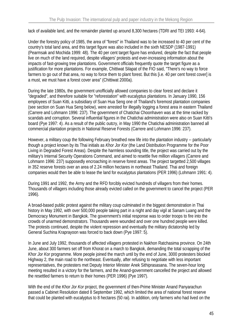lack of available land, and the remainder planted up around 8,300 hectares (TDRI and TEI 1993: 4-64).

Under the forestry policy of 1985, the area of "forest" in Thailand was to be increased to 40 per cent of the country's total land area, and this target figure was also included in the sixth NESDP (1987-1991) (Pearmsak and Mochida 1999: 48). The 40 per cent target figure has endured, despite the fact that people live on much of the land required, despite villagers' protests and ever-increasing information about the impacts of fast-growing tree plantations. Government officials frequently quote the target figure as a justification for more plantations. For example, Chittiwat Silapat of the FIO said, "There's no way to force farmers to go out of that area, no way to force them to plant forest. But this [i.e. 40 per cent forest cover] is a must, we must have a forest cover area" (Chittiwat 2000a).

During the late 1980s, the government unofficially allowed companies to clear forest and declare it "degraded", and therefore suitable for "reforestation" with eucalyptus plantations. In January 1990, 156 employees of Suan Kitti, a subsidiary of Suan Hua Seng one of Thailand's foremost plantation companies (see section on Suan Hua Seng below), were arrested for illegally logging a forest area in eastern Thailand (Carrere and Lohmann 1996: 237). The government of Chatichai Choonhaven was at the time racked by scandals and corruption. Several influential figures in the Chatichai administration were also on Suan Kitti's board (Pye 1997: 4). As a result of the public outcry, in May 1990 the Chatichai administration banned all commercial plantation projects in National Reserve Forests (Carrere and Lohmann 1996: 237).

However, a military coup the following February breathed new life into the plantation industry -- particularly though a project known by its Thai initials as *Khor Jor Kor* (the Land Distribution Programme for the Poor Living in Degraded Forest Areas). Despite the harmless sounding title, the project was carried out by the military's Internal Security Operations Command, and aimed to resettle five million villagers (Carrere and Lohmann 1996: 237) supposedly encroaching in reserve forest areas. The project targetted 2,500 villages in 352 reserve forests over an area of 2.24 million hectares in northeast Thailand. Thai and foreign companies would then be able to lease the land for eucalyptus plantations (PER 1996) (Lohmann 1991: 4).

During 1991 and 1992, the Army and the RFD forcibly evicted hundreds of villagers from their homes. Thousands of villagers including those already evicted called on the government to cancel the project (PER 1996).

A broad-based public protest against the military coup culminated in the biggest demonstration in Thai history in May 1992, with over 500,000 people taking part in a night and day vigil at Sanam Luang and the Democracy Monument in Bangkok. The government's initial response was to order troops to fire into the crowds of unarmed demonstrators. Thousands were wounded and over one hundred people were killed. The protests continued, despite the violent repression and eventually the military dictatorship led by General Suchina Kraprayoon was forced to back down (Pye 1997: 5).

In June and July 1992, thousands of affected villagers protested in Nakhon Ratchasima province. On 24th June, about 300 farmers set off from Khorat on a march to Bangkok, demanding the total scrapping of the *Khor Jor Kor* programme. More people joined the march until by the end of June, 3000 protesters blocked Highway 2, the main road to the northeast. Eventually, after refusing to negotiate with less important representatives, the protesters met Deputy Interior Minister Anek Sithiprasasana. The seven-hour long meeting resulted in a victory for the farmers, and the Anand-government cancelled the project and allowed the resettled farmers to return to their homes (PER 1996) (Pye 1997).

With the end of the *Khor Jor Kor* project, the government of then-Prime Minister Anand Panyarachun passed a Cabinet Resolution dated 8 September 1992, which limited the area of national forest reserve that could be planted with eucalyptus to 8 hectares (50 rai). In addition, only farmers who had lived on the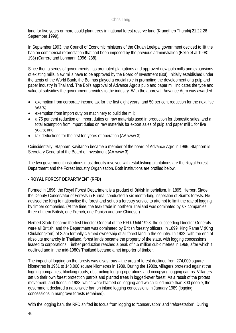land for five years or more could plant trees in national forest reserve land (Krungthep Thurakij 21,22,26 September 1999).

In September 1993, the Council of Economic ministers of the Chuan Leekpai government decided to lift the ban on commercial reforestation that had been imposed by the previous administration (Bello et al 1998: 198) (Carrere and Lohmann 1996: 238).

Since then a series of governments has promoted plantations and approved new pulp mills and expansions of existing mills. New mills have to be approved by the Board of Investment (BoI). Initially established under the aegis of the World Bank, the BoI has played a crucial role in promoting the development of a pulp and paper industry in Thailand. The BoI's approval of Advance Agro's pulp and paper mill indicates the type and value of subsidies the government provides to the industry. With the approval, Advance Agro was awarded:

- exemption from corporate income tax for the first eight years, and 50 per cent reduction for the next five years;
- exemption from import duty on machinery to build the mill;
- a 75 per cent reduction on import duties on raw materials used in production for domestic sales, and a total exemption from import duties on raw materials for export sales of pulp and paper mill 1 for five years; and
- tax deductions for the first ten years of operation (AA www 3).

Coincidentally, Staphorn Kavitanon became a member of the board of Advance Agro in 1996. Staphorn is Secretary General of the Board of Investment (AA www 3).

The two government institutions most directly involved with establishing plantations are the Royal Forest Department and the Forest Industry Organisation. Both institutions are profiled below.

## **- ROYAL FOREST DEPARTMENT (RFD)**

Formed in 1896, the Royal Forest Department is a product of British imperialism. In 1895, Herbert Slade, the Deputy Conservator of Forests in Burma, conducted a six month-long inspection of Siam's forests. He advised the King to nationalise the forest and set up a forestry service to attempt to limit the rate of logging by timber companies. (At the time, the teak trade in northern Thailand was dominated by six companies, three of them British, one French, one Danish and one Chinese.)

Herbert Slade became the first Director-General of the RFD. Until 1923, the succeeding Director-Generals were all British, and the Department was dominated by British forestry officers. In 1899, King Rama V (King Chulalongkorn) of Siam formally claimed ownership of all forest land in the country. In 1932, with the end of absolute monarchy in Thailand, forest lands became the property of the state, with logging concessions leased to corporations. Timber production reached a peak of 4.5 million cubic metres in 1968, after which it declined and in the mid-1980s Thailand became a net importer of timber.

The impact of logging on the forests was disastrous – the area of forest declined from 274,000 square kilometres in 1961 to 143,000 square kilometres in 1989. During the 1980s, villagers protested against the logging companies, blocking roads, obstructing logging operations and occupying logging camps. Villagers set up their own forest protection patrols and planted trees in logged-over forest. As a result of the protest movement, and floods in 1988, which were blamed on logging and which killed more than 300 people, the government declared a nationwide ban on inland logging concessions in January 1989 (logging concessions in mangrove forests remained).

With the logging ban, the RFD shifted its focus from logging to "conservation" and "reforestation". During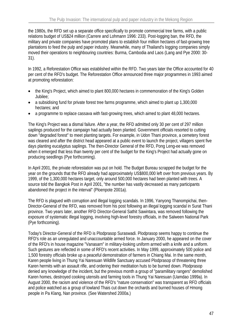the 1980s, the RFD set up a separate office specifically to promote commercial tree farms, with a public relations budget of US\$24 million (Carrere and Lohmann 1996: 233). Post-logging ban, the RFD, the military and private companies have promoted plans to establish four million hectares of fast-growing tree plantations to feed the pulp and paper industry. Meanwhile, many of Thailand's logging companies simply moved their operations to neighbouring countries: Burma, Cambodia and Laos (Lang and Pye 2000: 30- 31).

In 1992, a Reforestation Office was established within the RFD. Two years later the Office accounted for 40 per cent of the RFD's budget. The Reforestation Office announced three major programmes in 1993 aimed at promoting reforestation:

- the King's Project, which aimed to plant 800,000 hectares in commemoration of the King's Golden Jubilee;
- a subsidising fund for private forest tree farms programme, which aimed to plant up 1,300,000 hectares; and
- a programme to replace cassava with fast-growing trees, which aimed to plant 48,000 hectares.

The King's Project was a dismal failure. After a year, the RFD admitted only 30 per cent of 297 million saplings produced for the campaign had actually been planted. Government officials resorted to cutting down "degraded forest" to meet planting targets. For example, in Udon Thani province, a cemetery forest was cleared and after the district head appeared at a public event to launch the project, villagers spent five days planting eucalyptus saplings. The then-Director General of the RFD, Pong Leng-ee was removed when it emerged that less than twenty per cent of the budget for the King's Project had actually gone on producing seedlings (Pye forthcoming).

In April 2001, the private reforestation was put on hold. The Budget Bureau scrapped the budget for the year on the grounds that the RFD already had approximately US\$800,000 left over from previous years. By 1999, of the 1,300,000 hectares target, only around 500,000 hectares had been planted with trees. A source told the Bangkok Post in April 2001, "the number has vastly decreased as many participants abandoned the project in the interval" (Ploenpote 2001a).

The RFD is plagued with corruption and illegal logging scandals. In 1996, Yanyong Thanompichai, then-Director-General of the RFD, was removed from his post following an illegal logging scandal in Surat Thani province. Two years later, another RFD Director-General Sathit Sawintara, was removed following the exposure of systematic illegal logging, involving high-level forestry officials, in the Salween National Park (Pye forthcoming).

Today's Director-General of the RFD is Plodprasop Suraswadi. Plodprasop seems happy to continue the RFD's role as an unregulated and unaccountable armed force. In January 2000, he appeared on the cover of the RFD's in house magazine "Vanasarn" in military-looking uniform armed with a knife and a uniform. Such gestures are reflected in some of RFD's recent activities. In May 1999, approximately 500 police and 1,500 forestry officials broke up a peaceful demonstration of farmers in Chiang Mai. In the same month, Karen people living in Thung Yai Naresuan Wildlife Sanctuary accused Plodprasop of threatening three Karen hermits with an assault rifle, and ordering their meditation huts to be burned down. Plodprasop denied any knowledge of the incident, but the previous month a group of "paramilitary rangers" demolished Karen homes, destroyed cooking utensils and farming tools in Thung Yai Naresuan (Uamdao 1999a). In August 2000, the racism and violence of the RFD's "nature conservation" was transparent as RFD officials and police watched as a group of lowland Thais cut down the orchards and burned houses of Hmong people in Pa Klang, Nan province. (See Watershed 2000a.)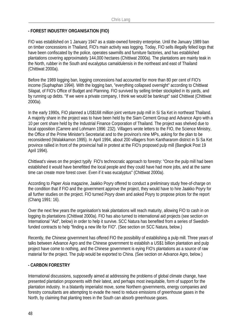# **- FOREST INDUSTRY ORGANISATION (FIO)**

FIO was established on 1 January 1947 as a state-owned forestry enterprise. Until the January 1989 ban on timber concessions in Thailand, FIO's main activity was logging. Today, FIO sells illegally felled logs that have been confiscated by the police, operates sawmills and furniture factories, and has established plantations covering approximately 144,000 hectares (Chittiwat 2000a). The plantations are mainly teak in the North, rubber in the South and eucalyptus camaldulensis in the northeast and east of Thailand (Chittiwat 2000a).

Before the 1989 logging ban, logging concessions had accounted for more than 80 per cent of FIO's income (Suphaphan 1994). With the logging ban, "everything collapsed overnight" according to Chittiwat Silapat, of FIO's Office of Budget and Planning. FIO survived by selling timber stockpiled in its yards, and by running up debts. "If we were a private company, I think we would be bankrupt" said Chittiwat (Chittiwat 2000a).

In the early 1990s, FIO planned a US\$168 million joint venture pulp mill in Si Sa Ket in northeast Thailand. A majority share in the project was to have been held by the Siam Cement Group and Advance Agro with a 10 per cent share held by the Industrial Finance Corporation of Thailand. The project was shelved due to local opposition (Carrere and Lohmann 1996: 232). Villagers wrote letters to the FIO, the Science Ministry, the Office of the Prime Minister's Secretariat and to the province's nine MPs, asking for the plan to be reconsidered (Walakkamon 1995). In April 1994, about 200 villagers from Kanthararom district in Si Sa Ket province rallied in front of the provincial hall in protest at the FIO's proposed pulp mill (Bangkok Post 19 April 1994).

Chittiwat's views on the project typify FIO's technocratic approach to forestry: "Once the pulp mill had been established it would have benefitted the local people and they could have had more jobs, and at the same time can create more forest cover. Even if it was eucalyptus" (Chittiwat 2000a).

According to *Paper Asia* magazine, Jaakko Poyry offered to conduct a preliminary study free-of-charge on the condition that if FIO and the government approve the project, they would have to hire Jaakko Poyry for all further studies on the project. FIO turned Poyry down and asked Poyry to propose prices for the report (Chang 1991: 16).

Over the next few years the organisation's teak plantations will reach maturity, allowing FIO to cash in on logging its plantations (Chittiwat 2000a). FIO has also turned to international aid projects (see section on International "Aid", below) in order to help it survive. SCC Natura has benefited from a series of Swedishfunded contracts to help "finding a new life for FIO". (See section on SCC Natura, below.)

Recently, the Chinese government has offered FIO the possibility of establishing a pulp mill. Three years of talks between Advance Agro and the Chinese government to establish a US\$1 billion plantation and pulp project have come to nothing, and the Chinese government is eying FIO's plantations as a source of raw material for the project. The pulp would be exported to China. (See section on Advance Agro, below.)

## **- CARBON FORESTRY**

International discussions, supposedly aimed at addressing the problems of global climate change, have presented plantation proponents with their latest, and perhaps most inequitable, form of support for the plantation industry. In a blatantly imperialist move, some Northern governments, energy companies and forestry consultants are attempting to evade the need to reduce emissions of greenhouse gases in the North, by claiming that planting trees in the South can absorb greenhouse gases.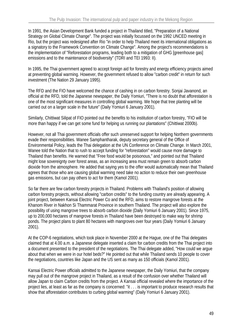In 1991, the Asian Development Bank funded a project in Thailand titled, "Preparation of a National Strategy on Global Climate Change". The project was initially focussed on the 1992 UNCED meeting in Rio, but the project was redesigned after Rio "in order to help Thailand meet its international obligations as a signatory to the Framework Convention on Climate Change". Among the project's recommendations is the implementation of "Reforestation programs, leading both to a mitigation of GHG [greenhouse gas] emissions and to the maintenance of biodiversity" (TDRI and TEI 1993: II).

In 1995, the Thai government agreed to accept foreign aid for forestry and energy efficiency projects aimed at preventing global warming. However, the government refused to allow "carbon credit" in return for such investment (The Nation 29 January 1995).

The RFD and the FIO have welcomed the chance of cashing in on carbon forestry. Sonjai Javanond, an official at the RFD, told the Japanese newspaper, the Daily Yomiuri, "There is no doubt that afforestation is one of the most significant measures in controlling global warming. We hope that tree planting will be carried out on a larger scale in the future" (Daily Yomiuri 6 January 2001).

Similarly, Chittiwat Silipat of FIO pointed out the benefits to his institution of carbon forestry, "FIO will be more than happy if we can get some fund for helping us running our plantations" (Chittiwat 2000b).

However, not all Thai government officials offer such unreserved support for helping Northern governments evade their responsibilities. Wanee Samphantharak, deputy secretary general of the Office of Environmental Policy, leads the Thai delegation at the UN Conference on Climate Change. In March 2001, Wanee told the Nation that to rush to accept funding for "reforestation" would cause more damage to Thailand than benefits. He warned that "Free food would be poisonous," and pointed out that Thailand might lose sovereignty over forest areas, as an increasing area must remain green to absorb carbon dioxide from the atmosphere. He added that saying yes to the offer would automatically mean that Thailand agrees that those who are causing global warming need take no action to reduce their own greenhouse gas emissions, but can pay others to act for them (Kamol 2001).

So far there are few carbon forestry projects in Thailand. Problems with Thailand's position of allowing carbon forestry projects, without allowing "carbon credits" to the funding country are already appearing. A joint project, between Kansai Electric Power Co and the RFD, aims to restore mangrove forests at the Khanom River in Nakhon Si Thammarat Province in southern Thailand. The project will also explore the possibility of using mangrove trees to absorb carbon dioxide (Daily Yomiuri 6 January 2001). Since 1975, up to 200,000 hectares of mangrove forests in Thailand have been destroyed to make way for shrimp ponds. The project plans to plant 80 hectares with mangroves over four years (Daily Yomiuri 6 January 2001).

At the COP-6 negotiations, which took place in November 2000 at the Hague, one of the Thai delegates claimed that at 4.00 a.m. a Japanese delegate inserted a claim for carbon credits from the Thai project into a document presented to the president of the negotiations. The Thai delegate added, "How could we argue about that when we were in our hotel beds?" He pointed out that while Thailand sends 10 people to cover the negotiations, countries like Japan and the US sent as many as 150 officials (Kamol 2001).

Kansai Electric Power officials admitted to the Japanese newspaper, the Daily Yomiuri, that the company may pull out of the mangrove project in Thailand, as a result of the confusion over whether Thailand will allow Japan to claim Carbon credits from the project. A Kansai official revealed where the importance of the project lies, at least as far as the company is concerned: "it . . . is important to produce research results that show that afforestation contributes to curbing global warming" (Daily Yomiuri 6 January 2001).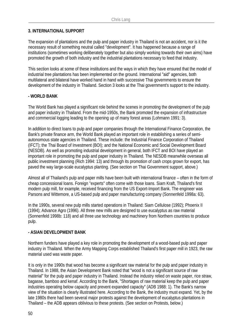#### **3. INTERNATIONAL SUPPORT**

The expansion of plantations and the pulp and paper industry in Thailand is not an accident, nor is it the necessary result of something neutral called "development". It has happened because a range of institutions (sometimes working deliberately together but also simply working towards their own aims) have promoted the growth of both industry and the industrial plantations necessary to feed that industry.

This section looks at some of these institutions and the ways in which they have ensured that the model of industrial tree plantations has been implemented on the ground. International "aid" agencies, both multilateral and bilateral have worked hand in hand with successive Thai governments to ensure the development of the industry in Thailand. Section 3 looks at the Thai government's support to the industry.

#### **- WORLD BANK**

The World Bank has played a significant role behind the scenes in promoting the development of the pulp and paper industry in Thailand. From the mid-1950s, the Bank promoted the expansion of infrastructure and commercial logging leading to the opening up of many forest areas (Lohmann 1991: 3).

In addition to direct loans to pulp and paper companies through the International Finance Corporation, the Bank's private finance arm, the World Bank played an important role in establishing a series of semiautonomous state agencies in Thailand. These include: the Industrial Finance Corporation of Thailand (IFCT); the Thai Board of Investment (BOI); and the National Economic and Social Development Board (NESDB). As well as promoting industrial development in general, both IFCT and BOI have played an important role in promoting the pulp and paper industry in Thailand. The NESDB meanwhile overseas all public investment planning (Rich 1994: 13) and through its promotion of cash crops grown for export, has paved the way large-scale eucalyptus planting. (See section on Thai Government support, above.)

Almost all of Thailand's pulp and paper mills have been built with international finance – often in the form of cheap concessional loans. Foreign "experts" often come with those loans. Siam Kraft, Thailand's first modern pulp mill, for example, received financing from the US Export-Import Bank. The engineer was Parsons and Wittemore, a US-based pulp and paper manufacturing company (Sonnenfeld 1998a: 63).

In the 1990s, several new pulp mills started operations in Thailand: Siam Cellulose (1992); Phoenix II (1994); Advance Agro (1996). All three new mills are designed to use eucalyptus as raw material (Sonnenfeld 1998b: 118) and all three use technology and machinery from Northern countries to produce pulp.

## **- ASIAN DEVELOPMENT BANK**

Northern funders have played a key role in promoting the development of a wood-based pulp and paper industry in Thailand. When the Army Mapping Corps established Thailand's first paper mill in 1923, the raw material used was waste paper.

It is only in the 1990s that wood has become a significant raw material for the pulp and paper industry in Thailand. In 1988, the Asian Development Bank noted that "wood is not a significant source of raw material" for the pulp and paper industry in Thailand. Instead the industry relied on waste paper, rice straw, bagasse, bamboo and kenaf. According to the Bank, "Shortages of raw material keep the pulp and paper industries operating below capacity and prevent expanded capacity" (ADB 1988: 1). The Bank's narrow view of the situation is clearly illustrated here. According to the Bank, the industry must expand. Yet, by the late 1980s there had been several major protests against the development of eucalyptus plantations in Thailand – the ADB appears oblivious to these protests. (See section on Protests, below.)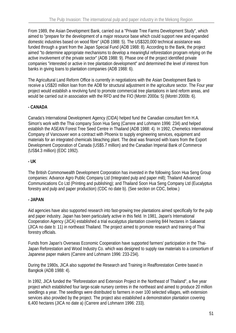From 1989, the Asian Development Bank, carried out a "Private Tree Farms Development Study", which aimed to "prepare for the development of a major resource base which could support new and expanded domestic industries based on wood fibre" (ADB 1988: 5). The US\$320,000 technical assistance was funded through a grant from the Japan Special Fund (ADB 1988: 8). According to the Bank, the project aimed "to determine appropriate mechanisms to develop a meaningful reforestation program relying on the active involvement of the private sector" (ADB 1988: 9). Phase one of the project identified private companies "interested or active in tree plantation development" and determined the level of interest from banks in giving loans to plantation companies (ADB 1988: 6).

The Agricultural Land Reform Office is currently in negotiations with the Asian Development Bank to receive a US\$20 million loan from the ADB for structural adjustment in the agriculture sector. The Four year project would establish a revolving fund to promote commercial tree plantations in land reform areas, and would be carried out in association with the RFD and the FIO (Montri 2000a: 5) (Montri 2000b: 6).

# **- CANADA**

Canada's International Development Agency (CIDA) helped fund the Canadian consultant firm H.A. Simon's work with the Thai company Soon Hua Seng (Carrere and Lohmann 1996: 234) and helped establish the ASEAN Forest Tree Seed Centre in Thailand (ADB 1988: 4). In 1992, Chemetics International Company of Vancouver won a contract with Phoenix to supply engineering services, equipment and materials for an integrated chemicals bleaching plant. The deal was financed with loans from the Export Development Corporation of Canada (US\$5.7 million) and the Canadian Imperial Bank of Commerce (US\$4.3 million) (EDC 1992).

# **- UK**

The British Commonwealth Development Corporation has invested in the following Soon Hua Seng Group companies: Advance Agro Public Company Ltd (Integrated pulp and paper mill); Thailand Advanced Communications Co Ltd (Printing and publishing); and Thailand Soon Hua Seng Company Ltd (Eucalyptus forestry and pulp and paper production) (CDC no date b). (See section on CDC, below.)

# **- JAPAN**

Aid agencies have also supported research into fast-growing tree plantations aimed specifically for the pulp and paper industry. Japan has been particularly active in this field. In 1981, Japan's International Cooperation Agency (JICA) established a trial eucalyptus plantation covering 844 hectares in Sakaerat (JICA no date b: 11) in northeast Thailand. The project aimed to promote research and training of Thai forestry officials.

Funds from Japan's Overseas Economic Cooperation have supported farmers' participation in the Thai-Japan Reforestation and Wood Industry Co. which was designed to supply raw materials to a consortium of Japanese paper makers (Carrere and Lohmann 1996: 233-234).

During the 1980s, JICA also supported the Research and Training in Reafforestation Centre based in Bangkok (ADB 1988: 4).

In 1992, JICA funded the "Reforestation and Extension Project in the Northeast of Thailand", a five year project which established four large-scale nursery centres in the northeast and aimed to produce 20 million seedlings a year. The seedlings were distributed to farmers in over 100 selected villages, with extension services also provided by the project. The project also established a demonstration plantation covering 6,400 hectares (JICA no date a) (Carrere and Lohmann 1996: 233).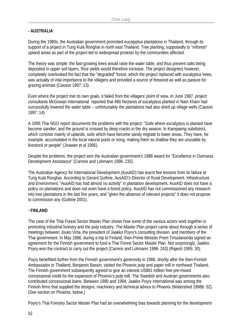# **- AUSTRALIA**

During the 1980s, the Australian government promoted eucalyptus plantations in Thailand, through its support of a project in Tung Kula Ronghai in north east Thailand. Tree planting, supposedly to "reforest" upland areas as part of the project led to widespread protests by the communities affected.

The theory was simple: the fast-growing trees would raise the water table, and thus prevent salts being deposited in upper soil layers. Rice yields would therefore increase. The project designers however, completely overlooked the fact that the "degraded" forest, which the project replaced with eucalyptus trees, was actually of vital importance to the villagers and provided a source of firewood as well as pasture for grazing animals (Casson 1997: 13).

Even where the project met its own goals, it failed from the villagers' point of view. In June 1987, project consultants McGowan International reported that 480 hectares of eucalyptus planted in Nam Kham had successfully lowered the water table -- unfortunately the plantations had also dried up village wells (Casson 1997: 14).

A 1995 Thai NGO report documents the problems with the project: "Soils where eucalyptus is planted have become sandier, and the ground is crossed by deep cracks in the dry season. In Kampaeng subdistrict, which consists mainly of uplands, soils which have become sandy migrate to lower areas. They have, for example, accumulated in the local natural pools or nong, making them so shallow they are unusable by livestock or people" (Jirawan et al 1995).

Despite the problems, the project won the Australian government's 1988 award for "Excellence in Overseas Development Assistance" (Carrere and Lohmann 1996: 235).

The Australian Agency for International Development (AusAID) has learnt few lessons from its failure at Tung Kula Ronghai. According to Gerard Guthrie, AusAID's Director of Rural Development, Infrastructure and Environment, "AusAID has had almost no activity" in plantation development. AusAID does not have a policy on plantations and does not even have a forest policy. AusAID has not commissioned any research into tree plantations in the last five years, and "given the absence of relevant projects" it does not propose to commission any (Guthrie 2001).

## **- FINLAND**

The case of the Thai Forest Sector Master Plan shows how some of the various actors work together in promoting industrial forestry and the pulp industry. The Master Plan project came about through a series of meetings between Jouko Virta, the president of Jaakko Poyry's consulting division, and members of the Thai government. In May 1988, during a trip to Finland, then-Prime Minister Prem Tinsulanonda signed an agreement for the Finnish government to fund a Thai Forest Sector Master Plan. Not surprisingly, Jaakko Poyry won the contract to carry out the project (Carrere and Lohmann 1996: 243) (Rajesh 1995: 30).

Poyry benefitted further from the Finnish government's generosity in 1988, shortly after the then-Finnish Ambassador to Thailand, Benjamin Bassin, visited the Phoenix pulp and paper mill in northeast Thailand. The Finnish government subsequently agreed to give an interest US\$91 million free pre-mixed concessional credit for the expansion of Phoenix's pulp mill. The Swedish and Austrian governments also contributed concessional loans. Between 1990 and 1994, Jaakko Poyry International was among the Finnish firms that supplied the designs, machinery and technical advice to Phoenix (Watershed 1998b: 52). (See section on Phoenix, below.)

Poyry's Thai Forestry Sector Master Plan had an overwhelming bias towards planning for the development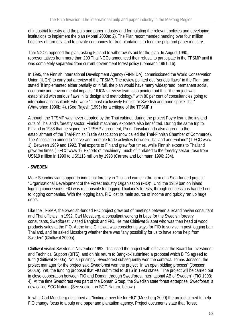of industrial forestry and the pulp and paper industry and formulating the relevant policies and developing institutions to implement the plan (Montri 2000a: 2). The Plan recommended handing over four million hectares of farmers' land to private companies for tree plantations to feed the pulp and paper industry.

Thai NGOs opposed the plan, asking Finland to withdraw its aid for the plan. In August 1990, representatives from more than 200 Thai NGOs announced their refusal to participate in the TFSMP until it was completely separated from current government forest policy (Lohmann 1991: 16).

In 1995, the Finnish International Development Agency (FINNIDA), commissioned the World Conservation Union (IUCN) to carry out a review of the TFSMP. The review pointed out "serious flaws" in the Plan, and stated "if implemented either partially or in full, the plan would have many widespread, permanent social, economic and environmental impacts." IUCN's review team also pointed out that "the project was established with serious flaws in its design and methodology," with 80 per cent of consultancies going to international consultants who were "almost exclusively Finnish or Swedish and none spoke Thai" (Watershed 1996b: 4). (See Rajesh (1995) for a critique of the TFSMP.)

Although the TFSMP was never adopted by the Thai cabinet, during the project Poyry learnt the ins and outs of Thailand's forestry sector. Finnish machinery exporters also benefitted. During the same trip to Finland in 1988 that he signed the TFSMP agreement, Prem Tinsulanonda also agreed to the establishment of the Thai-Finnish Trade Association (now called the Thai-Finnish Chamber of Commerce). The Association aimed to "serve and promote trade activities between Thailand and Finland" (T-FCC www 1). Between 1989 and 1992, Thai exports to Finland grew four times, while Finnish exports to Thailand grew ten times (T-FCC www 1). Exports of machinery, much of it related to the forestry sector, rose from US\$19 million in 1990 to US\$113 million by 1993 (Carrere and Lohmann 1996: 234).

# **- SWEDEN**

More Scandinavian support to industrial forestry in Thailand came in the form of a Sida-funded project: "Organisational Development of the Forest Industry Organisation (FIO)". Until the 1989 ban on inland logging concessions, FIO was responsible for logging Thailand's forests, through concessions handed out to logging companies. With the logging ban, FIO lost its main source of income and quickly ran up huge debts.

Like the TFSMP, the Swedish-funded FIO project grew out of meetings between a Scandinavian consultant and Thai officials. In 1992, Carl Mossberg, a consultant working in Laos for the Swedish forestry consultants, Swedforest, visited Bangkok and FIO. He met Chittiwat Silapat who was then head of wood products sales at the FIO. At the time Chittiwat was considering ways for FIO to survive in post-logging ban Thailand, and he asked Mossberg whether there was "any possibility for us to have some help from Sweden" (Chittiwat 2000a).

Chittiwat visited Sweden in November 1992, discussed the project with officials at the Board for Investment and Technical Support (BITS), and on his return to Bangkok submitted a proposal which BITS agreed to fund (Chittiwat 2000a). Not surprisingly, Swedforest subsequently won the contract. Tomas Jonsson, the project manager for the project said Swedforest won the project "In an open bidding process" (Jonsson 2001a). Yet, the funding proposal that FIO submitted to BITS in 1993 states, "The project will be carried out in close cooperation between FIO and Doman through Swedforest International AB of Sweden" (FIO 1993: 4). At the time Swedforest was part of the Doman Group, the Swedish state forest enterprise. Swedforest is now called SCC Natura. (See section on SCC Natura, below.)

In what Carl Mossberg described as "finding a new life for FIO" (Mossberg 2000) the project aimed to help FIO change focus to a pulp and paper and plantation agency. Project documents state that "forest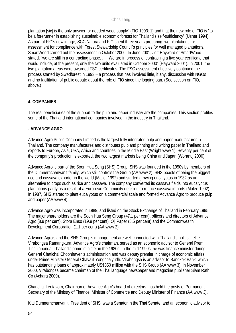plantation [sic] is the only answer for needed wood supply" (FIO 1993: 1) and that the new role of FIO is "to be a forerunner in establishing sustainable economic forests for Thailand's self-sufficiency" (Usher 1994). As part of FIO's new image, SCC Natura and FIO spent three years preparing two plantations for assessment for compliance with Forest Stewardship Council's principles for well managed plantations. SmartWood carried out the assessment in October 2000. In June 2001, Jeff Hayward of SmartWood stated, "we are still in a contracting phase. . . . We are in process of contracting a five year certificate that would include, at the present, only the two units evaluated in October 2000" (Hayward 2001). In 2001, the two plantation areas were awarded FSC certificates. The FSC assessment effectively continued the process started by Swedforest in 1993 – a process that has involved little, if any, discussion with NGOs and no facilitation of public debate about the role of FIO since the logging ban. (See section on FIO, above.)

# **4. COMPANIES**

The real beneficiaries of the support to the pulp and paper industry are the companies. This section profiles some of the Thai and international companies involved in the industry in Thailand.

## **- ADVANCE AGRO**

Advance Agro Public Company Limited is the largest fully integrated pulp and paper manufacturer in Thailand. The company manufactures and distributes pulp and printing and writing paper in Thailand and exports to Europe, Asia, USA, Africa and countries in the Middle East (Wright www 1). Seventy per cent of the company's production is exported, the two largest markets being China and Japan (Woranuj 2000).

Advance Agro is part of the Soon Hua Seng (SHS) Group. SHS was founded in the 1950s by members of the Dumnernchanvanit family, which still controls the Group (AA www 2). SHS boasts of being the biggest rice and cassava exporter in the world (Mallet 1992) and started growing eucalyptus in 1982 as an alternative to crops such as rice and cassava. The company converted its cassava fields into eucalyptus plantations partly as a result of a European Community decision to reduce cassava imports (Malee 1992). In 1987, SHS started to plant eucalyptus on a commercial scale and formed Advance Agro to produce pulp and paper (AA www 4).

Advance Agro was incorporated in 1989, and listed on the Stock Exchange of Thailand in February 1995. The major shareholders are the Soon Hua Seng Group (47.1 per cent), officers and directors of Advance Agro (8.9 per cent), Stora Enso (19.9 per cent), Oji Paper (5.5 per cent) and the Commonwealth Development Corporation (1.1 per cent) (AA www 2).

Advance Agro's and the SHS Group's management are well connected with Thailand's political elite. Virabongsa Ramangkura, Advance Agro's chairman, served as an economic advisor to General Prem Tinsulanonda, Thailand's prime minister in the 1980s. In the mid-1990s, he was finance minister during General Chatichai Choonhaven's administration and was deputy premier in charge of economic affairs under Prime Minister General Chavalit Yongchaiyudh. Virabongsa is an advisor to Bangkok Bank, which has outstanding loans of approximately US\$850 million with the SHS Group (AA www 3). In November 2000, Virabongsa became chairman of the Thai language newspaper and magazine publisher Siam Rath Co (Achara 2000).

Chanchai Leetavorn, Chairman of Advance Agro's board of directors, has held the posts of Permanent Secretary of the Ministry of Finance, Minister of Commerce and Deputy Minister of Finance (AA www 3).

Kitti Dumnernchanvanit, President of SHS, was a Senator in the Thai Senate, and an economic advisor to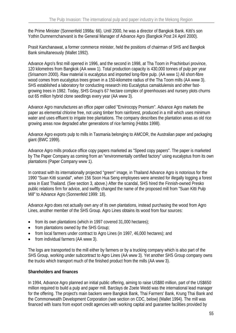the Prime Minister (Sonnenfeld 1998a: 66). Until 2000, he was a director of Bangkok Bank. Kitti's son Yothin Dumnernchanvanit is the General Manager of Advance Agro (Bangkok Post 24 April 2000).

Prasit Kanchanawat, a former commerce minister, held the positions of chairman of SHS and Bangkok Bank simultaneously (Mallet 1992).

Advance Agro's first mill opened in 1996, and the second in 1998, at Tha Toom in Prachinburi province, 120 kilometres from Bangkok (AA www 1). Total production capacity is 430,000 tonnes of pulp per year (Srisamorn 2000). Raw material is eucalyptus and imported long-fibre pulp. (AA www 1) All short-fibre wood comes from eucalyptus trees grown in a 150-kilometre radius of the Tha Toom mills (AA www 3). SHS established a laboratory for conducting research into Eucalyptus camaldulensis and other fastgrowing trees in 1982. Today, SHS Group's 67 hectare complex of greenhouses and nursery plots churns out 65 million hybrid clone seedlings every year (AA www 3).

Advance Agro manufactures an office paper called "Envirocopy Premium". Advance Agro markets the paper as elemental chlorine free, not using timber from rainforest, produced in a mill which uses minimum water and uses effluent to irrigate tree plantations. The company describes the plantation areas as old rice growing areas now degraded after generations of rice farming (Hobbs 1998).

Advance Agro exports pulp to mills in Tasmania belonging to AMCOR, the Australian paper and packaging giant (BWC 1999).

Advance Agro mills produce office copy papers marketed as "Speed copy papers". The paper is marketed by The Paper Company as coming from an "environmentally certified factory" using eucalyptus from its own plantations (Paper Company www 1).

In contrast with its internationally projected "green" image, in Thailand Advance Agro is notorious for the 1990 "Suan Kitti scandal", when 156 Soon Hua Seng employees were arrested for illegally logging a forest area in East Thailand. (See section 3, above.) After the scandal, SHS hired the Finnish-owned Presko public relations firm for advice, and swiftly changed the name of the proposed mill from "Suan Kitti Pulp Mill" to Advance Agro (Sonnenfeld 1999: 18).

Advance Agro does not actually own any of its own plantations, instead purchasing the wood from Agro Lines, another member of the SHS Group. Agro Lines obtains its wood from four sources:

- from its own plantations (which in 1997 covered 31,000 hectares);
- from plantations owned by the SHS Group;
- from local farmers under contract to Agro Lines (in 1997, 46,000 hectares); and
- from individual farmers (AA www 3).

The logs are transported to the mill either by farmers or by a trucking company which is also part of the SHS Group, working under subcontract to Agro Lines (AA www 3). Yet another SHS Group company owns the trucks which transport much of the finished product from the mills (AA www 3).

# **Shareholders and finances**

In 1994, Advance Agro planned an initial public offering, aiming to raise US\$80 million, part of the US\$650 million required to build a pulp and paper mill. Barclays de Zoete Wedd was the international lead manager for the offering. The project's main backers were Bangkok Bank, Thai Farmers' Bank, Krung Thai Bank and the Commonwealth Development Corporation (see section on CDC, below) (Mallet 1994). The mill was financed with loans from export credit agencies with working capital and guarantee facilities provided by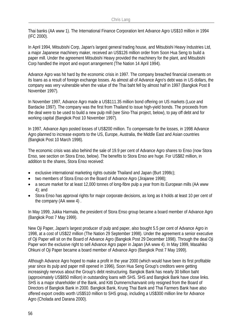Thai banks (AA www 1). The International Finance Corporation lent Advance Agro US\$10 million in 1994 (IFC 2000).

In April 1994, Mitsubishi Corp, Japan's largest general trading house, and Mitsubishi Heavy Industries Ltd, a major Japanese machinery maker, received an US\$126 million order from Soon Hua Seng to build a paper mill. Under the agreement Mitsubishi Heavy provided the machinery for the plant, and Mitsubishi Corp handled the import and export arrangement (The Nation 14 April 1994).

Advance Agro was hit hard by the economic crisis in 1997. The company breached financial covenants on its loans as a result of foreign exchange losses. As almost all of Advance Agro's debt was in US dollars, the company was very vulnerable when the value of the Thai baht fell by almost half in 1997 (Bangkok Post 8 November 1997).

In November 1997, Advance Agro made a US\$111.35 million bond offering on US markets (Luce and Bardacke 1997). The company was the first from Thailand to issue high-yield bonds. The proceeds from the deal were to be used to build a new pulp mill (see Sino-Thai project, below), to pay off debt and for working capital (Bangkok Post 10 November 1997).

In 1997, Advance Agro posted losses of US\$200 million. To compensate for the losses, in 1998 Advance Agro planned to increase exports to the US, Europe, Australia, the Middle East and Asian countries (Bangkok Post 10 March 1998).

The economic crisis was also behind the sale of 19.9 per cent of Advance Agro shares to Enso (now Stora Enso, see section on Stora Enso, below). The benefits to Stora Enso are huge. For US\$82 million, in addition to the shares, Stora Enso received:

- exclusive international marketing rights outside Thailand and Japan (Burt 1998c);
- two members of Stora Enso on the Board of Advance Agro (Jirajaree 1998);
- a secure market for at least 12,000 tonnes of long-fibre pulp a year from its European mills (AA www 4); and
- Stora Enso has approval rights for major corporate decisions, as long as it holds at least 10 per cent of the company (AA www 4) .

In May 1999, Jukka Harmala, the president of Stora Enso group became a board member of Advance Agro (Bangkok Post 7 May 1999).

New Oji Paper, Japan's largest producer of pulp and paper, also bought 5.5 per cent of Advance Agro in 1998, at a cost of US\$22 million (The Nation 29 September 1998). Under the agreement a senior executive of Oji Paper will sit on the Board of Advance Agro (Bangkok Post 29 December 1998). Through the deal Oji Paper won the exclusive right to sell Advance Agro paper in Japan (AA www 4). In May 1999, Masahiko Ohkuni of Oji Paper became a board member of Advance Agro (Bangkok Post 7 May 1999).

Although Advance Agro hoped to make a profit in the year 2000 (which would have been its first profitable year since its pulp and paper mill opened in 1996), Soon Hua Seng Group's creditors were getting increasingly nervous about the Group's debt restructuring. Bangkok Bank has nearly 30 billion baht (approximately US\$850 million) in outstanding loans with SHS. SHS and Bangkok Bank have close links. SHS is a major shareholder of the Bank, and Kitti Dumnernchanvanit only resigned from the Board of Directors of Bangkok Bank in 2000. Bangkok Bank, Krung Thai Bank and Thai Farmers Bank have also offered export credits worth US\$510 million to SHS group, including a US\$300 million line for Advance Agro (Cholada and Darana 2000).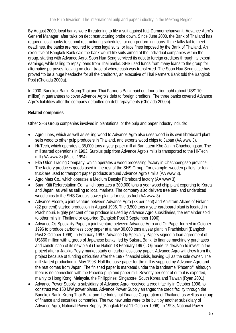By August 2000, local banks were threatening to file a suit against Kitti Dumnernchanvanit, Advance Agro's General Manager, after talks on debt restructuring broke down. Since June 2000, the Bank of Thailand has required local banks to submit restructuring schedules for non-performing loans. If the talks fail to meet deadlines, the banks are required to press legal suits, or face fines imposed by the Bank of Thailand. An executive at Bangkok Bank said the bank would file suits aimed at the individual companies within the group, starting with Advance Agro. Soon Hua Seng serviced its debt to foreign creditors through its export earnings, while failing to repay loans from Thai banks. SHS used funds from many loans to the group for alternative purposes, leaving no clear trace of where cash was transferred. The Soon Hua Seng case has proved "to be a huge headache for all the creditors", an executive of Thai Farmers Bank told the Bangkok Post (Cholada 2000a).

In 2000, Bangkok Bank, Krung Thai and Thai Farmers Bank paid out four billion baht (about US\$110 million) in guarantees to cover Advance Agro's debt to foreign creditors. The three banks covered Advance Agro's liabilities after the company defaulted on debt repayments (Cholada 2000b).

# **Related companies**

Other SHS Group companies involved in plantations, or the pulp and paper industry include:

- Agro Lines, which as well as selling wood to Advance Agro also uses wood in its own fibreboard plant, sells wood to other pulp producers in Thailand, and exports wood chips to Japan (AA www 3).
- Hi-Tech, which operates a 35,000 tons a year paper mill at Ban Laem Kho Jan in Chachoengsao. The mill started operations in 1993. Surplus pulp from Advance Agro's mills is transported to the Hi-Tech mill (AA www 3) (Mallet 1994).
- Eka Udon Trading Company, which operates a wood processing factory in Chachoengsao province. The factory produces goods used in the rest of the SHS Group. For example, wooden pallets for forklift truck are used to transport paper products around Advance Agro's mills (AA www 3).
- Agro Mats Co., which operates a Medium Density Fibreboard factory (AA www 3).
- Suan Kitti Reforestation Co., which operates a 300,000 tons a year wood chip plant exporting to Korea and Japan, as well as selling to local markets. The company also delivers tree bark and undersized wood chips to the SHS Group's power plants for use as fuel (AA www 3).
- Advance-Alcore, a joint venture between Advance Agro (78 per cent) and Ahlstrom Alcore of Finland (22 per cent) started production in August 1996. The 3,500 tons a year cardboard plant is located in Prachinburi. Eighty per cent of the produce is used by Advance Agro subsidiaries, the remainder sold to other mills in Thailand or exported (Bangkok Post 3 September 1996).
- Advance-Oji Speciality Paper, a joint venture between Advance Agro and Oji Paper formed in October 1996 to produce carbonless copy paper at a new 30,000 tons a year plant in Prachinburi (Bangkok Post 3 October 1996). In February 1997, Advance-Oji Speciality Papers signed a loan agreement of US\$60 million with a group of Japanese banks, led by Sakura Bank, to finance machinery purchases and construction of its new plant (The Nation 18 February 1997). Oji made its decision to invest in the project after a Jaakko Poyry market study on carbonless copy paper. Advance Agro withdrew from the project because of funding difficulties after the 1997 financial crisis, leaving Oji as the sole owner. The mill started production in May 1998. Half the base paper for the mill is supplied by Advance Agro and the rest comes from Japan. The finished paper is marketed under the brandname "Phoenix", although there is no connection with the Phoenix pulp and paper mill. Seventy per cent of output is exported, mainly to Hong Kong, Malaysia, the Philippines, Singapore, South Korea and Taiwan (Ryan 2001).
- Advance Power Supply, a subsidiary of Advance Agro, received a credit facility in October 1996, to construct two 150 MW power plants. Advance Power Supply arranged the credit facility through the Bangkok Bank, Krung Thai Bank and the Industrial Finance Corporation of Thailand, as well as a group of finance and securities companies. The two new units were to be built by another subsidiary of Advance Agro, National Power Supply (Bangkok Post 11 October 1996). In 1998, National Power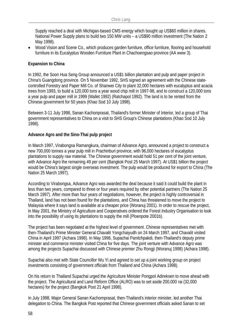Supply reached a deal with Michigan-based CMS energy which bought up US\$60 million in shares. National Power Supply plans to build two 150 MW units – a US\$90 million investment (The Nation 2 May 1998).

• Wood Vision and Scene Co., which produces garden furniture, office furniture, flooring and household furniture in its Eucalyptus Wooden Furniture Plant in Chachoengsao province (AA www 3).

## **Expansion to China**

In 1992, the Soon Hua Seng Group announced a US\$1 billion plantation and pulp and paper project in China's Guangdong province. On 5 November 1992, SHS signed an agreement with the Chinese statecontrolled Forestry and Paper Mill Co. of Shanwei City to plant 32,000 hectares with eucalyptus and acacia trees from 1993, to build a 120,000 tons a year wood chip mill in 1997-98, and to construct a 120,000 tons a year pulp and paper mill in 1999 (Mallet 1992) (Ratchapol 1992). The land is to be rented from the Chinese government for 50 years (Khao Sod 10 July 1998).

Between 3-11 July 1998, Sanan Kachonprasat, Thailand's former Minister of Interior, led a group of Thai government representatives to China on a visit to SHS Group's Chinese plantations (Khao Sod 10 July 1998).

## **Advance Agro and the Sino-Thai pulp project**

In March 1997, Virabongsa Ramangkura, chairman of Advance Agro, announced a project to construct a new 700,000 tonnes a year pulp mill in Prachinburi province, with 96,000 hectares of eucalyptus plantations to supply raw material. The Chinese government would hold 51 per cent of the joint venture, with Advance Agro the remaining 49 per cent (Bangkok Post 25 March 1997). At US\$1 billion the project would be China's largest single overseas investment. The pulp would be produced for export to China (The Nation 25 March 1997).

According to Virabongsa, Advance Agro was awarded the deal because it said it could build the plant in less than two years, compared to three or four years required by other potential partners (The Nation 25 March 1997). After more than four years of negotiations, however, the project is highly controversial in Thailand, land has not been found for the plantations, and China has threatened to move the project to Malaysia where it says land is available at a cheaper price (Woranuj 2001). In order to rescue the project, in May 2001, the Ministry of Agriculture and Cooperatives ordered the Forest Industry Organisation to look into the possibility of using its plantations to supply the mill (Ploenpote 2001b).

The project has been negotiated at the highest level of government. Chinese representatives met with then-Thailand's Prime Minister General Chavalit Yongchaiyudh on 24 March 1997, and Chavalit visited China in April 1997 (Achara 1998). In May 1998, Supachai Panitchpakdi, then-Thailand's deputy prime minister and commerce minister visited China for five days. The joint venture with Advance Agro was among the projects Supachai discussed with Chinese premier Zhu Rongji (Woranuj 1998) (Achara 1998).

Supachai also met with State Councillor Wu Yi and agreed to set up a joint working group on project investments consisting of government officials from Thailand and China (Achara 1998).

On his return to Thailand Supachai urged the Agriculture Minister Pongpol Adireksen to move ahead with the project. The Agricultural and Land Reform Office (ALRO) was to set aside 200,000 rai (32,000 hectares) for the project (Bangkok Post 21 April 1998).

In July 1998, Major General Sanan Kachornprasat, then-Thailand's interior minister, led another Thai delegation to China. The Bangkok Post reported that Chinese government officials asked Sanan to set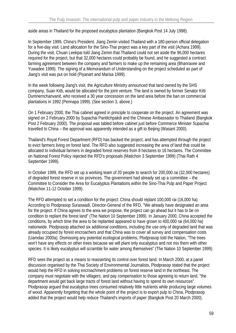aside areas in Thailand for the proposed eucalyptus plantation (Bangkok Post 14 July 1998).

In September 1999, China's President, Jiang Zemin visited Thailand with a 180-person official delegation for a five-day visit. Land allocation for the Sino-Thai project was a key part of the visit (Achara 1999). During the visit, Chuan Leekpai told Jiang Zemin that Thailand could not set aside the 96,000 hectares required for the project, but that 32,000 hectares could probably be found, and he suggested a contract farming agreement between the company and farmers to make up the remaining area (Bhanravee and Yuwadee 1999). The signing of a Memorandum of Understanding on the project scheduled as part of Jiang's visit was put on hold (Piyanart and Marisa 1999).

In the week following Jiang's visit, the Agriculture Ministry announced that land owned by the SHS company, Suan Kitti, would be allocated for the joint venture. The land is owned by former Senator Kitti Dumnernchanvanit, who received a 30 year concession on the land area before the ban on commercial plantations in 1992 (Pennapa 1999). (See section 3, above.)

On 1 February 2000, the Thai cabinet agreed in principle to cooperate on the project. An agreement was signed on 2 February 2000 by Supachai Pantitchpakdi and the Chinese Ambassador to Thailand (Bangkok Post 2 February 2000). The proposal was tabled before cabinet just before Commerce Minister Supachai travelled to China – the approval was apparently intended as a gift to Beijing (Wasant 2000).

Thailand's Royal Forest Department (RFD) has backed the project, and has attempted through the project to evict farmers living on forest land. The RFD also suggested increasing the area of land that could be allocated to individual farmers in degraded forest reserves from 8 hectares to 16 hectares. The Committee on National Forest Policy rejected the RFD's proposals (Matichon 3 September 1999) (Thai Rath 4 September 1999).

In October 1999, the RFD set up a working team of 20 people to search for 200,000 rai (32,000 hectares) of degraded forest reserve in six provinces. The government had already set up a committee – the Committee to Consider the Area for Eucalyptus Plantations within the Sino-Thai Pulp and Paper Project (Matichon 11-12 October 1999).

The RFD attempted to set a condition for the project: China should replant 100,000 rai (16,000 ha). According to Plodprasop Suraswadi, Director-General of the RFD, "We already have designated an area for the project. If China agrees to the area we propose, the project can go ahead but it has to be on condition to replant the forest land" (The Nation 10 September 1999). In January 2000, China accepted the conditions, by which time the area to be replanted appeared to have grown to 400,000 rai (64,000 ha) nationwide. Plodprasop attached six additional conditions, including the use only of degraded land that was already occupied by forest encroachers and that China was to cover all survey and compensation costs (Uamdao 2000a). Dismissing any potential ecological problems, Plodprasop told the Nation, "The trees won't have any effects on other trees because we will plant only eucalyptus and not mix them with other species. It is likely eucalyptus will scramble for water among themselves" (The Nation 10 September 1999).

RFD sees the project as a means to reasserting its control over forest land. In March 2000, at a panel discussion organised by the Thai Society of Environmental Journalists, Plodprasop stated that the project would help the RFD in solving encroachment problems on forest reserve land in the northeast. The company must negotiate with the villagers, and pay compensation to those agreeing to return land, "the department would get back large tracts of forest land without having to spend its own resources". Plodprasop argued that eucalyptus trees consumed relatively little nutrients while producing large volumes of wood. Apparently forgetting that the whole point of the project is to export pulp to China, Plodprasop added that the project would help reduce Thailand's imports of paper (Bangkok Post 20 March 2000).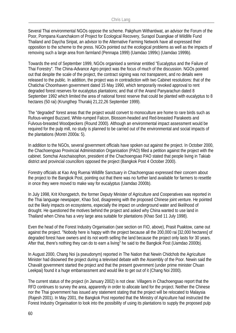Several Thai environmental NGOs oppose the scheme. Pakphum Withantiwat, an advisor the Forum of the Poor, Pornpana Kuanchakorn of Project for Ecological Recovery, Surapol Duangkae of Wildlife Fund Thailand and Daycha Siripat, an advisor to the Alternative Farming Network have all expressed their opposition to the scheme to the press. NGOs pointed out the ecological problems as well as the impacts of removing such a large area from farmland (Pennapa 1999) (Uamdao 1999c) (Uamdao 1999b).

Towards the end of September 1999, NGOs organised a seminar entitled "Eucalyptus and the Failure of Thai Forestry". The China-Advance Agro project was the focus of much of the discussion. NGOs pointed out that despite the scale of the project, the contract signing was not transparent, and no details were released to the public. In addition, the project was in contradiction with two Cabinet resolutions: that of the Chatichai Choonhaven government dated 15 May 1990, which temporarily revoked approval to rent degraded forest reserves for eucalyptus plantations; and that of the Anand Panyarachun dated 8 September 1992 which limited the area of national forest reserve that could be planted with eucalyptus to 8 hectares (50 rai) (Krungthep Thurakij 21,22,26 September 1999).

The "degraded" forest areas that the project would convert to monoculture are home to rare birds such as Rufous-winged Buzzard, White-rumped Falcon, Blossom-headed and Red-breasted Parakeets and Fulvous-breasted Woodpeckers (Round 2000). Although an environmental impact assessment would be required for the pulp mill, no study is planned to be carried out of the environmental and social impacts of the plantations (Montri 2000a: 5).

In addition to the NGOs, several government officials have spoken out against the project. In October 2000, the Chachoengsao Provincial Administration Organisation (PAO) filled a petition against the project with the cabinet. Somchai Asschaisophon, president of the Chachoengsao PAO stated that people living in Takiab district and provincial councillors opposed the project (Bangkok Post 4 October 2000).

Forestry officials at Kao Ang Ruenai Wildlife Sanctuary in Chachoengsao expressed their concern about the project to the Bangkok Post, pointing out that there was no further land available for farmers to resettle in once they were moved to make way for eucalyptus (Uamdao 2000b).

In July 1998, Krit Khongpetch, the former Deputy Minister of Agriculture and Cooperatives was reported in the Thai language newspaper, Khao Sod, disagreeing with the proposed Chinese joint venture. He pointed out the likely impacts on ecosystems, especially the impact on underground water and likelihood of drought. He questioned the motives behind the project and asked why China wanted to use land in Thailand when China has a very large area suitable for plantations (Khao Sod 11 July 1998).

Even the head of the Forest Industry Organisation (see section on FIO, above), Prasit Puaktow, came out against the project. "Nobody here is happy with the project because all the 200,000 rai [32,000 hectares] of degraded forest have owners and its not worth selling the land because the project only lasts for 30 years. After that, there's nothing they can do to earn a living" he said to the Bangkok Post (Uamdao 2000b).

In August 2000, Chang Noi (a pseudonym) reported in The Nation that Newin Chidchob the Agriculture Minister had disowned the project during a televised debate with the Assembly of the Poor. Newin said the Chavalit government started the project and that the present government (under prime minister Chuan Leekpai) found it a huge embarrassment and would like to get out of it (Chang Noi 2000).

The current status of the project (in January 2002) is not clear. Villagers in Chachoengsao report that the RFD continues to survey the area, apparently in order to allocate land for the project. Neither the Chinese nor the Thai government has issued any statement stating that the project will be relocated to Malaysia (Rajesh 2001). In May 2001, the Bangkok Post reported that the Ministry of Agriculture had instructed the Forest Industry Organisation to look into the possibility of using its plantations to supply the proposed pulp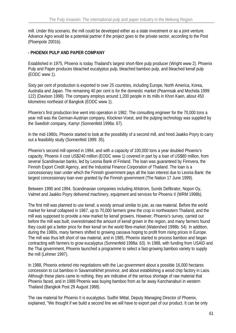mill. Under this scenario, the mill could be developed either as a state investment or as a joint venture. Advance Agro would be a potential partner if the project goes to the private sector, according to the Post (Ploenpote 2001b).

# **- PHOENIX PULP AND PAPER COMPANY**

Established in 1975, Phoenix is today Thailand's largest short-fibre pulp producer (Wright www 2). Phoenix Pulp and Paper produces bleached eucalyptus pulp, bleached bamboo pulp, and bleached kenaf pulp (EODC www 1).

Sixty per cent of production is exported to over 25 countries, including Europe, North America, Korea, Australia and Japan. The remaining 40 per cent is for the domestic market (Pearmsak and Mochida 1999: 122) (Davison 1998). The company employs around 1,200 people in its mills in Khon Kaen, about 450 kilometres northeast of Bangkok (EODC www 1).

Phoenix's first production line went into operation in 1982. The consulting engineer for the 70,000 tons a year mill was the German-Austrian company, Klockner-Voest, and the pulping technology was supplied by the Swedish company, Kamyr (Sonnenfeld 1998a: 67).

In the mid-1980s, Phoenix started to look at the possibility of a second mill, and hired Jaakko Poyry to carry out a feasibility study (Sonnenfeld 1999: 35).

Phoenix's second mill opened in 1994, and with a capacity of 100,000 tons a year doubled Phoenix's capacity. Phoenix II cost US\$240 million (EODC www 1) covered in part by a loan of US\$80 million, from several Scandinavian banks, led by Leonia Bank of Finland. The loan was guaranteed by Finnvera, the Finnish Export Credit Agency, and the Industrial Finance Corporation of Thailand. The loan is a concessionary loan under which the Finnish government pays all the loan interest due to Leonia Bank: the largest concessionary loan ever granted by the Finnish government (The Nation 17 June 1999).

Between 1990 and 1994, Scandinavian companies including Ahlstrom, Sunds Defibrator, Nopon Oy, Valmet and Jaakko Poyry delivered machinery, equipment and services for Phoenix II (WRM 1998b).

The first mill was planned to use kenaf, a woody annual similar to jute, as raw material. Before the world market for kenaf collapsed in 1967, up to 70,000 farmers grew the crop in northeastern Thailand, and the mill was supposed to provide a new market for kenaf growers. However, Phoenix's survey, carried out before the mill was built, overestimated the amount of kenaf grown in the region, and many farmers found they could get a better price for their kenaf on the world fibre-market (Watershed 1998b: 54). In addition, during the 1980s, many farmers shifted to growing cassava hoping to profit from rising prices in Europe. The mill was thus left short of raw material, and in 1985, Phoenix started to process bamboo and began contracting with farmers to grow eucalyptus (Sonnenfeld 1998a: 63). In 1988, with funding from USAID and the Thai government, Phoenix launched a programme to select a fast-growing bamboo variety to supply the mill (Lehmer 1997).

In 1988, Phoenix entered into negotiations with the Lao government about a possible 16,000 hectares concession to cut bamboo in Savannahkhet province, and about establishing a wood chip factory in Laos. Although these plans came to nothing, they are indicative of the serious shortage of raw material that Phoenix faced, and in 1988 Phoenix was buying bamboo from as far away Kanchanaburi in western Thailand (Bangkok Post 29 August 1988).

The raw material for Phoenix II is eucalyptus. Sudhir Mittal, Deputy Managing Director of Phoenix, explained, "We thought if we build a second line we will have to export part of our product. It can be only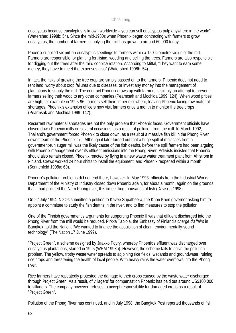eucalyptus because eucalyptus is known worldwide – you can sell eucalyptus pulp anywhere in the world" (Watershed 1998b: 54). Since the mid-1980s when Phoenix began contracting with farmers to grow eucalyptus, the number of farmers supplying the mill has grown to around 60,000 today.

Phoenix supplied six million eucalyptus seedlings to farmers within a 150 kilometre radius of the mill. Farmers are responsible for planting fertilising, weeding and selling the trees. Farmers are also responsible for digging out the trees after the third coppice rotation. According to Mittal, "They want to earn some money, they have to meet the expenses also" (Watershed 1998b: 54).

In fact, the risks of growing the tree crop are simply passed on to the farmers. Phoenix does not need to rent land, worry about crop failures due to diseases, or invest any money into the management of plantations to supply the mill. The contract Phoenix draws up with farmers is simply an attempt to prevent farmers selling their wood to any other companies (Pearmsak and Mochida 1999: 124). When wood prices are high, for example in 1995-96, farmers sell their timber elsewhere, leaving Phoenix facing raw material shortages. Phoenix's extension officers now visit farmers once a month to monitor the tree crops (Pearmsak and Mochida 1999: 142).

Recurrent raw material shortages are not the only problem that Phoenix faces. Government officials have closed down Phoenix mills on several occasions, as a result of pollution from the mill. In March 1992, Thailand's government forced Phoenix to close down, as a result of a massive fish kill in the Phong River downstream of the Phoenix mill. Although it later turned out that a huge spill of molasses from a government-run sugar mill was the likely cause of the fish deaths, before the spill farmers had been arguing with Phoenix management over its effluent emissions into the Phong River. Activists insisted that Phoenix should also remain closed. Phoenix reacted by flying in a new waste water treatment plant from Ahlstrom in Finland. Crews worked 24 hour shifts to install the equipment, and Phoenix reopened within a month (Sonnenfeld 1998a: 69).

Phoenix's pollution problems did not end there, however. In May 1993, officials from the Industrial Works Department of the Ministry of Industry closed down Phoenix again, for about a month, again on the grounds that it had polluted the Nam Phong river, this time killing thousands of fish (Davison 1998).

On 22 July 1994, NGOs submitted a petition to Kavee Supatheera, the Khon Kaen governor asking him to appoint a committee to study the fish deaths in the river, and to find measures to stop the pollution.

One of the Finnish government's arguments for supporting Phoenix II was that effluent discharged into the Phong River from the mill would be reduced. Pirkka Tapiola, the Embassy of Finland's *charge d'affairs* in Bangkok, told the Nation, "We wanted to finance the acquisition of clean, environmentally-sound technology" (The Nation 17 June 1999).

"Project Green", a scheme designed by Jaakko Poyry, whereby Phoenix's effluent was discharged over eucalyptus plantations, started in 1995 (WRM 1998b). However, the scheme fails to solve the pollution problem. The yellow, frothy waste water spreads to adjoining rice fields, wetlands and groundwater, ruining rice crops and threatening the health of local people. With heavy rains the water overflows into the Phong river.

Rice farmers have repeatedly protested the damage to their crops caused by the waste water discharged through Project Green. As a result, of villagers' for compensation Phoenix has paid out around US\$100,000 to villagers. The company however, refuses to accept responsibility for damaged crops as a result of "Project Green".

Pollution of the Phong River has continued, and in July 1998, the Bangkok Post reported thousands of fish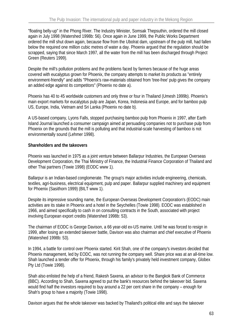"floating belly-up" in the Phong River. The Industry Minister, Somsak Thepsuthin, ordered the mill closed again in July 1998 (Watershed 1998b: 56). Once again in June 1999, the Public Works Department ordered the mill shut down again, because flow from the Ubolrat dam, upstream of the pulp mill, had fallen below the required one million cubic metres of water a day. Phoenix argued that the regulation should be scrapped, saying that since March 1997, all the water from the mill has been discharged through Project Green (Reuters 1999).

Despite the mill's pollution problems and the problems faced by farmers because of the huge areas covered with eucalyptus grown for Phoenix, the company attempts to market its products as "entirely environment-friendly" and adds "Phoenix's raw-materials obtained from 'tree-free' pulp gives the company an added edge against its competitors" (Phoenix no date a).

Phoenix has 40 to 45 worldwide customers and only three or four in Thailand (Umesh 1999b). Phoenix's main export markets for eucalyptus pulp are Japan, Korea, Indonesia and Europe, and for bamboo pulp US, Europe, India, Vietnam and Sri Lanka (Phoenix no date b).

A US-based company, Lyons Falls, stopped purchasing bamboo pulp from Phoenix in 1997, after Earth Island Journal launched a consumer campaign aimed at persuading companies not to purchase pulp from Phoenix on the grounds that the mill is polluting and that industrial-scale harvesting of bamboo is not environmentally sound (Lehmer 1998).

# **Shareholders and the takeovers**

Phoenix was launched in 1975 as a joint venture between Ballarpur Industries, the European Overseas Development Corporation, the Thai Ministry of Finance, the Industrial Finance Corporation of Thailand and other Thai partners (Towie 1998) (EODC www 1).

Ballarpur is an Indian-based conglomerate. The group's major activities include engineering, chemicals, textiles, agri-business, electrical equipment, pulp and paper. Ballarpur supplied machinery and equipment for Phoenix (Sasithorn 1999) (BILT www 1).

Despite its impressive sounding name, the European Overseas Development Corporation's (EODC) main activities are its stake in Phoenix and a hotel in the Seychelles (Towie 1998). EODC was established in 1966, and aimed specifically to cash in on consulting contracts in the South, associated with project involving European export credits (Watershed 1998b: 53).

The chairman of EODC is George Davison, a 66 year-old ex-US marine. Until he was forced to resign in 1999, after losing an extended takeover battle, Davison was also chairman and chief executive of Phoenix (Watershed 1998b: 53).

In 1994, a battle for control over Phoenix started. Kirit Shah, one of the company's investors decided that Phoenix management, led by EODC, was not running the company well. Share price was at an all-time low. Shah launched a tender offer for Phoenix, through his family's privately held investment company, Globex Pty Ltd (Towie 1998).

Shah also enlisted the help of a friend, Rakesh Saxena, an advisor to the Bangkok Bank of Commerce (BBC). According to Shah, Saxena agreed to put the bank's resources behind the takeover bid. Saxena would find half the investors required to buy around a 22 per cent share in the company – enough for Shah's group to have a majority (Towie 1998).

Davison argues that the whole takeover was backed by Thailand's political elite and says the takeover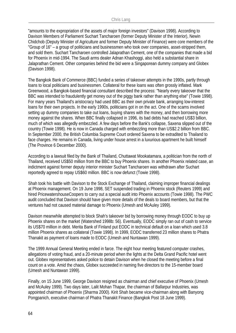"amounts to the expropriation of the assets of major foreign investors" (Davison 1998). According to Davison Members of Parliament Suchart Tancharoen (former Deputy Minister of the Interior), Newin Chidchob (Deputy Minister of Agriculture and former Deputy Minister of Finance) were core members of the "Group of 16" – a group of politicians and businessmen who took over companies, asset-stripped them, and sold them. Suchart Tancharoen controlled Jalaprathan Cement, one of the companies that made a bid for Phoenix in mid-1994. The Saudi arms dealer Adnan Khashoggi, also held a substantial share in Jalaprathan Cement. Other companies behind the bid were a Singaporean dummy company and Globex (Davison 1998).

The Bangkok Bank of Commerce (BBC) funded a series of takeover attempts in the 1990s, partly through loans to local politicians and businessmen. Collateral for these loans was often grossly inflated. Mark Greenwood, a Bangkok-based financial consultant described the process: "Nearly every takeover that the BBC was intended to fraudulently get money out of the piggy bank rather than anything else" (Towie 1998). For many years Thailand's aristocracy had used BBC as their own private bank, arranging low-interest loans for their own projects. In the early 1990s, politicians got in on the act. One of the scams involved setting up dummy companies to take out loans, buying shares with the money, and then borrowing more money against the shares. When BBC finally collapsed in 1996, its bad debts had reached US\$3 billion, much of which was allegedly embezzled. A few days before the Bank's collapse, Saxena slipped out of the country (Towie 1998). He is now in Canada charged with embezzling more than US\$2.2 billion from BBC. In September 2000, the British Columbia Supreme Court ordered Saxena to be extradited to Thailand to face charges. He remains in Canada, living under house arrest in a luxurious apartment he built himself (The Province 6 December 2000).

According to a lawsuit filed by the Bank of Thailand, Chuttawat Mookatamara, a politician from the north of Thailand, received US\$50 million from the BBC to buy Phoenix shares. In another Phoenix related case, an indictment against former deputy interior minister Suchart Tancharoen was withdrawn after Suchart reportedly agreed to repay US\$60 million. BBC is now defunct (Towie 1998).

Shah took his battle with Davison to the Stock Exchange of Thailand, claiming improper financial dealings at Phoenix management. On 19 June 1998, SET suspended trading in Phoenix stock (Reuters 1999) and hired PricewatershouseCoopers to carry out a special audit into Phoenix accounts (Towie 1998). The PWC audit concluded that Davison should have given more details of the deals to board members, but that the ventures had not caused material damage to Phoenix (Umesh and McAuley 1999).

Davison meanwhile attempted to block Shah's takeover bid by borrowing money through EODC to buy up Phoenix shares on the market (Watershed 1998b: 56). Eventually, EODC simply ran out of cash to service its US\$70 million in debt. Merita Bank of Finland put EODC in technical default on a loan which used 3.8 million Phoenix shares as collateral (Towie 1998). In 1999, EODC transferred 23 million shares to Phatra Thanakit as payment of loans made to EODC (Umesh and Nuntawan 1999).

The 1999 Annual General Meeting ended in farce. The eight hour meeting featured computer crashes, allegations of voting fraud, and a 20-minute period when the lights at the Delta Grand Pacific hotel went out. Globex representatives asked police to detain Davison when he closed the meeting before a final count on a vote. Amid the chaos, Globex succeeded in naming five directors to the 15-member board (Umesh and Nuntawan 1999).

Finally, on 15 June 1999, George Davison resigned as chairman and chief executive of Phoenix (Umesh and McAuley 1999). Two days later, Lalit Mohan Thapar, the chairman of Ballarpur Industries, was appointed chairman of Phoenix (Sharma 2000). Kirit Shah became vice-chairman along with Banyong Pongpanich, executive chairman of Phatra Thanakit Finance (Bangkok Post 18 June 1999).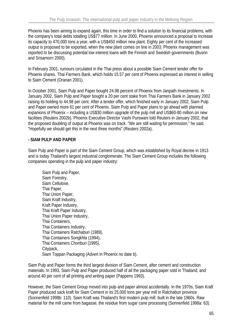Phoenix has been aiming to expand again, this time in order to find a solution to its financial problems, with the company's total debts totalling US\$77 million. In June 2000, Phoenix announced a proposal to increase its capacity to 470,000 tons a year, with a US\$450 million new plant. Eighty per cent of the increased output is proposed to be exported, when the new plant comes on line in 2003. Phoenix management was reported to be discussing potential low interest loans with the Finnish and Swedish governments (Busrin and Srisamorn 2000).

In February 2001, rumours circulated in the Thai press about a possible Siam Cement tender offer for Phoenix shares. Thai Farmers Bank, which holds 15.57 per cent of Phoenix expressed an interest in selling to Siam Cement (Oranan 2001).

In October 2001, Siam Pulp and Paper bought 24.98 percent of Phoenix from Janpath Investments. In January 2002, Siam Pulp and Paper bought a 20 per cent stake from Thai Farmers Bank in January 2002 raising its holding to 44.98 per cent. After a tender offer, which finished early in January 2002, Siam Pulp and Paper owned more 61 per cent of Phoenix. Siam Pulp and Paper plans to go ahead with planned expanions of Phoenix – including a US\$30 million upgrade of the pulp mill and US\$60-80 million on new facilities (Reuters 2002b). Phoenix Executive Director Vashi Purswani told Reuters in January 2002, that the proposed doubling of output at Phoenix was on track. "We are still waiting for permission," he said. "Hopefully we should get this in the next three months" (Reuters 2002a).

# **- SIAM PULP AND PAPER**

Siam Pulp and Paper is part of the Siam Cement Group, which was established by Royal decree in 1913 and is today Thailand's largest industrial conglomerate. The Siam Cement Group includes the following companies operating in the pulp and paper industry:

Siam Pulp and Paper, Siam Forestry, Siam Cellulose, Thai Paper, Thai Union Paper, Siam Kraft Industry, Kraft Paper Industry, Thai Kraft Paper Industry, Thai Union Paper Industry, Thai Containers, Thai Containers Industry, Thai Containers Ratchaburi (1989), Thai Containers Songkhla (1994), Thai Containers Chonburi (1995), Citypack, Siam Toppan Packaging (Advert in Phoenix no date b).

Siam Pulp and Paper forms the third largest division of Siam Cement, after cement and construction materials. In 1993, Siam Pulp and Paper produced half of all the packaging paper sold in Thailand, and around 40 per cent of all printing and writing paper (Pappens 1993).

However, the Siam Cement Group moved into pulp and paper almost accidentally. In the 1970s, Siam Kraft Paper produced sack kraft for Siam Cement in its 25,000 tons per year mill in Ratchaburi province (Sonnenfeld 1998b: 110). Siam Kraft was Thailand's first modern pulp mill, built in the late 1960s. Raw material for the mill came from bagasse, the residue from sugar cane processing (Sonnenfeld 1998a: 63).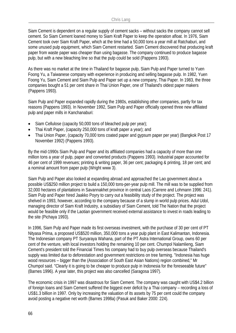Siam Cement is dependent on a regular supply of cement sacks – without sacks the company cannot sell cement. So Siam Cement loaned money to Siam Kraft Paper to keep the operation afloat. In 1976, Siam Cement took over Siam Kraft Paper, which at the time had a 50,000 tons a year mill at Ratchaburi, and some unused pulp equipment, which Siam Cement restarted. Siam Cement discovered that producing kraft paper from waste paper was cheaper than using bagasse. The company continued to produce bagasse pulp, but with a new bleaching line so that the pulp could be sold (Pappens 1993).

As there was no market at the time in Thailand for bagasse pulp, Siam Pulp and Paper turned to Yuen Foong Yu, a Taiwanese company with experience in producing and selling bagasse pulp. In 1982, Yuen Foong Yu, Siam Cement and Siam Pulp and Paper set up a new company, Thai Paper. In 1983, the three companies bought a 51 per cent share in Thai Union Paper, one of Thailand's oldest paper makers (Pappens 1993).

Siam Pulp and Paper expanded rapidly during the 1980s, establishing other companies, partly for tax reasons (Pappens 1993). In November 1992, Siam Pulp and Paper officially opened three new affiliated pulp and paper mills in Kanchanaburi:

- Siam Cellulose (capacity 50,000 tons of bleached pulp per year);
- Thai Kraft Paper, (capacity 250,000 tons of kraft paper a year); and
- Thai Union Paper, (capacity 70,000 tons coated paper and gypsum paper per year) (Bangkok Post 17 November 1992) (Pappens 1993).

By the mid-1990s Siam Pulp and Paper and its affiliated companies had a capacity of more than one million tons a year of pulp, paper and converted products (Pappens 1993). Industrial paper accounted for 46 per cent of 1999 revenues; printing & writing paper, 36 per cent; packaging & printing, 18 per cent; and a nominal amount from paper pulp (Wright www 3).

Siam Pulp and Paper also looked at expanding abroad and approached the Lao government about a possible US\$250 million project to build a 150,000 tons-per-year pulp mill. The mill was to be supplied from 32,000 hectares of plantations in Savannakhet province in central Laos (Carrere and Lohmann 1996: 241). Siam Pulp and Paper hired Jaakko Poyry to carry out a feasibility study of the project. The project was shelved in 1993, however, according to the company because of a slump in world pulp prices. Adul Udol, managing director of Siam Kraft Industry, a subsidiary of Siam Cement, told The Nation that the project would be feasible only if the Laotian government received external assistance to invest in roads leading to the site (Pichaya 1993).

In 1996, Siam Pulp and Paper made its first overseas investment, with the purchase of 30 per cent of PT Nityasa Prima, a proposed US\$520 million, 350,000 tons a year pulp plant in East Kalimantan, Indonesia. The Indonesian company PT Suryaraya Wahana, part of the PT Astra International Group, owns 60 per cent of the venture, with local investors holding the remaining 10 per cent. Chumpol Nalamlieng, Siam Cement's president told the Financial Times his company had to buy pulp overseas because Thailand's supply was limited due to deforestation and government restrictions on tree farming. "Indonesia has huge wood resources – bigger than the (Association of South East Asian Nations) region combined," Mr Chumpol said. "Clearly it is going to be cheaper to produce pulp in Indonesia for the foreseeable future" (Barnes 1996). A year later, this project was also cancelled (Saragosa 1997).

The economic crisis in 1997 was disastrous for Siam Cement. The company was caught with US\$4.2 billion of foreign loans and Siam Cement suffered the biggest ever deficit by a Thai company – recording a loss of US\$1.3 billion in 1997. Only by increasing the valuation of its assets by 75 per cent could the company avoid posting a negative net worth (Barnes 1998a) (Pasuk and Baker 2000: 224).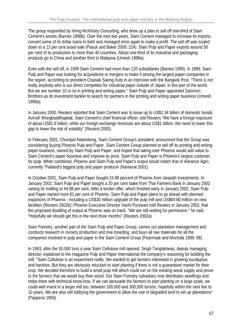The group responded by hiring McKinsey Consulting, who drew up a plan to sell off one-third of Siam Cement's assets (Barnes 1998b). Over the next two years, Siam Cement managed to increase its exports, convert some of its dollar loans to baht and managed once again to make a profit. The sell off was scaled down to a 13 per cent asset-sale (Pasuk and Baker 2000: 224). Siam Pulp and Paper exports around 50 per cent of its production to more than 40 countries. About one-third of its industrial and packaging products go to China and another third to Malaysia (Umesh 1999a).

Even with the sell off, in 1999 Siam Cement had more than 120 subsidiaries (Barnes 1999). In 1999, Siam Pulp and Paper was looking for acquisitions or mergers to make it among the largest paper companies in the region, according to president Chaisak Saeng-Xuto in an interview with the Bangkok Post. "There is not really anybody who is our direct competitor for industrial paper outside of Japan, in this part of the world. But we are number 10 or so in printing and writing paper." Siam Pulp and Paper appointed Salomon Brothers as its investment banker to search for partners in the printing and writing paper business (Umesh 1999a).

In January 2000, Reuters reported that Siam Cement was to issue up to US\$1.34 billion of domestic bonds. Aviruth Wongbuddhapitak, Siam Cement's chief financial officer, told Reuters "We have a foreign exposure of about US\$1.8 billion, while our foreign exchange revenues are about US\$1 billion. We need to lower this gap to lower the risk of volatility" (Reuters 2000).

In February 2001, Chumpol Nalamlieng, Siam Cement Group's president, announced that the Group was considering buying Phoenix Pulp and Paper. Siam Cement Group planned to sell off its printing and writingpaper business, owned by Siam Pulp and Paper, and hoped that taking over Phoenix would add value to Siam Cement's paper business and improve its price. Siam Pulp and Paper is Phoenix's largest customer for pulp. When combined, Phoenix and Siam Pulp and Paper's output would match that of Advance Agro, currently Thailand's biggest pulp and paper producer (Nareerat 2001).

In October 2001, Siam Pulp and Paper bought 24.98 percent of Phoenix from Janpath Investments. In January 2002, Siam Pulp and Paper bought a 20 per cent stake from Thai Farmers Bank in January 2002 raising its holding to 44.98 per cent. After a tender offer, which finished early in January 2002, Siam Pulp and Paper owned more 61 per cent of Phoenix. Siam Pulp and Paper plans to go ahead with planned expanions of Phoenix - including a US\$30 million upgrade of the pulp mill and US\$60-80 million on new facilities (Reuters 2002b). Phoenix Executive Director Vashi Purswani told Reuters in January 2002, that the proposed doubling of output at Phoenix was on track. "We are still waiting for permission," he said. "Hopefully we should get this in the next three months" (Reuters 2002a).

Siam Forestry, another part of the Siam Pulp and Paper Group, carries out plantation management and conducts research in nursery production and tree breeding, and buys all raw materials for all the companies involved in pulp and paper in the Siam Cement Group (Pearmsak and Mochida 1999: 89).

In 1993, after the 50,000 tons a year Siam Cellulose mill opened, Singh Tangtatswas, deputy managing director, explained to the magazine Pulp and Paper International the company's reasoning for building the mill: "Siam Cellulose is an experiment really. We wanted to get farmers interested in growing eucalyptus and bamboo. But they are obviously reluctant to start planting if there is not a guaranteed market for their crop. We decided therefore to build a small pulp mill which could run on the existing wood supply and prove to the farmers that we would buy their wood. Our Siam Forestry subsidiary now distributes seedlings and helps them with technical know-how. If we can persuade the farmers to start planting on a large scale, we could well invest in a larger mill too, between 100,000 and 300,000 tons/yr, hopefully within the next five to 10 years. We are also still lobbying the government to allow the use of degraded land to set up plantations" (Pappens 1993).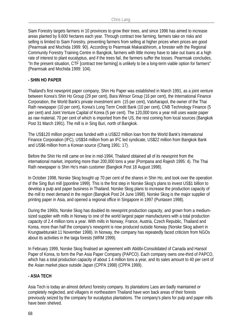Siam Forestry targets farmers in 10 provinces to grow their trees, and since 1996 has aimed to increase areas planted by 9,600 hectares each year. Through contract tree farming, farmers take on risks and selling is limited to Siam Forestry, preventing farmers from selling at higher prices when prices are good (Pearmsak and Mochida 1999: 90). According to Pearmsak Makarabhirom, a forester with the Regional Community Forestry Training Centre in Bangkok, farmers with little money have to take out loans at a high rate of interest to plant eucalyptus, and if the trees fail, the farmers suffer the losses. Pearmsak concludes, "In the present situation, CTF [contract tree farming] is unlikely to be a long-term viable option for farmers" (Pearmsak and Mochida 1999: 104).

## **- SHIN HO PAPER**

Thailand's first newsprint paper company, Shin Ho Paper was established in March 1991, as a joint venture between Korea's Shin Ho Group (29 per cent), Bara Winsor Group (16 per cent), the International Finance Corporation, the World Bank's private investment arm (15 per cent), Vatvharapol, the owner of the Thai Rath newspaper (10 per cent), Korea's Long Term Credit Bank (10 per cent), CNB Technology Finance (5 per cent) and Joint Venture Capital of Korea (5 per cent). The 120,000 tons a year mill uses waste paper as raw material, 70 per cent of which is imported from the US, the rest coming from local sources (Bangkok Post 31 March 1991). The mill is in Sing Buri, north of Bangkok.

The US\$120 million project was funded with a US\$22 million loan from the World Bank's International Finance Corporation (IFC), US\$34 million from an IFC led syndicate, US\$22 million from Bangkok Bank and US\$6 million from a Korean source (Chang 1991: 17).

Before the Shin Ho mill came on line in mid-1994, Thailand obtained all of its newsprint from the international market, importing more than 200,000 tons a year (Pornpana and Rajesh 1995: 4). The Thai Rath newspaper is Shin Ho's main customer (Bangkok Post 18 August 1998).

In October 1998, Norske Skog bought up 70 per cent of the shares in Shin Ho, and took over the operation of the Sing Buri mill (pponline 1999). This is the first step in Norske Skog's plans to invest US\$1 billion to develop a pulp and paper business in Thailand. Norske Skog plans to increase the production capacity of the mill to meet demand in the region (Bangkok Post 24 June 1998). Norske Skog is the major supplier of printing paper in Asia, and opened a regional office in Singapore in 1997 (Puntasen 1998).

During the 1990s, Norske Skog has doubled its newsprint production capacity, and grown from a mediumsized supplier with mills in Norway to one of the world largest paper manufacturers with a total production capacity of 2.4 million tons a year. With mills in Norway, France, Austria, Czech Republic, Thailand and Korea, more than half the company's newsprint is now produced outside Norway (Norske Skog advert in Krungtaebturakit 11 November 1998). In Norway, the company has repeatedly faced criticism from NGOs about its activities in the taiga forests (WRM 1999).

In February 1999, Norske Skog finalised an agreement with Abitibi-Consolidated of Canada and Hansol Paper of Korea, to form the Pan Asia Paper Company (PAPCO). Each company owns one-third of PAPCO, which has a total production capacity of about 1.4 million tons a year, and its sales amount to 40 per cent of the Asian market place outside Japan (CPPA 1998) (CPPA 1999).

## **- ASIA TECH**

Asia Tech is today an almost defunct forestry company. Its plantations Laos are badly maintained or completely neglected, and villagers in northeastern Thailand have won back areas of their forests previously seized by the company for eucalyptus plantations. The company's plans for pulp and paper mills have been shelved.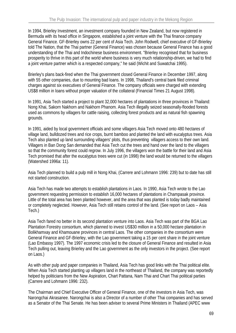In 1994, Brierley Investment, an investment company founded in New Zealand, but now registered in Bermuda with its head office in Singapore, established a joint venture with the Thai finance company General Finance. GF-Brierley owns 22 per cent of Asia Tech. John Rodwell, chief executive of GF-Brierley told The Nation, that the Thai partner (General Finance) was chosen because General Finance has a good understanding of the Thai and Indochinese business environment. "Brierley recognised that for business prosperity to thrive in this part of the world where business is very much relationship-driven, we had to find a joint venture partner which is a respected company," he said (Wichit and Suwatchai 1995).

Brierley's plans back-fired when the Thai government closed General Finance in December 1997, along with 55 other companies, due to mounting bad loans. In 1998, Thailand's central bank filed criminal charges against six executives of General Finance. The company officials were charged with extending US\$8 million in loans without proper valuation of the collateral (Financial Times 21 August 1998).

In 1991, Asia Tech started a project to plant 32,000 hectares of plantations in three provinces in Thailand: Nong Khai, Sakorn Nakhorn and Nakhorn Phanom. Asia Tech illegally seized seasonally-flooded forests used as commons by villagers for cattle raising, collecting forest products and as natural fish spawning grounds.

In 1991, aided by local government officials and some villagers Asia Tech moved onto 480 hectares of village land, bulldozed trees and rice crops, burnt bamboo and planted the land with eucalyptus trees. Asia Tech also planted up land surrounding villagers' plots, thus preventing villagers access to their own land. Villagers in Ban Dong San demanded that Asia Tech cut the trees and hand over the land to the villagers so that the community forest could regrow. In July 1996, the villagers won the battle for their land and Asia Tech promised that after the eucalyptus trees were cut (in 1998) the land would be returned to the villagers (Watershed 1996a: 11).

Asia Tech planned to build a pulp mill in Nong Khai, (Carrere and Lohmann 1996: 239) but to date has still not started construction.

Asia Tech has made two attempts to establish plantations in Laos. In 1990, Asia Tech wrote to the Lao government requesting permission to establish 16,000 hectares of plantations in Champasak province. Little of the total area has been planted however, and the area that was planted is today badly maintained or completely neglected. However, Asia Tech still retains control of the land. (See report on Laos – Asia Tech.)

Asia Tech fared no better in its second plantation venture into Laos. Asia Tech was part of the BGA Lao Plantation Forestry consortium, which planned to invest US\$30 million in a 50,000 hectare plantation in Bolikhamxay and Khamouane provinces in central Laos. The other companies in the consortium were General Finance and GF-Brierley, with the Lao government taking a 15 per cent share in the joint venture (Lao Embassy 1997). The 1997 economic crisis led to the closure of General Finance and resulted in Asia Tech pulling out, leaving Brierley and the Lao government as the only investors in the project. (See report on Laos.)

As with other pulp and paper companies in Thailand, Asia Tech has good links with the Thai political elite. When Asia Tech started planting up villagers land in the northeast of Thailand, the company was reportedly helped by politicians from the New Aspiration, Chart Pattana, Nam Thai and Chart Thai political parties (Carrere and Lohmann 1996: 232).

The Chairman and Chief Executive Officer of General Finance, one of the investors in Asia Tech, was Narongchai Akrasanee. Narongchai is also a Director of a number of other Thai companies and has served as a Senator of the Thai Senate. He has been adviser to several Prime Ministers in Thailand (APEC www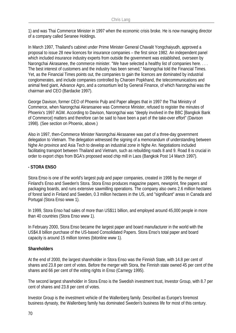1) and was Thai Commerce Minister in 1997 when the economic crisis broke. He is now managing director of a company called Seranee Holdings.

In March 1997, Thailand's cabinet under Prime Minister General Chavalit Yongchaiyudh, approved a proposal to issue 28 new licences for insurance companies – the first since 1982. An independent panel which included insurance industry experts from outside the government was established, overseen by Narongchai Akrasanee, the commerce minister. "We have selected a healthy list of companies here. . . . The best interest of customers and the industry has been served," Narongchai told the Financial Times. Yet, as the Financial Times points out, the companies to gain the licences are dominated by industrial conglomerates, and include companies controlled by Charoen Popkhand, the telecommunications and animal feed giant, Advance Agro, and a consortium led by General Finance, of which Narongchai was the chairman and CEO (Bardacke 1997).

George Davison, former CEO of Phoenix Pulp and Paper alleges that in 1997 the Thai Ministry of Commerce, when Narongchai Akransanee was Commerce Minister, refused to register the minutes of Phoenix's 1997 AGM. According to Davison, Narongchai was "deeply involved in the BBC [Bangkok Bank of Commerce] matters and therefore can be said to have been a part of the take-over effort" (Davison 1998). (See section on Phoenix, above.)

Also in 1997, then-Commerce Minister Narongchai Akrasanee was part of a three-day government delegation to Vietnam. The delegation witnessed the signing of a memorandum of understanding between Nghe An province and Asia Tech to develop an industrial zone in Nghe An. Negotiations included facilitating transport between Thailand and Vietnam, such as rebuilding roads 8 and 9. Road 8 is crucial in order to export chips from BGA's proposed wood chip mill in Laos (Bangkok Post 14 March 1997).

## **- STORA ENSO**

Stora Enso is one of the world's largest pulp and paper companies, created in 1998 by the merger of Finland's Enso and Sweden's Stora. Stora Enso produces magazine papers, newsprint, fine papers and packaging boards, and runs extensive sawmilling operations. The company also owns 2.6 million hectares of forest land in Finland and Sweden, 0.3 million hectares in the US, and "significant" areas in Canada and Portugal (Stora Enso www 1).

In 1999, Stora Enso had sales of more than US\$11 billion, and employed around 45,000 people in more than 40 countries (Stora Enso www 1).

In February 2000, Stora Enso became the largest paper and board manufacturer in the world with the US\$4.8 billion purchase of the US-based Consolidated Papers. Stora Enso's total paper and board capacity is around 15 million tonnes (bitonline www 1).

## **Shareholders**

At the end of 2000, the largest shareholder in Stora Enso was the Finnish State, with 14.8 per cent of shares and 23.8 per cent of votes. Before the merger with Stora, the Finnish state owned 45 per cent of the shares and 66 per cent of the voting rights in Enso (Carnegy 1995).

The second largest shareholder in Stora Enso is the Swedish investment trust, Investor Group, with 8.7 per cent of shares and 23.8 per cent of votes.

Investor Group is the investment vehicle of the Wallenberg family. Described as Europe's foremost business dynasty, the Wallenberg family has dominated Sweden's business life for most of this century.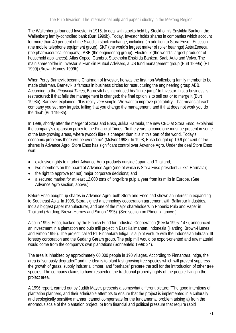The Wallenbergs founded Investor in 1916, to deal with stocks held by Stockholm's Enskilda Banken, the Wallenberg family-controlled bank (Burt 1999b). Today, Investor holds shares in companies which account for more than 40 per cent of the Swedish stock exchange, including (in addition to Stora Enso): Ericsson (the mobile telephone equipment group), SKF (the world's largest maker of roller bearings) AstraZeneca (the pharmaceutical company), ABB (the engineering group), Electrolux (the world's largest producer of household appliances), Atlas Copco, Gambro, Stockholm Enskilda Banken, Saab Auto and Volvo. The main shareholder in Investor is Franklin Mutual Advisers, a US fund management group (Burt 1999a) (FT 1999) (Brown-Humes 1999b).

When Percy Barnevik became Chairman of Investor, he was the first non-Wallenberg family member to be made chairman. Barnevik is famous in business circles for restructuring the engineering group ABB. According to the *Financial Times*, Barnevik has introduced his "triple-jump" to Investor: first a business is restructured; if that fails the management is changed; the final option is to sell out or to merge it (Burt 1998b). Barnevik explained, "It is really very simple. We want to improve profitability. That means at each company you set new targets, failing that you change the management, and if that does not work you do the deal" (Burt 1998a).

In 1998, shortly after the merger of Stora and Enso, Jukka Harmala, the new CEO at Stora Enso, explained the company's expansion policy to the Financial Times, "In the years to come one must be present in some of the fast-growing areas, where (wood) fibre is cheaper than it is in this part of the world. Today's economic problems there will be overcome" (McIvor 1998). In 1998, Enso bought up 19.9 per cent of the shares in Advance Agro. Stora Enso has significant control over Advance Agro. Under the deal Stora Enso won:

- exclusive rights to market Advance Agro products outside Japan and Thailand;
- two members on the board of Advance Agro (one of which is Stora Enso president Jukka Harmala);
- the right to approve (or not) major corporate decisions; and
- a secured market for at least 12,000 tons of long-fibre pulp a year from its mills in Europe. (See Advance Agro section, above.)

Before Enso bought up shares in Advance Agro, both Stora and Enso had shown an interest in expanding to Southeast Asia. In 1995, Stora signed a technology cooperation agreement with Ballarpur Industries, India's biggest paper manufacturer, and one of the major shareholders in Phoenix Pulp and Paper in Thailand (Harding, Brown-Humes and Simon 1995). (See section on Phoenix, above.)

Also in 1995, Enso, backed by the Finnish Fund for Industrial Cooperation (Kerski 1995: 147), announced an investment in a plantation and pulp mill project in East Kalimantan, Indonesia (Harding, Brown-Humes and Simon 1995). The project, called PT Finnantara Intiga, is a joint venture with the Indonesian Inhutani III forestry corporation and the Gudang Garam group. The pulp mill would be export-oriented and raw material would come from the company's own plantations (Sonnenfeld 1999: 34).

The area is inhabited by approximately 60,000 people in 190 villages. According to Finnantara Intiga, the area is "seriously degraded" and the idea is to plant fast growing tree species which will prevent suppress the growth of grass, supply industrial timber, and "perhaps" prepare the soil for the introduction of other tree species. The company claims to have respected the traditional property rights of the people living in the project area.

A 1996 report, carried out by Judith Mayer, presents a somewhat different picture: "The good intentions of plantation planners, and their admirable attempts to ensure that the project is implemented in a culturally and ecologically sensitive manner, cannot compensate for the fundamental problem arising a) from the enormous scale of the plantation project, b) from financial and political pressure that require rapid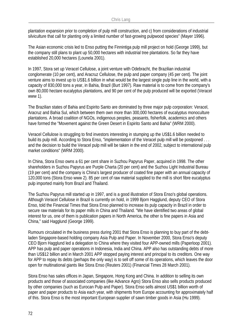plantation expansion prior to completion of pulp mill construction, and c) from considerations of industrial silviculture that call for planting only a limited number of fast-growing pulpwood species" (Mayer 1996).

The Asian economic crisis led to Enso putting the Finnintiga pulp mill project on hold (George 1999), but the company still plans to plant up 50,000 hectares with industrial tree plantations. So far they have established 20,000 hectares (Lounela 2001).

In 1997, Stora set up Veracel Cellulose, a joint venture with Odebracht, the Brazilian industrial conglomerate (10 per cent), and Aracruz Cellulose, the pulp and paper company (45 per cent). The joint venture aims to invest up to US\$1.6 billion in what would be the largest single pulp line in the world, with a capacity of 830,000 tons a year, in Bahia, Brazil (Burt 1997). Raw material is to come from the company's own 80,000 hectare eucalyptus plantations, and 90 per cent of the pulp produced will be exported (Veracel www 1).

The Brazilian states of Bahia and Espirito Santo are dominated by three major pulp corporation: Veracel, Aracruz and Bahia Sul, which between them own more than 300,000 hectares of eucalyptus monoculture plantations. A broad coalition of NGOs, indigenous peoples, peasants, fisherfolk, academics and others have formed the "Movement against the Green Desert in Espirito Santo and Bahia" (WRM 2000).

Veracel Cellulose is struggling to find investors interesting in stumping up the US\$1.6 billion needed to build its pulp mill. According to Stora Enso, "implementation of the Veracel pulp mill will be postponed . . . and the decision to build the Veracel pulp mill will be taken in the end of 2002, subject to international pulp market conditions" (WRM 2000).

In China, Stora Enso owns a 61 per cent share in Suzhou Papyrus Paper, acquired in 1998. The other shareholders in Suzhou Papyrus are Purple Charta (20 per cent) and the Suzhou Light Industrial Bureau (19 per cent) and the company is China's largest producer of coated fine paper with an annual capacity of 120,000 tons (Stora Enso www 2). 85 per cent of raw material supplied to the mill is short fibre eucalyptus pulp imported mainly from Brazil and Thailand.

The Suzhou Papyrus mill started up in 1997, and is a good illustration of Stora Enso's global operations. Although Veracel Cellulose in Brazil is currently on hold, in 1999 Bjorn Hagglund, deputy CEO of Stora Enso, told the Financial Times that Stora Enso planned to increase its pulp capacity in Brazil in order to secure raw materials for its paper mills in China and Thailand. "We have identified two areas of global interest for us, one of them is publication papers in North America, the other is fine papers in Asia and China," said Hagglund (George 1999).

Rumours circulated in the business press during 2001 that Stora Enso is planning to buy part of the debtladen Singapore-based holding company Asia Pulp and Paper. In November 2000, Stora Enso's deputy CEO Bjorn Hagglund led a delegation to China where they visited four APP-owned mills (Paperloop 2001). APP has pulp and paper operations in Indonesia, India and China. APP also has outstanding debts of more than US\$12 billion and in March 2001 APP stopped paying interest and principal to its creditors. One way for APP to repay its debts (perhaps the only way) is to sell off some of its operations, which leaves the door open for multinational giants like Stora Enso (Reuters 2001) (Financial Times 28 March 2001).

Stora Enso has sales offices in Japan, Singapore, Hong Kong and China. In addition to selling its own products and those of associated companies (like Advance Agro) Stora Enso also sells products produced by other companies (such as Eurocan Pulp and Paper). Stora Enso sells almost US\$1 billion worth of paper and paper products to Asia each year, with shipments from Europe accounting for approximately half of this. Stora Enso is the most important European supplier of sawn timber goods in Asia (Hu 1999).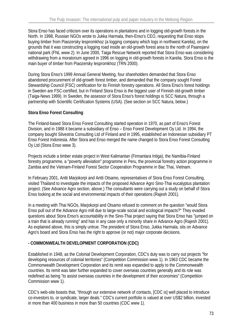Stora Enso has faced criticism over its operations in plantations and in logging old-growth forests in the North. In 1998, Russian NGOs wrote to Jukka Harmala, then-Enso's CEO, requesting that Enso stops buying timber from Piaozersky lespromkhoz (a logging company which logs in northwest Karelia), on the grounds that it was constructing a logging road inside an old-growth forest area to the north of Paanojarvi national park (FNL www 2). In June 2000, Taiga Rescue Network reported that Stora Enso was considering withdrawing from a moratorium agreed in 1996 on logging in old-growth forests in Karelia. Stora Enso is the main buyer of timber from Piaozersky lespromkhoz (TRN 2000).

During Stora Enso's 1999 Annual General Meeting, four shareholders demanded that Stora Enso abandoned procurement of old-growth forest timber, and demanded that the company sought Forest Stewardship Council (FSC) certification for its Finnish forestry operations. All Stora Enso's forest holdings in Sweden are FSC-certified, but in Finland Stora Enso is the biggest user of Finnish old-growth timber (Taiga-News 1999). In Sweden, the assessor of Stora Enso's forest holdings is SCC Natura, through a partnership with Scientific Certification Systems (USA). (See section on SCC Natura, below.)

# **Stora Enso Forest Consulting**

The Finland-based Stora Enso Forest Consulting started operation in 1970, as part of Enso's Forest Division, and in 1988 it became a subsidiary of Enso – Enso Forest Development Oy Ltd. In 1994, the company bought Silvestria Consulting Ltd of Finland and in 1995, established an Indonesian subsidiary PT Enso Forest Indonesia. After Stora and Enso merged the name changed to Stora Enso Forest Consulting Oy Ltd (Stora Enso www 3).

Projects include a timber estate project in West Kalimantan (Finnantara Intiga), the Namibia-Finland forestry programme, a "poverty alleviation" programme in Peru, the provincial forestry action programme in Zambia and the Vietnam-Finland Forest Sector Cooperation Programme in Bac Thai, Vietnam.

In February 2001, Antti Marjokorpi and Antti Otsamo, representatives of Stora Enso Forest Consulting, visited Thailand to investigate the impacts of the proposed Advance Agro Sino-Thai eucalyptus plantation project. (See Advance Agro section, above.) The consultants were carrying out a study on behalf of Stora Enso looking at the social and environmental impacts of their operations (Rajesh 2001).

In a meeting with Thai NGOs, Marjokorpi and Otsamo refused to comment on the question "would Stora Enso pull out of the Advance Agro mill due to large-scale social and ecological impacts?" They evaded questions about Stora Enso's accountability in the Sino-Thai project saying that Stora Enso has "jumped on a train that is already running" and has in any case only a minority share in Advance Agro (Rajesh 2001). As explained above, this is simply untrue. The president of Stora Enso, Jukka Harmala, sits on Advance Agro's board and Stora Enso has the right to approve (or not) major corporate decisions.

# **- COMMONWEALTH DEVELOPMENT CORPORATION (CDC)**

Established in 1948, as the Colonial Development Corporation, CDC's duty was to carry out projects "for developing resources of colonial territories" (Competition Commission www 1). In 1963 CDC became the Commonwealth Development Corporation and its remit was expanded to apply to the Commonwealth countries. Its remit was later further expanded to cover overseas countries generally and its role was redefined as being "to assist overseas countries in the development of their economies" (Competition Commission www 1).

CDC's web-site boasts that, "through our extensive network of contacts, [CDC is] well placed to introduce co-investors to, or syndicate, larger deals." CDC's current portfolio is valued at over US\$2 billion, invested in more than 400 business in more than 50 countries (CDC www 1).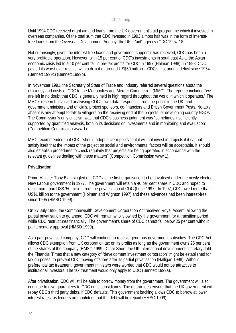Until 1994 CDC received grant aid and loans from the UK government's aid programme which it invested in overseas companies. Of the total sum that CDC invested in 1993 almost half was in the form of interestfree loans from the Overseas Development Agency, the UK's "aid" agency (CDC 1994: 18).

Not surprisingly, given the interest-free loans and government support it has received, CDC has been a very profitable operation. However, with 15 per cent of CDC's investments in southeast Asia, the Asian economic crisis led to a 10 per cent fall in pre-tax profits for CDC in 1997 (Holman 1998). In 1998, CDC posted its worst ever results, with a deficit of around US\$60 million – CDC's first annual deficit since 1954 (Bennett 1999c) (Bennett 1999b).

In November 1991, the Secretary of State of Trade and Industry referred several questions about the efficiency and costs of CDC to the Monopolies and Merger Commission (MMC). The report concluded "we are left in no doubt that CDC is generally held in high regard throughout the world in which it operates." The MMC's research involved analyising CDC's own data, responses from the public in the UK, and government ministers and officials, project sponsors, co-financiers and British Government Posts. Notably absent is any attempt to talk to villagers on the receiving end of the projects, or developing country NGOs. The Commission's only criticism was that CDC's business judgment was "sometimes insufficiently supported by quantified analysis, both in its decisions on investments and in monitoring and evaluation" (Competition Commission www 1).

MMC recommended that CDC "should adopt a clear policy that it will not invest in projects if it cannot satisfy itself that the impact of the project on social and environmental factors will be acceptable. It should also establish procedures to check regularly that projects are being operated in accordance with the relevant guidelines dealing with these matters" (Competition Commission www 1).

#### **Privatisation**

Prime Minister Tony Blair singled out CDC as the first organisation to be privatised under the newly elected New Labour government in 1997. The government will retain a 40 per cent share in CDC and hoped to raise more than US\$750 million from the privatisation of CDC (Luce 1997). In 1997, CDC owed more than US\$1 billion to the government (Holman and Wighton 1997) and these advances had been interest-free since 1995 (HMSO 1999).

On 27 July 1999, the Commonwealth Development Corporation Act received Royal Assent, allowing the partial privatisation to go ahead. CDC will remain wholly owned by the government for a transition period while CDC restructures financially. The government's share of CDC cannot fall below 25 per cent without parliamentary approval (HMSO 1999).

As a part-privatised company, CDC will continue to receive generous government subsidies. The CDC Act allows CDC exemption from UK corporation tax on its profits as long as the government owns 25 per cent of the shares of the company (HMSO 1999). Clare Short, the UK international development secretary, told the Financial Times that a new category of "development investment corporation" might be established for tax purposes, to prevent CDC moving offshore after its partial privatisation (Halligan 1998). Without preferential tax treatment, government ministers were worried that CDC would not be attractive to institutional investors. The tax treatment would only apply to CDC (Bennett 1999a).

After privatisation, CDC will still be able to borrow money from the government. The government will also continue to give guarantees to CDC or its subsidiaries. The guarantees ensure that the UK government will repay CDC's third party debts, if CDC defaults. This government backing allows CDC to borrow at lower interest rates, as lenders are confident that the debt will be repaid (HMSO 1999).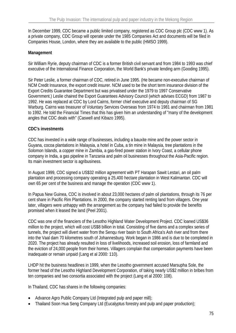In December 1999, CDC became a public limited company, registered as CDC Group plc (CDC www 1). As a private company, CDC Group will operate under the 1985 Companies Act and documents will be filed in Companies House, London, where they are available to the public (HMSO 1999).

## **Management**

Sir William Ryrie, deputy chairman of CDC is a former British civil servant and from 1984 to 1993 was chief executive of the International Finance Corporation, the World Bank's private lending arm (Gooding 1995).

Sir Peter Leslie, a former chairman of CDC, retired in June 1995. (He became non-executive chairman of NCM Credit Insurance, the export credit insurer. NCM used to be the short term insurance division of the Export Credits Guarantee Department but was privatised under the 1979 to 1997 Conservative Government.) Leslie chaired the Export Guarantees Advisory Council (which advises ECGD) from 1987 to 1992. He was replaced at CDC by Lord Cairns, former chief executive and deputy chairman of SG Warburg. Cairns was treasurer of Voluntary Services Overseas from 1974 to 1981 and chairman from 1981 to 1992. He told the Financial Times that this has given him an understanding of "many of the development angles that CDC deals with" (Caswell and Kibazo 1995).

## **CDC's investments**

CDC has invested in a wide range of businesses, including a bauxite mine and the power sector in Guyana, cocoa plantations in Malaysia, a hotel in Cuba, a tin mine in Malaysia, tree plantations in the Solomon Islands, a copper mine in Zambia, a gas-fired power station in Ivory Coast, a cellular phone company in India, a gas pipeline in Tanzania and palm oil businesses throughout the Asia-Pacific region. Its main investment sector is agribusiness.

In August 1999, CDC signed a US\$32 million agreement with PT Harapan Sawit Lestari, an oil palm plantation and processing company operating a 25,400 hectare plantation in West Kalimantan. CDC will own 65 per cent of the business and manage the operation (CDC www 1).

In Papua New Guinea, CDC is involved in about 23,000 hectares of palm oil plantations, through its 76 per cent share in Pacific Rim Plantations. In 2000, the company started renting land from villagers. One year later, villagers were unhappy with the arrangement as the company had failed to provide the benefits promised when it leased the land (Peel 2001).

CDC was one of the financiers of the Lesotho Highland Water Development Project. CDC loaned US\$36 million to the project, which will cost US\$8 billion in total. Consisting of five dams and a complex series of tunnels, the project will divert water from the Senqu river basin to South Africa's Ash river and from there into the Vaal dam 70 kilometres south of Johannesburg. Work began in 1986 and is due to be completed in 2020. The project has already resulted in loss of livelihoods, increased soil erosion, loss of farmland and the eviction of 24,000 people from their homes. Villagers complain that compensation payments have been inadequate or remain unpaid (Lang et al 2000: 110).

LHDP hit the business headlines in 1999, when the Lesotho government accused Marsupha Sole, the former head of the Lesotho Highland Development Corporation, of taking nearly US\$2 million in bribes from ten companies and two consortia associated with the project (Lang et al 2000: 108).

In Thailand, CDC has shares in the following companies:

- Advance Agro Public Company Ltd (Integrated pulp and paper mill);
- Thailand Soon Hua Seng Company Ltd (Eucalyptus forestry and pulp and paper production);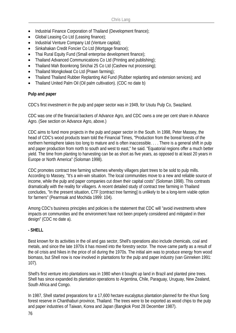- Industrial Finance Corporation of Thailand (Development finance);
- Global Leasing Co Ltd (Leasing finance);
- Industrial Venture Company Ltd (Venture capital);
- Sinkahakan Credit Foncier Co Ltd (Mortgage finance);
- Thai Rural Equity Fund (Small enterprise development finance);
- Thailand Advanced Communications Co Ltd (Printing and publishing);
- Thailand Mah Boonkrong Sirichai 25 Co Ltd (Cashew nut processing);
- Thailand Mongkolwat Co Ltd (Prawn farming);
- Thailand Thailand Rubber Replanting Aid Fund (Rubber replanting and extension services); and
- Thailand United Palm Oil (Oil palm cultivation). (CDC no date b)

## **Pulp and paper**

CDC's first investment in the pulp and paper sector was in 1949, for Usutu Pulp Co, Swaziland.

CDC was one of the financial backers of Advance Agro, and CDC owns a one per cent share in Advance Agro. (See section on Advance Agro, above.)

CDC aims to fund more projects in the pulp and paper sector in the South. In 1998, Peter Massey, the head of CDC's wood products team told the Financial Times, "Production from the boreal forests of the northern hemisphere takes too long to mature and is often inaccessible. . . . There is a general shift in pulp and paper production from north to south and west to east," he said. "Equatorial regions offer a much better yield. The time from planting to harvesting can be as short as five years, as opposed to at least 20 years in Europe or North America" (Soloman 1998).

CDC promotes contract tree farming schemes whereby villagers plant trees to be sold to pulp mills. According to Massey, "It's a win-win situation. The local communities move to a new and reliable source of income, while the pulp and paper companies cut down their capital costs" (Soloman 1998). This contrasts dramatically with the reality for villagers. A recent detailed study of contract tree farming in Thailand concludes, "In the present situation, CTF [contract tree farming] is unlikely to be a long-term viable option for farmers" (Pearmsak and Mochida 1999: 104).

Among CDC's business principles and policies is the statement that CDC will "avoid investments where impacts on communities and the environment have not been properly considered and mitigated in their design" (CDC no date a).

## **- SHELL**

Best known for its activities in the oil and gas sector, Shell's operations also include chemicals, coal and metals, and since the late 1970s it has moved into the forestry sector. The move came partly as a result of the oil crisis and hikes in the price of oil during the 1970s. The initial aim was to produce energy from wood biomass, but Shell now is now involved in plantations for the pulp and paper industry (van Ginneken 1991: 107).

Shell's first venture into plantations was in 1980 when it bought up land in Brazil and planted pine trees. Shell has since expanded its plantation operations to Argentina, Chile, Paraguay, Uruguay, New Zealand, South Africa and Congo.

In 1987, Shell started preparations for a 17,600 hectare eucalyptus plantation planned for the Khun Song forest reserve in Chanthaburi province, Thailand. The trees were to be exported as wood chips to the pulp and paper industries of Taiwan, Korea and Japan (Bangkok Post 28 December 1987).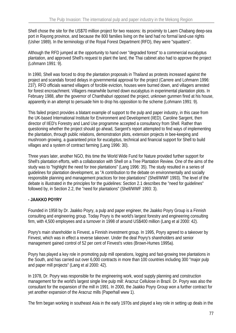Shell chose the site for the US\$70 million project for two reasons: its proximity to Laem Chabang deep-sea port in Rayong province, and because the 800 families living on the land had no formal land-use rights (Usher 1989). In the terminology of the Royal Forest Department (RFD), they were "squatters".

Although the RFD jumped at the opportunity to hand over "degraded forest" to a commercial eucalyptus plantation, and approved Shell's request to plant the land, the Thai cabinet also had to approve the project (Lohmann 1991: 9).

In 1990, Shell was forced to drop the plantation proposals in Thailand as protests increased against the project and scandals forced delays in governmental approval for the project (Carrere and Lohmann 1996: 237). RFD officials warned villagers of forcible eviction, houses were burned down, and villagers arrested for forest encroachment. Villagers meanwhile burned down eucalyptus in experimental plantation plots. In February 1988, after the governor of Chanthaburi opposed the project, unknown gunmen fired at his house, apparently in an attempt to persuade him to drop his opposition to the scheme (Lohmann 1991: 9).

This failed project provides a blatant example of support to the pulp and paper industry, in this case from the UK-based International Institute for Environment and Development (IIED). Caroline Sargent, then director of IIED's Forestry and Land Use programme accepted a consultancy from Shell. Rather than questioning whether the project should go ahead, Sargent's report attempted to find ways of implementing the plantation, through public relations, demonstration plots, extension projects in bee-keeping and mushroom growing, a guaranteed price for eucalyptus, technical and financial support for Shell to build villages and a system of contract farming (Lang 1996: 30).

Three years later, another NGO, this time the World Wide Fund for Nature provided further support for Shell's plantation efforts, with a collaboration with Shell on a Tree Plantation Review. One of the aims of the study was to "highlight the need for tree plantations" (Lang 1996: 35). The study resulted in a series of guidelines for plantation development, as "A contribution to the debate on environmentally and socially responsible planning and management practices for tree plantations" (Shell/WWF 1993). The level of the debate is illustrated in the principles for the guidelines: Section 2.1 describes the "need for guidelines" followed by, in Section 2.2, the "need for plantations" (Shell/WWF 1993: 3).

# **- JAAKKO POYRY**

Founded in 1958 by Dr. Jaakko Poyry, a pulp and paper engineer, the Jaakko Poyry Group is a Finnish consulting and engineering group. Today Poyry is the world's largest forestry and engineering consulting firm, with 4,500 employees and a turnover in 1998 of around US\$400 million (Lang et al 2000: 42).

Poyry's main shareholder is Finvest, a Finnish investment group. In 1995, Poyry agreed to a takeover by Finvest, which was in effect a reverse takeover. Under the deal Poyry's shareholders and senior management gained control of 52 per cent of Finvest's votes (Brown-Humes 1995a).

Poyry has played a key role in promoting pulp mill operations, logging and fast-growing tree plantations in the South, and has carried out over 6,000 contracts in more than 100 countries including 300 "major pulp and paper mill projects" (Lang et al 2000: 42).

In 1978, Dr. Poyry was responsible for the engineering work, wood supply planning and construction management for the world's largest single line pulp mill: Aracruz Cellulose in Brazil. Dr. Poyry was also the consultant for the expansion of the mill in 1991. In 2000, the Jaakko Poyry Group won a further contract for yet another expansion of the Aracruz mills (Paperhall www 1).

The firm began working in southeast Asia in the early 1970s and played a key role in setting up deals in the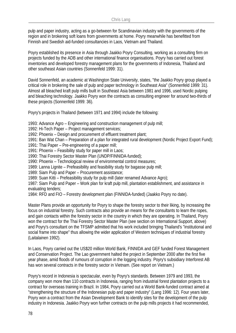pulp and paper industry, acting as a go-between for Scandinavian industry with the governments of the region and in brokering soft loans from governments at home. Poyry meanwhile has benefitted from Finnish and Swedish aid-funded consultancies in Laos, Vietnam and Thailand.

Poyry established its presence in Asia through Jaakko Poyry Consulting, working as a consulting firm on projects funded by the ADB and other international finance organisations. Poyry has carried out forest inventories and developed forestry management plans for the governments of Indonesia, Thailand and other southeast Asian countries (Sonnenfeld 1999: 31).

David Sonnenfeld, an academic at Washington State University, states, "the Jaakko Poyry group played a critical role in brokering the sale of pulp and paper technology in Southeast Asia" (Sonnenfeld 1999: 31). Almost all bleached kraft pulp mills built in Southeast Asia between 1981 and 1996, used Nordic pulping and bleaching technology. Jaakko Poyry won the contracts as consulting engineer for around two-thirds of these projects (Sonnenfeld 1999: 36).

Poyry's projects in Thailand (between 1971 and 1994) include the following:

1993: Advance Agro – Engineering and construction management of pulp mill;

1992: Hi-Tech Paper – Project management services;

1992: Phoenix – Design and procurement of effluent treatment plant;

1991: Ban Wat Chan – Preparation of a plan for integrated rural development (Nordic Project Export Fund);

1991: Thai Paper – Pre-engineering of a paper mill;

1991: Phoenix – Feasibility study for paper mill in Laos;

1990: Thai Forestry Sector Master Plan (UNDP/FINNIDA-funded);

1990: Phoenix – Technological review of environmental control measures;

1989: Lanna Lignite – Prefeasibility and feasibility study for bagasse pulp mill;

1989: Siam Pulp and Paper – Procurement assistance;

1989: Suan Kitti – Prefeasibility study for pulp mill (later renamed Advance Agro);

1987: Siam Pulp and Paper – Work plan for kraft pulp mill, plantation establishment, and assistance in evaluating tenders;

1984: RFD and FIO – Forestry development plan (FINNIDA-funded) (Jaakko Poyry no date).

Master Plans provide an opportunity for Poyry to shape the forestry sector to their liking, by increasing the focus on industrial forestry. Such contracts also provide an means for the consultants to learn the ropes, and gain contacts within the forestry sector in the country in which they are operating. In Thailand, Poyry won the contract for the Thai Forestry Sector Master Plan (see section on International Support, above) and Poyry's consultant on the TFSMP admitted that his work included bringing Thailand's "institutional and social frame into shape" thus allowing the wider application of Western techniques of industrial forestry (Laitalainen 1992).

In Laos, Poyry carried out the US\$20 million World Bank, FINNIDA and GEF funded Forest Management and Conservation Project. The Lao government halted the project in September 2000 after the first five year phase, amid floods of rumours of corruption in the logging industry. Poyry's subsidiary Interforest AB has won several contracts in the forestry sector in Vietnam. (See report on Vietnam.)

Poyry's record in Indonesia is spectacular, even by Poyry's standards. Between 1979 and 1993, the company won more than 110 contracts in Indonesia, ranging from industrial forest plantation projects to a contract for overseas training in Brazil. In 1984, Poyry carried out a World Bank-funded contract aimed at "strengthening the structure of the Indonesian pulp and paper industry" (Lang 1996: 12). Four years later, Poyry won a contract from the Asian Development Bank to identify sites for the development of the pulp industry in Indonesia. Jaakko Poyry won further contracts on the pulp mills projects it had recommended,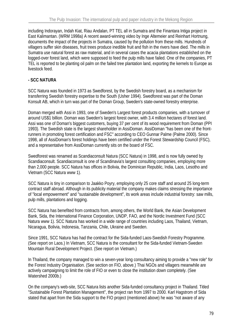including Indorayan, Indah Kiat, Riau Andalan, PT TEL all in Sumatra and the Finantara Intiga project in East Kalimantan. (WRM 1998a) A recent award-winning video by Inge Altemeier and Reinhart Hortnung, documents the impact of the projects in Sumatra, caused by the pollution from these mills. Hundreds of villagers suffer skin diseases, fruit trees produce inedible fruit and fish in the rivers have died. The mills in Sumatra use natural forest as raw material, and in several cases the acacia plantations established on the logged-over forest land, which were supposed to feed the pulp mills have failed. One of the companies, PT TEL is reported to be planting oil palm on the failed tree plantation land, exporting the kernels to Europe as livestock feed.

# **- SCC NATURA**

SCC Natura was founded in 1973 as Swedforest, by the Swedish forestry board, as a mechanism for transferring Swedish forestry expertise to the South (Usher 1994). Swedforest was part of the Doman Konsult AB, which in turn was part of the Doman Group, Sweden's state-owned forestry enterprise.

Doman merged with Assi in 1993, one of Sweden's Largest forest products companies, with a turnover of around US\$1 billion. Doman was Sweden's largest forest owner, with 3.4 million hectares of forest land. Assi was one of Doman's biggest customers, buying 37 per cent of its wood requirement from Doman (PPI 1993). The Swedish state is the largest shareholder in AssiDoman. AssiDoman "has been one of the frontrunners in promoting forest certification and FSC" according to CEO Gunnar Palme (Palme 2000). Since 1998, all of AssiDoman's forest holdings have been certified under the Forest Stewardship Council (FSC), and a representative from AssiDoman currently sits on the board of FSC.

Swedforest was renamed as Scandiaconsult Natura (SCC Natura) in 1998, and is now fully owned by Scandiaconsult. Scandiaconsult is one of Scandinavia's largest consulting companies, employing more than 2,000 people. SCC Natura has offices in Bolivia, the Dominican Republic, India, Laos, Lesotho and Vietnam (SCC Natura www 1).

SCC Natura is tiny in comparison to Jaakko Poyry, employing only 25 core staff and around 25 long-term contract staff abroad. Although in its publicity material the company makes claims stressing the importance of "local empowerment" and "sustainable development", its work areas include industrial forestry: saw mills, pulp mills, plantations and logging.

SCC Natura has benefited from contracts from, among others, the World Bank, the Asian Development Bank, Sida, the International Finance Corporation, UNDP, FAO, and the Nordic Investment Fund (SCC Natura www 1). SCC Natura has worked in a wide range of countries including Laos, Thailand, Vietnam, Nicaragua, Bolivia, Indonesia, Tanzania, Chile, Ukraine and Sweden.

Since 1991, SCC Natura has had the contract for the Sida-funded Laos-Swedish Forestry Programme. (See report on Laos.) In Vietnam, SCC Natura is the consultant for the Sida-funded Vietnam-Sweden Mountain Rural Development Project. (See report on Vietnam.)

In Thailand, the company managed to win a seven-year long consultancy aiming to provide a "new role" for the Forest Industry Organisation. (See section on FIO, above.) Thai NGOs and villagers meanwhile are actively campaigning to limit the role of FIO or even to close the institution down completely. (See Watershed 2000b.)

On the company's web-site, SCC Natura lists another Sida-funded consultancy project in Thailand. Titled "Sustainable Forest Plantation Management", the project ran from 1997 to 2000. Karl Hagstrom of Sida stated that apart from the Sida support to the FIO project (mentioned above) he was "not aware of any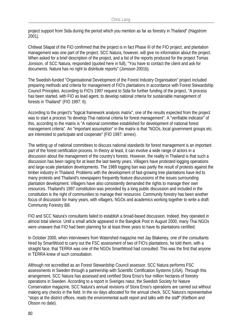project support from Sida during the period which you mention as far as forestry in Thailand" (Hagstrom 2001).

Chitiwat Silapat of the FIO confirmed that the project is in fact Phase III of the FIO project, and plantation management was one part of the project. SCC Natura, however, will give no information about the project. When asked for a brief description of the project, and a list of the reports produced for the project Tomas Jonsson, of SCC Natura, responded (quoted here in full), "You have to contact the client and ask for documents. Natura has no right to distribute reports" (Jonsson 2001b).

The Swedish-funded "Organisational Development of the Forest Industry Organisation" project included preparing methods and criteria for management of FIO's plantations in accordance with Forest Stewardship Council Principles. According to FIO's 1997 request to Sida for further funding of the project, "A process has been started, with FIO as lead agent, to develop national criteria for sustainable management of forests in Thailand" (FIO 1997: 6).

According to the project's "logical framework analysis matrix", one of the results expected from the project was to start a process "to develop Thai national criteria for forest management". A "verifiable indicator" of this, according to the matrix is "A national committee established for development of national forest management criteria". An "important assumption" in the matrix is that "NGOs, local government groups etc. are interested to participate and cooperate" (FIO 1997: annex).

The setting up of national committees to discuss national standards for forest management is an important part of the forest certification process. In theory at least, it can involve a wide range of actors in a discussion about the management of the country's forests. However, the reality in Thailand is that such a discussion has been raging for at least the last twenty years. Villagers have protested logging operations and large-scale plantation developments. The 1989 logging ban was partly the result of protests against the timber industry in Thailand. Problems with the development of fast-growing tree plantations have led to many protests and Thailand's newspapers frequently feature discussions of the issues surrounding plantation development. Villagers have also consistently demanded the rights to manage their own resources. Thailand's 1997 constitution was preceded by a long public discussion and included in the constitution is the right of communities to manage their resources. Community forestry has been another focus of discussion for many years, with villagers, NGOs and academics working together to write a draft Community Forestry Bill.

FIO and SCC Natura's consultants failed to establish a broad-based discussion. Indeed, they operated in almost total silence. Until a small article appeared in the Bangkok Post in August 2000, many Thai NGOs were unaware that FIO had been planning for at least three years to have its plantations certified.

In October 2000, when interviewers from Watershed magazine met Jay Blakeney, one of the consultants hired by SmartWood to carry out the FSC assessment of two of FIO's plantations, he told them, with a straight face, that TERRA was one of the NGOs SmartWood had consulted. This was the first that anyone in TERRA knew of such consultation.

Although not accredited as an Forest Stewardship Council assessor, SCC Natura performs FSC assessments in Sweden through a partnership with Scientific Certification Systems (USA). Through this arrangement, SCC Natura has assessed and certified Stora Enso's four million hectares of forestry operations in Sweden. According to a report in Sveriges natur, the Swedish Society for Nature Conservation magazine, SCC Natura's annual revisions of Stora Enso's operations are carried out without making any checks in the field. In the six days allocated for the annual check, SCC Natura's representative "stops at the district offices, reads the environmental audit report and talks with the staff" (Klefbom and Olsson no date).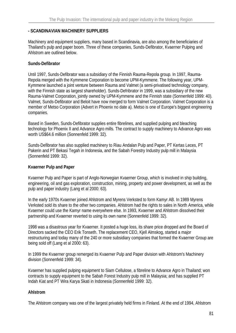## **- SCANDINAVIAN MACHINERY SUPPLIERS**

Machinery and equipment suppliers, many based in Scandinavia, are also among the beneficiaries of Thailand's pulp and paper boom. Three of these companies, Sunds-Defibrator, Kvaerner Pulping and Ahlstrom are outlined below.

## **Sunds-Defibrator**

Until 1997, Sunds-Defibrator was a subsidiary of the Finnish Rauma-Repola group. In 1997, Rauma-Repola merged with the Kymmene Corporation to become UPM-Kymmene. The following year, UPM-Kymmene launched a joint venture between Rauma and Valmet (a semi-privatised technology company, with the Finnish state as largest shareholder). Sunds-Defribrator in 1999, was a subsidiary of the new Rauma-Valmet Corporation, jointly owned by UPM-Kymmene and the Finnish state (Sonnenfeld 1999: 40). Valmet, Sunds-Defibrator and Beloit have now merged to form Valmet Corporation. Valmet Corporation is a member of Metso Corporation (Advert in Phoenix no date a). Metso is one of Europe's biggest engineering companies.

Based in Sweden, Sunds-Defibrator supplies entire fibrelines, and supplied pulping and bleaching technology for Phoenix II and Advance Agro mills. The contract to supply machinery to Advance Agro was worth US\$64.6 million (Sonnenfeld 1999: 32).

Sunds-Defibrator has also supplied machinery to Riau Andalan Pulp and Paper, PT Kertas Leces, PT Pakerin and PT Bekasi Tegah in Indonesia, and the Sabah Forestry Industry pulp mill in Malaysia (Sonnenfeld 1999: 32).

#### **Kvaerner Pulp and Paper**

Kvaerner Pulp and Paper is part of Anglo-Norwegian Kvaerner Group, which is involved in ship building, engineering, oil and gas exploration, construction, mining, property and power development, as well as the pulp and paper industry (Lang et al 2000: 63).

In the early 1970s Kvaerner joined Ahlstrom and Myrens Verksted to form Kamyr AB. In 1989 Myrens Verksted sold its share to the other two companies. Ahlstrom had the rights to sales in North America, while Kvaerner could use the Kamyr name everywhere else. In 1993, Kvaerner and Ahlstrom dissolved their partnership and Kvaerner reverted to using its own name (Sonnenfeld 1999: 32).

1998 was a disastrous year for Kvaerner. It posted a huge loss, its share price dropped and the Board of Directors sacked the CEO Erik Tonseth. The replacement CEO, Kjell Almskog, started a major restructuring and today many of the 240 or more subsidiary companies that formed the Kvaerner Group are being sold off (Lang et al 2000: 63).

In 1999 the Kvaerner group remerged its Kvaerner Pulp and Paper division with Ahlstrom's Machinery division (Sonnenfeld 1999: 34).

Kvaerner has supplied pulping equipment to Siam Cellulose, a fibreline to Advance Agro in Thailand; won contracts to supply equipment to the Sabah Forest Industry pulp mill in Malaysia; and has supplied PT Indah Kiat and PT Wira Karya Skati in Indonesia (Sonnenfeld 1999: 32).

## **Ahlstrom**

The Ahlstrom company was one of the largest privately held firms in Finland. At the end of 1994, Ahlstrom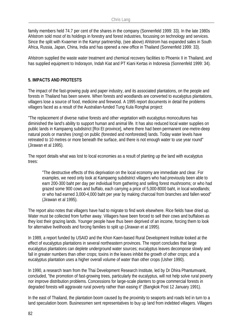family members held 74.7 per cent of the shares in the company (Sonnenfeld 1999: 33). In the late 1980s Ahlstrom sold most of its holdings in forestry and forest industries, focussing on technology and services. Since the split with Kvaerner in the Kamyr partnership, (see above) Ahlstrom has expanded sales in South Africa, Russia, Japan, China, India and has opened a new office in Thailand (Sonnenfeld 1999: 33).

Ahlstrom supplied the waste water treatment and chemical recovery facilities to Phoenix II in Thailand, and has supplied equipment to Indorayon, Indah Kiat and PT Kiani Kertas in Indonesia (Sonnenfeld 1999: 34).

#### **5. IMPACTS AND PROTESTS**

The impact of the fast-growing pulp and paper industry, and its associated plantations, on the people and forests in Thailand has been severe. When forests and woodlands are converted to eucalyptus plantations, villagers lose a source of food, medicine and firewood. A 1995 report documents in detail the problems villagers faced as a result of the Australian-funded Tung Kula Ronghai project:

"The replacement of diverse native forests and other vegetation with eucalyptus monocultures has diminished the land's ability to support human and animal life. It has also reduced local water supplies on public lands in Kampaeng subdistrict [Roi Et province], where there had been permanent one-metre-deep natural pools or marshes (*nong*) on public (forested and nonforested) lands. Today water levels have retreated to 10 metres or more beneath the surface, and there is not enough water to use year round" (Jirawan et al 1995).

The report details what was lost to local economies as a result of planting up the land with eucalyptus trees:

"The destructive effects of this deprivation on the local economy are immediate and clear. For examples, we need only look at Kampaeng subdistrict villagers who had previously been able to earn 200-300 baht per day per individual from gathering and selling forest mushrooms; or who had grazed some 900 cows and buffalo, each carrying a price of 5,000-8000 baht, in local woodlands; or who had earned 3,000-4,000 baht per year by making charcoal from branches and fallen wood" (Jirawan et al 1995).

The report also notes that villagers have had to migrate to find work elsewhere. Rice fields have dried up. Water must be collected from further away. Villagers have been forced to sell their cows and buffaloes as they lost their grazing lands. Younger people have thus been deprived of an income, forcing them to look for alternative livelihoods and forcing families to split up (Jirawan et al 1995).

In 1989, a report funded by USAID and the Khon Kaen-based Rural Development Institute looked at the effect of eucalyptus plantations in several northeastern provinces. The report concludes that large eucalyptus plantations can deplete underground water sources; eucalyptus leaves decompose slowly and fall in greater numbers than other crops; toxins in the leaves inhibit the growth of other crops; and a eucalyptus plantation uses a higher overall volume of water than other crops (Usher 1990).

In 1990, a research team from the Thai Development Research Institute, led by Dr Dhira Phantumvanit, concluded, "the promotion of fast-growing trees, particularly the eucalyptus, will not help solve rural poverty nor improve distribution problems. Concessions for large-scale planters to grow commercial forests in degraded forests will aggravate rural poverty rather than easing it" (Bangkok Post 12 January 1991).

In the east of Thailand, the plantation boom caused by the proximity to seaports and roads led in turn to a land speculation boom. Businessmen sent representatives to buy up land from indebted villagers. Villagers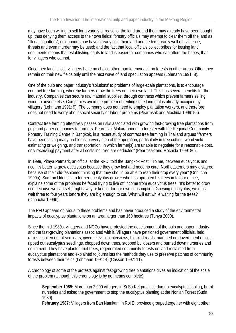may have been willing to sell for a variety of reasons: the land around them may already have been bought up, thus denying them access to their own fields; forestry officials may attempt to clear them off the land as "illegal squatters"; neighbours may have already sold their land and be temporarily well off; violence, threats and even murder may be used; and the fact that local officials collect bribes for issuing land documents means that establishing rights to land is easier for companies who can afford the bribes, than for villagers who cannot.

Once their land is lost, villagers have no choice other than to encroach on forests in other areas. Often they remain on their new fields only until the next wave of land speculation appears (Lohmann 1991: 8).

One of the pulp and paper industry's 'solutions' to problems of large-scale plantations, is to encourage contract tree farming, whereby farmers grow the trees on their own land. This has several benefits for the industry. Companies can secure raw material supplies, through contracts which prevent farmers selling wood to anyone else. Companies avoid the problem of renting state land that is already occupied by villagers (Lohmann 1991: 9). The company does not need to employ plantation workers, and therefore does not need to worry about social security or labour problems (Pearmsak and Mochida 1999: 55).

Contract tree farming effectively passes on risks associated with growing fast-growing tree plantations from pulp and paper companies to farmers. Pearmsak Makarabhirom, a forester with the Regional Community Forestry Training Centre in Bangkok, in a recent study of contract tree farming in Thailand argues "farmers have been facing many problems in every step of the operation, particularly in tree cutting, wood yield estimating or weighing, and transportation, in which farmer[s] are unable to negotiate for a reasonable cost, only receiv[ing] payment after all costs incurred are deducted" (Pearmsak and Mochida 1999: 86).

In 1999, Pitaya Petmark, an official at the RFD, told the Bangkok Post, "To me, between eucalyptus and rice, it's better to grow eucalyptus because they grow fast and need no care. Northeasterners may disagree because of their old-fashioned thinking that they should be able to reap their crop every year" (Onnucha 1999a). Samran Udonsak, a former eucalyptus grower who has uprooted his trees in favour of rice, explains some of the problems he faced trying to live off income from eucalyptus trees, "It's better to grow rice because we can sell it right away or keep it for our own consumption. Growing eucalyptus, we must wait three to four years before they are big enough to cut. What will eat while waiting for the trees?" (Onnucha 1999b).

The RFD appears oblivious to these problems and has never produced a study of the environmental impacts of eucalyptus plantations on an area larger than 160 hectares (Tunya 2000).

Since the mid-1980s, villagers and NGOs have protested the development of the pulp and paper industry and the fast-growing plantations associated with it. Villagers have petitioned government officials, held rallies, spoken out at seminars, given television interviews, blocked roads, marched on government offices, ripped out eucalyptus seedlings, chopped down trees, stopped bulldozers and burned down nurseries and equipment. They have planted fruit trees, regenerated community forests on land reclaimed from eucalyptus plantations and explained to journalists the methods they use to preserve patches of community forests between their fields (Lohmann 1991: 4) (Casson 1997: 11).

A chronology of some of the protests against fast-growing tree plantations gives an indication of the scale of the problem (although this chronology is by no means complete):

**September 1985:** More than 2,000 villagers in Si Sa Ket province dug up eucalyptus sapling, burnt nurseries and asked the government to stop the eucalyptus planting at the Nonlan Forest (Suda 1989).

**February 1987:** Villagers from Ban Namkam in Roi Et province grouped together with eight other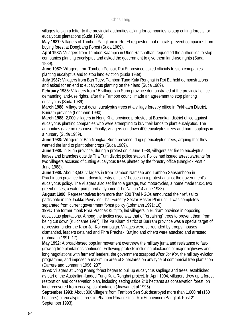villages to sign a letter to the provincial authorities asking for companies to stop cutting forests for eucalyptus plantations (Suda 1989).

**May 1987:** Villagers of Tambon Yangkam in Roi Et requested that officials prevent companies from buying forest at Dongbang Forest (Suda 1989).

**April 1987:** Villagers from Tambon Kaampia in Ubon Ratchathani requested the authorities to stop companies planting eucalyptus and asked the government to give them land-use rights (Suda 1989).

**June 1987:** Villagers from Tombon Ponsai, Roi Et province asked officials to stop companies planting eucalyptus and to stop land eviction (Suda 1989).

**July 1987:** Villagers from Ban Tuey, Tambon Tung Kula Ronghai in Roi Et, held demonstrations and asked for an end to eucalyptus planting on their land (Suda 1989).

**February 1988:** Villagers from 15 villagers in Surin province demonstrated at the provincial office demanding land-use rights, after the Tambon council made an agreement to stop planting eucalyptus (Suda 1989).

**March 1988:** Villagers cut down eucalyptus trees at a village forestry office in Pakhaam District, Buriram province (Lohmann 1990).

**March 1988:** 2,000 villagers in Nong Khai province protested at Buengkan district office against eucalyptus planting companies who were attempting to buy their lands to plant eucalyptus. The authorities gave no response. Finally, villagers cut down 400 eucalyptus trees and burnt saplings in a nursery (Suda 1989).

**June 1988:** Villagers of Ban Nongka, Surin province, dug up eucalyptus trees, arguing that they wanted the land to plant other crops (Suda 1989).

**June 1988:** In Surin province, during a protest on 2 June 1988, villagers set fire to eucalyptus leaves and branches outside Tha Tum district police station. Police had issued arrest warrants for two villagers accused of cutting eucalyptus trees planted by the forestry office (Bangkok Post 4 June 1988).

**June 1988:** About 3,500 villagers in from Tambon Namsab and Tambon Sabsomboon in Prachinburi province burnt down forestry officials' houses in a protest against the government's eucalyptus policy. The villagers also set fire to a garage, two motorcycles, a home made truck, two greenhouses, a water pump and a dynamo (The Nation 14 June 1988).

**August 1990:** Representatives from more than 200 Thai NGOs announced their refusal to participate in the Jaakko Poyry led-Thai Forestry Sector Master Plan until it was completely separated from current government forest policy (Lohmann 1991: 16).

**1991:** The former monk Phra Prachak Kuttjitto, led villagers in Buriram province in opposing eucalyptus plantations. Among the tactics used was that of "ordaining" trees to prevent them from being cut down (Kulcharee 1997). The Pa Kham district of Buriram province was a special target of repression under the Khor Jor Kor campaign. Villages were surrounded by troops, houses dismantled, leaders detained and Phra Prachak Kuttjitto and others were attacked and arrested (Lohmann 1991: 17).

**May 1992:** A broad-based popular movement overthrew the military junta and resistance to fastgrowing tree plantations continued. Following protests including blockades of major highways and long negotiations with farmers' leaders, the government scrapped *Khor Jor Kor*, the military eviction programme, and imposed a maximum area of 8 hectares on any type of commercial tree plantation (Carrere and Lohmann 1996: 237).

**1993:** Villagers at Dong Kheng forest began to pull up eucalyptus saplings and trees, established as part of the Australian-funded Tung Kula Ronghai project. In April 1994, villagers drew up a forest restoration and conservation plan, including setting aside 240 hectares as conservation forest, on land recovered from eucalyptus plantation (Jirawan et al 1995).

**September 1993:** About 300 villagers from Tambon Sen Suk destroyed more than 1,000 rai (160 hectares) of eucalyptus trees in Phanom Phrai district, Roi Et province (Bangkok Post 21 September 1993).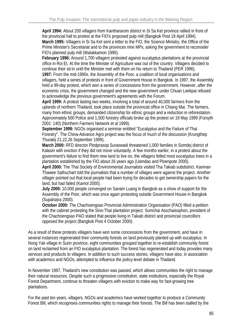**April 1994:** About 200 villagers from Kanthararom district in Si Sa Ket province rallied in front of the provincial hall to protest at the FIO's proposed pulp mill (Bangkok Post 19 April 1994). **March 1995:** Villagers in Si Sa Ket sent a letter to the FIO, the Science Ministry, the Office of the Prime Minister's Secretariat and to the provinces nine MPs, asking the government to reconsider FIO's planned pulp mill (Walakkamon 1995).

**February 1996:** Around 1,700 villagers protested against eucalyptus plantations at the provincial office in Roi Et. At the time the Minister of Agriculture was out of the country. Villagers decided to continue their sit-in until the Minister met with them on his return to Thailand (PER 1996).

**1997:** From the mid-1990s, the Assembly of the Poor, a coalition of local organisations and villagers, held a series of protests in front of Government House in Bangkok. In 1997, the Assembly held a 99-day protest, which won a series of concessions from the government. However, after the economic crisis, the government changed and the new government under Chuan Leekpai refused to acknowledge the previous government's agreements with the Forum.

**April 1999:** A protest lasting two weeks, involving a total of around 40,000 farmers from the uplands of northern Thailand, took place outside the provincial office in Chiang Mai. The farmers, many from ethnic groups, demanded citizenship for ethnic groups and a reduction in reforestation. Approximately 500 Police and 1,500 forestry officials broke up the protest on 19 May 1999 (Forsyth 2001: 140) (Northern Farmers Network et al 1999).

**September 1999:** NGOs organised a seminar entitled "Eucalyptus and the Failure of Thai Forestry". The China-Advance Agro project was the focus of much of the discussion (Krungthep Thurakij 21,22,26 September 1999).

**March 2000:** RFD director Plodprasop Suraswadi threatened 1,000 families in Somdej district of Kalasin with eviction if they did not move voluntarily. A few months earlier, in a protest about the government's failure to find them new land to live on, the villagers felled most eucalyptus trees in a plantation established by the FIO about 26 years ago (Uamdao and Ploenpote 2000).

**April 2000:** The Thai Society of Environmental Journalists visited Tha Takiab subdistrict. Kamnan Thawee Sathuchart told the journalists that a number of villages were against the project. Another villager pointed out that local people had been trying for decades to get ownership papers for the land, but had failed (Kamol 2000).

**July 2000:** 10,000 people converged on Sanam Luang in Bangkok as a show of support for the Assembly of the Poor, which was once again protesting outside Government House in Bangkok (Supahatra 2000).

**October 2000:** The Chachoengsao Provincial Administration Organisation (PAO) filled a petition with the cabinet protesting the Sino-Thai plantation project. Somchai Asschaisophon, president of the Chachoengsao PAO stated that people living in Takiab district and provincial councillors opposed the project (Bangkok Post 4 October 2000).

As a result of these protests villagers have won some concessions from the government, and have in several instances regenerated their community forests on land previously planted up with eucalyptus. In Nong Yak village in Surin province, eight communities grouped together to re-establish community forest on land reclaimed from an FIO eucalyptus plantation. The forest has regenerated and today provides many services and products to villagers. In addition to such success stories, villagers have also, in association with academics and NGOs, attempted to influence the policy-level debate in Thailand.

In November 1997, Thailand's new constitution was passed, which allows communities the right to manage their natural resources. Despite such a progressive constitution, state institutions, especially the Royal Forest Department, continue to threaten villagers with eviction to make way for fast-growing tree plantations.

For the past ten years, villagers, NGOs and academics have worked together to produce a Community Forest Bill, which recognises communities rights to manage their forests. The Bill has been stalled by the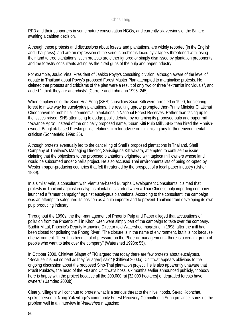RFD and their supporters in some nature conservation NGOs, and currently six versions of the Bill are awaiting a cabinet decision.

Although these protests and discussions about forests and plantations, are widely reported (in the English and Thai press), and are an expression of the serious problems faced by villagers threatened with losing their land to tree plantations, such protests are either ignored or simply dismissed by plantation proponents, and the forestry consultants acting as the hired guns of the pulp and paper industry.

For example, Jouko Virta, President of Jaakko Poyry's consulting division, although aware of the level of debate in Thailand about Poyry's proposed Forest Master Plan attempted to marginalise protests. He claimed that protests and criticisms of the plan were a result of only two or three "extremist individuals", and added "I think they are anarchists" (Carrere and Lohmann 1996: 245).

When employees of the Soon Hua Seng (SHS) subsidiary Suan Kitti were arrested in 1990, for clearing forest to make way for eucalyptus plantations, the resulting uproar prompted then-Prime Minister Chatichai Choonhaven to prohibit all commercial plantations in National Forest Reserves. Rather than facing up to the issues raised, SHS attempting to dodge public debate, by renaming its proposed pulp and paper mill "Advance Agro", instead of the originally proposed name, "Suan Kitti Pulp Mill". SHS then hired the Finnishowned, Bangkok-based Presko public relations firm for advice on minimising any further environmental criticism (Sonnenfeld 1999: 35).

Although protests eventually led to the cancelling of Shell's proposed plantations in Thailand, Shell Company of Thailand's Managing Director, Sarisdiguna Kittiyakara, attempted to confuse the issue, claiming that the objections to the proposed plantations originated with tapioca mill owners whose land would be subsumed under Shell's project. He also accused Thai environmentalists of being co-opted by Western paper-producing countries that felt threatened by the prospect of a local paper industry (Usher 1989).

In a similar vein, a consultant with Vientiane-based Burapha Development Consultants, claimed that protests in Thailand against eucalyptus plantations started when a Thai-Chinese pulp importing company launched a "smear campaign" against eucalyptus plantations. According to the consultant, the campaign was an attempt to safeguard its position as a pulp importer and to prevent Thailand from developing its own pulp producing industry.

Throughout the 1990s, the then-management of Phoenix Pulp and Paper alleged that accusations of pollution from the Phoenix mill in Khon Kaen were simply part of the campaign to take over the company. Sudhir Mittal, Phoenix's Deputy Managing Director told Watershed magazine in 1998, after the mill had been closed for polluting the Phong River, "The closure is in the name of environment, but it is not because of environment. There has been a lot of pressure on the Phoenix management – there is a certain group of people who want to take over the company" (Watershed 1998b: 55).

In October 2000, Chittiwat Silapat of FIO argued that today there are few protests about eucalyptus, "Because it is not so bad as they [villagers] said" (Chittiwat 2000a). Chittiwat appears oblivious to the ongoing discussion about the proposed Sino-Thai plantation project. He is also apparently unaware that Prasit Puaktow, the head of the FIO and Chittiwat's boss, six months earlier announced publicly, "nobody here is happy with the project because all the 200,000 rai [32,000 hectares] of degraded forests have owners" (Uamdao 2000b).

Clearly, villagers will continue to protest what is a serious threat to their livelihoods. Sa-ad Koonchat, spokesperson of Nong Yak village's community Forest Recovery Committee in Surin province, sums up the problem well in an interview in *Watershed* magazine: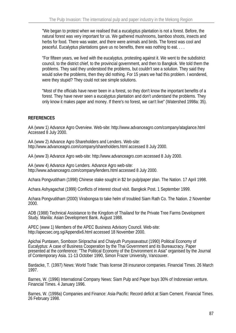"We began to protest when we realised that a eucalyptus plantation is not a forest. Before, the natural forest was very important for us. We gathered mushrooms, bamboo shoots, insects and herbs for food. There was water, and there were animals and birds. The forest was cool and peaceful. Eucalyptus plantations gave us no benefits, there was nothing to eat. . . .

"For fifteen years, we lived with the eucalyptus, protesting against it. We went to the subdistrict council, to the district chief, to the provincial government, and then to Bangkok. We told them the problems. They said they understood the problems, but couldn't see a solution. They said they would solve the problems, then they did nothing. For 15 years we had this problem. I wondered, were they stupid? They could not see simple solutions.

"Most of the officials have never been in a forest, so they don't know the important benefits of a forest. They have never seen a eucalyptus plantation and don't understand the problems. They only know it makes paper and money. If there's no forest, we can't live" (Watershed 1998a: 35).

# **REFERENCES**

AA (www 1) Advance Agro Overview. Web-site: http://www.advanceagro.com/company/ataglance.html Accessed 8 July 2000.

AA (www 2) Advance Agro Shareholders and Lenders. Web-site: http://www.advanceagro.com/company/shareholders.html accessed 8 July 2000.

AA (www 3) Advance Agro web-site: http://www.advanceagro.com accessed 8 July 2000.

AA (www 4) Advance Agro Lenders. Advance Agro web-site: http://www.advanceagro.com/company/lenders.html accessed 8 July 2000.

Achara Pongvutitham (1998) Chinese stake sought in \$2 bn pulp/paper plan. The Nation. 17 April 1998.

Achara Ashyagachat (1999) Conflicts of interest cloud visit. Bangkok Post. 1 September 1999.

Achara Pongvutitham (2000) Virabongsa to take helm of troubled Siam Rath Co. The Nation. 2 November 2000.

ADB (1988) Technical Assistance to the Kingdom of Thailand for the Private Tree Farms Development Study. Manila: Asian Development Bank. August 1988.

APEC (www 1) Members of the APEC Business Advisory Council. Web-site: http://apecsec.org.sg/Appendix6.html accessed 18 November 2000.

Apichai Puntasen, Somboon Siriprachai and Chaiyuth Punyasavatsut (1990) Political Economy of Eucalyptus: A case of Business Cooperation by the Thai Government and its Bureaucracy. Paper presented at the conference: "The Political Economy of the Environment in Asia" organised by the Journal of Contemporary Asia. 11-13 October 1990, Simon Frazer University, Vancouver.

Bardacke, T. (1997) News: World Trade: Thais license 28 insurance companies. Financial Times. 26 March 1997.

Barnes, W. (1996) International Company News: Siam Pulp and Paper buys 30% of Indonesian venture. Financial Times. 4 January 1996.

Barnes, W. (1998a) Companies and Finance: Asia-Pacific: Record deficit at Siam Cement. Financial Times. 26 February 1998.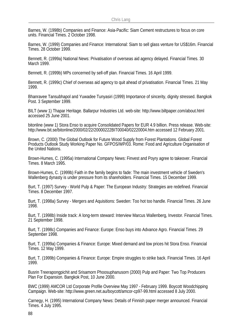Barnes, W. (1998b) Companies and Finance: Asia-Pacific: Siam Cement restructures to focus on core units. Financial Times. 2 October 1998.

Barnes, W. (1999) Companies and Finance: International: Siam to sell glass venture for US\$16m. Financial Times. 28 October 1999.

Bennett, R. (1999a) National News: Privatisation of overseas aid agency delayed. Financial Times. 30 March 1999

Bennett, R. (1999b) MPs concerned by sell-off plan. Financial Times. 16 April 1999.

Bennett, R. (1999c) Chief of overseas aid agency to quit ahead of privatisation. Financial Times. 21 May 1999.

Bhanravee Tansubhapol and Yuwadee Tunyasiri (1999) Importance of sincerity, dignity stressed. Bangkok Post. 3 September 1999.

BILT (www 1) Thapar Heritage. Ballarpur Industries Ltd. web-site: http://www.biltpaper.com/about.html accessed 25 June 2001.

bitonline (www 1) Stora Enso to acquire Consolidated Papers for EUR 4.9 billion. Press release. Web-site: http://www.bit.se/bitonline/2000/02/22/20000222BIT00040/02220004.htm accessed 12 February 2001.

Brown, C. (2000) The Global Outlook for Future Wood Supply from Forest Plantations. Global Forest Products Outlook Study Working Paper No. GFPOS/WP/03. Rome: Food and Agriculture Organisation of the United Nations.

Brown-Humes, C. (1995a) International Company News: Finvest and Poyry agree to takeover. Financial Times. 8 March 1995.

Brown-Humes, C. (1999b) Faith in the family begins to fade: The main investment vehicle of Sweden's Wallenberg dynasty is under pressure from its shareholders. Financial Times. 15 December 1999.

Burt, T. (1997) Survey - World Pulp & Paper: The European Industry: Strategies are redefined. Financial Times. 8 December 1997.

Burt, T. (1998a) Survey - Mergers and Aquisitions: Sweden: Too hot too handle. Financial Times. 26 June 1998.

Burt, T. (1998b) Inside track: A long-term steward: Interview Marcus Wallenberg, Investor. Financial Times. 21 September 1998.

Burt, T. (1998c) Companies and Finance: Europe: Enso buys into Advance Agro. Financial Times. 29 September 1998.

Burt, T. (1999a) Companies & Finance: Europe: Mixed demand and low prices hit Stora Enso. Financial Times. 12 May 1999.

Burt, T. (1999b) Companies & Finance: Europe: Empire struggles to strike back. Financial Times. 16 April 1999.

Busrin Treerapongpichit and Srisamorn Phoosuphanusorn (2000) Pulp and Paper: Two Top Producers Plan For Expansion. Bangkok Post, 10 June 2000.

BWC (1999) AMCOR Ltd Corporate Profile Overview May 1997 - February 1999. Boycott Woodchipping Campaign. Web-site: http://www.green.net.au/boycott/amcor-cp97-99.html accessed 8 July 2000.

Carnegy, H. (1995) International Company News: Details of Finnish paper merger announced. Financial Times. 4 July 1995.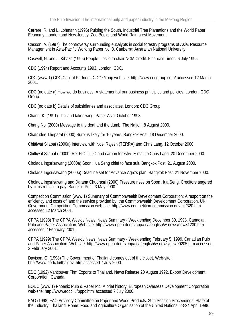Carrere, R. and L. Lohmann (1996) Pulping the South. Industrial Tree Plantations and the World Paper Economy. London and New Jersey: Zed Books and World Rainforest Movement.

Casson, A. (1997) The controversy surrounding eucalypts in social forestry programs of Asia. Resource Management in Asia-Pacific Working Paper No. 3. Canberra: Australian National University.

Caswell, N. and J. Kibazo (1995) People: Leslie to chair NCM Credit. Financial Times. 6 July 1995.

CDC (1994) Report and Accounts 1993. London: CDC.

CDC (www 1) CDC Capital Partners. CDC Group web-site: http://www.cdcgroup.com/ accessed 12 March 2001.

CDC (no date a) How we do business. A statement of our business principles and policies. London: CDC Group.

CDC (no date b) Details of subsidiaries and associates. London: CDC Group.

Chang, K. (1991) Thailand takes wing. Paper Asia. October 1993.

Chang Noi (2000) Message to the deaf and the dumb. The Nation. 8 August 2000.

Chatrudee Theparat (2000) Surplus likely for 10 years. Bangkok Post. 18 December 2000.

Chittiwat Silapat (2000a) Interview with Noel Rajesh (TERRA) and Chris Lang. 12 October 2000.

Chittiwat Silapat (2000b) Re: FIO, ITTO and carbon forestry. E-mail to Chris Lang. 20 December 2000.

Cholada Ingsrisawang (2000a) Soon Hua Seng chief to face suit. Bangkok Post. 21 August 2000.

Cholada Ingsrisawang (2000b) Deadline set for Advance Agro's plan. Bangkok Post. 21 November 2000.

Cholada Ingsrisawang and Darana Chudrasri (2000) Pressure rises on Soon Hua Seng, Creditors angered by firms refusal to pay. Bangkok Post. 3 May 2000.

Competition Commission (www 1) Summary of Commonwealth Development Corporation: A resport on the efficiency and costs of, and the service provided by, the Commonwealth Development Corporation. UK Government Competition Commission web-site: http://www.competition-commission.gov.uk/320.htm accessed 12 March 2001.

CPPA (1998) The CPPA Weekly News. News Summary - Week ending December 30, 1998. Canadian Pulp and Paper Association. Web-site: http://www.open.doors.cppa.ca/english/w-news/new81230.htm accessed 2 February 2001.

CPPA (1999) The CPPA Weekly News. News Summary - Week ending February 5, 1999. Canadian Pulp and Paper Association. Web-site: http://www.open.doors.cppa.ca/english/w-news/new90205.htm accessed 2 February 2001.

Davison, G. (1998) The Government of Thailand comes out of the closet. Web-site: http://www.eodc.lu/thaigovt.htm accessed 7 July 2000.

EDC (1992) Vancouver Firm Exports to Thailand. News Release 20 August 1992. Export Development Corporation, Canada.

EODC (www 1) Phoenix Pulp & Paper Plc. A brief history. European Overseas Development Corporation web-site: http://www.eodc.lu/pppc.html accessed 7 July 2000.

FAO (1998) FAO Advisory Committee on Paper and Wood Products. 39th Session Proceedings. State of the Industry: Thailand. Rome: Food and Agriculture Organisation of the United Nations. 23-24 April 1998.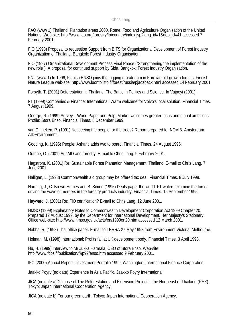FAO (www 1) Thailand: Plantation areas 2000. Rome: Food and Agriculture Organisation of the United Nations. Web-site: http://www.fao.org/forestry/fo/country/index.jsp?lang\_id=1&geo\_id=41 accessed 7 February 2001.

FIO (1993) Proposal to requestion Support from BITS for Organizational Development of Forest Industry Organization of Thailand. Bangkok: Forest Industry Organisation.

FIO (1997) Organizational Development Process Final Phase ("Strengthening the implementation of the new role"). A proposal for continued support by Sida. Bangkok: Forest Industry Organisation.

FNL (www 1) In 1996, Finnish ENSO joins the logging moratorium in Karelian old-growth forests. Finnish Nature League web-site: http://www.luontoliitto.fi/forest/russia/pjaozback.html accessed 14 February 2001.

Forsyth, T. (2001) Deforestation in Thailand: The Battle in Politics and Science. In Vajpeyi (2001).

FT (1999) Companies & Finance: International: Warm welcome for Volvo's local solution. Financial Times. 7 August 1999.

George, N. (1999) Survey – World Paper and Pulp: Market welcomes greater focus and global ambitions: Profile: Stora Enso. Financial Times. 8 December 1999.

van Ginneken, P. (1991) Not seeing the people for the trees? Report prepared for NOVIB. Amsterdam: AIDEnvironment.

Gooding, K. (1995) People: Ashanti adds two to board. Financial Times. 24 August 1995.

Guthrie, G. (2001) AusAID and forestry. E-mail to Chris Lang. 9 February 2001.

Hagstrom, K. (2001) Re: Sustainable Forest Plantation Management, Thailand. E-mail to Chris Lang. 7 June 2001.

Halligan, L. (1998) Commonwealth aid group may be offered tax deal. Financial Times. 8 July 1998.

Harding, J., C. Brown-Humes and B. Simon (1995) Deals paper the world: FT writers examine the forces driving the wave of mergers in the forestry products industry. Financial Times. 15 September 1995.

Hayward, J. (2001) Re: FIO certification? E-mail to Chris Lang. 12 June 2001.

HMSO (1999) Explanatory Notes to Commonwealth Development Corporation Act 1999 Chapter 20. Prepared 12 August 1999, by the Department for International Development. Her Majesty's Stationery Office web-site: http://www.hmso.gov.uk/acts/en/1999en20.htm accessed 12 March 2001.

Hobbs, R. (1998) Thai office paper. E-mail to TERRA 27 May 1998 from Environment Victoria, Melbourne.

Holman, M. (1998) International: Profits fall at UK development body. Financial Times. 3 April 1998.

Hu, H. (1999) Interview to Mr Jukka Harmala, CEO of Stora Enso. Web-site: http://www.fcbs.fi/publication/f&p99/enso.htm accessed 9 February 2001.

IFC (2000) Annual Report - Investment Portfolio 1999. Washington: International Finance Corporation.

Jaakko Poyry (no date) Experience in Asia Pacific. Jaakko Poyry International.

JICA (no date a) Glimpse of The Reforestation and Extension Project in the Northeast of Thailand (REX). Tokyo: Japan International Cooperation Agency.

JICA (no date b) For our green earth. Tokyo: Japan International Cooperation Agency.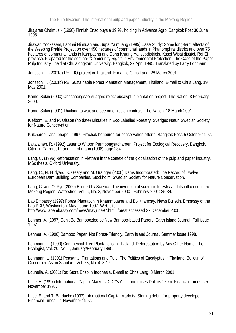Jirajaree Chaimusik (1998) Finnish Enso buys a 19.9% holding in Advance Agro. Bangkok Post 30 June 1998.

Jirawan Yookasem, Laothai Ninnuan and Supa Yaimuang (1995) Case Study: Some long-term effects of the Weeping Prairie Project on over 450 hectares of communal lands in Phanomphrai district and over 75 hectares of communal lands in Kampaeng and Dong Khrang Yai subdistricts, Kaset Wisai district, Roi Et province. Prepared for the seminar "Community Rights in Environmental Protection: The Case of the Paper Pulp Industry", held at Chulalongkorn University, Bangkok, 27 April 1995. Translated by Larry Lohmann.

Jonsson, T. (2001a) RE: FIO project in Thailand. E-mail to Chris Lang. 28 March 2001.

Jonsson, T. (2001b) RE: Sustainable Forest Plantation Management, Thailand. E-mail to Chris Lang. 19 May 2001.

Kamol Sukin (2000) Chachoengsao villagers reject eucalyptus plantation project. The Nation. 8 February 2000.

Kamol Sukin (2001) Thailand to wait and see on emission controls. The Nation. 18 March 2001.

Klefbom, E. and R. Olsson (no date) Mistakes in Eco-Labelled Forestry. Sveriges Natur. Swedish Society for Nature Conservation.

Kulcharee Tansubhapol (1997) Prachak honoured for conservation efforts. Bangkok Post. 5 October 1997.

Laitalainen, R. (1992) Letter to Witoon Permpongsacharoen, Project for Ecological Recovery, Bangkok. Cited in Carrere, R. and L. Lohmann (1996) page 234.

Lang, C. (1996) Reforestation in Vietnam in the context of the globalization of the pulp and paper industry. MSc thesis, Oxford University.

Lang, C., N. Hildyard, K. Geary and M. Grainger (2000) Dams Incorporated: The Record of Twelve European Dam Building Companies. Stockholm: Swedish Society for Nature Conservation.

Lang, C. and O. Pye (2000) Blinded by Science: The invention of scientific forestry and its influence in the Mekong Region. Watershed. Vol. 6, No. 2, November 2000 - February 2001: 25-34.

Lao Embassy (1997) Forest Plantation in Khammouane and Bolikhamxay. News Bulletin. Embassy of the Lao PDR, Washington, May - June 1997. Web-site: http://www.laoembassy.com/news/mayjune97.html#forest accessed 22 December 2000.

Lehmer, A. (1997) Don't Be Bamboozled by New Bamboo-based Papers. Earth Island Journal. Fall issue 1997.

Lehmer, A. (1998) Bamboo Paper: Not Forest-Friendly. Earth Island Journal. Summer issue 1998.

Lohmann, L. (1990) Commercial Tree Plantations in Thailand: Deforestation by Any Other Name, The Ecologist, Vol. 20, No. 1, January/February 1990.

Lohmann, L. (1991) Peasants, Plantations and Pulp: The Politics of Eucalyptus in Thailand. Bulletin of Concerned Asian Scholars. Vol. 23, No. 4: 3-17.

Lounella, A. (2001) Re: Stora Enso in Indonesia. E-mail to Chris Lang. 8 March 2001.

Luce, E. (1997) International Capital Markets: CDC's Asia fund raises Dollars 120m. Financial Times. 25 November 1997.

Luce, E. and T. Bardacke (1997) International Capital Markets: Sterling debut for property developer. Financial Times. 11 November 1997.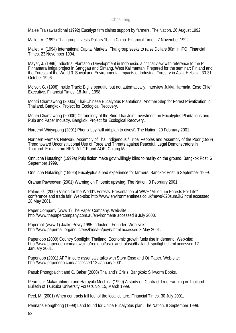Malee Traisawasdichai (1992) Eucalypt firm claims support by farmers. The Nation. 26 August 1992.

Mallet, V. (1992) Thai group invests Dollars 1bn in China. Financial Times. 7 November 1992.

Mallet, V. (1994) International Capital Markets: Thai group seeks to raise Dollars 80m in IPO. Financial Times. 23 November 1994.

Mayer, J. (1996) Industrial Plantation Development in Indonesia. a critical view with reference to the PT Finnantara Intiga project in Sanggau and Sintang, West Kalimantan. Prepared for the seminar: Finland and the Forests of the World 3: Social and Environmental Impacts of Industrial Forestry in Asia. Helsinki, 30-31 October 1996.

McIvor, G. (1998) Inside Track: Big is beautiful but not automatically: Interview Jukka Harmala, Enso Chief Executive. Financial Times. 18 June 1998.

Montri Chantawong (2000a) Thai-Chinese Eucalyptus Plantations; Another Step for Forest Privatization in Thailand. Bangkok: Project for Ecological Recovery.

Montri Chantawong (2000b) Chronology of the Sino-Thai Joint Investment on Eucalyptus Plantations and Pulp and Paper Industry. Bangkok: Project for Ecological Recovery.

Nareerat Wiriyapong (2001) Phonix buy 'will aid plan to divest'. The Nation. 20 February 2001.

Northern Farmers Network, Assembly of Thai Indigenous / Tribal Peoples and Assembly of the Poor (1999) Trend toward Unconstitutional Use of Force and Threats against Peaceful, Legal Demonstrators in Thailand. E-mail from NFN, ATI/TP and AOP, Chiang Mai.

Onnucha Hutasingh (1999a) Pulp fiction make govt willingly blind to reality on the ground. Bangkok Post. 6 September 1999.

Onnucha Hutasingh (1999b) Eucalyptus a bad experience for farmers. Bangkok Post. 6 September 1999.

Oranan Paweewun (2001) Warning on Phoenix upswing. The Nation. 3 February 2001.

Palme, G. (2000) Vision for the World's Forests. Presentation at WWF "Millenium Forests For Life" conference and trade fair. Web-site: http://www.environmenttimes.co.uk/news%20sum2k2.html accessed 28 May 2001.

Paper Company (www 1) The Paper Company. Web-site: http://www.thepapercompany.com.au/environment/ accessed 8 July 2000.

Paperhall (www 1) Jaako Poyry 1995 Inductee - Founder. Web-site: http://www.paperhall.org/inductees/bios/95/poyry.html accessed 3 May 2001.

Paperloop (2000) Country Spotlight: Thailand. Economic growth fuels rise in demand. Web-site: http://www.paperloop.com/newsinfo/regional/asia\_australasia/thailand\_spotlight.shtml accessed 12 January 2001.

Paperloop (2001) APP in core asset sale talks with Stora Enso and Oji Paper. Web-site: http://www.paperloop.com/ accessed 12 January 2001.

Pasuk Phongpaichit and C. Baker (2000) Thailand's Crisis. Bangkok: Silkworm Books.

Pearmsak Makarabhirom and Haruyuki Mochida (1999) A study on Contract Tree Farming in Thailand. Bulletin of Tsukuba University Forests No. 15, March 1999.

Peel, M. (2001) When contracts fall foul of the local culture, Financial Times, 30 July 2001.

Pennapa Hongthong (1999) Land found for China Eucalyptus plan. The Nation. 8 September 1999.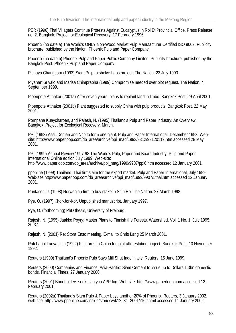PER (1996) Thai Villagers Continue Protests Against Eucalyptus in Roi Et Provincial Office. Press Release no. 2. Bangkok: Project for Ecological Recovery. 17 February 1996.

Phoenix (no date a) The World's ONLY Non-Wood Market Pulp Manufacturer Certified ISO 9002. Publicity brochure, published by the Nation. Phoenix Pulp and Paper Company.

Phoenix (no date b) Phoenix Pulp and Paper Public Company Limited. Publicity brochure, published by the Bangkok Post. Phoenix Pulp and Paper Company.

Pichaya Changsorn (1993) Siam Pulp to shelve Laos project. The Nation. 22 July 1993.

Piyanart Srivalo and Marisa Chimprabha (1999) Compromise needed over plot request. The Nation. 4 September 1999.

Ploenpote Atthakor (2001a) After seven years, plans to replant land in limbo. Bangkok Post. 29 April 2001.

Ploenpote Atthakor (2001b) Plant suggested to supply China with pulp products. Bangkok Post. 22 May 2001.

Pornpana Kuaycharoen, and Rajesh, N. (1995) Thailand's Pulp and Paper Industry: An Overview. Bangkok: Project for Ecological Recovery. March.

PPI (1993) Assi, Doman and Ncb to form one giant. Pulp and Paper International. December 1993. Website: http://www.paperloop.com/db\_area/archive/ppi\_mag/1993/9312/93120112.htm accessed 28 May 2001.

PPI (1999) Annual Review 1997-98 The World's Pulp, Paper and Board Industry. Pulp and Paper International Online edition July 1999. Web-site: http://www.paperloop.com/db\_area/archive/ppi\_mag/1999/9907/ppi6.htm accessed 12 January 2001.

pponline (1999) Thailand: Thai firms aim for the export market. Pulp and Paper International, July 1999. Web-site http:www.paperloop.com/db\_area/archive/ppi\_mag/1999/9907/5thai.htm accessed 12 January 2001.

Puntasen, J. (1998) Norwegian firm to buy stake in Shin Ho. The Nation. 27 March 1998.

Pye, O. (1997) Khor-Jor-Kor. Unpublished manuscript. January 1997.

Pye, O. (forthcoming) PhD thesis, University of Freiburg.

Rajesh, N. (1995) Jaakko Poyry: Master Plans to Finnish the Forests. Watershed. Vol. 1 No. 1, July 1995: 30-37.

Rajesh, N. (2001) Re: Stora Enso meeting. E-mail to Chris Lang 25 March 2001.

Ratchapol Laovanitch (1992) Kitti turns to China for joint afforestation project. Bangkok Post. 10 November 1992.

Reuters (1999) Thailand's Phoenix Pulp Says Mill Shut Indefinitely. Reuters. 15 June 1999.

Reuters (2000) Companies and Finance: Asia-Pacific: Siam Cement to issue up to Dollars 1.3bn domestic bonds. Financial Times. 27 January 2000.

Reuters (2001) Bondholders seek clarity in APP fog. Web-site: http://www.paperloop.com accessed 12 February 2001.

Reuters (2002a) Thailand's Siam Pulp & Paper buys another 20% of Phoenix, Reuters, 3 January 2002, web-site: http://www.pponline.com/inside/stories/wk12\_31\_2001/r16.shtml accessed 11 January 2002.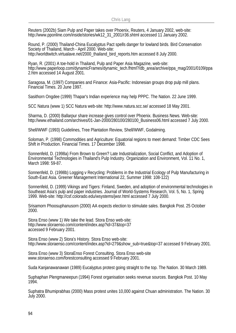Reuters (2002b) Siam Pulp and Paper takes over Phoenix, Reuters, 4 January 2002, web-site: http://www.pponline.com/inside/stories/wk12\_31\_2001/r36.shtml accessed 11 January 2002.

Round, P. (2000) Thailand-China Eucalyptus Pact spells danger for lowland birds. Bird Conservation Society of Thailand, March - April 2000. Web-site: http://worldtwitch.virtualave.net/2000\_thailand\_bird\_reports.htm accessed 8 July 2000.

Ryan, R. (2001) A toe-hold in Thailand, Pulp and Paper Asia Magazine, web-site: http://www.paperloop.com/dynamicFrames/dynamic\_tech.fhtml?/db\_area/archive/ppa\_mag/2001/0109/ppa 2.htm accessed 14 August 2001.

Saragosa, M. (1997) Companies and Finance: Asia-Pacific: Indonesian groups drop pulp mill plans. Financial Times. 20 June 1997.

Sasithorn Ongdee (1999) Thapar's Indian experience may help PPPC. The Nation. 22 June 1999.

SCC Natura (www 1) SCC Natura web-site: http://www.natura.scc.se/ accessed 18 May 2001.

Sharma, D. (2000) Ballarpur share increase gives control over Phoenix. Business News. Web-site: http://www.ethailand.com/archives/01-Jan-2000/280100/280100\_Business06.html accessed 7 July 2000.

Shell/WWF (1993) Guidelines, Tree Plantation Review, Shell/WWF, Godalming.

Soloman, P. (1998) Commodities and Agriculture: Equatorial regions to meet demand: Timber CDC Sees Shift in Production. Financial Times. 17 December 1998.

Sonnenfeld, D. (1998a) From Brown to Green? Late Industrialization, Social Conflict, and Adoption of Environmental Technologies in Thailand's Pulp Industry. Organization and Environment, Vol. 11 No. 1, March 1998: 59-87.

Sonnenfeld, D. (1998b) Logging v Recycling: Problems in the Industrial Ecology of Pulp Manufacturing in South-East Asia. Greener Management International 22, Summer 1998: 108-122)

Sonnenfeld, D. (1999) Vikings and Tigers: Finland, Sweden, and adoption of environmental technologies in Southeast Asia's pulp and paper industries. Journal of World-Systems Research, Vol. 5, No. 1, Spring 1999. Web-site: http://csf.colorado.edu/wsystems/jwsr.html accessed 7 July 2000.

Srisamorn Phoosuphanusorn (2000) AA expects election to stimulate sales. Bangkok Post. 25 October 2000.

Stora Enso (www 1) We take the lead. Stora Enso web-site: http://www.storaenso.com/content/index.asp?id=37&top=37 accessed 9 February 2001.

Stora Enso (www 2) Stora's History. Stora Enso web-site: http://www.storaenso.com/content/index.asp?id=279&show\_sub=true&top=37 accessed 9 February 2001.

Stora Enso (www 3) StoraEnso Forest Consulting. Stora Enso web-site www.storaenso.com/forestconsulting accessed 9 February 2001.

Suda Kanjanawanawan (1989) Eucalyptus protest going straight to the top. The Nation. 30 March 1989.

Suphaphan Plengmaneepun (1994) Forest organisation seeks revenue sources. Bangkok Post. 10 May 1994.

Suphatra Bhumiprabhas (2000) Mass protest unites 10,000 against Chuan administration. The Nation. 30 July 2000.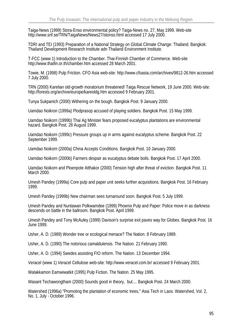Taiga-News (1999) Stora-Enso environmental policy? Taiga-News no. 27, May 1999. Web-site http://www.snf.se/TRN/TaigaNews/News27/stonso.html accessed 17 July 2000.

TDRI and TEI (1993) Preparation of a National Strategy on Global Climate Change: Thailand. Bangkok: Thailand Development Research Institute adn Thailand Environment Institute.

T-FCC (www 1) Introduction to the Chamber. Thai-Finnish Chamber of Commerce. Web-site http://www.thaifin.or.th/chamber.htm accessed 28 March 2001.

Towie, M. (1998) Pulp Friction. CFO Asia web-site: http://www.cfoasia.com/archives/9812-26.htm accessed 7 July 2000.

TRN (2000) Karelian old-growth moratorium threatened! Taiga Rescue Network, 19 June 2000. Web-site: http://forests.org/archive/europe/kareoldg.htm accessed 9 February 2001.

Tunya Sukpanich (2000) Withering on the bough. Bangkok Post. 9 January 2000.

Uamdao Noikron (1999a) Plodprasop accused of playing soldiers. Bangkok Post. 15 May 1999.

Uamdao Noikorn (1999b) Thai Ag Minister fears proposed eucalyptus plantations are environmental hazard. Bangkok Post. 28 August 1999.

Uamdao Noikorn (1999c) Pressure groups up in arms against eucalyptus scheme. Bangkok Post. 22 September 1999.

Uamdao Noikorn (2000a) China Accepts Conditions. Bangkok Post. 10 January 2000.

Uamdao Noikorn (2000b) Farmers despair as eucalyptus debate boils. Bangkok Post. 17 April 2000.

Uamdao Noikorn and Ploenpote Atthakor (2000) Tension high after threat of eviction. Bangkok Post. 11 March 2000.

Umesh Pandey (1999a) Core pulp and paper unit seeks further acquisitions. Bangkok Post. 16 February 1999.

Umesh Pandey (1999b) New chairman sees turnaround soon. Bangkok Post. 5 July 1999.

Umesh Pandey and Nuntawan Polkwamdee (1999) Phoenix Pulp and Paper: Police move in as darkness descends on battle in the ballroom. Bangkok Post. April 1999.

Umesh Pandey and Tony McAuley (1999) Davison's surprise exit paves way for Globex. Bangkok Post. 16 June 1999.

Usher, A. D. (1989) Wonder tree or ecological menace? The Nation. 8 February 1989.

Usher, A. D. (1990) The notorious camaldulensis. The Nation. 21 February 1990.

Usher, A. D. (1994) Swedes assisting FIO reform. The Nation. 13 December 1994.

Veracel (www 1) Veracel Cellulose web-site: http://www.veracel.com.br/ accessed 9 February 2001.

Walakkamon Eamwiwatkit (1995) Pulp Fiction. The Nation. 25 May 1995.

Wasant Techawongtham (2000) Sounds good in theory, but.... Bangkok Post. 24 March 2000.

Watershed (1996a) "Promoting the plantation of economic trees," Asia Tech in Laos. Watershed, Vol. 2, No. 1, July - October 1996.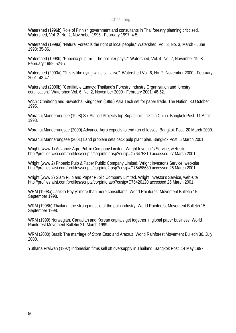Watershed (1996b) Role of Finnish government and consultants in Thai forestry planning criticised. Watershed, Vol. 2, No. 2, November 1996 - February 1997: 4-5.

Watershed (1998a) "Natural Forest is the right of local people." Watershed, Vol. 3, No. 3, March - June 1998: 35-36.

Watershed (1998b) "Phoenix pulp mill: The polluter pays?" Watershed, Vol. 4, No. 2, November 1998 - February 1999: 52-57.

Watershed (2000a) "This is like dying while still alive". Watershed Vol. 6, No. 2, November 2000 - February 2001: 43-47.

Watershed (2000b) "Certifiable Lunacy: Thailand's Forestry Industry Organisation and forestry certification." Watershed Vol. 6, No. 2, November 2000 - February 2001: 48-52.

Wichit Chaitrong and Suwatchai Kingngern (1995) Asia Tech set for paper trade. The Nation. 30 October 1995.

Woranuj Maneerungsee (1998) Six Stalled Projects top Supachai's talks in China. Bangkok Post. 11 April 1998.

Woranuj Maneerungsee (2000) Advance Agro expects to end run of losses. Bangkok Post. 20 March 2000.

Woranuj Mannerungsee (2001) Land problem sets back pulp plant plan. Bangkok Post. 6 March 2001.

Wright (www 1) Advance Agro Public Company Limited. Wright Investor's Service, web-site http://profiles.wisi.com/profiles/scripts/corpinfo2.asp?cusip=C76475310 accessed 27 March 2001.

Wright (www 2) Phoenix Pulp & Paper Public Company Limited. Wright Investor's Service, web-site http://profiles.wisi.com/profiles/scripts/corpinfo2.asp?cusip=C76458680 accessed 26 March 2001.

Wright (www 3) Siam Pulp and Paper Public Company Limited. Wright Investor's Service, web-site http://profiles.wisi.com/profiles/scripts/corpinfo.asp?cusip=C76426120 accessed 26 March 2001.

WRM (1998a) Jaakko Poyry: more than mere consultants. World Rainforest Movement Bulletin 15. September 1998.

WRM (1998b) Thailand: the strong muscle of the pulp industry. World Rainforest Movement Bulletin 15. September 1998.

WRM (1999) Norwegian, Canadian and Korean capitals get together in global paper business. World Rainforest Movement Bulletin 21. March 1999.

WRM (2000) Brazil: The marriage of Stora Enso and Aracruz, World Rainforest Movement Bulletin 36. July 2000.

Yuthana Praiwan (1997) Indonesian firms sell off oversupply in Thailand. Bangkok Post. 14 May 1997.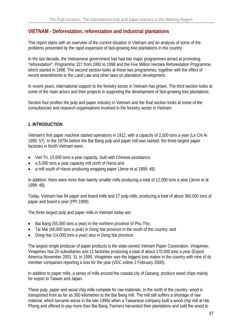# **VIETNAM - Deforestation, reforestation and industrial plantations**

This report starts with an overview of the current situation in Vietnam and an analysis of some of the problems presented by the rapid expansion of fast-growing tree plantations in the country.

In the last decade, the Vietnamese government has had two major programmes aimed at promoting "reforestation": Programme 327 from 1992 to 1998 and the Five Million Hectare Reforestation Programme, which started in 1998. The second section looks at these two programmes, together with the effect of recent amendments to the Land Law and other laws on plantation development.

In recent years, international support to the forestry sector in Vietnam has grown. The third section looks at some of the main actors and their projects in supporting the development of fast-growing tree plantations.

Section four profiles the pulp and paper industry in Vietnam and the final section looks at some of the consultancies and research organisations involved in the forestry sector in Vietnam.

## **1. INTRODUCTION**

Vietnam's first paper machine started operations in 1912, with a capacity of 2,500 tons a year (Le Chi Ai 1995: 57). In the 1970s before the Bai Bang pulp and paper mill was started, the three largest paper factories in North Vietnam were:

- Viet Tri, 10,000 tons a year capacity, built with Chinese assistance;
- a 5,000 tons a year capacity mill north of Hanoi and
- a mill south of Hanoi producing wrapping paper (Jerve et al 1999: 48).

In addition, there were more than twenty smaller mills producing a total of 12,000 tons a year (Jerve et al 1999: 48).

Today, Vietnam has 94 paper and board mills and 27 pulp mills, producing a total of about 360,000 tons of paper and board a year (PPI 1999).

The three largest pulp and paper mills in Vietnam today are:

- Bai Bang (55,000 tons a year) in the northern province of Phu Tho;
- Tai Mai (48,000 tons a year) in Dong Nai province in the south of the country; and
- Dong Nai (14,000 tons a year) also in Dong Nai province.

The largest single producer of paper products is the state-owned Vietnam Paper Corporation, Vinapimex. Vinapimex has 20 subsidiaries and 11 factories producing a total of about 170,000 tons a year (Export America November 2001: 5). In 1999, Vinapimex was the biggest loss maker in the country with nine of its member companies reporting a loss for the year (VDC online 2 February 2000).

In addition to paper mills, a series of mills around the coastal city of Danang, produce wood chips mainly for export to Taiwan and Japan.

These pulp, paper and wood chip mills compete for raw materials. In the north of the country, wood is transported from as far as 300 kilometres to the Bai Bang mill. The mill still suffers a shortage of raw material, which became worse in the late 1990s when a Taiwanese company built a wood chip mill at Hai Phong and offered to pay more than Bai Bang. Farmers harvested their plantations and sold the wood to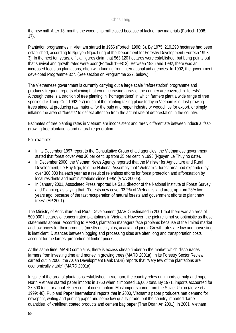the new mill. After 18 months the wood chip mill closed because of lack of raw materials (Fortech 1998: 17).

Plantation programmes in Vietnam started in 1956 (Fortech 1998: 3). By 1975, 219,290 hectares had been established, according to Nguyen Ngoc Lung of the Department for Forestry Development (Fortech 1998: 3). In the next ten years, official figures claim that 563,120 hectares were established, but Lung points out that survival and growth rates were poor (Fortech 1998: 3). Between 1986 and 1992, there was an increased focus on plantations, often with funding from international aid agencies. In 1992, the government developed Programme 327. (See section on Programme 327, below.)

The Vietnamese government is currently carrying out a large scale "reforestation" programme and produces frequent reports claiming that ever increasing areas of the country are covered in "forests". Although there is a tradition of tree planting in "homegardens" in which farmers plant a wide range of tree species (Le Trong Cuc 1992: 27) much of the planting taking place today in Vietnam is of fast-growing trees aimed at producing raw material for the pulp and paper industry or woodchips for export, or simply inflating the area of "forests" to deflect attention from the actual rate of deforestation in the country.

Estimates of tree planting rates in Vietnam are inconsistent and rarely differentiate between industrial fastgrowing tree plantations and natural regeneration.

For example:

- In its December 1997 report to the Consultative Group of aid agencies, the Vietnamese government stated that forest cover was 30 per cent, up from 25 per cent in 1995 (Nguyen Le Thuy no date).
- In December 2000, the Vietnam News Agency reported that the Minister for Agriculture and Rural Development, Le Huy Ngo, told the National Assembly that "Vietnam's -forest area had expanded by over 300,000 ha each year as a result of relentless efforts for forest protection and afforestation by local residents and administrations since 1995" (VNA 2000b).
- In January 2001, Associated Press reported Le Sau, director of the National Institute of Forest Survey and Planning, as saying that: "Forests now cover 33.2% of Vietnam's land area, up from 28% five years ago, because of the fast recuperation of natural forests and government efforts to plant new trees" (AP 2001).

The Ministry of Agriculture and Rural Development (MARD) estimated in 2001 that there was an area of 500,000 hectares of concentrated plantations in Vietnam. However, the picture is not so optimistic as these statements appear. According to MARD, plantation managers face problems because of the limited market and low prices for their products (mostly eucalyptus, acacia and pine). Growth rates are low and harvesting is inefficient. Distances between logging and processing sites are often long and transportation costs account for the largest proportion of timber prices.

At the same time, MARD complains, there is excess cheap timber on the market which discourages farmers from investing time and money in growing trees (MARD 2001a). In its Forestry Sector Review, carried out in 2000, the Asian Development Bank (ADB) reports that "Very few of the plantations are economically viable" (MARD 2001a).

In spite of the area of plantations established in Vietnam, the country relies on imports of pulp and paper. North Vietnam started paper imports in 1960 when it imported 16,000 tons. By 1971, imports accounted for 27,500 tons, or about 75 per cent of consumption. Most imports came from the Soviet Union (Jerve et al 1999: 48). Pulp and Paper International reports that in 2000, Vietnam's paper producers met demand for newsprint, writing and printing paper and some low quality grade, but the country imported "large quantities" of kraftliner, coated products and cement bag paper (Tran Doan An 2001). In 2001, Vietnam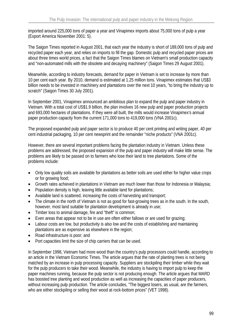imported around 225,000 tons of paper a year and Vinapimex imports about 75,000 tons of pulp a year (Export America November 2001: 5).

The Saigon Times reported in August 2001, that each year the industry is short of 189,000 tons of pulp and recycled paper each year, and relies on imports to fill the gap. Domestic pulp and recycled paper prices are about three times world prices, a fact that the Saigon Times blames on Vietnam's small production capacity and "non-automated mills with the obsolete and decaying machinery" (Saigon Times 29 August 2001).

Meanwhile, according to industry forecasts, demand for paper in Vietnam is set to increase by more than 10 per cent each year. By 2010, demand is estimated at 1.25 million tons. Vinapimex estimates that US\$3 billion needs to be invested in machinery and plantations over the next 10 years, "to bring the industry up to scratch" (Saigon Times 30 July 2001).

In September 2001, Vinapimex announced an ambitious plan to expand the pulp and paper industry in Vietnam. With a total cost of US\$1.9 billion, the plan involves 16 new pulp and paper production projects and 693,000 hectares of plantations. If they were all built, the mills would increase Vinapimex's annual paper production capacity from the current 171,000 tons to 419,000 tons (VNA 2001c).

The proposed expanded pulp and paper sector is to produce 40 per cent printing and writing paper, 40 per cent industrial packaging, 10 per cent newsprint and the remainder "niche products" (VNA 2001c).

However, there are several important problems facing the plantation industry in Vietnam. Unless these problems are addressed, the proposed expansion of the pulp and paper industry will make little sense. The problems are likely to be passed on to farmers who lose their land to tree plantations. Some of the problems include:

- Only low quality soils are available for plantations as better soils are used either for higher value crops or for growing food;
- Growth rates achieved in plantations in Vietnam are much lower than those for Indonesia or Malaysia;
- Population density is high, leaving little available land for plantations;
- Available land is scattered, increasing the costs of harvesting and transport;
- The climate in the north of Vietnam is not as good for fast-growing trees as in the south. In the south, however, most land suitable for plantation development is already in use;
- Timber loss to animal damage, fire and "theft" is common;
- Even areas that appear not to be in use are often either fallows or are used for grazing;
- Labour costs are low, but productivity is also low and the costs of establishing and maintaining plantations are as expensive as elsewhere in the region;
- Road infrastructure is poor; and
- Port capacities limit the size of chip carriers that can be used.

In September 1998, Vietnam had more wood than the country's pulp processors could handle, according to an article in the Vietnam Economic Times. The article argues that the rate of planting trees is not being matched by an increase in pulp processing capacity. Suppliers are stockpiling their timber while they wait for the pulp producers to take their wood. Meanwhile, the industry is having to import pulp to keep the paper machines running, because the pulp sector is not producing enough. The article argues that MARD has boosted tree planting and wood production as well as increasing the capacities of paper producers, without increasing pulp production. The article concludes, "The biggest losers, as usual, are the farmers, who are either stockpiling or selling their wood at rock-bottom prices" (VET 1998).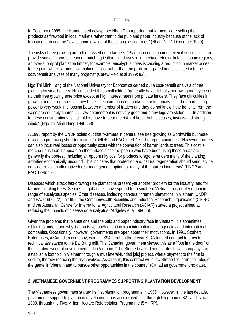In December 1999, the Hanoi-based newspaper Nhan Dan reported that farmers were selling their products as firewood in local markets rather than to the pulp and paper industry because of the lack of transportation and the "low economic value of these long-lasting trees" (Nhan Dan 1 December 1999).

The risks of tree growing are often passed on to farmers: "Plantation development, even if successful, can provide some income but cannot match agricultural land uses in immediate returns. In fact in some regions, an over-supply of plantation timber, for example, eucalyptus poles is causing a reduction in market prices to the point where farmers risk making a loss, rather than the profit anticipated and calculated into the cost/benefit analyses of many projects" (Carew-Reid et al 1999: 82).

Ngo Thi Minh Hang of the National University for Economics carried out a cost-benefit analysis of tree planting by smallholders. He concluded that smallholders "generally have difficulty borrowing money to set up their tree growing enterprise except at high interest rates from private lenders. They face difficulties in growing and selling trees, as they have little information on marketing or log prices. . . . Their bargaining power is very weak in choosing between a number of traders and they do not know if the benefits from the sales are equitably shared. . . . law enforcement is not very good and many logs are stolen. . . . In addition to these considerations, smallholders have to bear the risks of fires, theft, diseases, insects and strong winds" (Ngo Thi Minh Hang 1996: 53).

A 1996 report by the UNDP points out that "Farmers in general see tree growing as worthwhile but more risky than producing short-term crops" (UNDP and FAO 1996: 17) The report continues, "However, farmers can also incur real losses or opportunity costs with the conversion of barren lands to trees. This cost is more serious than it appears on the surface since the people who have been using these areas are generally the poorest. Including an opportunity cost for products foregone renders many of the planting activities economically unsound. This indicates that protection and natural regeneration should seriously be considered as an alternative forest management option for many of the barren land areas" (UNDP and FAO 1996: 17).

Diseases which attack fast-growing tree plantations present yet another problem for the industry, and for farmers planting trees. Serious fungal attacks have spread from southern Vietnam to central Vietnam in a range of eucalyptus species. Other diseases, including cankers, threaten plantations in Vietnam (UNDP and FAO 1996: 22). In 1996, the Commonwealth Scientific and Industrial Research Organisation (CSIRO) and the Australian Centre for International Agricultural Research (ACIAR) started a project aimed at reducing the impacts of disease on eucalyptus (Midgeley et al 1996: 6).

Given the problems that plantations and the pulp and paper industry face in Vietnam, it is sometimes difficult to understand why it attracts so much attention from international aid agencies and international companies. Occasionally, however, governments are open about their motivations. In 1991, Stothert Enterprises, a Canadian company, won a US\$4.2 million three-year SIDA-funded contract to provide technical assistance to the Bai Bang mill. The Canadian government viewed this as a "foot in the door" of the lucrative world of development aid in Vietnam: "The Stothert case demonstrates how a company can establish a foothold in Vietnam through a multilateral-funded [sic] project, where payment to the firm is secure, thereby reducing the risk involved. As a result, this contract will allow Stothert to learn the 'rules of the game' in Vietnam and to pursue other opportunities in the country" (Canadian government no date).

#### **2. VIETNAMESE GOVERNMENT PROGRAMMES SUPPORTING PLANTATION DEVELOPMENT**

The Vietnamese government started its first plantation programme in 1956. However, in the last decade, government support to plantation development has accelerated, first through Programme 327 and, since 1998, through the Five Million Hectare Reforestation Programme (5MHRP).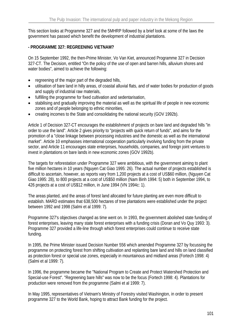This section looks at Programme 327 and the 5MHRP followed by a brief look at some of the laws the government has passed which benefit the development of industrial plantations.

## **- PROGRAMME 327: REGREENING VIETNAM?**

On 15 September 1992, the then-Prime Minister, Vo Van Kiet, announced Programme 327 in Decision 327-CT. The Decision, entitled "On the policy of the use of open and barren hills, alluvium shores and water bodies", aimed to achieve the following:

- regreening of the major part of the degraded hills,
- utilisation of bare land in hilly areas, of coastal alluvial flats, and of water bodies for production of goods and supply of industrial raw materials,
- fulfilling the programme for fixed cultivation and sedentarisation,
- stabilising and gradually improving the material as well as the spiritual life of people in new economic zones and of people belonging to ethnic minorities,
- creating incomes to the State and consolidating the national security (GOV 1992b).

Article 1 of Decision 327-CT encourages the establishment of projects on bare land and degraded hills "in order to use the land". Article 2 gives priority to "projects with quick return of funds", and aims for the promotion of a "close linkage between processing industries and the domestic as well as the international market". Article 10 emphasises international cooperation particularly involving funding from the private sector, and Article 11 encourages state enterprises, households, companies, and foreign joint ventures to invest in plantations on bare lands in new economic zones (GOV 1992b).

The targets for reforestation under Programme 327 were ambitious, with the government aiming to plant five million hectares in 10 years (Nguyen Cat Giao 1995: 26). The actual number of projects established is difficult to ascertain, however, as reports vary from 1,200 projects at a cost of US\$60 million, (Nguyen Cat Giao 1995: 28), to 800 projects at a cost of US\$50 million (Nam Binh 1994: 5) both in September 1994, to 426 projects at a cost of US\$12 million, in June 1994 (VN 1994c: 1).

The areas planted, and the areas of forest land allocated for future planting are even more difficult to establish. MARD estimates that 638,500 hectares of tree plantations were established under the project between 1992 and 1998 (Salmi et al 1999: 7).

Programme 327's objectives changed as time went on. In 1993, the government abolished state funding of forest enterprises, leaving many state forest enterprises with a funding crisis (Doran and Vo Quy 1993: 3). Programme 327 provided a life-line through which forest enterprises could continue to receive state funding.

In 1995, the Prime Minister issued Decision Number 556 which amended Programme 327 by focussing the programme on protecting forest from shifting cultivation and replanting bare land and hills on land classified as protection forest or special use zones, especially in mountainous and midland areas (Fortech 1998: 4) (Salmi et al 1999: 7).

In 1996, the programme became the "National Program to Create and Protect Watershed Protection and Special-use Forest". "Regreening bare hills" was now to be the focus (Fortech 1998: 4). Plantations for production were removed from the programme (Salmi et al 1999: 7).

In May 1995, representatives of Vietnam's Ministry of Forestry visited Washington, in order to present programme 327 to the World Bank, hoping to attract Bank funding for the project.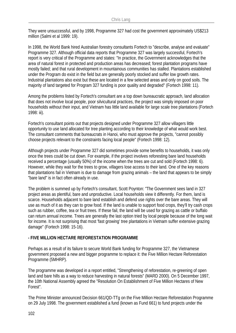They were unsuccessful, and by 1998, Programme 327 had cost the government approximately US\$213 million (Salmi et al 1999: 19).

In 1998, the World Bank hired Australian forestry consultants Fortech to "describe, analyse and evaluate" Programme 327. Although official data reports that Programme 327 was largely successful, Fortech's report is very critical of the Programme and states: "In practice, the Government acknowledges that the area of natural forest in protected and production areas has decreased; forest plantation programs have mostly failed; and that rural development in mountainous communities has stalled. Plantations established under the Program do exist in the field but are generally poorly stocked and suffer low growth rates. Industrial plantations also exist but these are located in a few selected areas and only on good soils. The majority of land targeted for Program 327 funding is poor quality and degraded" (Fortech 1998: 11).

Among the problems listed by Fortech's consultant are a top down bureaucratic approach, land allocation that does not involve local people, poor silvicultural practices, the project was simply imposed on poor households without their input, and Vietnam has little land available for large scale tree plantations (Fortech 1998: iii).

Fortech's consultant points out that projects designed under Programme 327 allow villagers little opportunity to use land allocated for tree planting according to their knowledge of what would work best. The consultant comments that bureaucrats in Hanoi, who must approve the projects, "cannot possibly choose projects relevant to the constraints facing local people" (Fortech 1998: 12).

Although projects under Programme 327 did sometimes provide some benefits to households, it was only once the trees could be cut down. For example, if the project involves reforesting bare land households received a percentage (usually 50%) of the income when the trees are cut and sold (Fortech 1998: 6). However, while they wait for the trees to grow, villagers lose access to their land. One of the key reasons that plantations fail in Vietnam is due to damage from grazing animals – the land that appears to be simply "bare land" is in fact often already in use.

The problem is summed up by Fortech's consultant, Scott Poynton: "The Government sees land in 327 project areas as plentiful, bare and unproductive. Local households view it differently. For them, land is scarce. Households adjacent to bare land establish and defend use rights over the bare areas. They will use as much of it as they can to grow food. If the land is unable to support food crops, they'll try cash crops such as rubber, coffee, tea or fruit trees. If these fail, the land will be used for grazing as cattle or buffalo can return annual income. Trees are generally the last option tried by local people because of the long wait for income. It is not surprising that most 'fast growing' tree plantations in Vietnam suffer extensive grazing damage" (Fortech 1998: 15-16).

#### **- FIVE MILLION HECTARE REFORESTATION PROGRAMME**

Perhaps as a result of its failure to secure World Bank funding for Programme 327, the Vietnamese government proposed a new and bigger programme to replace it: the Five Million Hectare Reforestation Programme (5MHRP).

The programme was developed in a report entitled, "Strengthening of reforestation, re-greening of open land and bare hills as a way to reduce harvesting in natural forests" (MARD 2000). On 5 December 1997, the 10th National Assembly agreed the "Resolution On Establishment of Five Million Hectares of New Forest".

The Prime Minister announced Decision 661/QD-TTg on the Five Million Hectare Reforestation Programme on 29 July 1998. The government established a fund (known as Fund 661) to fund projects under the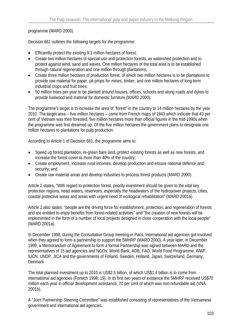programme (MARD 2000).

Decision 661 outlines the following targets for the programme:

- Efficiently protect the existing 9.3 million hectares of forest;
- Create two million hectares of special use and protection forests, as watershed protection and to protect against wind, sand and waves. One million hectares of the total area is to be established through natural regeneration and one million through plantations;
- Create three million hectares of production forest, of which two million hectares is to be plantations to provide raw material for paper, pit-props for mines, timber, and one million hectares of long-term industrial crops and fruit trees;
- 50 million trees per year to be planted around houses, offices, schools and along roads and dykes to provide fuelwood and material for domestic furniture (MARD 2000).

The programme's target is to increase the area of "forest" in the country to 14 million hectares by the year 2010. The target area – five million hectares – came from French maps of 1943 which indicate that 43 per cent of Vietnam was then forested, five million hectares more than official figures in the mid-1990s when the programme was first dreamed up. Of the five million hectares the government plans to designate one million hectares to plantations for pulp production.

According to Article 1 of Decision 661, the programme aims to:

- Speed up forest plantation, re-green bare land, protect existing forests as well as new forests, and increase the forest cover to more than 40% of the country;
- Create employment, increase rural incomes, develop production and ensure national defence and security; and
- Create raw material areas and develop industries to process forest products (MARD 2000).

Article 2 states, "With regard to protection forest, priority investment should be given to the vital key protection regions, head waters, reservoirs, especially the headwaters of the hydropower projects, cities, coastal protective areas and areas with urgent need of ecological rehabilitation" (MARD 2001a).

Article 2 also states: "people are the driving force for establishment, protection, and regeneration of forests and are entitled to enjoy benefits from forest-related activities" and "the creation of new forests will be implemented in the form of a number of local projects designed in close cooperation with the local people" (MARD 2001a).

In December 1998, during the Consultative Group meeting in Paris, international aid agencies got involved when they agreed to form a partnership to support the 5MHRP (MARD 2000). A year later, in December 1999, a Memorandum of Agreement to form a formal Partnership was signed between MARD and the representatives of 15 aid agencies and NGOs: World Bank, ADB, FAO, World Food Programme, WWF, IUCN, UNDP, JICA and the governments of Finland, Sweden, Holland, Japan, Switzerland, Germany, Denmark.

The total planned investment up to 2010 is US\$2.5 billion, of which US\$1.4 billion is to come from international aid agencies (Fortech 1998: 19). In its first two years of existence the 5MHRP received US\$70 million each year in official development assistance, 70 per cent of which was non-refundable aid (VNA 2001b).

A "Joint Partnership Steering Committee" was established consisting of representatives of the Vietnamese government and international aid agencies.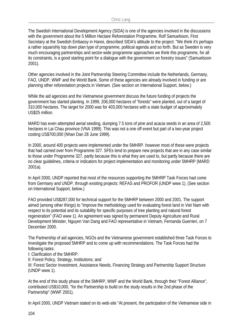The Swedish International Development Agency (SIDA) is one of the agencies involved in the discussions with the government about the 5 Million Hectare Reforestation Programme. Rolf Samuelsson, First Secretary at the Swedish Embassy in Hanoi, described SIDA's attitude to the project: "We think it's perhaps a rather squarishly top down plan type of programme, political agenda and so forth. But as Sweden is very much encouraging partnerships and sector-wide programme approaches we think this programme, for all its constraints, is a good starting point for a dialogue with the government on forestry issues" (Samuelsson 2001).

Other agencies involved in the Joint Partnership Steering Committee include the Netherlands, Germany, FAO, UNDP, WWF and the World Bank. Some of these agencies are already involved in funding or are planning other reforestation projects in Vietnam. (See section on International Support, below.)

While the aid agencies and the Vietnamese government discuss the future funding of projects the government has started planting. In 1999, 206,000 hectares of "forests" were planted, out of a target of 310,000 hectares. The target for 2000 was for 403,000 hectares with a state budget of approximately US\$25 million.

MARD has even attempted aerial seeding, dumping 7.5 tons of pine and acacia seeds in an area of 2,500 hectares in Lai Chau province (VNA 1999). This was not a one off event but part of a two-year project costing US\$700,000 (Nhan Dan 28 June 1999).

In 2000, around 400 projects were implemented under the 5MHRP. however most of these were projects that had carried over from Programme 327. SFEs tend to prepare new projects that are in any case similar to those under Programme 327, partly because this is what they are used to, but partly because there are no clear guidelines, criteria or indicators for project implementation and monitoring under 5MHRP (MARD 2001a).

In April 2000, UNDP reported that most of the resources supporting the 5MHRP Task Forces had come from Germany and UNDP, through existing projects: REFAS and PROFOR (UNDP www 1). (See section on International Support, below.)

FAO provided US\$287,000 for technical support for the 5MHRP between 2000 and 2001. The support aimed (among other things) to "improve the methodology used for evaluating forest land in Viet Nam with respect to its potential and its suitability for specific purposes of tree planting and natural forest regeneration" (FAO www 1). An agreement was signed by permanent Deputy Agriculture and Rural Development Minister, Nguyen Van Dang and FAO representative in Vietnam, Fernanda Guerrieri, on 7 December 2000.

The Partnership of aid agencies, NGOs and the Vietnamese government established three Task Forces to investigate the proposed 5MHRP and to come up with recommendations. The Task Forces had the following tasks:

I: Clarification of the 5MHRP;

II: Forest Policy, Strategy, Institutions; and

III: Forest Sector Investment, Assistance Needs, Financing Strategy and Partnership Support Structure (UNDP www 1).

At the end of this study phase of the 5MHRP, WWF and the World Bank, through their "Forest Alliance", contributed US\$10,000, "for the Partnership to build on the study results in the 2nd phase of the Partnership" (WWF 2001).

In April 2000, UNDP Vietnam stated on its web-site "At present, the participation of the Vietnamese side in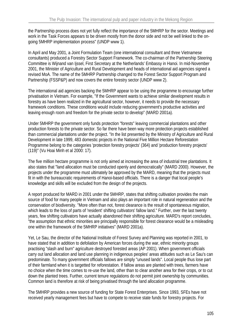the Partnership process does not yet fully reflect the importance of the 5MHRP for the sector. Meetings and work in the Task Forces appears to be driven mostly from the donor side and not be well linked to the ongoing 5MHRP implementation process" (UNDP www 1).

In April and May 2001, a Joint Formulation Team (one international consultant and three Vietnamese consultants) produced a Forestry Sector Support Framework. The co-chairman of the Partnership Steering Committee is Wijnand van Ijssel, First Secretary at the Netherlands' Embassy in Hanoi. In mid-November 2001, the Minister of Agriculture and Rural Development and heads of international aid agencies signed a revised MoA. The name of the 5MHRP Partnership changed to the Forest Sector Support Program and Partnership (FSSP&P) and now covers the entire forestry sector (UNDP www 2).

The international aid agencies backing the 5MHRP appear to be using the programme to encourage further privatisation in Vietnam. For example, "If the Government wants to achieve similar development results in forestry as have been realized in the agricultural sector, however, it needs to provide the necessary framework conditions. These conditions would include reducing government's productive activities and leaving enough room and freedom for the private sector to develop" (MARD 2001a).

Under 5MHRP the government only funds protection "forests" leaving commercial plantations and other production forests to the private sector. So far there have been way more protection projects established than commercial plantations under the project. "In the list presented by the Ministry of Agriculture and Rural Development in late 1999, 483 domestic projects in the National Five Million Hectare Reforestation Programme belong to the categories 'protection forestry projects' (364) and 'production forestry projects' (119)" (Vu Hoai Minh et al 2000: 17).

The five million hectare programme is not only aimed at increasing the area of industrial tree plantations. It also states that "land allocation must be conducted openly and democratically" (MARD 2000). However, the projects under the programme must ultimately be approved by the MARD, meaning that the projects must fit in with the bureaucratic requirements of Hanoi-based officials. There is a danger that local people's knowledge and skills will be excluded from the design of the projects.

A report produced for MARD in 2001 under the 5MHRP, states that shifting cultivation provides the main source of food for many people in Vietnam and also plays an important role in natural regeneration and the conservation of biodiversity. "More often than not, forest clearance is the result of spontaneous migration, which leads to the loss of parts of 'resident' shifting cultivators' fallow land." Further, over the last twenty years, few shifting cultivators have actually abandoned their shifting agriculture. MARD's report concludes, "the assumption that ethnic minorities are principally responsible for forest clearance would be a misleading one within the framework of the 5MHRP initiatives" (MARD 2001a).

Yet, Le Sau, the director of the National Institute of Forest Survey and Planning was reported in 2001, to have stated that in addition to defoliation by American forces during the war, ethnic minority groups practising "slash and burn" agriculture destroyed forested areas (AP 2001). When government officials carry out land allocation and land use planning in indigenous peoples' areas attitudes such as Le Sau's can predominate. To many government officials fallows are simply "unused lands". Local people thus lose part of their farmland when it is targetted for reforestation. If fallow areas are planted with trees, farmers have no choice when the time comes to re-use the land, other than to clear another area for their crops, or to cut down the planted trees. Further, current tenure regulations do not permit joint ownership by communities. Common land is therefore at risk of being privatised through the land allocation programme.

The 5MHRP provides a new source of funding for State Forest Enterprises. Since 1993, SFEs have not received yearly management fees but have to compete to receive state funds for forestry projects. For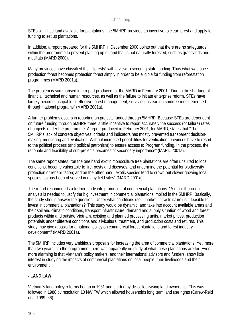SFEs with little land available for plantations, the 5MHRP provides an incentive to clear forest and apply for funding to set up plantations.

In addition, a report prepared for the 5MHRP in December 2000 points out that there are no safeguards within the programme to prevent planting up of land that is not naturally forested, such as grasslands and mudflats (MARD 2000).

Many provinces have classified their "forests" with a view to securing state funding. Thus what was once production forest becomes protection forest simply in order to be eligible for funding from reforestation programmes (MARD 2001a).

The problem is summarised in a report produced for the MARD in February 2001: "Due to the shortage of financial, technical and human resources, as well as the failure to initiate enterprise reform, SFEs have largely become incapable of effective forest management, surviving instead on commissions generated through national programs" (MARD 2001a).

A further problems occurs in reporting on projects funded through 5MHRP. Because SFEs are dependent on future funding through 5MHRP there is little incentive to report accurately the success (or failure) rates of projects under the programme. A report produced in February 2001, for MARD, states that "The 5MHRP's lack of concrete objectives, criteria and indicators has mostly prevented transparent decisionmaking, monitoring and evaluation. Without increased possibilities for verification, provinces have to resort to the political process (and political patronism) to ensure access to Program funding. In the process, the rationale and feasibility of sub-projects becomes of secondary importance" (MARD 2001a).

The same report states, "on the one hand exotic monoculture tree plantations are often unsuited to local conditions, become vulnerable to fire, pests and diseases, and undermine the potential for biodiversity protection or rehabilitation; and on the other hand, exotic species tend to crowd out slower growing local species, as has been observed in many field sites" (MARD 2001a).

The report recommends a further study into promotion of commercial plantations: "A more thorough analysis is needed to justify the big investment in commercial plantations implied in the 5MHRP. Basically, the study should answer the question: 'Under what conditions (soil, market, infrastructure) is it feasible to invest in commercial plantations?' This study would be dynamic, and take into account available areas and their soil and climatic conditions, transport infrastructure, demand and supply situation of wood and forest products within and outside Vietnam, existing and planned processing units, market prices, production potentials under different conditions and silvicultural treatment, and production costs and returns. This study may give a basis for a national policy on commercial forest plantations and forest industry development" (MARD 2001a).

The 5MHRP includes very ambitious proposals for increasing the area of commercial plantations. Yet, more than two years into the programme, there was apparently no study of what these plantations are for. Even more alarming is that Vietnam's policy makers, and their international advisors and funders, show little interest in studying the impacts of commercial plantations on local people, their livelihoods and their environment.

## **- LAND LAW**

Vietnam's land policy reforms began in 1981 and started by de-collectivising land ownership. This was followed in 1988 by resolution 10 NW.TW which allowed households long term land use rights (Carew-Reid et al 1999: 66).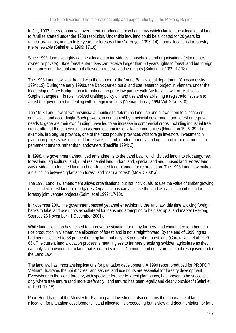In July 1993, the Vietnamese government introduced a new Land Law which clarified the allocation of land to families started under the 1988 resolution. Under this law, land could be allocated for 20 years for agricultural crops, and up to 50 years for forestry (Ton Gia Huyen 1995: 14). Land allocations for forestry are renewable (Salmi et al 1999: 17.18).

Since 1993, land use rights can be allocated to individuals, households and organisations (either stateowned or private). State forest enterprises can receive longer than 50 years rights to forest land but foreign companies or individuals are not allowed to receive land use rights (Salmi et al 1999: 17-18).

The 1993 Land Law was drafted with the support of the World Bank's legal department (Chossudovsky 1994: 19). During the early 1990s, the Bank carried out a land use research project in Vietnam, under the leadership of Gary Budgen, an international property law partner with Australian law firm, Mallisons Stephen Jacques. His role involved drafting policy on land use and establishing a registration system to assist the government in dealing with foreign investors (Vietnam Today 1994 Vol. 2 No. 3: 8).

The 1993 Land Law allows provincial authorities to determine land use and allows them to allocate or confiscate land accordingly. Such powers, accompanied by provincial government and forest enterprise needs to generate their own funding, have led to an increase in commercial crops, including industrial tree crops, often at the expense of subsistence economies of village communities (Houghton 1996: 39). For example, in Song Be province, one of the most popular provinces with foreign investors, investment in plantation projects has occupied large tracts of land, eroded farmers' land rights and turned farmers into permanent tenants rather than landowners (Ratcliffe 1994: 2).

In 1998, the government announced amendments to the Land Law, which divided land into six categories: forest land, agricultural land, rural residential land, urban land, special land and unused land. Forest land was divided into forested land and non-forested land planned for reforestation. The 1998 Land Law makes a distinction between "plantation forest" and "natural forest" (MARD 2001a).

The 1998 Land law amendment allows organisations, but not individuals, to use the value of timber growing on allocated forest land for mortgages. Organisations can also use the land as capital contribution for forestry joint venture projects (Salmi et al 1999: 17-18).

In November 2001, the government passed yet another revision to the land law, this time allowing foreign banks to take land use rights as collateral for loans and attempting to help set up a land market (Mekong Sources 26 November - 1 December 2001).

While land allocation has helped to improve the situation for many farmers, and contributed to a boom in rice production in Vietnam, the allocation of forest land is not straightforward. By the end of 1999, rights had been allocated to 86 per cent of crop land but only 9.8 per cent of forest land (Carew-Reid et al 1999: 66). The current land allocation process is meaningless to farmers practising swidden agriculture as they can only claim ownership to land that is currently in use. Common land rights are also not recognised under the Land Law.

The land law has important implications for plantation development. A 1999 report produced for PROFOR Vietnam illustrates the point: "Clear and secure land use rights are essential for forestry development . . . Everywhere in the world forestry, with special reference to forest plantations, has proven to be successful only where tree tenure (and more preferably, land tenure) has been legally and clearly provided" (Salmi et al 1999: 17-18).

Phan Huu Thang, of the Ministry for Planning and Investment, also confirms the importance of land allocation for plantation development: "Land allocation is proceeding but is slow and documentation for land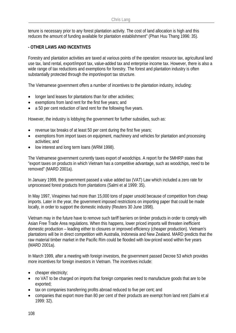tenure is necessary prior to any forest plantation activity. The cost of land allocation is high and this reduces the amount of funding available for plantation establishment" (Phan Huu Thang 1996: 35).

## **- OTHER LAWS AND INCENTIVES**

Forestry and plantation activities are taxed at various points of the operation: resource tax, agricultural land use tax, land rental, export/import tax, value-added tax and enterprise income tax. However, there is also a wide range of tax reductions and exemptions for forestry. The forest and plantation industry is often substantially protected through the import/export tax structure.

The Vietnamese government offers a number of incentives to the plantation industry, including:

- longer land leases for plantations than for other activities;
- exemptions from land rent for the first five years; and
- a 50 per cent reduction of land rent for the following five years.

However, the industry is lobbying the government for further subsidies, such as:

- revenue tax breaks of at least 50 per cent during the first five years;
- exemptions from import taxes on equipment, machinery and vehicles for plantation and processing activities; and
- low interest and long term loans (WRM 1998).

The Vietnamese government currently taxes export of woodchips. A report for the 5MHRP states that "export taxes on products in which Vietnam has a competitive advantage, such as woodchips, need to be removed" (MARD 2001a).

In January 1999, the government passed a value added tax (VAT) Law which included a zero rate for unprocessed forest products from plantations (Salmi et al 1999: 35).

In May 1997, Vinapimex had more than 15,000 tons of paper unsold because of competition from cheap imports. Later in the year, the government imposed restrictions on importing paper that could be made locally, in order to support the domestic industry (Reuters 30 June 1998).

Vietnam may in the future have to remove such tariff barriers on timber products in order to comply with Asian Free Trade Area regulations. When this happens, lower priced imports will threaten inefficient domestic production – leading either to closures or improved efficiency (cheaper production). Vietnam's plantations will be in direct competition with Australia, Indonesia and New Zealand. MARD predicts that the raw material timber market in the Pacific Rim could be flooded with low-priced wood within five years (MARD 2001a).

In March 1999, after a meeting with foreign investors, the government passed Decree 53 which provides more incentives for foreign investors in Vietnam. The incentives include:

- cheaper electricity;
- no VAT to be charged on imports that foreign companies need to manufacture goods that are to be exported;
- tax on companies transferring profits abroad reduced to five per cent; and
- companies that export more than 80 per cent of their products are exempt from land rent (Salmi et al 1999: 32).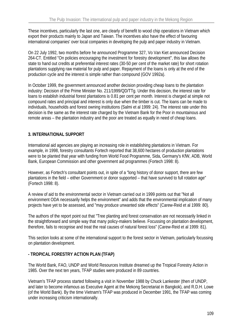These incentives, particularly the last one, are clearly of benefit to wood chip operations in Vietnam which export their products mainly to Japan and Taiwan. The incentives also have the effect of favouring international companies' over local companies in developing the pulp and paper industry in Vietnam.

On 22 July 1992, two months before he announced Programme 327, Vo Van Kiet announced Decision 264-CT. Entitled "On policies encouraging the investment for forestry development", this law allows the state to hand out credits at preferential interest rates (30-50 per cent of the market rate) for short rotation plantations supplying raw material for pulp and paper. Repayment of the loans is only at the end of the production cycle and the interest is simple rather than compound (GOV 1992a).

In October 1999, the government announced another decision providing cheap loans to the plantation industry: Decision of the Prime Minister No. 211/1999/QD/TTg. Under this decision, the interest rate for loans to establish industrial forest plantations is 0.81 per cent per month. Interest is charged at simple not compound rates and principal and interest is only due when the timber is cut. The loans can be made to individuals, households and forest owning institutions (Salmi et al 1999: 24). The interest rate under this decision is the same as the interest rate charged by the Vietnam Bank for the Poor in mountainous and remote areas – the plantation industry and the poor are treated as equally in need of cheap loans.

# **3. INTERNATIONAL SUPPORT**

International aid agencies are playing an increasing role in establishing plantations in Vietnam. For example, in 1998, forestry consultants Fortech reported that 38,600 hectares of production plantations were to be planted that year with funding from World Food Programme, Sida, Germany's KfW, ADB, World Bank, European Commission and other government aid programmes (Fortech 1998: 8).

However, as Fortech's consultant points out, in spite of a "long history of donor support, there are few plantations in the field – either Government or donor supported – that have survived to full rotation age" (Fortech 1998: 8).

A review of aid to the environmental sector in Vietnam carried out in 1999 points out that "Not all environment ODA necessarily helps the environment" and adds that the environmental implication of many projects have yet to be assessed, and "may produce unwanted side effects" (Carew-Reid et al 1999: 80).

The authors of the report point out that "Tree planting and forest conservation are not necessarily linked in the straightforward and simple way that many policy-makers believe. Focussing on plantation development, therefore, fails to recognise and treat the real causes of natural forest loss" (Carew-Reid et al 1999: 81).

This section looks at some of the international support to the forest sector in Vietnam, particularly focussing on plantation development.

# **- TROPICAL FORESTRY ACTION PLAN (TFAP)**

The World Bank, FAO, UNDP and World Resources Institute dreamed up the Tropical Forestry Action in 1985. Over the next ten years, TFAP studies were produced in 89 countries.

Vietnam's TFAP process started following a visit in November 1988 by Chuck Lankester (then of UNDP, and later to become infamous as Executive Agent at the Mekong Secretariat in Bangkok), and R.D.H. Lowe (of the World Bank). By the time Vietnam's TFAP was produced in December 1991, the TFAP was coming under increasing criticism internationally.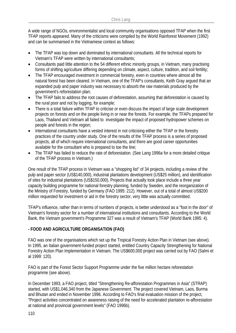A wide range of NGOs, environmentalist and local community organisations opposed TFAP when the first TFAP reports appeared. Many of the criticisms were compiled by the World Rainforest Movement (1992) and can be summarised in the Vietnamese context as follows:

- The TFAP was top down and dominated by international consultants. All the technical reports for Vietnam's TFAP were written by international consultants;
- Consultants paid little attention to the 54 different ethnic minority groups, in Vietnam, many practising forms of shifting agriculture differing depending on climate, aspect, culture, tradition, and soil fertility;
- The TFAP encouraged investment in commercial forestry, even in countries where almost all the natural forest has been cleared. In Vietnam, one of the TFAP's consultants, Keith Gray argued that an expanded pulp and paper industry was necessary to absorb the raw materials produced by the government's reforestation plan;
- The TFAP fails to address the root causes of deforestation, assuming that deforestation is caused by the rural poor and not by logging, for example;
- There is a total failure within TFAP to criticise or even discuss the impact of large scale development projects on forests and on the people living in or near the forests. For example, the TFAPs prepared for Laos, Thailand and Vietnam all failed to investigate the impact of proposed hydropower schemes on people and forests in the region;
- International consultants have a vested interest in not criticising either the TFAP or the forestry practices of the country under study. One of the results of the TFAP process is a series of proposed projects, all of which require international consultants, and there are good career opportunities available for the consultant who is prepared to toe the line;
- The TFAP has failed to reduce the rate of deforestation. (See Lang 1996a for a more detailed critique of the TFAP process in Vietnam.)

One result of the TFAP process in Vietnam was a "shopping list" of 34 projects, including a review of the pulp and paper sector (US\$140,000), industrial plantations development (US\$25 million), and identification of sites for industrial plantations (US\$150,000). Projects that actually took place include a three year capacity building programme for national forestry planning, funded by Sweden, and the reorganization of the Ministry of Forestry, funded by Germany (FAO 1995: 212). However, out of a total of almost US\$200 million requested for investment or aid in the forestry sector, very little was actually committed.

TFAP's influence, rather than in terms of numbers of projects, is better understood as a "foot in the door" of Vietnam's forestry sector for a number of international institutions and consultants. According to the World Bank, the Vietnam government's Programme 327 was a result of Vietnam's TFAP (World Bank 1995: 4).

# **- FOOD AND AGRICULTURE ORGANISATION (FAO)**

FAO was one of the organisations which set up the Tropical Forestry Action Plan in Vietnam (see above). In 1995, an Italian government-funded project started, entitled Country Capacity Strengthening for National Forestry Action Plan Implementation in Vietnam. The US\$600,000 project was carried out by FAO (Salmi et al 1999: 120).

FAO is part of the Forest Sector Support Programme under the five million hectare reforestation programme (see above).

In December 1993, a FAO project, titled "Strengthening Re-afforestation Programmes in Asia" (STRAP) started, with US\$1,046,340 from the Japanese Government. The project covered Vietnam, Laos, Burma and Bhutan and ended in November 1996. According to FAO's final evaluation mission of the project, "Project activities concentrated on awareness raising of the need for accelerated plantation re-afforestation at national and provincial government levels" (FAO 1996b).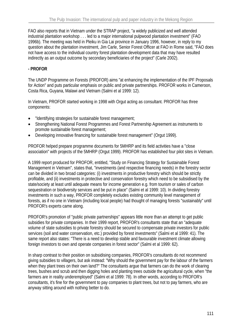FAO also reports that in Vietnam under the STRAP project, "a widely publicized and well attended industrial plantation workshop . . . led to a major international pulpwood plantation investment" (FAO 1996b). The meeting was held in Pleiku in Gia Lai province in January 1996, however, in reply to my question about the plantation investment, Jim Carle, Senior Forest Officer at FAO in Rome said, "FAO does not have access to the individual country forest plantation development data that may have resulted indirectly as an output outcome by secondary beneficiaries of the project" (Carle 2002).

# **- PROFOR**

The UNDP Programme on Forests (PROFOR) aims "at enhancing the implementation of the IPF Proposals for Action" and puts particular emphasis on public and private partnerships. PROFOR works in Cameroon, Costa Rica, Guyana, Malawi and Vietnam (Salmi et al 1999: 12).

In Vietnam, PROFOR started working in 1998 with Orgut acting as consultant. PROFOR has three components:

- "Identifying strategies for sustainable forest management;
- Strengthening National Forest Programmes and Forest Partnership Agreement as instruments to promote sustainable forest management;
- Developing innovative financing for sustainable forest management" (Orgut 1999).

PROFOR helped prepare programme documents for 5MHRP and its field activities have a "close association" with projects of the 5MHRP (Orgut 1999). PROFOR has established four pilot sites in Vietnam.

A 1999 report produced for PROFOR, entitled, "Study on Financing Strategy for Sustainable Forest Management in Vietnam", states that, "investments (and respective financing needs) in the forestry sector can be divided in two broad categories: (i) investments in productive forestry which should be strictly profitable, and (ii) investments in protective and conservation forestry which need to be subsidised by the state/society at least until adequate means for income generation e.g. from tourism or sales of carbon sequestration or biodiversity services and be put in place" (Salmi et al 1999: 10). In dividing forestry investments in such a way, PROFOR completely excludes existing community level management of forests, as if no one in Vietnam (including local people) had thought of managing forests "sustainably" until PROFOR's experts came along.

PROFOR's promotion of "public private partnerships" appears little more than an attempt to get public subsidies for private companies. In their 1999 report, PROFOR's consultants state that an "adequate volume of state subsidies to private forestry should be secured to compensate private investors for public services (soil and water conservation, etc.) provided by forest investments" (Salmi et al 1999: 41). The same report also states: "There is a need to develop stable and favourable investment climate allowing foreign investors to own and operate companies in forest sector" (Salmi et al 1999: 62).

In sharp contrast to their position on subsidising companies, PROFOR's consultants do not recommend giving subsidies to villagers, but ask instead: "Why should the government pay for the labour of the farmers when they plant trees on their own land?" The consultants argue that farmers can do the work of clearing trees, bushes and scrub and then digging holes and planting trees outside the agricultural cycle, when "the farmers are in reality underemployed" (Salmi et al 1999: 78). In other words, according to PROFOR's consultants, it's fine for the government to pay companies to plant trees, but not to pay farmers, who are anyway sitting around with nothing better to do.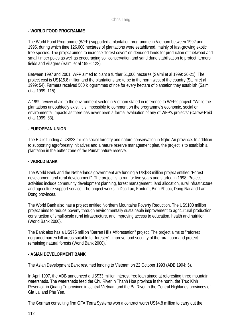## **- WORLD FOOD PROGRAMME**

The World Food Programme (WFP) supported a plantation programme in Vietnam between 1992 and 1995, during which time 126,000 hectares of plantations were established, mainly of fast-growing exotic tree species. The project aimed to increase "forest cover" on denuded lands for production of fuelwood and small timber poles as well as encouraging soil conservation and sand dune stabilisation to protect farmers fields and villagers (Salmi et al 1999: 122).

Between 1997 and 2001, WFP aimed to plant a further 51,000 hectares (Salmi et al 1999: 20-21). The project cost is US\$15.8 million and the plantations are to be in the north west of the country (Salmi et al 1999: 54). Farmers received 500 kilogrammes of rice for every hectare of plantation they establish (Salmi et al 1999: 115).

A 1999 review of aid to the environment sector in Vietnam stated in reference to WFP's project: "While the plantations undoubtedly exist, it is impossible to comment on the programme's economic, social or environmental impacts as there has never been a formal evaluation of any of WFP's projects" (Carew-Reid et al 1999: 83).

## **- EUROPEAN UNION**

The EU is funding a US\$23 million social forestry and nature conservation in Nghe An province. In addition to supporting agroforestry initiatives and a nature reserve management plan, the project is to establish a plantation in the buffer zone of the Pumat nature reserve.

## **- WORLD BANK**

The World Bank and the Netherlands government are funding a US\$33 million project entitled "Forest development and rural development". The project is to run for five years and started in 1998. Project activities include community development planning, forest management, land allocation, rural infrastructure and agriculture support service. The project works in Dac Lac, Kontum, Binh Phuoc, Dong Nai and Lam Dong provinces.

The World Bank also has a project entitled Northern Mountains Poverty Reduction. The US\$100 million project aims to reduce poverty through environmentally sustainable improvement to agricultural production, construction of small-scale rural infrastructure, and improving access to education, health and nutrition (World Bank 2000).

The Bank also has a US\$75 million "Barren Hills Afforestation" project. The project aims to "reforest degraded barren hill areas suitable for forestry", improve food security of the rural poor and protect remaining natural forests (World Bank 2000).

## **- ASIAN DEVELOPMENT BANK**

The Asian Development Bank resumed lending to Vietnam on 22 October 1993 (ADB 1994: 5).

In April 1997, the ADB announced a US\$33 million interest free loan aimed at reforesting three mountain watersheds. The watersheds feed the Chu River in Thanh Hoa province in the north, the Truc Kinh Reservoir in Quang Tri province in central Vietnam and the Ba River in the Central Highlands provinces of Gia Lai and Phu Yen.

The German consulting firm GFA Terra Systems won a contract worth US\$4.8 million to carry out the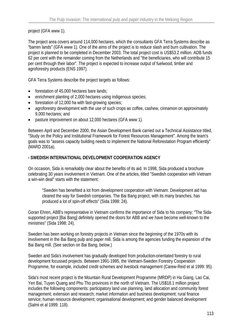## project (GFA www 1).

The project area covers around 114,000 hectares, which the consultants GFA Terra Systems describe as "barren lands" (GFA www 1). One of the aims of the project is to reduce slash and burn cultivation. The project is planned to be completed in December 2003. The total project cost is US\$53.2 million. ADB funds 62 per cent with the remainder coming from the Netherlands and "the beneficiaries, who will contribute 15 per cent through their labor". The project is expected to increase output of fuelwood, timber and agroforestry products (ENS 1997).

GFA Terra Systems describe the project targets as follows:

- forestation of 45,000 hectares bare lands;
- enrichment planting of 2,000 hectares using indigenous species;
- forestation of 12,000 ha with fast-growing species;
- agroforestry development with the use of such crops as coffee, cashew, cinnamon on approximately 9,000 hectares; and
- pasture improvement on about 12,000 hectares (GFA www 1).

Between April and December 2000, the Asian Development Bank carried out a Technical Assistance titled, "Study on the Policy and Institutional Framework for Forest Resources Management". Among the team's goals was to "assess capacity building needs to implement the National Reforestation Program efficiently" (MARD 2001a).

## **- SWEDISH INTERNATIONAL DEVELOPMENT COOPERATION AGENCY**

On occasion, Sida is remarkably clear about the benefits of its aid. In 1998, Sida produced a brochure celebrating 30 years involvement in Vietnam. One of the articles, titled "Swedish cooperation with Vietnam a win-win deal" starts with the statement:

"Sweden has benefited a lot from development cooperation with Vietnam. Development aid has cleared the way for Swedish companies. The Bai Bang project, with its many branches, has produced a lot of spin-off effects" (Sida 1998: 24).

Goran Ehren, ABB's representative in Vietnam confirms the importance of Sida to his company: "The Sidasupported project [Bai Bang] definitely opened the doors for ABB and we have become well-known to the ministries" (Sida 1998: 24).

Sweden has been working on forestry projects in Vietnam since the beginning of the 1970s with its involvement in the Bai Bang pulp and paper mill. Sida is among the agencies funding the expansion of the Bai Bang mill. (See section on Bai Bang, below.)

Sweden and Sida's involvement has gradually developed from production-orientated forestry to rural development focussed projects. Between 1991-1995, the Vietnam-Sweden Forestry Cooperation Programme, for example, included credit schemes and livestock management (Carew-Reid et al 1999: 95).

Sida's most recent project is the Mountain Rural Development Programme (MRDP) in Ha Giang, Lao Cai, Yen Bai, Tuyen Quang and Phu Tho provinces in the north of Vietnam. The US\$18.1 million project includes the following components: participatory land use planning, land allocation and community forest management; extension and research; market information and business development; rural finance service; human resource development; organisational development; and gender balanced development (Salmi et al 1999: 118).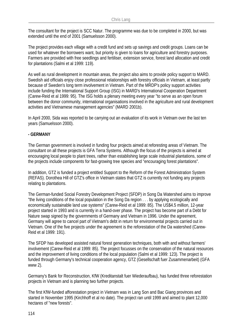The consultant for the project is SCC Natur. The programme was due to be completed in 2000, but was extended until the end of 2001 (Samuelsson 2000).

The project provides each village with a credit fund and sets up savings and credit groups. Loans can be used for whatever the borrowers want, but priority is given to loans for agriculture and forestry purposes. Farmers are provided with free seedlings and fertiliser, extension service, forest land allocation and credit for plantations (Salmi et al 1999: 119).

As well as rural development in mountain areas, the project also aims to provide policy support to MARD. Swedish aid officials enjoy close professional relationships with forestry officials in Vietnam, at least partly because of Sweden's long term involvement in Vietnam. Part of the MRDP's policy support activities include funding the International Support Group (ISG) in MARD's International Cooperation Department (Carew-Reid et al 1999: 95). The ISG holds a plenary meeting every year "to serve as an open forum between the donor community, international organisations involved in the agriculture and rural development activities and Vietnamese management agencies" (MARD 2001b).

In April 2000, Sida was reported to be carrying out an evaluation of its work in Vietnam over the last ten years (Samuelsson 2000).

#### **- GERMANY**

The German government is involved in funding four projects aimed at reforesting areas of Vietnam. The consultant on all these projects is GFA Terra Systems. Although the focus of the projects is aimed at encouraging local people to plant trees, rather than establishing large scale industrial plantations, some of the projects include components for fast-growing tree species and "encouraging forest plantations".

In addition, GTZ is funded a project entitled Support to the Reform of the Forest Administration System (REFAS). Dorothea Hill of GTZ's office in Vietnam states that GTZ is currently not funding any projects relating to plantations.

The German-funded Social Forestry Development Project (SFDP) in Song Da Watershed aims to improve "the living conditions of the local population in the Song Da region . . . by applying ecologically and economically sustainable land use systems" (Carew-Reid et al 1999: 85). The US\$4.5 million, 12-year project started in 1993 and is currently in a hand-over phase. The project has become part of a Debt for Nature swap signed by the governments of Germany and Vietnam in 1996. Under the agreement, Germany will agree to cancel part of Vietnam's debt in return for environmental projects carried out in Vietnam. One of the five projects under the agreement is the reforestation of the Da watershed (Carew-Reid et al 1999: 191).

The SFDP has developed assisted natural forest generation techniques, both with and without farmers' involvement (Carew-Reid et al 1999: 85). The project focusses on the conservation of the natural resources and the improvement of living conditions of the local population (Salmi et al 1999: 123). The project is funded through Germany's technical cooperation agency, GTZ (Gesellschaft fuer Zusammenarbeit) (GFA www 2).

Germany's Bank for Reconstruction, KfW (Kreditanstalt fuer Wiederaufbau), has funded three reforestation projects in Vietnam and is planning two further projects.

The first KfW-funded afforestation project in Vietnam was in Lang Son and Bac Giang provinces and started in November 1995 (Kirchhoff et al no date). The project ran until 1999 and aimed to plant 12,000 hectares of "new forests".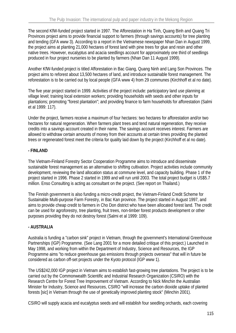The second KfW-funded project started in 1997. The Afforestation in Ha Tinh, Quang Binh and Quang Tri Provinces project aims to provide financial support to farmers (through savings accounts) for tree planting and tending (GFA www 3). According to a report in the Vietnamese newspaper Nhan Dan in August 1999, the project aims at planting 21,000 hectares of forest land with pine trees for glue and resin and other native trees. However, eucalyptus and acacia seedlings account for approximately one third of seedlings produced in four project nurseries to be planted by farmers (Nhan Dan 11 August 1999).

Another KfW-funded project is titled Afforestation in Bac Giang, Quang Ninh and Lang Son Provinces. The project aims to reforest about 13,500 hectares of land, and introduce sustainable forest management. The reforestation is to be carried out by local people (GFA www 4) from 29 communes (Kirchhoff et al no date).

The five year project started in 1999. Activities of the project include: participatory land use planning at village level; training local extension workers; providing households with seeds and other inputs for plantations; promoting "forest plantation"; and providing finance to farm households for afforestation (Salmi et al 1999: 117).

Under the project, farmers receive a maximum of four hectares: two hectares for afforestation and/or two hectares for natural regeneration. When farmers plant trees and tend natural regeneration, they receive credits into a savings account created in their name. The savings account receives interest. Farmers are allowed to withdraw certain amounts of money from their accounts at certain times providing the planted trees or regenerated forest meet the criteria for quality laid down by the project (Kirchhoff et al no date).

# **- FINLAND**

The Vietnam-Finland Forestry Sector Cooperation Programme aims to introduce and disseminate sustainable forest management as an alternative to shifting cultivation. Project activities include community development, reviewing the land allocation status at commune level, and capacity building. Phase 1 of the project started in 1996. Phase 2 started in 1999 and will run until 2003. The total project budget is US\$5.7 million. Enso Consulting is acting as consultant on the project. (See report on Thailand.)

The Finnish government is also funding a micro-credit project, the Vietnam-Finland Credit Scheme for Sustainable Multi-purpose Farm Forestry, in Bac Kan province. The project started in August 1997, and aims to provide cheap credit to farmers in Cho Don district who have been allocated forest land. The credit can be used for agroforestry, tree planting, fruit trees, non-timber forest products development or other purposes providing they do not destroy forest (Salmi et al 1999: 109).

# **- AUSTRALIA**

Australia is funding a "carbon sink" project in Vietnam, through the government's International Greenhouse Partnerships (IGP) Programme. (See Lang 2001 for a more detailed critique of this project.) Launched in May 1998, and working from within the Department of Industry, Science and Resources, the IGP Programme aims "to reduce greenhouse gas emissions through projects overseas" that will in future be considered as carbon off-set projects under the Kyoto protocol (IGP www 1).

The US\$242,000 IGP project in Vietnam aims to establish fast-growing tree plantations. The project is to be carried out by the Commonwealth Scientific and Industrial Research Organization (CSIRO) with the Research Centre for Forest Tree Improvement of Vietnam. According to Nick Minchin the Australian Minister for Industry, Science and Resources, CSIRO "will increase the carbon dioxide uptake of planted forests [sic] in Vietnam through the use of genetically improved planting stock" (Minchin 2001).

CSIRO will supply acacia and eucalyptus seeds and will establish four seedling orchards, each covering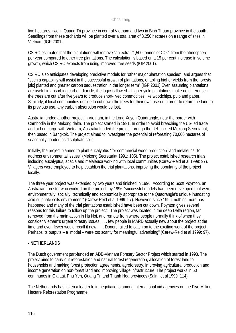five hectares, two in Quang Tri province in central Vietnam and two in Binh Thuan province in the south. Seedlings from these orchards will be planted over a total area of 8,250 hectares on a range of sites in Vietnam (IGP 2001).

CSIRO estimates that the plantations will remove "an extra 21,500 tonnes of CO2" from the atmosphere per year compared to other tree plantations. The calculation is based on a 15 per cent increase in volume growth, which CSIRO expects from using improved tree seeds (IGP 2001).

CSIRO also anticipates developing predictive models for "other major plantation species", and argues that "such a capability will assist in the successful growth of plantations, enabling higher yields from the forests [sic] planted and greater carbon sequestration in the longer term" (IGP 2001) Even assuming plantations are useful in absorbing carbon dioxide, the logic is flawed – higher yield plantations make no difference if the trees are cut after five years to produce short-lived commodities like woodchips, pulp and paper. Similarly, if local communities decide to cut down the trees for their own use or in order to return the land to its previous use, any carbon absorption would be lost.

Australia funded another project in Vietnam, in the Long Xuyen Quadrangle, near the border with Cambodia in the Mekong delta. The project started in 1991. In order to avoid breaching the US-led trade and aid embargo with Vietnam, Australia funded the project through the UN-backed Mekong Secretariat, then based in Bangkok. The project aimed to investigate the potential of reforesting 70,000 hectares of seasonally flooded acid sulphate soils.

Initially, the project planned to plant eucalyptus "for commercial wood production" and melaleuca "to address environmental issues" (Mekong Secretariat 1991: 105). The project established research trials including eucalyptus, acacia and melaleuca working with local communities (Carew-Reid et al 1999: 97). Villagers were employed to help establish the trial plantations, improving the popularity of the project locally.

The three year project was extended by two years and finished in 1996. According to Scott Poynton, an Australian forester who worked on the project, by 1996 "successful models had been developed that were environmentally, socially, technically and economically appropriate to the Quadrangle's unique inundating acid sulphate soils environment" (Carew-Reid et al 1999: 97). However, since 1996, nothing more has happened and many of the trial plantations established have been cut down. Poynton gives several reasons for this failure to follow up the project: "The project was located in the deep Delta region, far removed from the main action in Ha Noi, and remote from where people normally think of when they consider Vietnam's urgent forestry issues. . . . few people in MARD actually new about the project at the time and even fewer would recall it now. . . . Donors failed to catch on to the exciting work of the project. Perhaps its outputs – a model – were too scanty for meaningful advertising" (Carew-Reid et al 1999: 97).

## **- NETHERLANDS**

The Dutch government part-funded an ADB-Vietnam Forestry Sector Project which started in 1998. The project aims to carry out reforestation and natural forest regeneration, allocation of forest land to households and making forest protection agreements, agroforestry, improving agricultural production and income generation on non-forest land and improving village infrastructure. The project works in 50 communes in Gia Lai, Phu Yen, Quang Tri and Thanh Hoa provinces (Salmi et al 1999: 114).

The Netherlands has taken a lead role in negotiations among international aid agencies on the Five Million Hectare Reforestation Programme.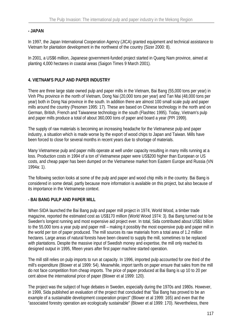# **- JAPAN**

In 1997, the Japan International Cooperation Agency (JICA) granted equipment and technical assistance to Vietnam for plantation development in the northwest of the country (Sizer 2000: 8).

In 2001, a US\$6 million, Japanese government-funded project started in Quang Nam province, aimed at planting 4,000 hectares in coastal areas (Saigon Times 9 March 2001).

# **4. VIETNAM'S PULP AND PAPER INDUSTRY**

There are three large state owned pulp and paper mills in the Vietnam, Bai Bang (55,000 tons per year) in Vinh Phu province in the north of Vietnam, Dong Nai (20,000 tons per year) and Tan Mai (48,000 tons per year) both in Dong Nai province in the south. In addition there are almost 100 small scale pulp and paper mills around the country (Pesonen 1995: 17). These are based on Chinese technology in the north and on German, British, French and Taiwanese technology in the south (Flashtec 1995). Today, Vietnam's pulp and paper mills produce a total of about 360,000 tons of paper and board a year (PPI 1999).

The supply of raw materials is becoming an increasing headache for the Vietnamese pulp and paper industry, a situation which is made worse by the export of wood chips to Japan and Taiwan. Mills have been forced to close for several months in recent years due to shortage of materials.

Many Vietnamese pulp and paper mills operate at well under capacity resulting in many mills running at a loss. Production costs in 1994 of a ton of Vietnamese paper were US\$200 higher than European or US costs, and cheap paper has been dumped on the Vietnamese market from Eastern Europe and Russia (VN 1994a: 1).

The following section looks at some of the pulp and paper and wood chip mills in the country. Bai Bang is considered in some detail, partly because more information is available on this project, but also because of its importance in the Vietnamese context.

# **- BAI BANG PULP AND PAPER MILL**

When SIDA launched the Bai Bang pulp and paper mill project in 1974, World Wood, a timber trade magazine, reported the estimated cost as US\$170 million (World Wood 1974: 3). Bai Bang turned out to be Sweden's longest running and most expensive aid project ever. In total, Sida contributed about US\$1 billion to the 55,000 tons a year pulp and paper mill – making it possibly the most expensive pulp and paper mill in the world per ton of paper produced. The mill sources its raw materials from a total area of 1.2 million hectares. Large areas of natural forests have been cleared to supply the mill, sometimes to be replaced with plantations. Despite the massive input of Swedish money and expertise, the mill only reached its designed output in 1995, fifteen years after first paper machine started operation.

The mill still relies on pulp imports to run at capacity. In 1996, imported pulp accounted for one third of the mill's expenditure (Blower et al 1999: 54). Meanwhile, import tarrifs on paper ensure that sales from the mill do not face competition from cheap imports. The price of paper produced at Bai Bang is up 10 to 20 per cent above the international price of paper (Blower et al 1999: 120).

The project was the subject of huge debates in Sweden, especially during the 1970s and 1980s. However, in 1999, Sida published an evaluation of the project that concluded that "Bai Bang has proved to be an example of a sustainable development cooperation project" (Blower et al 1999: 165) and even that the "associated forestry operation are ecologically sustainable" (Blower et al 1999: 170). Nevertheless, there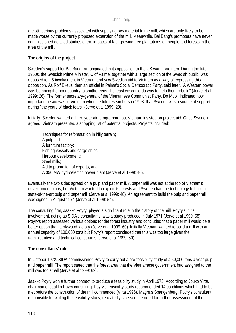are still serious problems associated with supplying raw material to the mill, which are only likely to be made worse by the currently proposed expansion of the mill. Meanwhile, Bai Bang's promoters have never commissioned detailed studies of the impacts of fast-growing tree plantations on people and forests in the area of the mill.

## **The origins of the project**

Sweden's support for Bai Bang mill originated in its opposition to the US war in Vietnam. During the late 1960s, the Swedish Prime Minister, Olof Palme, together with a large section of the Swedish public, was opposed to US involvement in Vietnam and saw Swedish aid to Vietnam as a way of expressing this opposition. As Rolf Ekeus, then an official in Palme's Social Democratic Party, said later, "A Western power was bombing the poor country to smithereens, the least we could do was to help them rebuild" (Jerve et al 1999: 26). The former secretary-general of the Vietnamese Communist Party, Do Muoi, indicated how important the aid was to Vietnam when he told researchers in 1998, that Sweden was a source of support during "the years of black tears" (Jerve et al 1999: 29).

Initially, Sweden wanted a three year aid programme, but Vietnam insisted on project aid. Once Sweden agreed, Vietnam presented a shopping list of potential projects. Projects included:

Techniques for reforestation in hilly terrain; A pulp mill; A furniture factory; Fishing vessels and cargo ships; Harbour development; Steel mills: Aid to promotion of exports; and A 350 MW hydroelectric power plant (Jerve et al 1999: 40).

Eventually the two sides agreed on a pulp and paper mill. A paper mill was not at the top of Vietnam's development plans, but Vietnam wanted to exploit its forests and Sweden had the technology to build a state-of-the-art pulp and paper mill (Jerve et al 1999: 48). An agreement to build the pulp and paper mill was signed in August 1974 (Jerve et al 1999: 54).

The consulting firm, Jaakko Poyry, played a significant role in the history of the mill. Poyry's initial involvement, acting as SIDA's consultants, was a study produced in July 1971 (Jerve et al 1999: 58). Poyry's report assessed various options for the forest industry and concluded that a paper mill would be a better option than a plywood factory (Jerve et al 1999: 60). Initially Vietnam wanted to build a mill with an annual capacity of 100,000 tons but Poyry's report concluded that this was too large given the administrative and technical constraints (Jerve et al 1999: 50).

## **The consultants' role**

In October 1972, SIDA commissioned Poyry to carry out a pre-feasibility study of a 50,000 tons a year pulp and paper mill. The report stated that the forest area that the Vietnamese government had assigned to the mill was too small (Jerve et al 1999: 62).

Jaakko Poyry won a further contract to produce a feasibility study in April 1973. According to Jouko Virta, chairman of Jaakko Poyry consulting, Poyry's feasibility study recommended 14 conditions which had to be met before the construction of the mill commenced (Virta 1996). Magnus Spangenberg, Poyry's consultant responsible for writing the feasibility study, repeatedly stressed the need for further assessment of the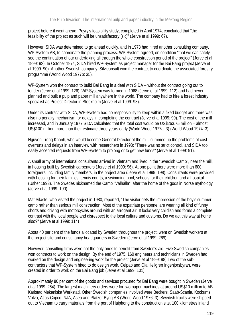project before it went ahead. Poyry's feasibility study, completed in April 1974, concluded that "the feasibility of the project as such will be unsatisfactory [sic]" (Jerve et al 1999: 67).

However, SIDA was determined to go ahead quickly, and in 1973 had hired another consulting company, WP-System AB, to coordinate the planning process. WP-System agreed, on condition "that we can safely see the continuation of our undertaking all through the whole construction period of the project" (Jerve et al 1999: 92). In October 1974, SIDA hired WP-System as project manager for the Bai Bang project (Jerve et al 1999: 90). Another Swedish company, Silviconsult won the contract to coordinate the associated forestry programme (World Wood 1977b: 35).

WP-System won the contract to build Bai Bang in a deal with SIDA – without the contract going out to tender (Jerve et al 1999: 126). WP-System was formed in 1968 (Jerve et al 1999: 112) and had never planned and built a pulp and paper mill anywhere in the world. The company had to hire a forest industry specialist as Project Director in Stockholm (Jerve et al 1999: 98).

Under its contract with SIDA, WP-System had no responsibility to keep within a fixed budget and there was also no penalty mechanism for delays in completing the contract (Jerve et al 1999: 90). The cost of the mill increased, and in January 1977 SIDA calculated that the total cost would be US\$263.75 million – almost US\$100 million more than their estimate three years early (World Wood 1977a: 3) (World Wood 1974: 3).

Nguyen Trong Khanh, who would become General Director of the mill, summed up the problems of cost overruns and delays in an interview with researchers in 1998: "There was no strict control, and SIDA too easily accepted requests from WP-System to prolong or to get new funds" (Jerve et al 1999: 91).

A small army of international consultants arrived in Vietnam and lived in the "Swedish Camp", near the mill, in housing built by Swedish carpenters (Jerve et al 1999: 96). At one point there were more than 600 foreigners, including family members, in the project area (Jerve et al 1999: 198). Consultants were provided with housing for their families, tennis courts, a swimming pool, schools for their children and a hospital (Usher 1993). The Swedes nicknamed the Camp "Valhalla", after the home of the gods in Norse mythology (Jerve et al 1999: 100).

Mat Silaste, who visited the project in 1980, reported, "The visitor gets the impression of the boy's summer camp rather than serious mill construction. Most of the expatriate personnel are wearing all kind of funny shorts and driving with motorcycles around with an arrogant air. It looks very childish and forms a complete contrast with the local people and disrespect to the local culture and customs. Do we act this way at home also?" (Jerve et al 1999: 114)

About 40 per cent of the funds allocated by Sweden throughout the project, went on Swedish workers at the project site and consultancy headquarters in Sweden (Jerve et al 1999: 269).

However, consulting firms were not the only ones to benefit from Sweden's aid. Five Swedish companies won contracts to work on the design. By the end of 1975, 160 engineers and technicians in Sweden had worked on the design and engineering work for the project (Jerve et al 1999: 98) Two of the subcontractors that WP-System hired to do design work, Celpap and Ola Hellgren Ingenjorsbyran, were created in order to work on the Bai Bang job (Jerve et al 1999: 101).

Approximately 80 per cent of the goods and services procured for Bai Bang were bought in Sweden (Jerve et al 1999: 264). The largest machinery orders were for two paper machines at around US\$10 million to AB Karlstad Mekaniska Werkstad. Other Swedish companies involved were Beckers, Saab-Scania, Kockums, Volvo, Atlas-Copco, NJA, Asea and Platzer Bygg AB (World Wood 1976: 3). Swedish trucks were shipped out to Vietnam to carry materials from the port of Haiphong to the construction site, 100 kilometres inland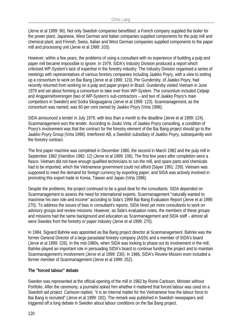(Jerve et al 1999: 96). Not only Swedish companies benefitted: a French company supplied the boiler for the power plant; Japanese, West German and Italian companies supplied components for the pulp mill and chemical plant; and Finnish, Swiss, Italian and West German companies supplied components to the paper mill and processing unit (Jerve et al 1999: 103).

However, within a few years, the problems of using a consultant with no experience of building a pulp and paper mill became impossible to ignore. In 1979, SIDA's Industry Division produced a report which criticised WP-System's lack of expertise in the forestry industry. The Industry Division organised a series of meetings with representatives of various forestry companies including Jaakko Poyry, with a view to setting up a consortium to work on Bai Bang (Jerve et al 1999: 123). Per Gundersby, of Jaakko Poyry, had recently returned from working on a pulp and paper project in Brazil. Gundersby visited Vietnam in June 1979 and set about forming a consortium to take over from WP-System. The consortium included Celpap and Angpanneforeningen (two of WP-System's sub-contractors – and two of Jaakko Poyry's main competitors in Sweden) and Sodra Skogsagarna (Jerve et al 1999: 123). Scanmanagement, as the consortium was named, was 60 per cent owned by Jaakko Poyry (Virta 1996).

SIDA announced a tender in July 1979, with less than a month to the deadline (Jerve et al 1999: 124). Scanmanagement won the tender. According to Jouko Virta, of Jaakko Poyry consulting, a condition of Poyry's involvement was that the contract for the forestry element of the Bai Bang project should go to the Jaakko Poyry Group (Virta 1996). Interforest AB, a Swedish subsidiary of Jaakko Poyry, subsequently won the forestry contract.

The first paper machine was completed in December 1980, the second in March 1982 and the pulp mill in September 1982 (Hamilton 1982: 12) (Jerve et al 1999: 106). The first few years after completion were a fiasco. Vietnam did not have enough qualified technicians to run the mill, and spare parts and chemicals had to be imported, which the Vietnamese government could not afford (Sayer 1991: 239). Vietnam was supposed to meet the demand for foreign currency by exporting paper, and SIDA was actively involved in promoting this export trade to Korea, Taiwan and Japan (Virta 1996).

Despite the problems, the project continued to be a good deal for the consultants. SIDA depended on Scanmanagement to assess the need for international experts. Scanmanagement "naturally wanted to maximise his own role and income" according to Sida's 1999 Bai Bang Evaluation Report (Jerve et al 1999: 270). To address the issues of bias in consultant's reports, SIDA hired yet more consultants to work on advisory groups and review missions. However, as Sida's evaluation notes, the members of these groups and missions had the same background and education as Scanmanagement and SIDA staff – almost all were Swedes from the forestry or paper industry (Jerve et al 1999: 270).

In 1984, Sigvard Bahrke was appointed as Bai Bang project director at Scanmanagement. Bahrke was the former General Director of a large parastatal forestry company (ASSI) and a member of SIDA's board (Jerve et al 1999: 226). In the mid-1980s, when SIDA was looking to phase out its involvement in the mill, Bahrke played an important role in persuading SIDA's board to continue funding the project and to maintain Scanmanagement's involvement (Jerve et al 1999: 230). In 1986, SIDA's Review Mission even included a former member of Scanmanagement (Jerve et al 1999: 252).

# **The "forced labour" debate**

Sweden was represented at the official opening of the mill in 1982 by Roine Carlsson, Minister without Portfolio. After the ceremony, a journalist asked him whether it mattered that forced labour was used on a Swedish aid project. Carlsson replied, "it is an internal matter for the Vietnamese how the labour force to Bai Bang is recruited" (Jerve et al 1999: 182). The remark was published in Swedish newspapers and triggered off a long debate in Sweden about labour conditions on the Bai Bang project.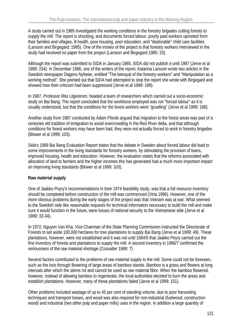A study carried out in 1985 investigated the working conditions in the forestry brigades cutting forests to supply the mill. The report is shocking, and documents forced labour, poorly paid workers uprooted form their families and villages, ill health, poor housing, poor education, and "deplorable" child care facilities (Larsson and Birgegard: 1985). One of the ironies of the project is that forestry workers interviewed in the study had received no paper from the project (Larsson and Birgegard 1985: 23).

Although the report was submitted to SIDA in January 1985, SIDA did not publish it until 1987 (Jerve et al 1999: 234). In December 1986, one of the writers of the report, Katarina Larsson wrote two articles in the Swedish newspaper Dagens Nyheter, entitled "The betrayal of the forestry workers" and "Manipulation as a working method". She pointed out that SIDA had attempted to stop the report she wrote with Birgegard and showed how their criticism had been suppressed (Jerve et al 1999: 189).

In 1987, Professor Rita Lilgestrom, headed a team of researchers which carried out a socio-economic study on Bai Bang. The report concluded that the workforce employed was not "forced labour" as it is usually understood, but that the conditions for the forest workers were "gruelling" (Jerve et al 1999: 168).

Another study from 1987 conducted by Adam Fforde argued that migration to the forest areas was part of a centuries old tradition of emigration to avoid overcrowding in the Red River delta, and that although conditions for forest workers may have been bad, they were not actually forced to work in forestry brigades (Blower et al 1999: 103).

Sida's 1999 Bai Bang Evaluation Report states that the debate in Sweden about forced labour did lead to some improvements in the living standards for forestry workers, by stimulating the provision of loans, improved housing, health and education. However, the evaluation states that the reforms associated with allocation of land to farmers and the higher incomes this has generated had a much more important impact on improving living standards (Blower et al 1999: 103).

# **Raw material supply**

One of Jaakko Poyry's recommendations in their 1974 feasibility study, was that a full resource inventory should be completed before construction of the mill was commenced (Virta 1996). However, one of the more obvious problems during the early stages of the project was that Vietnam was at war. What seemed to the Swedish side like reasonable requests for technical information necessary to build the mill and make sure it would function in the future, were issues of national security to the Vietnamese side (Jerve et al 1999: 33-34).

In 1972, Nguyen Van Kha, Vice Chairman of the State Planning Commission instructed the Directorate of Forests to set aside 100,000 hectares for tree plantations to supply Bai Bang (Jerve et al 1999: 49). These plantations, however, were not established and it was not until 1984/5 that Jaakko Poyry carried out the first inventory of forests and plantations to supply the mill. A second inventory in 1986/7 confirmed the seriousness of the raw material shortage (Cossalter 1988: 7).

Several factors contributed to the problems of raw material supply to the mill. Some could not be foreseen, such as the loss through flowering of large areas of bamboo stands. Bamboo is a grass and flowers at long intervals after which the stems rot and cannot be used as raw material fibre. When the bamboo flowered, however, instead of allowing bamboo to regenerate, the local authorities decided to burn the areas and establish plantations. However, many of these plantations failed (Jerve et al 1999: 151).

Other problems included wastage of up to 45 per cent of standing volume, due to poor harvesting techniques and transport losses, and wood was also required for non-industrial (fuelwood, construction wood) and industrial (two other pulp and paper mills) uses in the region. In addition a large quantity of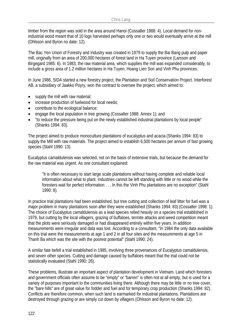timber from the region was sold in the area around Hanoi (Cossalter 1988: 4). Local demand for nonindustrial wood meant that of 10 logs harvested perhaps only one or two would eventually arrive at the mill (Ohlsson and Byron no date: 12).

The Bac Yen Union of Forestry and Industry was created in 1979 to supply the Bai Bang pulp and paper mill, originally from an area of 200,000 hectares of forest land in Ha Tuyen province (Larsson and Birgegard 1985: 6). In 1983, the raw material area, which supplies the mill was expanded considerably, to include a gross area of 1.2 million hectares in Ha Tuyen, Hoang Lien Son and Vinh Phu provinces.

In June 1986, SIDA started a new forestry project, the Plantation and Soil Conservation Project. Interforest AB, a subsidiary of Jaakko Poyry, won the contract to oversee the project, which aimed to:

- supply the mill with raw material;
- increase production of fuelwood for local needs;
- contribute to the ecological balance;
- engage the local population in tree growing (Cossalter 1988: Annex 1); and
- "to reduce the pressure being put on the newly established industrial plantations by local people" (Shanks 1994: 83).

The project aimed to produce monoculture plantations of eucalyptus and acacia (Shanks 1994: 83) to supply the Mill with raw materials. The project aimed to establish 6,500 hectares per annum of fast growing species (Stahl 1990: 13).

Eucalyptus camaldulensis was selected, not on the basis of extensive trials, but because the demand for the raw material was urgent. As one consultant explained:

"It is often necessary to start large scale plantations without having complete and reliable local information about what to plant. Industries cannot be left standing with little or no wood while the foresters wait for perfect information . . . In this the Vinh Phu plantations are no exception" (Stahl 1990: 8).

In practice trial plantations had been established, but tree cutting and collection of leaf litter for fuel was a major problem in many plantations soon after they were established (Shanks 1994: 83) (Cossalter 1998: 1). The choice of Eucalyptus camaldulensis as a lead species relied heavily on a species trial established in 1979, but cutting by the local villagers, grazing of buffaloes, termite attacks and weed competition meant that the plots were seriously damaged or had disappeared entirely within five years. In addition measurements were irregular and data was lost. According to a consultant, "In 1984 the only data available on this trial were the measurements at age 1 and 2 in all four sites and the measurements at age 5 in Thanh Ba which was the site with the poorest potential" (Stahl 1990: 24).

A similar fate befell a trial established in 1985, involving three provenances of Eucalyptus camaldulensis, and seven other species. Cutting and damage caused by buffaloes meant that the trial could not be statistically evaluated (Stahl 1990: 26).

These problems, illustrate an important aspect of plantation development in Vietnam. Land which foresters and government officials often assume to be "empty" or "barren" is often not at all empty, but is used for a variety of purposes important to the communities living there. Although there may be little or no tree cover, the "bare hills" are of great value for fodder and fuel and for temporary crop production (Shanks 1994: 82). Conflicts are therefore common, when such land is earmarked for industrial plantations. Plantations are destroyed through grazing or are simply cut down by villagers (Ohlsson and Byron no date: 12).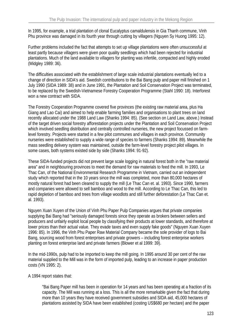In 1995, for example, a trial plantation of clonal Eucalyptus camaldulensis in Gia Thanh commune, Vinh Phu province was damaged in its fourth year through cutting by villagers (Nguyen Sy Huong 1995: 12).

Further problems included the fact that attempts to set up village plantations were often unsuccessful at least partly because villagers were given poor quality seedlings which had been rejected for industrial plantations. Much of the land available to villagers for planting was infertile, compacted and highly eroded (Midgley 1989: 36).

The difficulties associated with the establishment of large scale industrial plantations eventually led to a change of direction in SIDA's aid. Swedish contributions to the Bai Bang pulp and paper mill finished on 1 July 1990 (SIDA 1989: 38) and in June 1991, the Plantation and Soil Conservation Project was terminated, to be replaced by the Swedish-Vietnamese Forestry Cooperation Programme (Stahl 1990: 18). Interforest won a new contract with SIDA.

The Forestry Cooperation Programme covered five provinces (the existing raw material area, plus Ha Giang and Lao Cai) and aimed to help enable farming families and organisations to plant trees on land recently allocated under the 1988 Land Law (Shanks 1994: 85). (See section on Land Law, above.) Instead of the target driven social forestry afforestation projects under the Plantation and Soil Conservation Project which involved seedling distribution and centrally controlled nurseries, the new project focussed on farmlevel forestry. Projects were started in a few pilot communes and villages in each province. Community nurseries were established to supply a wide range of species to farmers (Shanks 1994: 89). Meanwhile the mass seedling delivery system was maintained, outside the farm-level forestry project pilot villages. In some cases, both systems existed side by side (Shanks 1994: 91-92).

These SIDA-funded projects did not prevent large scale logging in natural forest both in the "raw material area" and in neighbouring provinces to meet the demand for raw materials to feed the mill. In 1993, Le Thac Can, of the National Environmental Research Programme in Vietnam, carried out an independent study which reported that in the 10 years since the mill was completed, more than 80,000 hectares of mostly natural forest had been cleared to supply the mill (Le Thac Can et. al. 1993). Since 1990, farmers and companies were allowed to sell bamboo and wood to the mill. According to Le Thac Can, this led to rapid depletion of bamboo and trees from village woodlots and still further deforestation (Le Thac Can et. al. 1993).

Nguyen Xuan Xuyen of the Union of Vinh Phu Paper Pulp Companies argues that private companies supplying Bai Bang had "seriously damaged forests since they operate as brokers between sellers and producers and unfairly exploit local people by classifying their products at lower standards, and therefore at lower prices than their actual value. They evade taxes and even supply fake goods" (Nguyen Xuan Xuyen 1996: 85). In 1996, the Vinh Phu Paper Raw Material Company became the sole provider of logs to Bai Bang, sourcing wood from forest enterprises and private growers – including forest enterprise workers planting on forest enterprise land and private farmers (Blower et al 1999: 39).

In the mid-1990s, pulp had to be imported to keep the mill going. In 1995 around 30 per cent of the raw material supplied to the Mill was in the form of imported pulp, leading to an increase in paper production costs (VN 1995: 2).

A 1994 report states that:

"Bai Bang Paper mill has been in operation for 14 years and has been operating at a fraction of its capacity. The Mill was running at a loss. This is all the more remarkable given the fact that during more than 10 years they have received government subsidies and SIDA aid, 45,000 hectares of plantations assisted by SIDA have been established (costing US\$680 per hectare) and the paper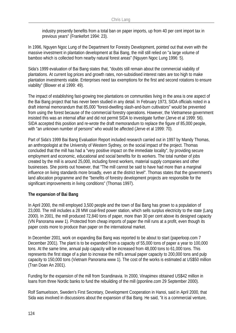industry presently benefits from a total ban on paper imports, up from 40 per cent import tax in previous years" (Frankefort 1994: 23).

In 1996, Nguyen Ngoc Lung of the Department for Forestry Development, pointed out that even with the massive investment in plantation development at Bai Bang, the mill still relied on "a large volume of bamboo which is collected from nearby natural forest areas" (Nguyen Ngoc Lung 1996: 5).

Sida's 1999 evaluation of Bai Bang states that, "doubts still remain about the commercial viability of plantations. At current log prices and growth rates, non-subsidised interest rates are too high to make plantation investments viable. Enterprises need tax exemptions for the first and second rotations to ensure viability" (Blower et al 1999: 49).

The impact of establishing fast-growing tree plantations on communities living in the area is one aspect of the Bai Bang project that has never been studied in any detail. In February 1973, SIDA officials noted in a draft internal memorandum that 85,000 "forest-dwelling slash-and-burn cultivators" would be prevented from using the forest because of the commercial forestry operations. However, the Vietnamese government insisted this was an internal affair and did not permit SIDA to investigate further (Jerve et al 1999: 56). SIDA accepted this position and re-wrote the draft memorandum to replace the figure of 85,000 people, with "an unknown number of persons" who would be affected (Jerve et al 1999: 70).

Part of Sida's 1999 Bai Bang Evaluation Report included research carried out in 1997 by Mandy Thomas, an anthropologist at the University of Western Sydney, on the social impact of the project. Thomas concluded that the mill has had a "very positive impact on the immediate locality", by providing secure employment and economic, educational and social benefits for its workers. The total number of jobs created by the mill is around 25,000, including forest workers, material supply companies and other businesses. She points out however, that "The mill cannot be said to have had more than a marginal influence on living standards more broadly, even at the district level". Thomas states that the government's land allocation programme and the "benefits of forestry development projects are responsible for the significant improvements in living conditions" (Thomas 1997).

## **The expansion of Bai Bang**

In April 2000, the mill employed 3,500 people and the town of Bai Bang has grown to a population of 23,000. The mill includes a 28 MW coal-fired power station, which sells surplus electricity to the state (Lang 2000). In 2001, the mill produced 72,840 tons of paper, more than 30 per cent above its designed capacity (VN Panorama www 1). Protected from cheap imports of paper the mill runs at a profit, even though its paper costs more to produce than paper on the international market.

In December 2001, work on expanding Bai Bang was reported to be about to start (paperloop.com 7 December 2001). The plant is to be expanded from a capacity of 55,000 tons of paper a year to 100,000 tons. At the same time, annual pulp capacity will be increased from 48,000 tons to 61,000 tons. This represents the first stage of a plan to increase the mill's annual paper capacity to 200,000 tons and pulp capacity to 150,000 tons (Vietnam Panorama www 1). The cost of the works is estimated at US\$50 million (Tran Doan An 2001).

Funding for the expansion of the mill from Scandinavia. In 2000, Vinapimex obtained US\$42 million in loans from three Nordic banks to fund the rebuilding of the mill (pponline.com 29 September 2000).

Rolf Samuelsson, Sweden's First Secretary, Development Cooperation in Hanoi, said in April 2000, that Sida was involved in discussions about the expansion of Bai Bang. He said, "it is a commercial venture,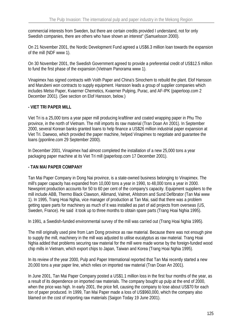commercial interests from Sweden, but there are certain credits provided I understand, not for only Swedish companies, there are others who have shown an interest" (Samuelsson 2000).

On 21 November 2001, the Nordic Development Fund agreed a US\$6.3 million loan towards the expansion of the mill (NDF www 1).

On 30 November 2001, the Swedish Government agreed to provide a preferential credit of US\$12.5 million to fund the first phase of the expansion (Vietnam Panorama www 1).

Vinapimex has signed contracts with Voith Paper and China's Sinochem to rebuild the plant. Elof Hansson and Marubeni won contracts to supply equipment. Hansson leads a group of supplier companies which includes Metso Paper, Kvaerner Chemetics, Kvaerner Pulping, Purac, and AF-IPK (paperloop.com 2 December 2001). (See section on Elof Hansson, below.)

# **- VIET TRI PAPER MILL**

Viet Tri is a 25,000 tons a year paper mill producing kraftliner and coated wrapping paper in Phu Tho province, in the north of Vietnam. The mill imports its raw material (Tran Doan An 2001). In September 2000, several Korean banks granted loans to help finance a US\$26 million industrial paper expansion at Viet Tri. Daewoo, which provided the paper machine, helped Vinapimex to negotiate and guarantee the loans (pponline.com 29 September 2000).

In December 2001, Vinapimex had almost completed the installation of a new 25,000 tons a year packaging paper machine at its Viet Tri mill (paperloop.com 17 December 2001).

# **- TAN MAI PAPER COMPANY**

Tan Mai Paper Company in Dong Nai province, is a state-owned business belonging to Vinapimex. The mill's paper capacity has expanded from 10,000 tons a year in 1990, to 48,000 tons a year in 2000. Newsprint production accounts for 50 to 60 per cent of the company's capacity. Equipment suppliers to the mill include ABB, Thermo Black Clawson, Allimand, Valmet, Ahlstrom and Sund Defibrator (Tan Mai www 1). In 1995, Trang Hoai Nghia, vice manager of production at Tan Mai, said that there was a problem getting spare parts for machinery as much of it was installed as part of aid projects from overseas (US, Sweden, France). He said it took up to three months to obtain spare parts (Trang Hoai Nghia 1995).

In 1991, a Swedish-funded environmental survey of the mill was carried out (Trang Hoai Nghia 1995).

The mill originally used pine from Lam Dong province as raw material. Because there was not enough pine to supply the mill, machinery in the mill was adjusted to utilise eucalyptus as raw material. Trang Hoai Nghia added that problems securing raw material for the mill were made worse by the foreign-funded wood chip mills in Vietnam, which export chips to Japan, Taiwan and Korea (Trang Hoai Nghia 1995).

In its review of the year 2000, Pulp and Paper International reported that Tan Mai recently started a new 20,000 tons a year paper line, which relies on imported raw material (Tran Doan An 2001).

In June 2001, Tan Mai Paper Company posted a US\$1.1 million loss in the first four months of the year, as a result of its dependence on imported raw materials. The company bought up pulp at the end of 2000, when the price was high. In early 2001, the price fell, causing the company to lose about US\$70 for each ton of paper produced. In 1999, Tan Mai Paper made a loss of US\$960,000, which the company also blamed on the cost of importing raw materials (Saigon Today 19 June 2001).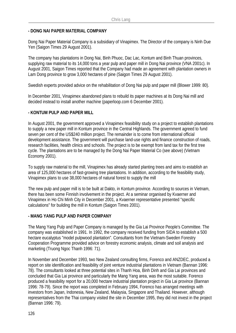#### **- DONG NAI PAPER MATERIAL COMPANY**

Dong Nai Paper Material Company is a subsidiary of Vinapimex. The Director of the company is Ninh Due Yen (Saigon Times 29 August 2001).

The company has plantations in Dong Nai, Binh Phuoc, Dac Lac, Kontum and Binh Thuan provinces, supplying raw material to its 14,000 tons a year pulp and paper mill in Dong Nai province (VNA 2001c). In August 2001, Saigon Times reported that the Company had made an agreement with plantation owners in Lam Dong province to grow 3,000 hectares of pine (Saigon Times 29 August 2001).

Swedish experts provided advice on the rehabilitation of Dong Nai pulp and paper mill (Blower 1999: 80).

In December 2001, Vinapimex abandoned plans to rebuild its paper machines at its Dong Nai mill and decided instead to install another machine (paperloop.com 6 December 2001).

#### **- KONTUM PULP AND PAPER MILL**

In August 2001, the government approved a Vinapimex feasibility study on a project to establish plantations to supply a new paper mill in Kontum province in the Central Highlands. The government agreed to fund seven per cent of the US\$240 million project. The remainder is to come from international official development assistance. The government will purchase land-use rights and finance construction of roads, research facilities, health clinics and schools. The project is to be exempt from land tax for the first tree cycle. The plantations are to be managed by the Dong Nai Paper Material Co (see above) (Vietnam Economy 2001).

To supply raw material to the mill, Vinapimex has already started planting trees and aims to establish an area of 125,000 hectares of fast-growing tree plantations. In addition, according to the feasibility study, Vinapimex plans to use 38,000 hectares of natural forest to supply the mill

The new pulp and paper mill is to be built at Dakto, in Kontum province. According to sources in Vietnam, there has been some Finnish involvement in the project. At a seminar organised by Kvaerner and Vinapimex in Ho Chi Minh City in December 2001, a Kvaerner representative presented "specific calculations" for building the mill in Kontum (Saigon Times 2001).

## **- MANG YANG PULP AND PAPER COMPANY**

The Mang Yang Pulp and Paper Company is managed by the Gia Lai Province People's Committee. The company was established in 1991. In 1992, the company received funding from SIDA to establish a 500 hectare eucalyptus "model pulpwood plantation". Consultants from the Vietnam-Sweden Forestry Cooperation Programme provided advice on forestry economic analysis, climate and soil analysis and marketing (Truong Ngoc Thanh 1996: 71).

In November and December 1993, two New Zealand consulting firms, Forenco and ANZDEC, produced a report on site identification and feasibility of joint venture industrial plantations in Vietnam (Bannan 1996: 78). The consultants looked at three potential sites in Thanh Hoa, Binh Dinh and Gia Lai provinces and concluded that Gia Lai province and particularly the Mang Yang area, was the most suitable. Forenco produced a feasibility report for a 20,000 hectare industrial plantation project in Gia Lai province (Bannan 1996: 78-79). Since the report was completed in February 1994, Forenco has arranged meetings with investors from Japan, Indonesia, New Zealand, Malaysia, Singapore and Thailand. However, although representatives from the Thai company visited the site in December 1995, they did not invest in the project (Bannan 1996: 79).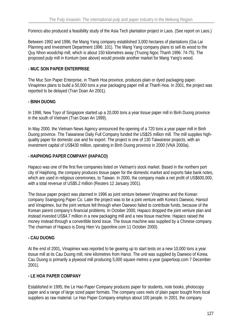Forenco also produced a feasibility study of the Asia Tech plantation project in Laos. (See report on Laos.)

Between 1992 and 1996, the Mang Yang company established 3,000 hectares of plantations (Gia Lai Planning and Investment Department 1996: 101). The Mang Yang company plans to sell its wood to the Quy Nhon woodchip mill, which is about 150 kilometres away (Truong Ngoc Thanh 1996: 74-75). The proposed pulp mill in Kontum (see above) would provide another market for Mang Yang's wood.

## **- MUC SON PAPER ENTERPRISE**

The Muc Son Paper Enterprise, in Thanh Hoa province, produces plain or dyed packaging paper. Vinapimex plans to build a 50,000 tons a year packaging paper mill at Thanh Hoa. In 2001, the project was reported to be delayed (Tran Doan An 2001).

## **- BINH DUONG**

In 1998, New Toyo of Singapore started up a 20,000 tons a year tissue paper mill in Binh Duong province in the south of Vietnam (Tran Doan An 1999).

In May 2000, the Vietnam News Agency announced the opening of a 720 tons a year paper mill in Binh Duong province. The Taiwanese Daily Full Company funded the US\$25 million mill. The mill supplies highquality paper for domestic use and for export. The project is one of 130 Taiwanese projects, with an investment capital of US\$430 million, operating in Binh Duong province in 2000 (VNA 2000a).

## **- HAIPHONG PAPER COMPANY (HAPACO)**

Hapaco was one of the first five companies listed on Vietnam's stock market. Based in the northern port city of Haiphong, the company produces tissue paper for the domestic market and exports fake bank notes, which are used in religious ceremonies, to Taiwan. In 2000, the company made a net profit of US\$600,000, with a total revenue of US\$5.2 million (Reuters 12 January 2001).

The tissue paper project was planned in 1996 as joint venture between Vinapimex and the Korean company Ssangyong Paper Co. Later the project was to be a joint venture with Korea's Daewoo, Hansol and Vinapimex, but the joint venture fell through when Daewoo failed to contribute funds, because of the Korean parent company's financial problems. In October 2000, Hapaco dropped the joint venture plan and instead invested US\$4.7 million in a new packaging mill and a new tissue machine. Hapaco raised the money instead through a convertible bond issue. The tissue machine was supplied by a Chinese company. The chairman of Hapaco is Dong Hien Vu (pponline.com 11 October 2000).

## **- CAU DUONG**

At the end of 2001, Vinapimex was reported to be gearing up to start tests on a new 10,000 tons a year tissue mill at its Cau Duong mill, nine kilometres from Hanoi. The unit was supplied by Daewoo of Korea. Cau Duong is primarily a plywood mill producing 5,000 square metres a year (paperloop.com 7 December 2001).

## **- LE HOA PAPER COMPANY**

Established in 1995, the Le Hao Paper Company produces paper for students, note books, photocopy paper and a range of large sized paper formats. The company uses reels of plain paper bought from local suppliers as raw material. Le Hao Paper Company employs about 100 people. In 2001, the company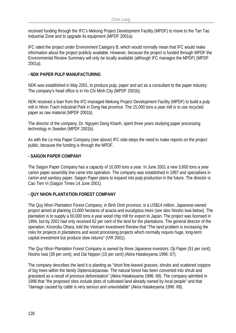received funding through the IFC's Mekong Project Development Facility (MPDF) to move to the Tan Tao Industrial Zone and to upgrade its equipment (MPDF 2001a).

IFC rated the project under Environment Category B, which would normally mean that IFC would make information about the project publicly available. However, because the project is funded through MPDF the Environmental Review Summary will only be locally available (although IFC manages the MPDF) (MPDF 2001a).

## **- NDK PAPER PULP MANUFACTURING**

NDK was established in May 2001, to produce pulp, paper and act as a consultant to the paper industry. The company's head office is in Ho Chi Minh City (MPDF 2001b).

NDK received a loan from the IFC-managed Mekong Project Development Facility (MPDF) to build a pulp mill in Nhon Trach Industrial Park in Dong Nai province. The 15,000 tons a year mill is to use recycled paper as raw material (MPDF 2001b).

The director of the company, Dr. Nguyen Dang Khanh, spent three years studying paper processing technology in Sweden (MPDF 2001b).

As with the Le Hoa Paper Company (see above) IFC side-steps the need to make reports on the project public, because the funding is through the MPDF.

## **- SAIGON PAPER COMPANY**

The Saigon Paper Company has a capacity of 10,000 tons a year. In June 2001 a new 3,600 tons a year carton paper assembly line came into operation. The company was established in 1997 and specialises in carton and sanitary paper. Saigon Paper plans to expand into pulp production in the future. The director is Cao Tien Vi (Saigon Times 14 June 2001).

## **- QUY NHON PLANTATION FOREST COMPANY**

The Quy Nhon Plantation Forest Company, in Binh Dinh province, is a US\$14 million, Japanese-owned project aimed at planting 13,000 hectares of acacia and eucalyptus trees (see also Nissho Iwai below). The plantation is to supply a 50,000 tons a year wood chip mill for export to Japan. The project was licensed in 1994, but by 2001 had only received 62 per cent of the land for the plantations. The general director of the operation, Kironobu Ohara, told the Vietnam Investment Review that "The land problem is increasing the risks for projects in plantations and wood processing projects which normally require huge, long-term capital investment but produce slow returns" (VIR 2001).

The Quy Nhon Plantation Forest Company is owned by three Japanese investors: Oji Paper (51 per cent); Nissho Iwai (39 per cent); and Dai Nippon (10 per cent) (Akira Hatakeyama 1996: 67).

The company describes the land it is planting as "short fine-leaved grasses, shrubs and scattered coppice of big trees within the family Dipterocarpaceae. The natural forest has been converted into shrub and grassland as a result of previous deforestation" (Akira Hatakeyama 1996: 68). The company admitted in 1996 that "the proposed sites include plots of cultivated land already owned by local people" and that "damage caused by cattle is very serious and unavoidable" (Akira Hatakeyama 1996: 69).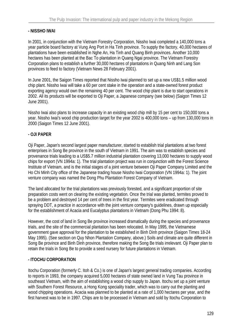# **- NISSHO IWAI**

In 2001, in conjunction with the Vietnam Forestry Corporation, Nissho Iwai completed a 140,000 tons a year particle board factory at Vung Ang Port in Ha Tinh province. To supply the factory, 40,000 hectares of plantations have been established in Nghe An, Ha Tinh and Quang Binh provinces. Another 10,000 hectares has been planted at the Bac To plantation in Quang Ngai province. The Vietnam Forestry Corporation plans to establish a further 30,000 hectares of plantations in Quang Ninh and Lang Son provinces to feed to factory (Vietnam News 28 February 2001).

In June 2001, the Saigon Times reported that Nissho Iwai planned to set up a new US\$1.5 million wood chip plant. Nissho Iwai will take a 60 per cent stake in the operation and a state-owned forest product exporting agency would own the remaining 40 per cent. The wood chip plant is due to start operations in 2002. All its products will be exported to Oji Paper, a Japanese company (see below) (Saigon Times 12 June 2001).

Nissho Iwai also plans to increase capacity in an existing wood chip mill by 15 per cent to 150,000 tons a year. Nissho Iwai's wood chip production target for the year 2002 is 400,000 tons – up from 130,000 tons in 2000 (Saigon Times 12 June 2001).

# **- OJI PAPER**

Oji Paper, Japan's second largest paper manufacturer, started to establish trial plantations at two forest enterprises in Song Be province in the south of Vietnam in 1991. The aim was to establish species and provenance trials leading to a US\$5.7 million industrial plantation covering 13,000 hectares to supply wood chips for export (VN 1994a: 1). The trial plantation project was run in conjunction with the Forest Science Institute of Vietnam, and is the initial stages of a joint venture between Oji Paper Company Limited and the Ho Chi Minh City office of the Japanese trading house Nissho Iwai Corporation (VN 1994a: 1). The joint venture company was named the Dong Phu Plantation Forest Company of Vietnam.

The land allocated for the trial plantations was previously forested, and a significant proportion of site preparation costs went on clearing the existing vegetation. Once the trial was planted, termites proved to be a problem and destroyed 14 per cent of trees in the first year. Termites were eradicated through spraying DDT, a practice in accordance with the joint venture company's guidelines, drawn up especially for the establishment of Acacia and Eucalyptus plantations in Vietnam (Dong Phu 1994: 8).

However, the cost of land in Song Be province increased dramatically during the species and provenance trials, and the site of the commercial plantation has been relocated. In May 1995, the Vietnamese government gave approval for the plantation to be established in Binh Dinh province (Saigon Times 18-24 May 1995). (See section on Quy Nhon Plantation Company, above.) Soils and climate are quite different in Song Be province and Binh Dinh province, therefore making the Song Be trials irrelevant. Oji Paper plan to retain the trials in Song Be to provide a seed nursery for future plantations in Vietnam.

# **- ITOCHU CORPORATION**

Itochu Corporation (formerly C. Itoh & Co.) is one of Japan's largest general trading companies. According to reports in 1993, the company acquired 5,000 hectares of state owned land in Vung Tau province in southeast Vietnam, with the aim of establishing a wood chip supply to Japan. Itochu set up a joint venture with Southern Forest Resource, a Hong Kong speciality trader, which was to carry out the planting and wood chipping operations. Acacia was planned to be planted at a rate of 1,000 hectares per year, and the first harvest was to be in 1997. Chips are to be processed in Vietnam and sold by Itochu Corporation to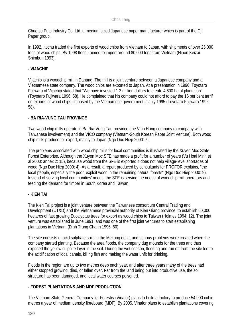Chuetsu Pulp Industry Co. Ltd. a medium sized Japanese paper manufacturer which is part of the Oji Paper group.

In 1992, Itochu traded the first exports of wood chips from Vietnam to Japan, with shipments of over 25,000 tons of wood chips. By 1998 Itochu aimed to import around 80,000 tons from Vietnam (Nihon Keizai Shimbun 1993).

## **- VIJACHIP**

Vijachip is a woodchip mill in Danang. The mill is a joint venture between a Japanese company and a Vietnamese state company. The wood chips are exported to Japan. At a presentation in 1996, Toyotaro Fujiwara of Vijachip stated that "We have invested 1.2 million dollars to create 4,600 ha of plantation" (Toyotaro Fujiwara 1996: 58). He complained that his company could not afford to pay the 15 per cent tarrif on exports of wood chips, imposed by the Vietnamese government in July 1995 (Toyotaro Fujiwara 1996: 58).

## **- BA RIA-VUNG TAU PROVINCE**

Two wood chip mills operate in Ba Ria-Vung Tau province: the Vinh Hung company (a company with Taiwanese involvement) and the VICO company (Vietnam-South Korean Paper Joint Venture). Both wood chip mills produce for export, mainly to Japan (Ngo Duc Hiep 2000: 7).

The problems associated with wood chip mills for local communities is illustrated by the Xuyen Moc State Forest Enterprise. Although the Xuyen Moc SFE has made a profit for a number of years (Vu Hoai Minh et al 2000: annex 2: 15), because wood from the SFE is exported it does not help village-level shortages of wood (Ngo Duc Hiep 2000: 4). As a result, a report produced by consultants for PROFOR explains, "the local people, especially the poor, exploit wood in the remaining natural forests" (Ngo Duc Hiep 2000: 9). Instead of serving local communities' needs, the SFE is serving the needs of woodchip mill operators and feeding the demand for timber in South Korea and Taiwan.

# **- KIEN TAI**

The Kien Tai project is a joint venture between the Taiwanese consortium Central Trading and Development (CT&D) and the Vietnamese provincial authority of Kien Giang province, to establish 60,000 hectares of fast growing Eucalyptus trees for export as wood chips to Taiwan (Holmes 1994: 12). The joint venture was established in June 1991, and was one of the first joint ventures to start establishing plantations in Vietnam (Dinh Trung Chanh 1996: 60).

The site consists of acid sulphate soils in the Mekong delta, and serious problems were created when the company started planting. Because the area floods, the company dug mounds for the trees and thus exposed the yellow sulphite layer in the soil. During the wet season, flooding and run off from the site led to the acidification of local canals, killing fish and making the water unfit for drinking.

Floods in the region are up to two metres deep each year, and after three years many of the trees had either stopped growing, died, or fallen over. Far from the land being put into productive use, the soil structure has been damaged, and local water courses poisoned.

## **- FOREST PLANTATIONS AND MDF PRODUCTION**

The Vietnam State General Company for Forestry (Vinafor) plans to build a factory to produce 54,000 cubic metres a year of medium density fibreboard (MDF). By 2005, Vinafor plans to establish plantations covering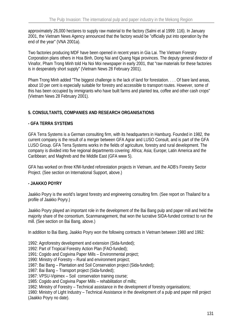approximately 26,000 hectares to supply raw material to the factory (Salmi et al 1999: 116). In January 2001, the Vietnam News Agency announced that the factory would be "officially put into operation by the end of the year" (VNA 2001a).

Two factories producing MDF have been opened in recent years in Gia Lai. The Vietnam Forestry Corporation plans others in Hoa Binh, Dong Nai and Quang Ngai provinces. The deputy general director of Vinafor, Pham Trong Minh told Ha Noi Moi newspaper in early 2001, that "raw materials for these factories is in desperately short supply" (Vietnam News 28 February 2001).

Pham Trong Minh added "The biggest challenge is the lack of land for forestation. . . . Of bare land areas, about 10 per cent is especially suitable for forestry and accessible to transport routes. However, some of this has been occupied by immigrants who have built farms and planted tea, coffee and other cash crops" (Vietnam News 28 February 2001).

# **5. CONSULTANTS, COMPANIES AND RESEARCH ORGANISATIONS**

# **- GFA TERRA SYSTEMS**

GFA Terra Systems is a German consulting firm, with its headquarters in Hamburg. Founded in 1982, the current company is the result of a merger between GFA Agrar and LUSO Consult, and is part of the GFA LUSO Group. GFA Terra Systems works in the fields of agriculture, forestry and rural development. The company is divided into five regional departments covering: Africa; Asia; Europe; Latin America and the Caribbean; and Maghreb and the Middle East (GFA www 5).

GFA has worked on three KfW-funded reforestation projects in Vietnam, and the ADB's Forestry Sector Project. (See section on International Support, above.)

# **- JAAKKO POYRY**

Jaakko Poyry is the world's largest forestry and engineering consulting firm. (See report on Thailand for a profile of Jaakko Poyry.)

Jaakko Poyry played an important role in the development of the Bai Bang pulp and paper mill and held the majority share of the consortium, Scanmanagement, that won the lucrative SIDA-funded contract to run the mill. (See section on Bai Bang, above.)

In addition to Bai Bang, Jaakko Poyry won the following contracts in Vietnam between 1980 and 1992:

1992: Agroforestry development and extension (Sida-funded);

1992: Part of Tropical Forestry Action Plan (FAO-funded);

1991: Cogido and Cogivina Paper Mills – Environmental project:

1990: Ministry of Forestry – Rural and environment project;

1987: Bai Bang – Plantation and Soil Conservation project (Sida-funded);

1987: Bai Bang – Transport project (Sida-funded);

1987: VPSU-Vipimex – Soil conservation training course;

1985: Cogido and Cogivina Paper Mills – rehabilitation of mills;

1982: Ministry of Forestry – Technical assistance in the development of forestry organisations;

1980: Ministry of Light Industry – Technical Assistance in the development of a pulp and paper mill project (Jaakko Poyry no date).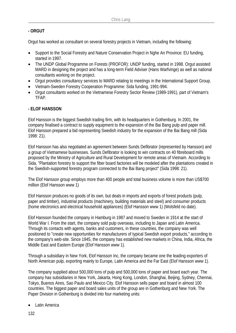# **- ORGUT**

Orgut has worked as consultant on several forestry projects in Vietnam, including the following:

- Support to the Social Forestry and Nature Conservation Project in Nghe An Province: EU funding, started in 1997.
- The UNDP Global Programme on Forests (PROFOR): UNDP funding, started in 1998. Orgut assisted MARD in designing the project and has a long-term Field Adviser (Hans Warfvinge) as well as national consultants working on the project.
- Orgut provides consultancy services to MARD relating to meetings in the International Support Group.
- Vietnam-Sweden Forestry Cooperation Programme: Sida funding, 1991-994.
- Orgut consultants worked on the Vietnamese Forestry Sector Review (1989-1991), part of Vietnam's TFAP.

# **- ELOF HANSSON**

Elof Hansson is the biggest Swedish trading firm, with its headquarters in Gothenburg. In 2001, the company finalised a contract to supply equipment to the expansion of the Bai Bang pulp and paper mill. Elof Hansson prepared a bid representing Swedish industry for the expansion of the Bai Bang mill (Sida 1998: 21).

Elof Hansson has also negotiated an agreement between Sunds Defibrator (represented by Hansson) and a group of Vietnamese businesses. Sunds Defibrator is looking to win contracts on 40 fibreboard mills proposed by the Ministry of Agriculture and Rural Development for remote areas of Vietnam. According to Sida, "Plantation forestry to support the fiber board factories will be modeled after the plantations created in the Swedish-supported forestry program connected to the Bai Bang project" (Sida 1998: 21).

The Elof Hansson group employs more than 400 people and total business volume is more than US\$700 million (Elof Hansson www 1)

Elof Hansson produces no goods of its own, but deals in imports and exports of forest products (pulp, paper and timber), industrial products (machinery, building materials and steel) and consumer products (home electronics and electrical household appliances) (Elof Hansson www 1) (Wolsfeld no date).

Elof Hansson founded the company in Hamburg in 1987 and moved to Sweden in 1914 at the start of World War I. From the start, the company sold pulp overseas, including to Japan and Latin America. Through its contacts with agents, banks and customers, in these countries, the company was well positioned to "create new opportunities for manufacturers of typical Swedish export products," according to the company's web-site. Since 1945, the company has established new markets in China, India, Africa, the Middle East and Eastern Europe (Elof Hansson www 1).

Through a subsidiary in New York, Elof Hansson Inc, the company became one the leading exporters of North American pulp, exporting mainly to Europe, Latin America and the Far East (Elof Hansson www 1).

The company supplied about 500,000 tons of pulp and 500,000 tons of paper and board each year. The company has subsidiaries in New York, Jakarta, Hong Kong, London, Shanghai, Beijing, Sydney, Chennai, Tokyo, Buenos Aires, Sao Paulo and Mexico City. Elof Hansson sells paper and board in almost 100 countries. The biggest paper and board sales units of the group are in Gothenburg and New York. The Paper Division in Gothenburg is divided into four marketing units:

• Latin America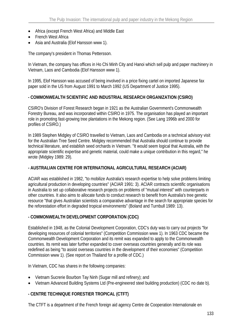- Africa (except French West Africa) and Middle East
- French West Africa
- Asia and Australia (Elof Hansson www 1).

The company's president in Thomas Pettersson.

In Vietnam, the company has offices in Ho Chi Minh City and Hanoi which sell pulp and paper machinery in Vietnam, Laos and Cambodia (Elof Hansson www 1).

In 1995, Elof Hansson was accused of being involved in a price fixing cartel on imported Japanese fax paper sold in the US from August 1991 to March 1992 (US Department of Justice 1995).

## **- COMMONWEALTH SCIENTIFIC AND INDUSTRIAL RESEARCH ORGANIZATION (CSIRO)**

CSIRO's Division of Forest Research began in 1921 as the Australian Government's Commonwealth Forestry Bureau, and was incorporated within CSIRO in 1975. The organisation has played an important role in promoting fast-growing tree plantations in the Mekong region. (See Lang 1996b and 2000 for profiles of CSIRO.)

In 1989 Stephen Midgley of CSIRO travelled to Vietnam, Laos and Cambodia on a technical advisory visit for the Australian Tree Seed Centre. Midgley recommended that Australia should continue to provide technical literature, and establish seed orchards in Vietnam. "It would seem logical that Australia, with the appropriate scientific expertise and genetic material, could make a unique contribution in this regard," he wrote (Midgley 1989: 29).

## **- AUSTRALIAN CENTRE FOR INTERNATIONAL AGRICULTURAL RESEARCH (ACIAR)**

ACIAR was established in 1982, "to mobilize Australia's research expertise to help solve problems limiting agricultural production in developing countries" (ACIAR 1991: 3). ACIAR contracts scientific organisations in Australia to set up collaborative research projects on problems of "mutual interest" with counterparts in other countries. It also aims to allocate funds to conduct research to benefit from Australia's tree genetic resource "that gives Australian scientists a comparative advantage in the search for appropriate species for the reforestation effort in degraded tropical environments" (Boland and Turnbull 1989: 13).

# **- COMMONWEALTH DEVELOPMENT CORPORATION (CDC)**

Established in 1948, as the Colonial Development Corporation, CDC's duty was to carry out projects "for developing resources of colonial territories" (Competition Commission www 1). In 1963 CDC became the Commonwealth Development Corporation and its remit was expanded to apply to the Commonwealth countries. Its remit was later further expanded to cover overseas countries generally and its role was redefined as being "to assist overseas countries in the development of their economies" (Competition Commission www 1). (See report on Thailand for a profile of CDC.)

In Vietnam, CDC has shares in the following companies:

- Vietnam Sucrerie Bourbon Tay Ninh (Sugar mill and refinery); and
- Vietnam Advanced Building Systems Ltd (Pre-engineered steel building production) (CDC no date b).

# **- CENTRE TECHNIQUE FORESTIER TROPICAL (CTFT)**

The CTFT is a department of the French foreign aid agency Centre de Cooperation Internationale en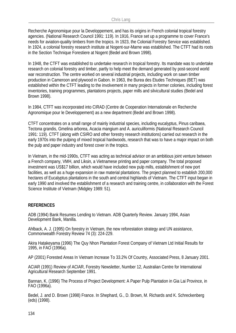Recherche Agronomique pour la Developpement, and has its origins in French colonial tropical forestry agencies. (National Research Council 1991: 119). In 1916, France set up a programme to cover France's needs for aviation-quality timbers from the tropics. In 1923, the Colonial Forestry Service was established. In 1924, a colonial forestry research institute at Nogent-sur-Marne was established. The CTFT had its roots in the Section Technique Forestiere at Nogent (Bedel and Brown 1998).

In 1948, the CTFT was established to undertake research in tropical forestry. Its mandate was to undertake research on colonial forestry and timber, partly to help meet the demand generated by post-second world war reconstruction. The centre worked on several industrial projects, including work on sawn timber production in Cameroon and plywood in Gabon. In 1963, the Burea des Etudes Techniques (BET) was established within the CTFT leading to the involvement in many projects in former colonies, including forest inventories, training programmes, plantations projects, paper mills and silvicultural studies (Bedel and Brown 1998).

In 1984, CTFT was incorporated into CIRAD (Centre de Cooperation Internationale en Recherche Agronomique pour le Developpement) as a new department (Bedel and Brown 1998).

CTFT concentrates on a small range of mainly industrial species, including eucalyptus, Pinus caribaea, Tectona grandis, Gmelina arborea, Acacia mangium and A. auriculiformis (National Research Council 1991: 119). CTFT (along with CSIRO and other forestry research institutions) carried out research in the early 1970s into the pulping of mixed tropical hardwoods, research that was to have a major impact on both the pulp and paper industry and forest cover in the tropics.

In Vietnam, in the mid-1990s, CTFT was acting as technical advisor on an ambitious joint venture between a French company, VMH, and Liksin, a Vietnamese printing and paper company. The total proposed investment was US\$17 billion, which would have included new pulp mills, establishment of new port facilities, as well as a huge expansion in raw material plantations. The project planned to establish 200,000 hectares of Eucalyptus plantations in the south and central highlands of Vietnam. The CTFT input began in early 1990 and involved the establishment of a research and training centre, in collaboration with the Forest Science Institute of Vietnam (Midgley 1989: 51).

# **REFERENCES**

ADB (1994) Bank Resumes Lending to Vietnam. ADB Quarterly Review. January 1994, Asian Development Bank, Manilla.

Ahlback, A. J. (1995) On forestry in Vietnam, the new reforestation strategy and UN assistance, Commonwealth Forestry Review 74 (3): 224-229.

Akira Hatakeyama (1996) The Quy Nhon Plantation Forest Company of Vietnam Ltd Initial Results for 1995, in FAO (1996a).

AP (2001) Forested Areas In Vietnam Increase To 33.2% Of Country, Associated Press, 8 January 2001.

ACIAR (1991) Review of ACIAR, Forestry Newsletter, Number 12, Australian Centre for International Agricultural Research September 1991.

Bannan, K. (1996) The Process of Project Development: A Paper Pulp Plantation in Gia Lai Province, in FAO (1996a).

Bedel, J. and D. Brown (1998) France. In Shephard, G., D. Brown, M. Richards and K. Schreckenberg (eds) (1998).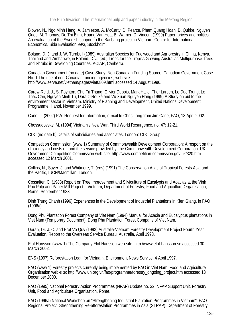Blower, N., Ngo Minh Hang, A. Jamieson, A. McCarty, D. Pearce, Pham Quang Hoan, D. Quirke, Nguyen Quoc, M. Thomas, Do Thi Binh, Hoang Van Hoa, B. Warner, D. Vincent (1999) Paper, prices and politics: An evaluation of the Swedish support to the Bai bang project in Vietnam. Centre for International Economics. Sida Evaluation 99/3, Stockholm.

Boland, D. J. and J. W. Turnbull (1989) Australian Species for Fuelwood and Agrforestry in China, Kenya, Thailand and Zimbabwe, in Boland, D. J. (ed.) Trees for the Tropics Growing Australian Multipurpose Trees and Shrubs in Developing Countries, ACIAR, Canberra.

Canadian Government (no date) Case Study: Non-Canadian Funding Source: Canadian Government Case No. 1 The use of non-Canadian funding agencies, web-site: http://www.serve.net/vietnam/pages/viet0809.html accessed 14 August 1996.

Carew-Reid, J., S. Poynton, Chu Tri Thang, Olivier Dubois, Mark Halle, Thor Larsen, Le Duc Trung, Le Thac Can, Nguyen Minh Tu, Dara O'Rouke and Vu Xuan Nguyen Hong (1999) A Study on aid to the environment sector in Vietnam. Ministry of Planning and Development, United Nations Development Programme, Hanoi, November 1999.

Carle, J. (2002) FW: Request for Information, e-mail to Chris Lang from Jim Carle, FAO, 18 April 2002.

Chossudovsky, M. (1994) Vietnam's New War, Third World Resurgence, no. 47: 12-21.

CDC (no date b) Details of subsidiaries and associates. London: CDC Group.

Competition Commission (www 1) Summary of Commonwealth Development Corporation: A resport on the efficiency and costs of, and the service provided by, the Commonwealth Development Corporation. UK Government Competition Commission web-site: http://www.competition-commission.gov.uk/320.htm accessed 12 March 2001.

Collins, N., Sayer, J. and Whitmore, T. (eds) (1991) The Conservation Atlas of Tropical Forests Asia and the Pacific, IUCN/Macmillan, London.

Cossalter, C. (1988) Report on Tree Improvement and Silviculture of Eucalypts and Acacias at the Vinh Phu Pulp and Paper Mill Project – Vietnam, Department of Forestry, Food and Agriculture Organisation, Rome, September 1988.

Dinh Trung Chanh (1996) Experiences in the Development of Industrial Plantations in Kien Giang, in FAO (1996a).

Dong Phu Plantation Forest Company of Viet Nam (1994) Manual for Acacia and Eucalyptus plantations in Viet Nam (Temporary Document), Dong Phu Plantation Forest Company of Viet Nam.

Doran, Dr. J. C. and Prof Vo Quy (1993) Australia-Vietnam Forestry Development Project Fourth Year Evaluation, Report to the Overseas Service Bureau, Australia, April 1993.

Elof Hansson (www 1) The Company Elof Hansson web-site: http://www.elof-hansson.se accessed 30 March 2002.

ENS (1997) Reforestation Loan for Vietnam, Environment News Service, 4 April 1997.

FAO (www 1) Forestry projects currently being implemented by FAO in Viet Nam. Food and Agriculture Organisation web-site: http://www.un.org.vn/fao/programme/forestry\_ongoing\_project.htm accessed 13 December 2000.

FAO (1995) National Forestry Action Programmes (NFAP) Update no. 32, NFAP Support Unit, Forestry Unit, Food and Agriculture Organisation, Rome.

FAO (1996a) National Workshop on "Strengthening Industrial Plantation Programmes in Vietnam". FAO Regional Project "Strengthening Re-afforestation Programmes in Asia (STRAP), Department of Forestry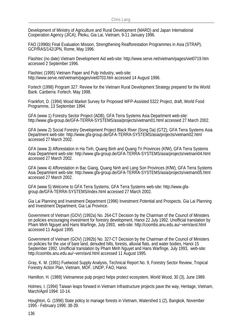Development of Ministry of Agriculture and Rural Development (MARD) and Japan International Cooperation Agency (JICA), Pleiku, Gia Lai, Vietnam, 9-11 January 1996.

FAO (1996b) Final Evaluation Mission, Strengthening Reafforestation Programmes in Asia (STRAP), GCP/RAS/142/JPN, Rome, May 1996.

Flashtec (no date) Vietnam Development Aid web-site: http://www.serve.net/vietnam/pages/viet0719.htm accessed 2 September 1996.

Flashtec (1995) Vietnam Paper and Pulp Industry, web-site: http://www.serve.net/vietnam/pages/viet0703.htm accessed 14 August 1996.

Fortech (1998) Program 327: Review for the Vietnam Rural Development Strategy prepared for the World Bank. Canberra: Fortech. May 1998.

Frankfort, D. (1994) Wood Market Survey for Proposed WFP-Assisted 5322 Project, draft, World Food Programme, 13 September 1994.

GFA (www 1) Forestry Sector Project (ADB), GFA Terra Systems Asia Department web-site: http://www.gfa-group.de/GFA-TERRA-SYSTEMS/asia/projects/vietnam01.html accessed 27 March 2002.

GFA (www 2) Social Forestry Development Project Black River (Song Da) (GTZ), GFA Terra Systems Asia Department web-site: http://www.gfa-group.de/GFA-TERRA-SYSTEMS/asia/projects/vietnam02.html accessed 27 March 2002.

GFA (www 3) Afforestation in Ha Tinh, Quang Binh and Quang Tri Provinces (KfW), GFA Terra Systems Asia Department web-site: http://www.gfa-group.de/GFA-TERRA-SYSTEMS/asia/projects/vietnam04.html accessed 27 March 2002.

GFA (www 4) Afforestation in Bac Giang, Quang Ninh and Lang Son Provinces (KfW), GFA Terra Systems Asia Department web-site: http://www.gfa-group.de/GFA-TERRA-SYSTEMS/asia/projects/vietnam05.html accessed 27 March 2002.

GFA (www 5) Welcome to GFA Terra Systems, GFA Terra Systems web-site: http://www.gfagroup.de/GFA-TERRA-SYSTEMS/index.html accessed 27 March 2002.

Gia Lai Planning and Investment Department (1996) Investment Potential and Prospects. Gia Lai Planning and Investment Department, Gia Lai Province.

Government of Vietnam (GOV) (1992a) No. 264-CT Decision by the Chairman of the Council of Ministers on policies encouraging investment for forestry development, Hanoi 22 July 1992. Unofficial translation by Pham Minh Nguyet and Hans Warfinge, July 1993, web-site: http://coombs.anu.edu.au/~vern/avsl.html accessed 11 August 1995.

Government of Vietnam (GOV) (1992b) No. 327-CT Decision by the Chairman of the Council of Ministers on policies for the use of bare land, denuded hills, forests, alluvial flats, and water bodies, Hanoi 15 September 1992. Unofficial translation by Pham Minh Nguyet and Hans Warfinge, July 1993, web-site: http://coombs.anu.edu.au/~vern/avsl.html accessed 11 August 1995.

Gray, K. M. (1991) Fuelwood Supply Analysis, Technical Report No. 9, Forestry Sector Review, Tropical Forestry Action Plan, Vietnam, MOF, UNDP, FAO, Hanoi.

Hamilton, H. (1989) Vietnamese pulp project helps protect ecosystem, World Wood, 30 (3), June 1989.

Holmes, I. (1994) Taiwan leaps forward in Vietnam Infrastructure projects pave the way, Heritage, Vietnam, March/April 1994: 10-14.

Houghton, G. (1996) State policy to manage forests in Vietnam, Watershed 1 (2), Bangkok, November 1995 - February 1996: 38-39.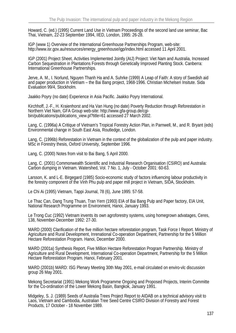Howard, C. (ed.) (1995) Current Land Use in Vietnam Proceedings of the second land use seminar, Bac Thai, Vietnam, 22-23 September 1994, IIED, London, 1995: 26-28.

IGP (www 1) Overview of the International Greenhouse Partnerships Program, web-site: http://www.isr.gov.au/resources/energy\_greenhouse/igp/index.html accessed 11 April 2001.

IGP (2001) Project Sheet, Activities Implemented Jointly (AIJ) Project: Viet Nam and Australia, Increased Carbon Sequestration in Plantations Forests through Genetically Improved Planting Stock. Canberra: International Greenhouse Partnerships.

Jerve, A. M., I. Norlund, Nguyen Thanh Ha and A. Suhrke (1999) A Leap of Faith: A story of Swedish aid and paper production in Vietnam – the Bai Bang project, 1968-1996. Christian Michelsen Insitute. Sida Evaluation 99/4, Stockholm.

Jaakko Poyry (no date) Experience in Asia Pacific. Jaakko Poyry International.

Kirchhoff, J.-F., H. Kraienhorst and Ha Van Hung (no date) Poverty Reduction through Reforestation in Northern Viet Nam, GFA Group web-site: http://www.gfa-group.de/cgibin/publications/publications\_view.pl?title=61 accessed 27 March 2002.

Lang, C. (1996a) A Critique of Vietnam's Tropical Forestry Action Plan, in Parnwell, M., and R. Bryant (eds) Environmental change in South East Asia, Routledge, London.

Lang, C. (1996b) Reforestation in Vietnam in the context of the globalization of the pulp and paper industry. MSc in Forestry thesis, Oxford University, September 1996.

Lang, C. (2000) Notes from visit to Bai Bang, 5 April 2000.

Lang, C. (2001) Commonwealth Scientific and Industrial Research Organisation (CSIRO) and Australia: Carbon dumping in Vietnam. Watershed, Vol. 7 No. 1, July - October 2001: 60-63.

Larsson, K. and L-E. Birgegard (1985) Socio-economic study of factors influencing labour productivity in the forestry component of the Vinh Phu pulp and paper mill project in Vietnam, SIDA, Stockholm.

Le Chi Ai (1995) Vietnam, Tappi Journal, 78 (6), June 1995: 57-58.

Le Thac Can, Dang Trung Thuan, Tran Yern (1993) EIA of Bai Bang Pulp and Paper factory, EIA Unit, National Research Programme on Environment, Hanoi, January 1993.

Le Trong Cuc (1992) Vietnam invents its own agroforestry systems, using homegrown advatages, Ceres, 138, November-December 1992: 27-30.

MARD (2000) Clarification of the five million hectare reforestation program, Task Force I Report. Ministry of Agriculture and Rural Development, Inrenational Co-operation Department, Partnership for the 5 Million Hectare Reforestation Program. Hanoi, December 2000.

MARD (2001a) Synthesis Report, Five Million Hectare Reforestation Program Partnership. Ministry of Agriculture and Rural Development, International Co-operation Department, Partnership for the 5 Million Hectare Reforestation Program. Hanoi, February 2001.

MARD (2001b) MARD: ISG Plenary Meeting 30th May 2001, e-mail circulated on enviro-vlc discussion group 26 May 2001.

Mekong Secretariat (1991) Mekong Work Programme Ongoing and Proposed Projects, Interim Committe for the Co-ordination of the Lower Mekong Basin, Bangkok, January 1991.

Midgeley, S. J. (1989) Seeds of Australia Trees Project Report to AIDAB on a technical advisory visit to Laos, Vietnam and Cambodia, Australian Tree Seed Centre CSIRO Division of Forestry and Forest Products, 17 October - 18 November 1989.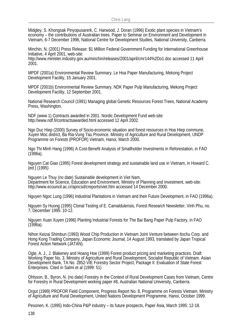Midgley, S. Khongsak Pinyopusarerk, C. Harwood, J. Doran (1996) Exotic plant species in Vietnam's economy – the contributions of Australian trees. Paper to Seminar on Environment and Development in Vietnam, 6-7 December 1996, National Centre for Development Studies, National University, Canberra.

Minchin, N. (2001) Press Release: \$1 Million Federal Government Funding for International Greenhouse Initiative, 4 April 2001, web-site:

http://www.minister.industry.gov.au/minchin/releases/2001/april/cmr144%2Do1.doc accessed 11 April 2001.

MPDF (2001a) Environmental Review Summary, Le Hoa Paper Manufacturing, Mekong Project Development Facility, 15 January 2001.

MPDF (2001b) Environmental Review Summary, NDK Paper Pulp Manufacturing, Mekong Project Development Facility, 12 September 2001.

National Research Council (1991) Managing global Genetic Resources Forest Trees, National Academy Press, Washington.

NDF (www 1) Contracts awarded in 2001. Nordic Development Fund web-site: http://www.ndf.fi/contractsawarded.html accessed 12 April 2002.

Ngo Duc Hiep (2000) Survey of Socio-economic situation and forest resources in Hoa Hiep commune, Xuyen Moc district, Ba Ria-Vung Tau Province. Ministry of Agriculture and Rural Development, UNDP Programme on Forests (PROFOR) Vietnam, Hanoi, March 2000.

Ngo Thi Minh Hang (1996) A Cost-Benefit Analysis of Smallholder Investments in Reforestation, in FAO  $(1996a)$ .

Nguyen Cat Giao (1995) Forest development strategy and sustainable land use in Vietnam, in Howard C.  $(ed.)$  (1995)

Nguyen Le Thuy (no date) Sustainable development in Viet Nam, Department for Science, Education and Environment, Ministry of Planning and Investment, web-site: http://www.ecouncil.ac.cr/apncsd/creports/viet.htm accessed 14 December 2000.

Nguyen Ngoc Lung (1996) Industrial Plantations in Vietnam and their Future Development, in FAO (1996a).

Nguyen Sy Huong (1995) Clonal Testing of E. Camaldulensis, Forest Research Newsletter, Vinh Phu, no. 7, December 1995: 10-12.

Nguyen Xuan Xuyen (1996) Planting Industrial Forests for The Bai Bang Paper Pulp Factory, in FAO (1996a).

Nihon Keizai Shimbun (1993) Wood Chip Production in Vietnam Joint Venture between Itochu Corp. and Hong Kong Trading Company, Japan Economic Journal, 14 August 1993, translated by Japan Tropical Forest Action Network (JATAN).

Ogle, A. J., J. Blakeney and Hoang Hoe (1999) Forest product pricing and marketing practices. Draft Working Paper No. 3. Ministry of Agriculture and Rural Development, Socialist Republic of Vietnam. Asian Development Bank, TA No. 2852-VIE Forestry Sector Project, Package II: Evaluation of State Forest Enterprises. Cited in Salmi et al (1999: 51)

Ohlsson, B., Byron, N. (no date) Forestry in the Context of Rural Development Cases from Vietnam, Centre for Forestry in Rural Development working paper #8, Australian National University, Canberra.

Orgut (1999) PROFOR Field Component, Progress Report No. 8, Programme on Forests Vietnam, Ministry of Agriculture and Rural Development, United Nations Development Programme, Hanoi, October 1999.

Pesonen, K. (1995) Indo-China P&P industry – its future prospects, Paper Asia, March 1995: 12-18.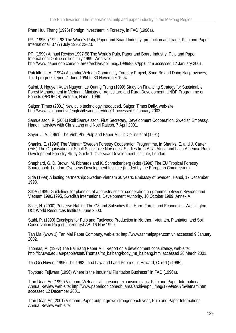Phan Huu Thang (1996) Foreign Investment in Forestry, in FAO (1996a).

PPI (1995a) 1992-93 The World's Pulp, Paper and Board Industry: production and trade, Pulp and Paper International, 37 (7) July 1995: 22-23.

PPI (1999) Annual Review 1997-98 The World's Pulp, Paper and Board Industry. Pulp and Paper International Online edition July 1999. Web-site: http://www.paperloop.com/db\_area/archive/ppi\_mag/1999/9907/ppi6.htm accessed 12 January 2001.

Ratcliffe, L. A. (1994) Australia-Vietnam Community Forestry Project, Song Be and Dong Nai provinces, Third progress report, 1 June 1994 to 30 November 1994.

Salmi, J, Nguyen Xuan Nguyen, Le Quang Trung (1999) Study on Financing Strategy for Sustainable Forest Management in Vietnam, Ministry of Agriculture and Rural Development, UNDP Programme on Forests (PROFOR) Vietnam, Hanoi, 1999.

Saigon Times (2001) New pulp technology introduced, Saigon Times Daily, web-site: http://www.saigonnet.vn/english/bs/industry/dec01 accessed 9 January 2002.

Samuelsson, R. (2001) Rolf Samuelsson, First Secretary, Development Cooperation, Swedish Embassy, Hanoi: Interview with Chris Lang and Noel Rajesh, 7 April 2001.

Sayer, J. A. (1991) The Vinh Phu Pulp and Paper Mill, in Collins et al (1991).

Shanks, E. (1994) The Vietnam/Sweden Forestry Cooperation Programme, in Shanks, E. and J. Carter (Eds) The Organisation of Small-Scale Tree Nurseries: Studies from Asia, Africa and Latin America. Rural Development Forestry Study Guide 1. Overseas Development Institute, London.

Shephard, G. D. Brown, M. Richards and K. Schreckenberg (eds) (1998) The EU Tropical Forestry Sourcebook. London: Overseas Development Institute (funded by the European Commission).

Sida (1998) A lasting partnership: Sweden-Vietnam 30 years. Embassy of Sweden, Hanoi, 17 December 1998.

SIDA (1989) Guidelines for planning of a forestry sector cooperation programme between Sweden and Vietnam 1990/1995, Swedish International Development Authority, 10 October 1989: Annex A.

Sizer, N. (2000) Perverse Habits: The G8 and Subsidies that Harm Forest and Economies. Washington DC: World Resources Institute. June 2000.

Stahl, P. (1990) Eucalypts for Pulp and Fuelwood Production in Northern Vietnam, Plantation and Soil Conservation Project, Interforest AB, 16 Nov 1990.

Tan Mai (www 1) Tan Mai Paper Company, web-site: http://www.tanmaipaper.com.vn accessed 9 January 2002.

Thomas, M. (1997) The Bai Bang Paper Mill, Report on a development consultancy, web-site: http://icr.uws.edu.au/people/staff/Thomas/mt\_baibang/body\_mt\_baibang.html accessed 30 March 2001.

Ton Gia Huyen (1995) The 1993 Land Law and Land Policies, in Howard, C. (ed.) (1995).

Toyotaro Fujiwara (1996) Where is the Industrial Plantation Business? in FAO (1996a).

Tran Doan An (1999) Vietnam: Vietnam still pursuing expansion plans, Pulp and Paper International Annual Review web-site: http://www.paperloop.com/db\_area/archive/ppi\_mag/1999/9907/5vietnam.htm accessed 12 December 2001.

Tran Doan An (2001) Vietnam: Paper output grows stronger each year, Pulp and Paper International Annual Review web-site: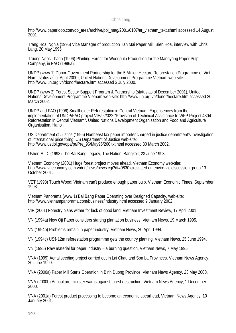http://www.paperloop.com/db\_area/archive/ppi\_mag/2001/0107/ar\_vietnam\_text.shtml accessed 14 August 2001.

Trang Hoai Nghia (1995) Vice Manager of production Tan Mai Paper Mill, Bien Hoa, interview with Chris Lang, 20 May 1995.

Truong Ngoc Thanh (1996) Planting Forest for Woodpulp Production for the Mangyang Paper Pulp Company, in FAO (1996a).

UNDP (www 1) Donor-Government Partnership for the 5 Million Hectare Reforestation Programme of Viet Nam (status as of April 2000), United Nations Development Programme Vietnam web-site: http://www.un.org.vn/donor/hectare.htm accessed 3 July 2000.

UNDP (www 2) Forest Sector Support Program & Partnership (status as of December 2001), United Nations Development Programme Vietnam web-site: http://www.un.org.vn/donor/hectare.htm accessed 20 March 2002.

UNDP and FAO (1996) Smallholder Reforestation in Central Vietnam. Experisences from the implementation of UNDP/FAO project VIE/92/022 "Provision of Technical Assistance to WFP Project 4304: Reforestation in Central Vietnam". United Nations Development Organisation and Food and Agriculture Organisation, Hanoi.

US Department of Justice (1995) Northeast fax paper importer charged in justice department's investigation of international price fixing, US Department of Justice web-site: http://www.usdoj.gov/opa/pr/Pre\_96/May95/260.txt.html accessed 30 March 2002.

Usher, A. D. (1993) The Bai Bang Legacy, The Nation, Bangkok, 23 June 1993.

Vietnam Economy (2001) Huge forest project moves ahead, Vietnam Economy web-site: http://www.vneconomy.com.vn/en/news/news.cgi?dt=0830 circulated on enviro-vlc discussion group 13 October 2001.

VET (1998) Touch Wood: Vietnam can't produce enough paper pulp, Vietnam Economic Times, September 1998.

Vietnam Panorama (www 1) Bai Bang Paper Operating over Designed Capacity, web-site: http://www.vietnampanorama.com/business/industry.html accessed 9 January 2002.

VIR (2001) Forestry plans wither for lack of good land, Vietnam Investment Review, 17 April 2001.

VN (1994a) New Oji Paper considers starting plantation business, Vietnam News, 19 March 1995.

VN (1994b) Problems remain in paper industry, Vietnam News, 20 April 1994.

VN (1994c) US\$ 12m reforestation programme gets the country planting, Vietnam News, 25 June 1994.

VN (1995) Raw material for paper industry – a burning question, Vietnam News, 7 May 1995.

VNA (1999) Aerial seeding project carried out in Lai Chau and Son La Provinces, Vietnam News Agency, 20 June 1999.

VNA (2000a) Paper Mill Starts Operation in Binh Duong Province, Vietnam News Agency, 23 May 2000.

VNA (2000b) Agriculture minister warns against forest destruction, Vietnam News Agency, 1 December 2000.

VNA (2001a) Forest product processing to become an economic spearhead, Vietnam News Agency, 10 January 2001.